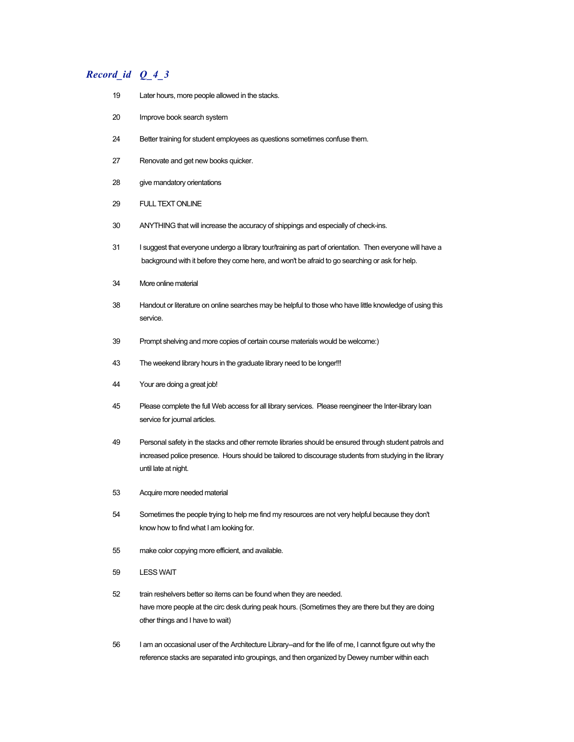- 19 Later hours, more people allowed in the stacks.
- 20 Improve book search system
- 24 Better training for student employees as questions sometimes confuse them.
- 27 Renovate and get new books quicker.
- 28 give mandatory orientations
- 29 FULL TEXT ONLINE
- 30 ANYTHING that will increase the accuracy of shippings and especially of check-ins.
- 31 I suggest that everyone undergo a library tour/training as part of orientation. Then everyone will have a background with it before they come here, and won't be afraid to go searching or ask for help.
- 34 More online material
- 38 Handout or literature on online searches may be helpful to those who have little knowledge of using this service.
- 39 Prompt shelving and more copies of certain course materials would be welcome:)
- 43 The weekend library hours in the graduate library need to be longer!!!
- 44 Your are doing a great job!
- 45 Please complete the full Web access for all library services. Please reengineer the Inter-library loan service for journal articles.
- 49 Personal safety in the stacks and other remote libraries should be ensured through student patrols and increased police presence. Hours should be tailored to discourage students from studying in the library until late at night.
- 53 Acquire more needed material
- 54 Sometimes the people trying to help me find my resources are not very helpful because they don't know how to find what I am looking for.
- 55 make color copying more efficient, and available.
- 59 LESS WAIT
- 52 train reshelvers better so items can be found when they are needed. have more people at the circ desk during peak hours. (Sometimes they are there but they are doing other things and I have to wait)
- 56 I am an occasional user of the Architecture Library--and for the life of me, I cannot figure out why the reference stacks are separated into groupings, and then organized by Dewey number within each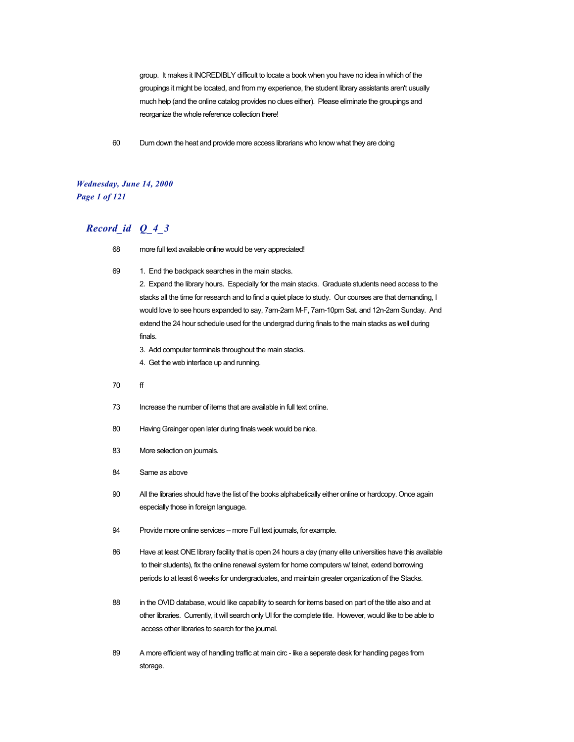group. It makes it INCREDIBLY difficult to locate a book when you have no idea in which of the groupings it might be located, and from my experience, the student library assistants aren't usually much help (and the online catalog provides no clues either). Please eliminate the groupings and reorganize the whole reference collection there!

60 Durn down the heat and provide more access librarians who know what they are doing

# *Wednesday, June 14, 2000 Page 1 of 121*

# *Record\_id Q\_4\_3*

- 68 more full text available online would be very appreciated!
- 69 1. End the backpack searches in the main stacks.

2. Expand the library hours. Especially for the main stacks. Graduate students need access to the stacks all the time for research and to find a quiet place to study. Our courses are that demanding, I would love to see hours expanded to say, 7am-2am M-F, 7am-10pm Sat. and 12n-2am Sunday. And extend the 24 hour schedule used for the undergrad during finals to the main stacks as well during finals.

- 3. Add computer terminals throughout the main stacks.
- 4. Get the web interface up and running.
- 70 ff
- 73 Increase the number of items that are available in full text online.
- 80 Having Grainger open later during finals week would be nice.
- 83 More selection on journals.
- 84 Same as above
- 90 All the libraries should have the list of the books alphabetically either online or hardcopy. Once again especially those in foreign language.
- 94 Provide more online services -- more Full text journals, for example.
- 86 Have at least ONE library facility that is open 24 hours a day (many elite universities have this available to their students), fix the online renewal system for home computers w/ telnet, extend borrowing periods to at least 6 weeks for undergraduates, and maintain greater organization of the Stacks.
- 88 in the OVID database, would like capability to search for items based on part of the title also and at other libraries. Currently, it will search only UI for the complete title. However, would like to be able to access other libraries to search for the journal.
- 89 A more efficient way of handling traffic at main circ like a seperate desk for handling pages from storage.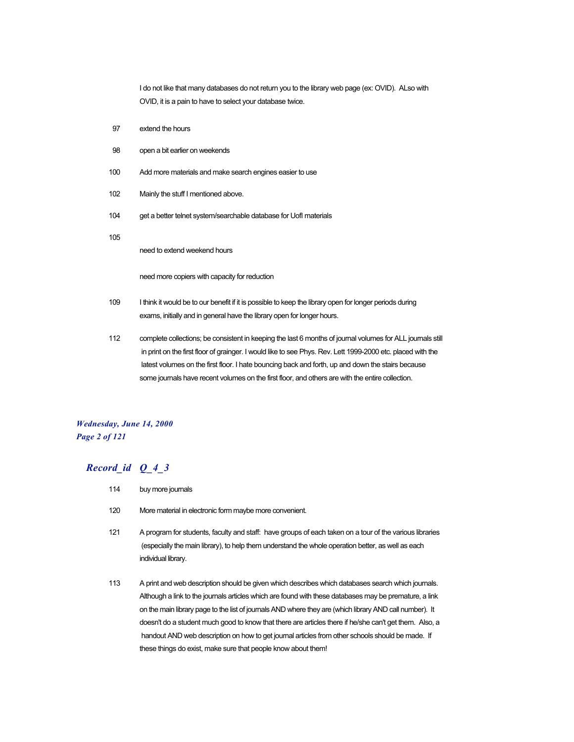I do not like that many databases do not return you to the library web page (ex: OVID). ALso with OVID, it is a pain to have to select your database twice.

- 97 extend the hours
- 98 open a bit earlier on weekends
- 100 Add more materials and make search engines easier to use
- 102 Mainly the stuff I mentioned above.
- 104 get a better telnet system/searchable database for UofI materials

105

need to extend weekend hours

need more copiers with capacity for reduction

- 109 I think it would be to our benefit if it is possible to keep the library open for longer periods during exams, initially and in general have the library open for longer hours.
- 112 complete collections; be consistent in keeping the last 6 months of journal volumes for ALL journals still in print on the first floor of grainger. I would like to see Phys. Rev. Lett 1999-2000 etc. placed with the latest volumes on the first floor. I hate bouncing back and forth, up and down the stairs because some journals have recent volumes on the first floor, and others are with the entire collection.

# *Wednesday, June 14, 2000 Page 2 of 121*

- 114 buy more journals
- 120 More material in electronic form maybe more convenient.
- 121 A program for students, faculty and staff: have groups of each taken on a tour of the various libraries (especially the main library), to help them understand the whole operation better, as well as each individual library.
- 113 A print and web description should be given which describes which databases search which journals. Although a link to the journals articles which are found with these databases may be premature, a link on the main library page to the list of journals AND where they are (which library AND call number). It doesn't do a student much good to know that there are articles there if he/she can't get them. Also, a handout AND web description on how to get journal articles from other schools should be made. If these things do exist, make sure that people know about them!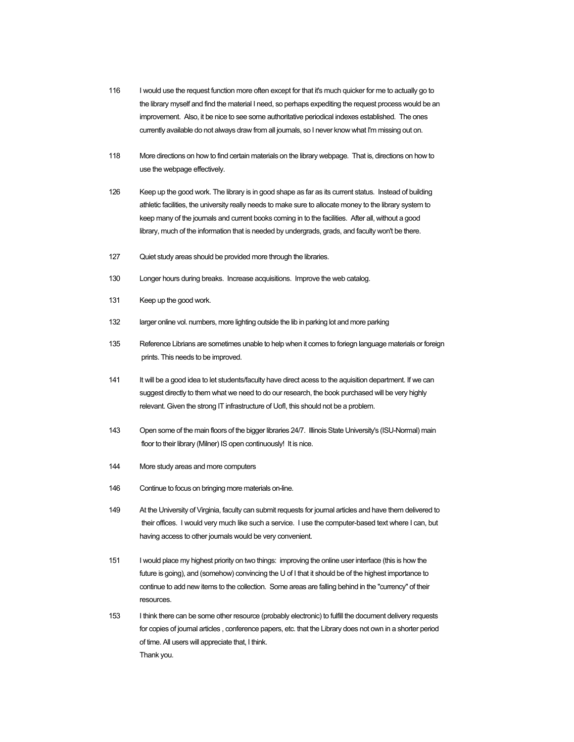- 116 I would use the request function more often except for that it's much quicker for me to actually go to the library myself and find the material I need, so perhaps expediting the request process would be an improvement. Also, it be nice to see some authoritative periodical indexes established. The ones currently available do not always draw from all journals, so I never know what I'm missing out on.
- 118 More directions on how to find certain materials on the library webpage. That is, directions on how to use the webpage effectively.
- 126 Keep up the good work. The library is in good shape as far as its current status. Instead of building athletic facilities, the university really needs to make sure to allocate money to the library system to keep many of the journals and current books coming in to the facilities. After all, without a good library, much of the information that is needed by undergrads, grads, and faculty won't be there.
- 127 Quiet study areas should be provided more through the libraries.
- 130 Longer hours during breaks. Increase acquisitions. Improve the web catalog.
- 131 Keep up the good work.
- 132 larger online vol. numbers, more lighting outside the lib in parking lot and more parking
- 135 Reference Librians are sometimes unable to help when it comes to foriegn language materials or foreign prints. This needs to be improved.
- 141 It will be a good idea to let students/faculty have direct acess to the aquisition department. If we can suggest directly to them what we need to do our research, the book purchased will be very highly relevant. Given the strong IT infrastructure of UofI, this should not be a problem.
- 143 Open some of the main floors of the bigger libraries 24/7. Illinois State University's (ISU-Normal) main floor to their library (Milner) IS open continuously! It is nice.
- 144 More study areas and more computers
- 146 Continue to focus on bringing more materials on-line.
- 149 At the University of Virginia, faculty can submit requests for journal articles and have them delivered to their offices. I would very much like such a service. I use the computer-based text where I can, but having access to other journals would be very convenient.
- 151 I would place my highest priority on two things: improving the online user interface (this is how the future is going), and (somehow) convincing the U of I that it should be of the highest importance to continue to add new items to the collection. Some areas are falling behind in the "currency" of their resources.
- 153 I think there can be some other resource (probably electronic) to fulfill the document delivery requests for copies of journal articles , conference papers, etc. that the Library does not own in a shorter period of time. All users will appreciate that, I think. Thank you.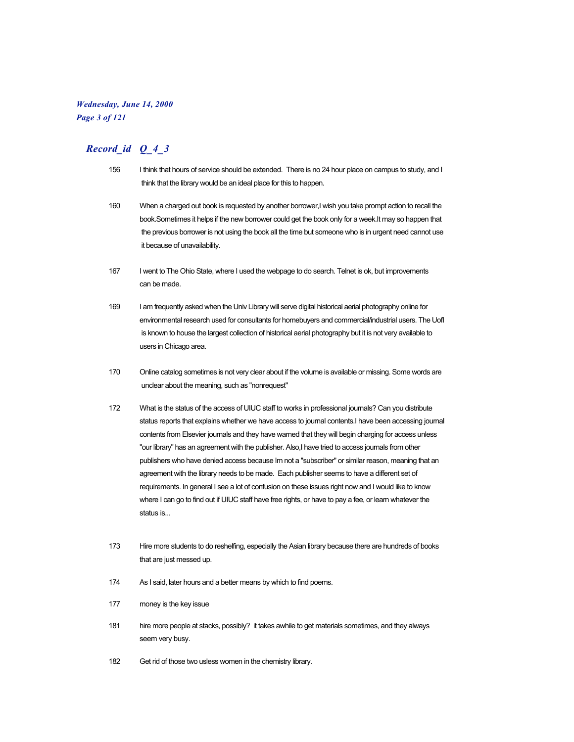# *Wednesday, June 14, 2000 Page 3 of 121*

- 156 I think that hours of service should be extended. There is no 24 hour place on campus to study, and I think that the library would be an ideal place for this to happen.
- 160 When a charged out book is requested by another borrower, I wish you take prompt action to recall the book.Sometimes it helps if the new borrower could get the book only for a week.It may so happen that the previous borrower is not using the book all the time but someone who is in urgent need cannot use it because of unavailability.
- 167 I went to The Ohio State, where I used the webpage to do search. Telnet is ok, but improvements can be made.
- 169 I am frequently asked when the Univ Library will serve digital historical aerial photography online for environmental research used for consultants for homebuyers and commercial/industrial users. The UofI is known to house the largest collection of historical aerial photography but it is not very available to users in Chicago area.
- 170 Online catalog sometimes is not very clear about if the volume is available or missing. Some words are unclear about the meaning, such as "nonrequest"
- 172 What is the status of the access of UIUC staff to works in professional journals? Can you distribute status reports that explains whether we have access to journal contents.I have been accessing journal contents from Elsevier journals and they have warned that they will begin charging for access unless "our library" has an agreement with the publisher. Also,I have tried to access journals from other publishers who have denied access because Im not a "subscriber" or similar reason, meaning that an agreement with the library needs to be made. Each publisher seems to have a different set of requirements. In general I see a lot of confusion on these issues right now and I would like to know where I can go to find out if UIUC staff have free rights, or have to pay a fee, or learn whatever the status is...
- 173 Hire more students to do reshelfing, especially the Asian library because there are hundreds of books that are just messed up.
- 174 As I said, later hours and a better means by which to find poems.
- 177 money is the key issue
- 181 hire more people at stacks, possibly? it takes awhile to get materials sometimes, and they always seem very busy.
- 182 Get rid of those two usless women in the chemistry library.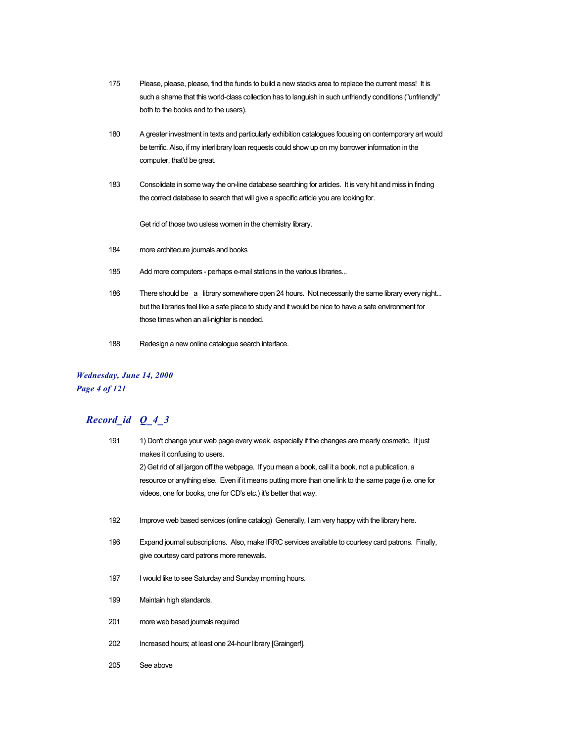- 175 Please, please, please, find the funds to build a new stacks area to replace the current mess! It is such a shame that this world-class collection has to languish in such unfriendly conditions ("unfriendly" both to the books and to the users).
- 180 A greater investment in texts and particularly exhibition catalogues focusing on contemporary art would be terrific. Also, if my interlibrary loan requests could show up on my borrower information in the computer, that'd be great.
- 183 Consolidate in some way the on-line database searching for articles. It is very hit and miss in finding the correct database to search that will give a specific article you are looking for.

Get rid of those two usless women in the chemistry library.

- 184 more architecure journals and books
- 185 Add more computers perhaps e-mail stations in the various libraries...
- 186 There should be \_a\_ library somewhere open 24 hours. Not necessarily the same library every night... but the libraries feel like a safe place to study and it would be nice to have a safe environment for those times when an all-nighter is needed.
- 188 Redesign a new online catalogue search interface.

# *Wednesday, June 14, 2000 Page 4 of 121*

| 191 | 1) Don't change your web page every week, especially if the changes are mearly cosmetic. It just<br>makes it confusing to users. |
|-----|----------------------------------------------------------------------------------------------------------------------------------|
|     | 2) Get rid of all jargon off the webpage. If you mean a book, call it a book, not a publication, a                               |
|     | resource or anything else. Even if it means putting more than one link to the same page (i.e. one for                            |
|     | videos, one for books, one for CD's etc.) it's better that way.                                                                  |
|     |                                                                                                                                  |
| 192 | Improve web based services (online catalog) Generally, I am very happy with the library here.                                    |
| 196 | Expand journal subscriptions. Also, make IRRC services available to courtesy card patrons. Finally,                              |
|     | give courtesy card patrons more renewals.                                                                                        |
| 197 | I would like to see Saturday and Sunday morning hours.                                                                           |
|     |                                                                                                                                  |
| 199 | Maintain high standards.                                                                                                         |
| 201 | more web based journals required                                                                                                 |
|     |                                                                                                                                  |
| 202 | Increased hours; at least one 24-hour library [Grainger!].                                                                       |
| 205 | See above                                                                                                                        |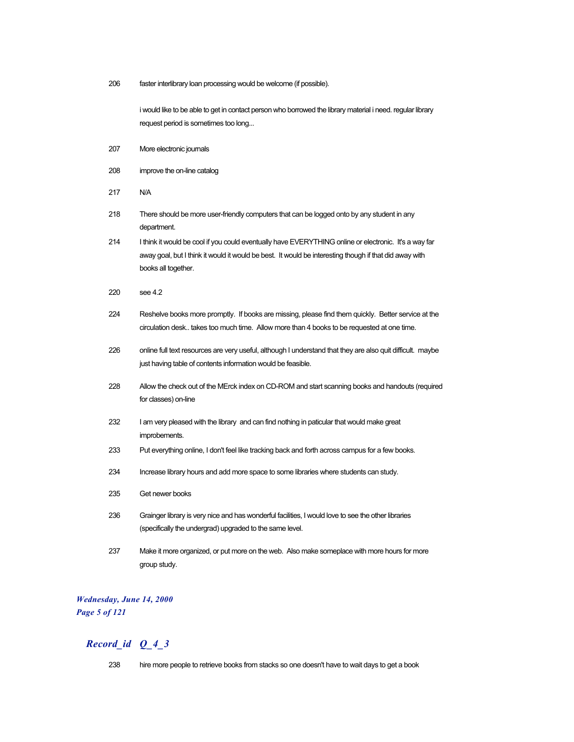206 faster interlibrary loan processing would be welcome (if possible).

i would like to be able to get in contact person who borrowed the library material i need. regular library request period is sometimes too long...

- 207 More electronic journals
- 208 improve the on-line catalog
- 217 N/A
- 218 There should be more user-friendly computers that can be logged onto by any student in any department.
- 214 I think it would be cool if you could eventually have EVERYTHING online or electronic. It's a way far away goal, but I think it would it would be best. It would be interesting though if that did away with books all together.
- 220 see 4.2
- 224 Reshelve books more promptly. If books are missing, please find them quickly. Better service at the circulation desk.. takes too much time. Allow more than 4 books to be requested at one time.
- 226 online full text resources are very useful, although I understand that they are also quit difficult. maybe just having table of contents information would be feasible.
- 228 Allow the check out of the MErck index on CD-ROM and start scanning books and handouts (required for classes) on-line
- 232 I am very pleased with the library and can find nothing in paticular that would make great improbements.
- 233 Put everything online, I don't feel like tracking back and forth across campus for a few books.
- 234 Increase library hours and add more space to some libraries where students can study.
- 235 Get newer books
- 236 Grainger library is very nice and has wonderful facilities, I would love to see the other libraries (specifically the undergrad) upgraded to the same level.
- 237 Make it more organized, or put more on the web. Also make someplace with more hours for more group study.

# *Wednesday, June 14, 2000 Page 5 of 121*

# *Record\_id Q\_4\_3*

238 hire more people to retrieve books from stacks so one doesn't have to wait days to get a book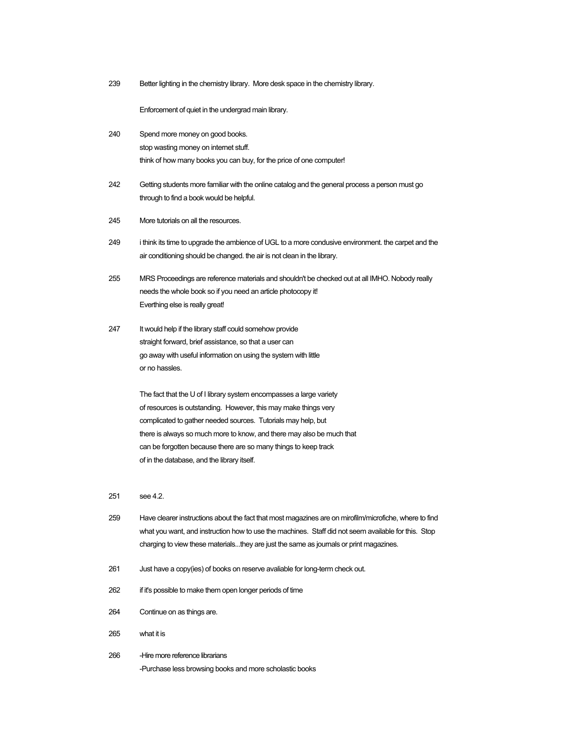239 Better lighting in the chemistry library. More desk space in the chemistry library.

Enforcement of quiet in the undergrad main library.

- 240 Spend more money on good books. stop wasting money on internet stuff. think of how many books you can buy, for the price of one computer!
- 242 Getting students more familiar with the online catalog and the general process a person must go through to find a book would be helpful.
- 245 More tutorials on all the resources.
- 249 i think its time to upgrade the ambience of UGL to a more condusive environment. the carpet and the air conditioning should be changed. the air is not clean in the library.
- 255 MRS Proceedings are reference materials and shouldn't be checked out at all IMHO. Nobody really needs the whole book so if you need an article photocopy it! Everthing else is really great!
- 247 It would help if the library staff could somehow provide straight forward, brief assistance, so that a user can go away with useful information on using the system with little or no hassles.

The fact that the U of I library system encompasses a large variety of resources is outstanding. However, this may make things very complicated to gather needed sources. Tutorials may help, but there is always so much more to know, and there may also be much that can be forgotten because there are so many things to keep track of in the database, and the library itself.

#### 251 see 4.2.

- 259 Have clearer instructions about the fact that most magazines are on mirofilm/microfiche, where to find what you want, and instruction how to use the machines. Staff did not seem available for this. Stop charging to view these materials...they are just the same as journals or print magazines.
- 261 Just have a copy(ies) of books on reserve avaliable for long-term check out.
- 262 if it's possible to make them open longer periods of time
- 264 Continue on as things are.
- 265 what it is
- 266 -Hire more reference librarians -Purchase less browsing books and more scholastic books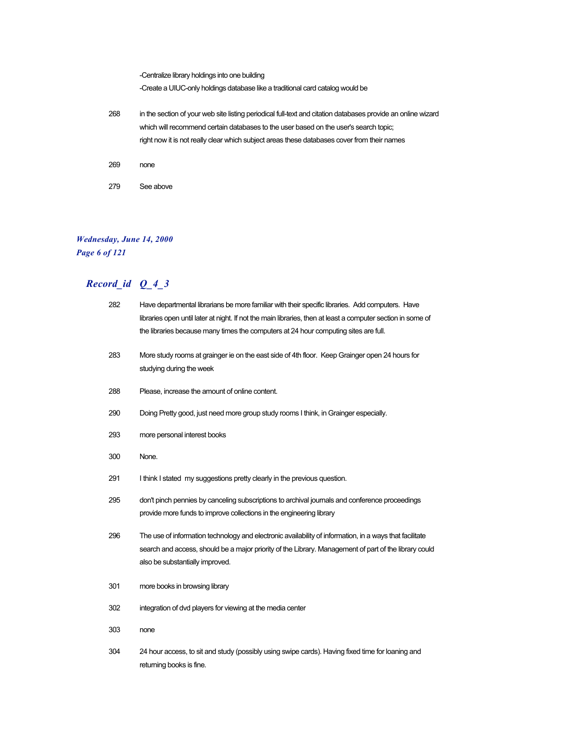-Centralize library holdings into one building -Create a UIUC-only holdings database like a traditional card catalog would be 268 in the section of your web site listing periodical full-text and citation databases provide an online wizard which will recommend certain databases to the user based on the user's search topic; right now it is not really clear which subject areas these databases cover from their names 269 none 279 See above

# *Wednesday, June 14, 2000 Page 6 of 121*

| 282 | Have departmental librarians be more familiar with their specific libraries. Add computers. Have                                                                                                                                                    |
|-----|-----------------------------------------------------------------------------------------------------------------------------------------------------------------------------------------------------------------------------------------------------|
|     | libraries open until later at night. If not the main libraries, then at least a computer section in some of                                                                                                                                         |
|     | the libraries because many times the computers at 24 hour computing sites are full.                                                                                                                                                                 |
| 283 | More study rooms at grainger ie on the east side of 4th floor. Keep Grainger open 24 hours for<br>studying during the week                                                                                                                          |
| 288 | Please, increase the amount of online content.                                                                                                                                                                                                      |
| 290 | Doing Pretty good, just need more group study rooms I think, in Grainger especially.                                                                                                                                                                |
| 293 | more personal interest books                                                                                                                                                                                                                        |
| 300 | None.                                                                                                                                                                                                                                               |
| 291 | I think I stated my suggestions pretty clearly in the previous question.                                                                                                                                                                            |
| 295 | don't pinch pennies by canceling subscriptions to archival journals and conference proceedings<br>provide more funds to improve collections in the engineering library                                                                              |
| 296 | The use of information technology and electronic availability of information, in a ways that facilitate<br>search and access, should be a major priority of the Library. Management of part of the library could<br>also be substantially improved. |
| 301 | more books in browsing library                                                                                                                                                                                                                      |
| 302 | integration of dvd players for viewing at the media center                                                                                                                                                                                          |
| 303 | none                                                                                                                                                                                                                                                |
| 304 | 24 hour access, to sit and study (possibly using swipe cards). Having fixed time for loaning and<br>returning books is fine.                                                                                                                        |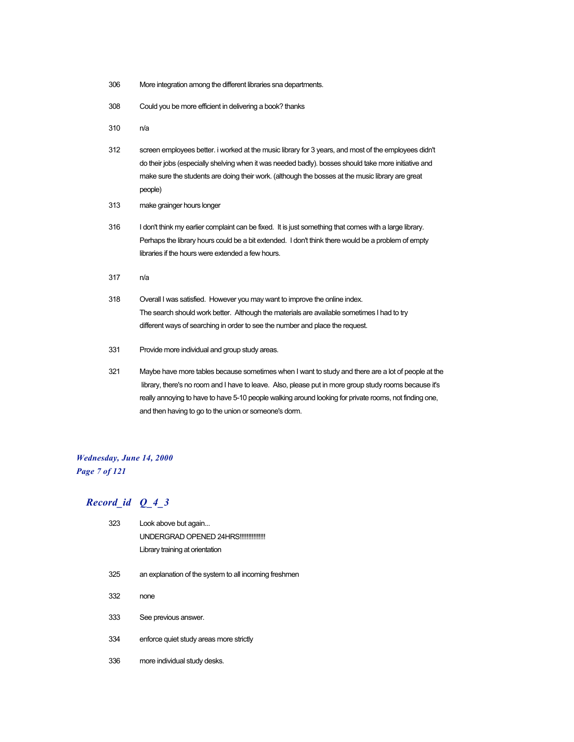- 306 More integration among the different libraries sna departments.
- 308 Could you be more efficient in delivering a book? thanks
- 310 n/a
- 312 screen employees better. i worked at the music library for 3 years, and most of the employees didn't do their jobs (especially shelving when it was needed badly). bosses should take more initiative and make sure the students are doing their work. (although the bosses at the music library are great people)
- 313 make grainger hours longer
- 316 I don't think my earlier complaint can be fixed. It is just something that comes with a large library. Perhaps the library hours could be a bit extended. I don't think there would be a problem of empty libraries if the hours were extended a few hours.
- 317 n/a
- 318 Overall I was satisfied. However you may want to improve the online index. The search should work better. Although the materials are available sometimes I had to try different ways of searching in order to see the number and place the request.
- 331 Provide more individual and group study areas.
- 321 Maybe have more tables because sometimes when I want to study and there are a lot of people at the library, there's no room and I have to leave. Also, please put in more group study rooms because it's really annoying to have to have 5-10 people walking around looking for private rooms, not finding one, and then having to go to the union or someone's dorm.

# *Wednesday, June 14, 2000 Page 7 of 121*

| 323 | Look above but again                                  |
|-----|-------------------------------------------------------|
|     | UNDERGRAD OPENED 24HRS!!!!!!!!!!!!!!!                 |
|     | Library training at orientation                       |
| 325 | an explanation of the system to all incoming freshmen |
| 332 | none                                                  |
| 333 | See previous answer.                                  |
| 334 | enforce quiet study areas more strictly               |
| 336 | more individual study desks.                          |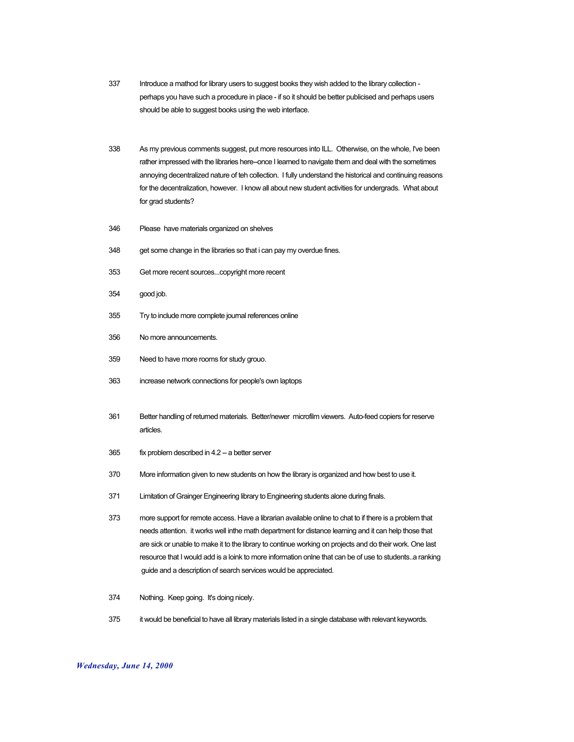- 337 Introduce a mathod for library users to suggest books they wish added to the library collection perhaps you have such a procedure in place - if so it should be better publicised and perhaps users should be able to suggest books using the web interface.
- 338 As my previous comments suggest, put more resources into ILL. Otherwise, on the whole, I've been rather impressed with the libraries here--once I learned to navigate them and deal with the sometimes annoying decentralized nature of teh collection. I fully understand the historical and continuing reasons for the decentralization, however. I know all about new student activities for undergrads. What about for grad students?
- 346 Please have materials organized on shelves
- 348 get some change in the libraries so that i can pay my overdue fines.
- 353 Get more recent sources...copyright more recent
- 354 good job.
- 355 Try to include more complete journal references online
- 356 No more announcements.
- 359 Need to have more rooms for study grouo.
- 363 increase network connections for people's own laptops
- 361 Better handling of returned materials. Better/newer microfilm viewers. Auto-feed copiers for reserve articles.
- 365 fix problem described in 4.2 -- a better server
- 370 More information given to new students on how the library is organized and how best to use it.
- 371 Limitation of Grainger Engineering library to Engineering students alone during finals.
- 373 more support for remote access. Have a librarian available online to chat to if there is a problem that needs attention. it works well inthe math department for distance learning and it can help those that are sick or unable to make it to the library to continue working on projects and do their work. One last resource that I would add is a loink to more information onlne that can be of use to students..a ranking guide and a description of search services would be appreciated.
- 374 Nothing. Keep going. It's doing nicely.
- 375 it would be beneficial to have all library materials listed in a single database with relevant keywords.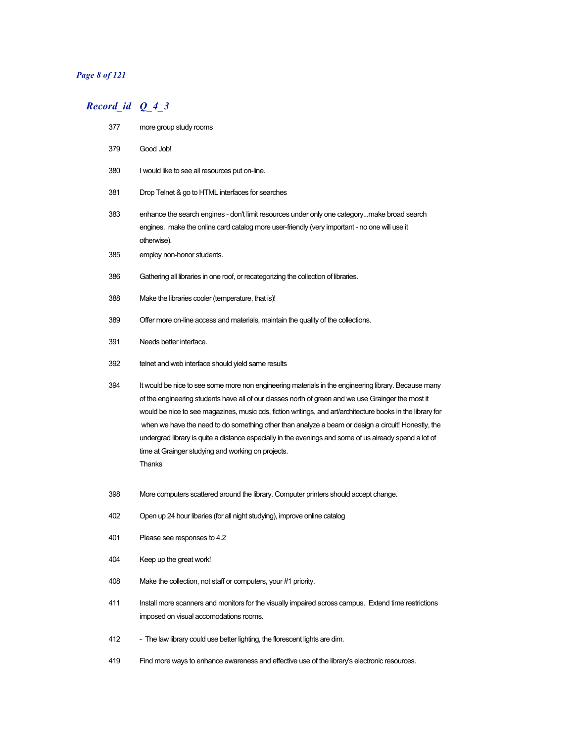#### *Page 8 of 121*

- more group study rooms
- Good Job!
- I would like to see all resources put on-line.
- Drop Telnet & go to HTML interfaces for searches
- enhance the search engines don't limit resources under only one category...make broad search engines. make the online card catalog more user-friendly (very important - no one will use it otherwise).
- employ non-honor students.
- Gathering all libraries in one roof, or recategorizing the collection of libraries.
- Make the libraries cooler (temperature, that is)!
- Offer more on-line access and materials, maintain the quality of the collections.
- Needs better interface.
- telnet and web interface should yield same results
- It would be nice to see some more non engineering materials in the engineering library. Because many of the engineering students have all of our classes north of green and we use Grainger the most it would be nice to see magazines, music cds, fiction writings, and art/architecture books in the library for when we have the need to do something other than analyze a beam or design a circuit! Honestly, the undergrad library is quite a distance especially in the evenings and some of us already spend a lot of time at Grainger studying and working on projects. Thanks
- More computers scattered around the library. Computer printers should accept change.
- Open up 24 hour libaries (for all night studying), improve online catalog
- Please see responses to 4.2
- Keep up the great work!
- Make the collection, not staff or computers, your #1 priority.
- Install more scanners and monitors for the visually impaired across campus. Extend time restrictions imposed on visual accomodations rooms.
- 412 The law library could use better lighting, the florescent lights are dim.
- Find more ways to enhance awareness and effective use of the library's electronic resources.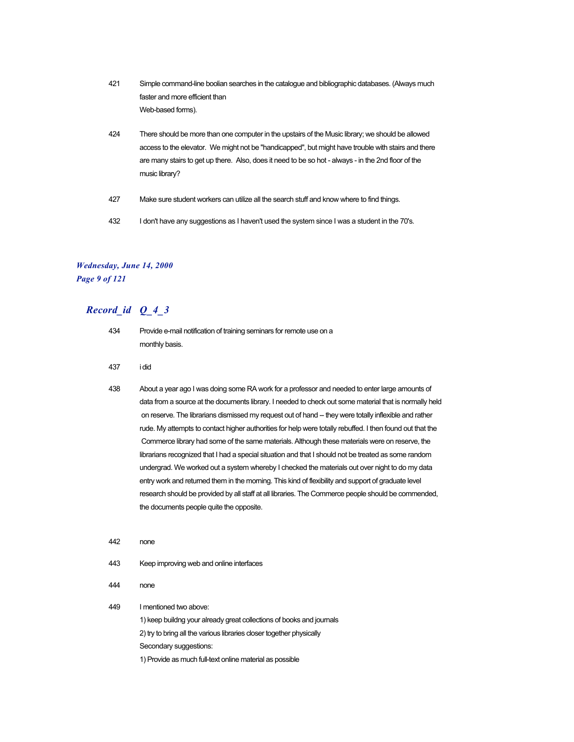- 421 Simple command-line boolian searches in the catalogue and bibliographic databases. (Always much faster and more efficient than Web-based forms).
- 424 There should be more than one computer in the upstairs of the Music library; we should be allowed access to the elevator. We might not be "handicapped", but might have trouble with stairs and there are many stairs to get up there. Also, does it need to be so hot - always - in the 2nd floor of the music library?
- 427 Make sure student workers can utilize all the search stuff and know where to find things.
- 432 I don't have any suggestions as I haven't used the system since I was a student in the 70's.

# *Wednesday, June 14, 2000 Page 9 of 121*

# *Record\_id Q\_4\_3*

- 434 Provide e-mail notification of training seminars for remote use on a monthly basis.
- 437 i did
- 438 About a year ago I was doing some RA work for a professor and needed to enter large amounts of data from a source at the documents library. I needed to check out some material that is normally held on reserve. The librarians dismissed my request out of hand -- they were totally inflexible and rather rude. My attempts to contact higher authorities for help were totally rebuffed. I then found out that the Commerce library had some of the same materials. Although these materials were on reserve, the librarians recognized that I had a special situation and that I should not be treated as some random undergrad. We worked out a system whereby I checked the materials out over night to do my data entry work and returned them in the morning. This kind of flexibility and support of graduate level research should be provided by all staff at all libraries. The Commerce people should be commended, the documents people quite the opposite.
- 442 none
- 443 Keep improving web and online interfaces
- 444 none
- 449 I mentioned two above: 1) keep buildng your already great collections of books and journals
	- 2) try to bring all the various libraries closer together physically

Secondary suggestions:

1) Provide as much full-text online material as possible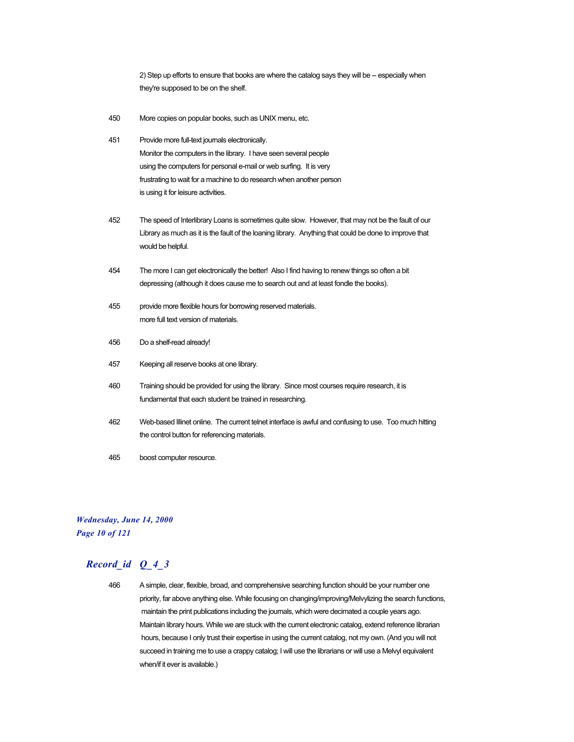2) Step up efforts to ensure that books are where the catalog says they will be -- especially when they're supposed to be on the shelf.

- 450 More copies on popular books, such as UNIX menu, etc.
- 451 Provide more full-text journals electronically. Monitor the computers in the library. I have seen several people using the computers for personal e-mail or web surfing. It is very frustrating to wait for a machine to do research when another person is using it for leisure activities.
- 452 The speed of Interlibrary Loans is sometimes quite slow. However, that may not be the fault of our Library as much as it is the fault of the loaning library. Anything that could be done to improve that would be helpful.
- 454 The more I can get electronically the better! Also I find having to renew things so often a bit depressing (although it does cause me to search out and at least fondle the books).
- 455 provide more flexible hours for borrowing reserved materials. more full text version of materials.
- 456 Do a shelf-read already!
- 457 Keeping all reserve books at one library.
- 460 Training should be provided for using the library. Since most courses require research, it is fundamental that each student be trained in researching.
- 462 Web-based Illinet online. The current telnet interface is awful and confusing to use. Too much hitting the control button for referencing materials.
- 465 boost computer resource.

# *Wednesday, June 14, 2000 Page 10 of 121*

# *Record\_id Q\_4\_3*

466 A simple, clear, flexible, broad, and comprehensive searching function should be your number one priority, far above anything else. While focusing on changing/improving/Melvylizing the search functions, maintain the print publications including the journals, which were decimated a couple years ago. Maintain library hours. While we are stuck with the current electronic catalog, extend reference librarian hours, because I only trust their expertise in using the current catalog, not my own. (And you will not succeed in training me to use a crappy catalog; I will use the librarians or will use a Melvyl equivalent when/if it ever is available.)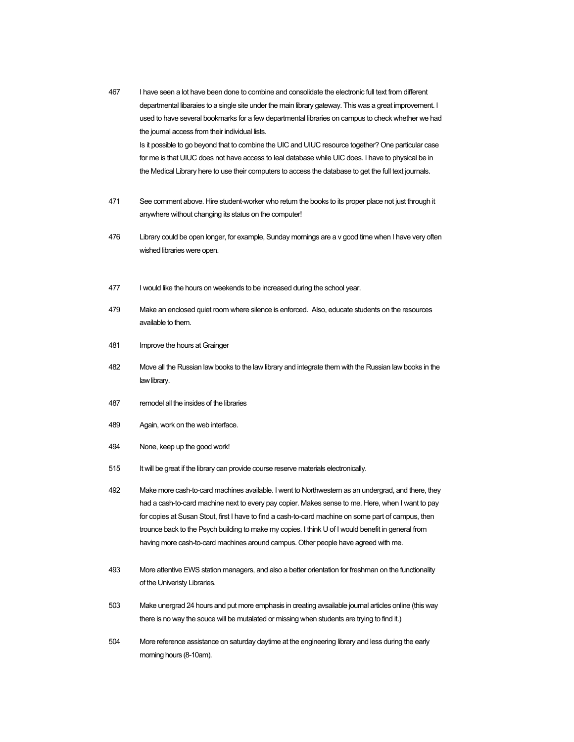| 467 | I have seen a lot have been done to combine and consolidate the electronic full text from different<br>departmental libaraies to a single site under the main library gateway. This was a great improvement. I<br>used to have several bookmarks for a few departmental libraries on campus to check whether we had<br>the journal access from their individual lists.<br>Is it possible to go beyond that to combine the UIC and UIUC resource together? One particular case<br>for me is that UIUC does not have access to leal database while UIC does. I have to physical be in<br>the Medical Library here to use their computers to access the database to get the full text journals. |
|-----|----------------------------------------------------------------------------------------------------------------------------------------------------------------------------------------------------------------------------------------------------------------------------------------------------------------------------------------------------------------------------------------------------------------------------------------------------------------------------------------------------------------------------------------------------------------------------------------------------------------------------------------------------------------------------------------------|
| 471 | See comment above. Hire student-worker who return the books to its proper place not just through it<br>anywhere without changing its status on the computer!                                                                                                                                                                                                                                                                                                                                                                                                                                                                                                                                 |
| 476 | Library could be open longer, for example, Sunday mornings are a v good time when I have very often<br>wished libraries were open.                                                                                                                                                                                                                                                                                                                                                                                                                                                                                                                                                           |
| 477 | I would like the hours on weekends to be increased during the school year.                                                                                                                                                                                                                                                                                                                                                                                                                                                                                                                                                                                                                   |
| 479 | Make an enclosed quiet room where silence is enforced. Also, educate students on the resources<br>available to them.                                                                                                                                                                                                                                                                                                                                                                                                                                                                                                                                                                         |
| 481 | Improve the hours at Grainger                                                                                                                                                                                                                                                                                                                                                                                                                                                                                                                                                                                                                                                                |
| 482 | Move all the Russian law books to the law library and integrate them with the Russian law books in the<br>law library.                                                                                                                                                                                                                                                                                                                                                                                                                                                                                                                                                                       |
| 487 | remodel all the insides of the libraries                                                                                                                                                                                                                                                                                                                                                                                                                                                                                                                                                                                                                                                     |
| 489 | Again, work on the web interface.                                                                                                                                                                                                                                                                                                                                                                                                                                                                                                                                                                                                                                                            |
| 494 | None, keep up the good work!                                                                                                                                                                                                                                                                                                                                                                                                                                                                                                                                                                                                                                                                 |
| 515 | It will be great if the library can provide course reserve materials electronically.                                                                                                                                                                                                                                                                                                                                                                                                                                                                                                                                                                                                         |
| 492 | Make more cash-to-card machines available. I went to Northwestern as an undergrad, and there, they<br>had a cash-to-card machine next to every pay copier. Makes sense to me. Here, when I want to pay<br>for copies at Susan Stout, first I have to find a cash-to-card machine on some part of campus, then<br>trounce back to the Psych building to make my copies. I think U of I would benefit in general from<br>having more cash-to-card machines around campus. Other people have agreed with me.                                                                                                                                                                                    |
| 493 | More attentive EWS station managers, and also a better orientation for freshman on the functionality<br>of the Univeristy Libraries.                                                                                                                                                                                                                                                                                                                                                                                                                                                                                                                                                         |
| 503 | Make unergrad 24 hours and put more emphasis in creating avsailable journal articles online (this way<br>there is no way the souce will be mutalated or missing when students are trying to find it.)                                                                                                                                                                                                                                                                                                                                                                                                                                                                                        |
| 504 | More reference assistance on saturday daytime at the engineering library and less during the early<br>moming hours (8-10am).                                                                                                                                                                                                                                                                                                                                                                                                                                                                                                                                                                 |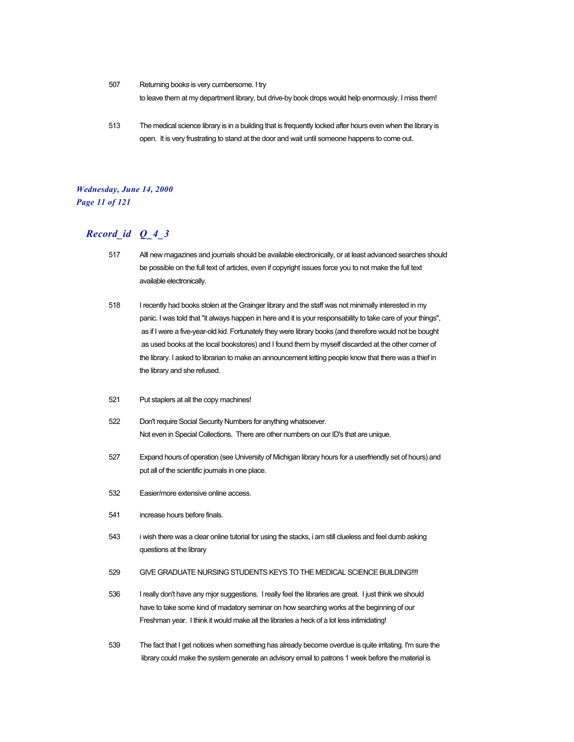507 Returning books is very cumbersome. I try

to leave them at my department library, but drive-by book drops would help enormously. I miss them!

513 The medical science library is in a building that is frequently locked after hours even when the library is open. It is very frustrating to stand at the door and wait until someone happens to come out.

### *Wednesday, June 14, 2000 Page 11 of 121*

- 517 Alll new magazines and journals should be available electronically, or at least advanced searches should be possible on the full text of articles, even if copyright issues force you to not make the full text available electronically.
- 518 I recently had books stolen at the Grainger library and the staff was not minimally interested in my panic. I was told that "it always happen in here and it is your responsability to take care of your things", as if I were a five-year-old kid. Fortunately they were library books (and therefore would not be bought as used books at the local bookstores) and I found them by myself discarded at the other corner of the library. I asked to librarian to make an announcement letting people know that there was a thief in the library and she refused.
- 521 Put staplers at all the copy machines!
- 522 Don't require Social Security Numbers for anything whatsoever. Not even in Special Collections. There are other numbers on our ID's that are unique.
- 527 Expand hours of operation (see University of Michigan library hours for a userfriendly set of hours) and put all of the scientific journals in one place.
- 532 Easier/more extensive online access.
- 541 increase hours before finals.
- 543 i wish there was a clear online tutorial for using the stacks, i am still clueless and feel dumb asking questions at the library
- 529 GIVE GRADUATE NURSING STUDENTS KEYS TO THE MEDICAL SCIENCE BUILDING!!!!
- 536 I really don't have any mjor suggestions. I really feel the libraries are great. I just think we should have to take some kind of madatory seminar on how searching works at the beginning of our Freshman year. I think it would make all the libraries a heck of a lot less intimidating!
- 539 The fact that I get notices when something has already become overdue is quite irritating. I'm sure the library could make the system generate an advisory email to patrons 1 week before the material is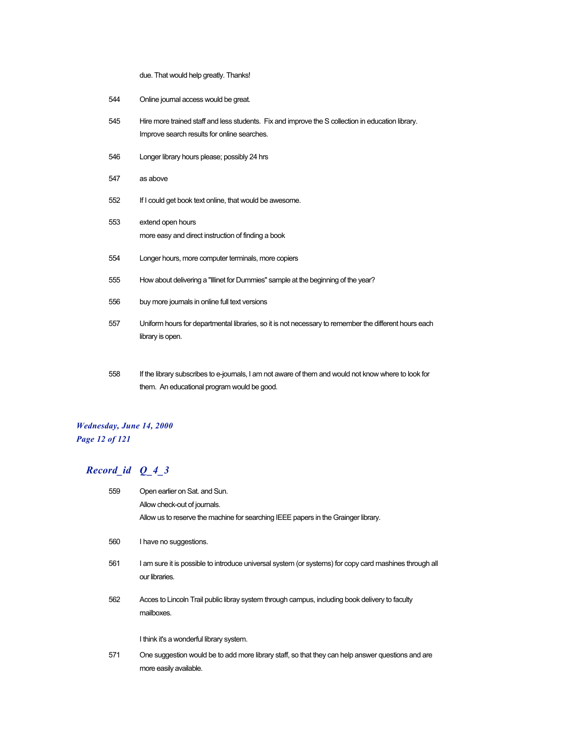due. That would help greatly. Thanks!

- 544 Online journal access would be great.
- 545 Hire more trained staff and less students. Fix and improve the S collection in education library. Improve search results for online searches.
- 546 Longer library hours please; possibly 24 hrs
- 547 as above
- 552 If I could get book text online, that would be awesome.
- 553 extend open hours more easy and direct instruction of finding a book
- 554 Longer hours, more computer terminals, more copiers
- 555 How about delivering a "Illinet for Dummies" sample at the beginning of the year?
- 556 buy more journals in online full text versions
- 557 Uniform hours for departmental libraries, so it is not necessary to remember the different hours each library is open.
- 558 If the library subscribes to e-journals, I am not aware of them and would not know where to look for them. An educational program would be good.

# *Wednesday, June 14, 2000 Page 12 of 121*

| 559 | Open earlier on Sat. and Sun.                                                                                               |
|-----|-----------------------------------------------------------------------------------------------------------------------------|
|     | Allow check-out of journals.                                                                                                |
|     | Allow us to reserve the machine for searching IEEE papers in the Grainger library.                                          |
| 560 | I have no suggestions.                                                                                                      |
| 561 | I am sure it is possible to introduce universal system (or systems) for copy card mashines through all<br>our libraries.    |
| 562 | Acces to Lincoln Trail public libray system through campus, including book delivery to faculty<br>mailboxes.                |
|     | I think it's a wonderful library system.                                                                                    |
| 571 | One suggestion would be to add more library staff, so that they can help answer questions and are<br>more easily available. |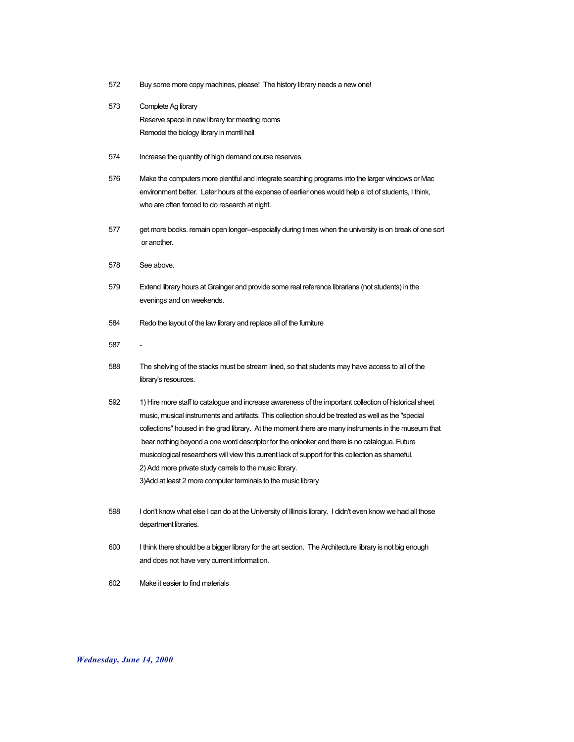- 572 Buy some more copy machines, please! The history library needs a new one!
- 573 Complete Ag library Reserve space in new library for meeting rooms Remodel the biology library in morrill hall
- 574 Increase the quantity of high demand course reserves.
- 576 Make the computers more plentiful and integrate searching programs into the larger windows or Mac environment better. Later hours at the expense of earlier ones would help a lot of students, I think, who are often forced to do research at night.
- 577 get more books. remain open longer--especially during times when the university is on break of one sort or another.
- 578 See above.
- 579 Extend library hours at Grainger and provide some real reference librarians (not students) in the evenings and on weekends.
- 584 Redo the layout of the law library and replace all of the furniture
- 587
- 588 The shelving of the stacks must be stream lined, so that students may have access to all of the library's resources.
- 592 1) Hire more staff to catalogue and increase awareness of the important collection of historical sheet music, musical instruments and artifacts. This collection should be treated as well as the "special collections" housed in the grad library. At the moment there are many instruments in the museum that bear nothing beyond a one word descriptor for the onlooker and there is no catalogue. Future musicological researchers will view this current lack of support for this collection as shameful. 2) Add more private study carrels to the music library. 3)Add at least 2 more computer terminals to the music library
- 598 I don't know what else I can do at the University of Illinois library. I didn't even know we had all those department libraries.
- 600 I think there should be a bigger library for the art section. The Architecture library is not big enough and does not have very current information.
- 602 Make it easier to find materials

*Wednesday, June 14, 2000*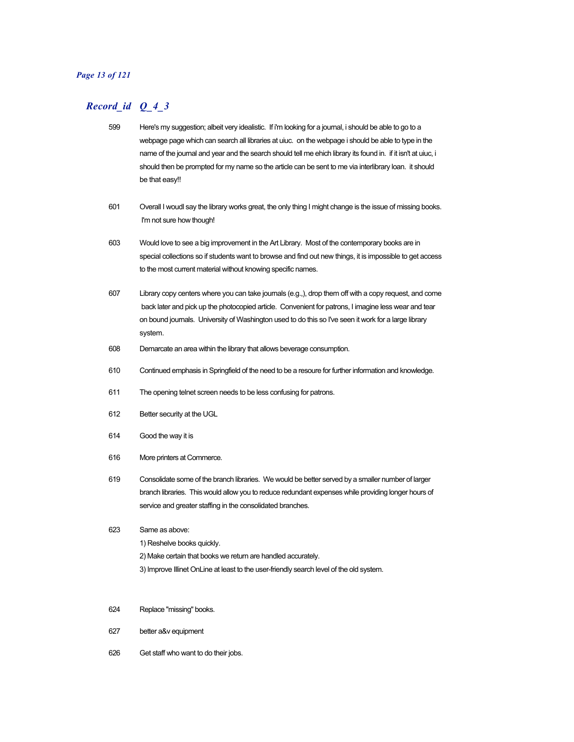#### *Page 13 of 121*

- 599 Here's my suggestion; albeit very idealistic. If i'm looking for a journal, i should be able to go to a webpage page which can search all libraries at uiuc. on the webpage i should be able to type in the name of the journal and year and the search should tell me ehich library its found in. if it isn't at uiuc, i should then be prompted for my name so the article can be sent to me via interlibrary loan. it should be that easy!!
- 601 Overall I woudl say the library works great, the only thing I might change is the issue of missing books. I'm not sure how though!
- 603 Would love to see a big improvement in the Art Library. Most of the contemporary books are in special collections so if students want to browse and find out new things, it is impossible to get access to the most current material without knowing specific names.
- 607 Library copy centers where you can take journals (e.g.,), drop them off with a copy request, and come back later and pick up the photocopied article. Convenient for patrons, I imagine less wear and tear on bound journals. University of Washington used to do this so I've seen it work for a large library system.
- 608 Demarcate an area within the library that allows beverage consumption.
- 610 Continued emphasis in Springfield of the need to be a resoure for further information and knowledge.
- 611 The opening telnet screen needs to be less confusing for patrons.
- 612 Better security at the UGL
- 614 Good the way it is
- 616 More printers at Commerce.
- 619 Consolidate some of the branch libraries. We would be better served by a smaller number of larger branch libraries. This would allow you to reduce redundant expenses while providing longer hours of service and greater staffing in the consolidated branches.
- 623 Same as above:
	- 1) Reshelve books quickly.
	- 2) Make certain that books we return are handled accurately.
	- 3) Improve Illinet OnLine at least to the user-friendly search level of the old system.
- 624 Replace "missing" books.
- 627 better a&v equipment
- 626 Get staff who want to do their jobs.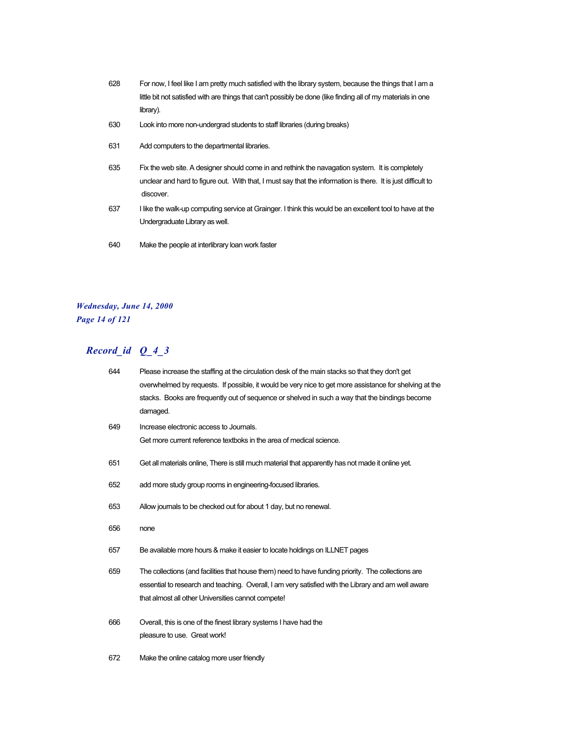- 628 For now, I feel like I am pretty much satisfied with the library system, because the things that I am a little bit not satisfied with are things that can't possibly be done (like finding all of my materials in one library).
- 630 Look into more non-undergrad students to staff libraries (during breaks)
- 631 Add computers to the departmental libraries.
- 635 Fix the web site. A designer should come in and rethink the navagation system. It is completely unclear and hard to figure out. With that, I must say that the information is there. It is just difficult to discover.
- 637 I like the walk-up computing service at Grainger. I think this would be an excellent tool to have at the Undergraduate Library as well.
- 640 Make the people at interlibrary loan work faster

#### *Wednesday, June 14, 2000 Page 14 of 121*

| 644 | Please increase the staffing at the circulation desk of the main stacks so that they don't get         |
|-----|--------------------------------------------------------------------------------------------------------|
|     | overwhelmed by requests. If possible, it would be very nice to get more assistance for shelving at the |
|     | stacks. Books are frequently out of sequence or shelved in such a way that the bindings become         |
|     | damaged.                                                                                               |
| 649 | Increase electronic access to Journals.                                                                |
|     | Get more current reference textboks in the area of medical science.                                    |
| 651 | Get all materials online, There is still much material that apparently has not made it online yet.     |
| 652 | add more study group rooms in engineering-focused libraries.                                           |
| 653 | Allow journals to be checked out for about 1 day, but no renewal.                                      |
| 656 | none                                                                                                   |
| 657 | Be available more hours & make it easier to locate holdings on ILLNET pages                            |
| 659 | The collections (and facilities that house them) need to have funding priority. The collections are    |
|     | essential to research and teaching. Overall, I am very satisfied with the Library and am well aware    |
|     | that almost all other Universities cannot compete!                                                     |
| 666 | Overall, this is one of the finest library systems I have had the                                      |
|     | pleasure to use. Great work!                                                                           |
| 672 | Make the online catalog more user friendly                                                             |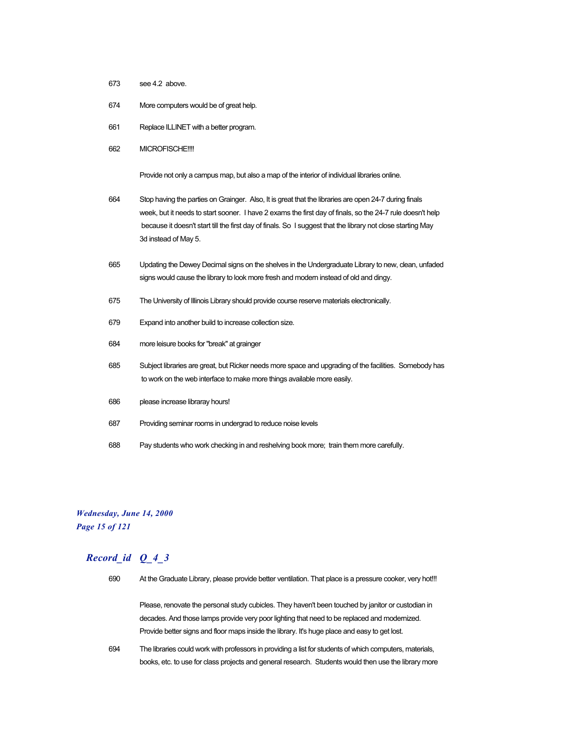- 673 see 4.2 above.
- 674 More computers would be of great help.
- 661 Replace ILLINET with a better program.
- 662 MICROFISCHE!!!!

Provide not only a campus map, but also a map of the interior of individual libraries online.

- 664 Stop having the parties on Grainger. Also, It is great that the libraries are open 24-7 during finals week, but it needs to start sooner. I have 2 exams the first day of finals, so the 24-7 rule doesn't help because it doesn't start till the first day of finals. So I suggest that the library not close starting May 3d instead of May 5.
- 665 Updating the Dewey Decimal signs on the shelves in the Undergraduate Library to new, clean, unfaded signs would cause the library to look more fresh and modern instead of old and dingy.
- 675 The University of Illinois Library should provide course reserve materials electronically.
- 679 Expand into another build to increase collection size.
- 684 more leisure books for "break" at grainger
- 685 Subject libraries are great, but Ricker needs more space and upgrading of the facilities. Somebody has to work on the web interface to make more things available more easily.
- 686 please increase libraray hours!
- 687 Providing seminar rooms in undergrad to reduce noise levels
- 688 Pay students who work checking in and reshelving book more; train them more carefully.

#### *Wednesday, June 14, 2000 Page 15 of 121*

# *Record\_id Q\_4\_3*

690 At the Graduate Library, please provide better ventilation. That place is a pressure cooker, very hot!!!

Please, renovate the personal study cubicles. They haven't been touched by janitor or custodian in decades. And those lamps provide very poor lighting that need to be replaced and modernized. Provide better signs and floor maps inside the library. It's huge place and easy to get lost.

694 The libraries could work with professors in providing a list for students of which computers, materials, books, etc. to use for class projects and general research. Students would then use the library more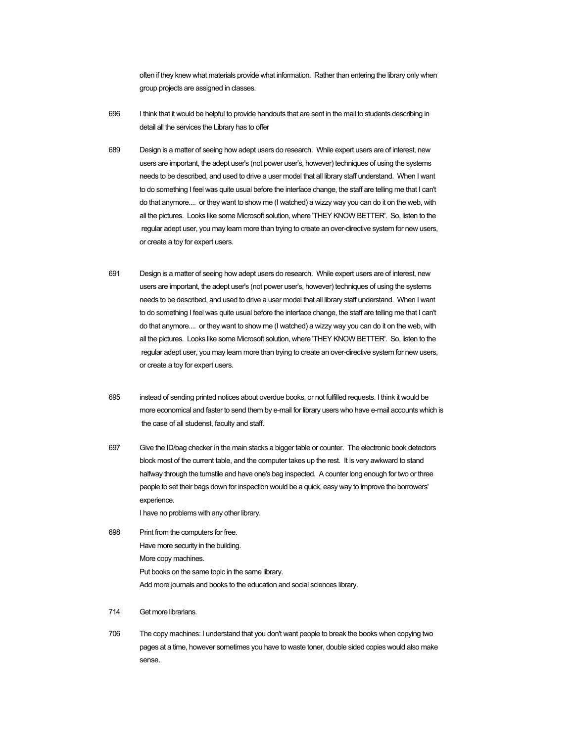often if they knew what materials provide what information. Rather than entering the library only when group projects are assigned in classes.

- 696 I think that it would be helpful to provide handouts that are sent in the mail to students describing in detail all the services the Library has to offer
- 689 Design is a matter of seeing how adept users do research. While expert users are of interest, new users are important, the adept user's (not power user's, however) techniques of using the systems needs to be described, and used to drive a user model that all library staff understand. When I want to do something I feel was quite usual before the interface change, the staff are telling me that I can't do that anymore.... or they want to show me (I watched) a wizzy way you can do it on the web, with all the pictures. Looks like some Microsoft solution, where 'THEY KNOW BETTER'. So, listen to the regular adept user, you may learn more than trying to create an over-directive system for new users, or create a toy for expert users.
- 691 Design is a matter of seeing how adept users do research. While expert users are of interest, new users are important, the adept user's (not power user's, however) techniques of using the systems needs to be described, and used to drive a user model that all library staff understand. When I want to do something I feel was quite usual before the interface change, the staff are telling me that I can't do that anymore.... or they want to show me (I watched) a wizzy way you can do it on the web, with all the pictures. Looks like some Microsoft solution, where 'THEY KNOW BETTER'. So, listen to the regular adept user, you may learn more than trying to create an over-directive system for new users, or create a toy for expert users.
- 695 instead of sending printed notices about overdue books, or not fulfilled requests. I think it would be more economical and faster to send them by e-mail for library users who have e-mail accounts which is the case of all studenst, faculty and staff.
- 697 Give the ID/bag checker in the main stacks a bigger table or counter. The electronic book detectors block most of the current table, and the computer takes up the rest. It is very awkward to stand halfway through the turnstile and have one's bag inspected. A counter long enough for two or three people to set their bags down for inspection would be a quick, easy way to improve the borrowers' experience.

I have no problems with any other library.

- 698 Print from the computers for free. Have more security in the building. More copy machines. Put books on the same topic in the same library. Add more journals and books to the education and social sciences library.
- 714 Get more librarians.
- 706 The copy machines: I understand that you don't want people to break the books when copying two pages at a time, however sometimes you have to waste toner, double sided copies would also make sense.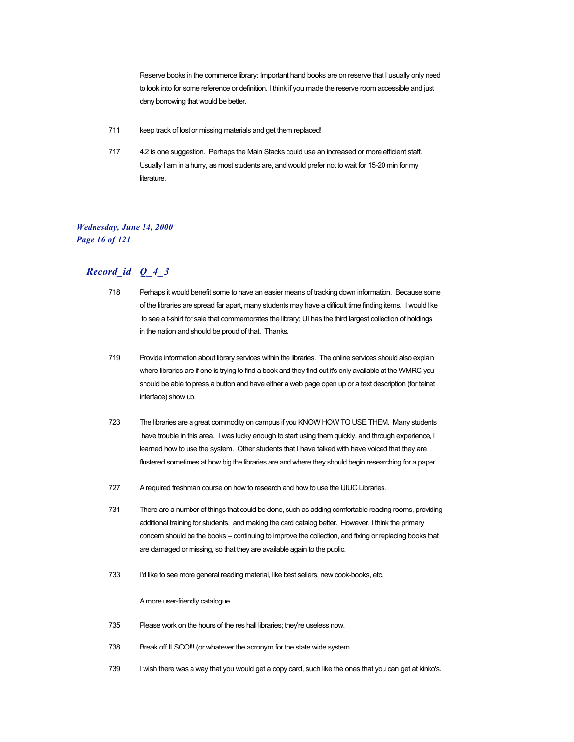Reserve books in the commerce library: Important hand books are on reserve that I usually only need to look into for some reference or definition. I think if you made the reserve room accessible and just deny borrowing that would be better.

- 711 keep track of lost or missing materials and get them replaced!
- 717 4.2 is one suggestion. Perhaps the Main Stacks could use an increased or more efficient staff. Usually I am in a hurry, as most students are, and would prefer not to wait for 15-20 min for my literature.

### *Wednesday, June 14, 2000 Page 16 of 121*

### *Record\_id Q\_4\_3*

- 718 Perhaps it would benefit some to have an easier means of tracking down information. Because some of the libraries are spread far apart, many students may have a difficult time finding items. I would like to see a t-shirt for sale that commemorates the library; UI has the third largest collection of holdings in the nation and should be proud of that. Thanks.
- 719 Provide information about library services within the libraries. The online services should also explain where libraries are if one is trying to find a book and they find out it's only available at the WMRC you should be able to press a button and have either a web page open up or a text description (for telnet interface) show up.
- 723 The libraries are a great commodity on campus if you KNOW HOW TO USE THEM. Many students have trouble in this area. I was lucky enough to start using them quickly, and through experience, I learned how to use the system. Other students that I have talked with have voiced that they are flustered sometimes at how big the libraries are and where they should begin researching for a paper.
- 727 A required freshman course on how to research and how to use the UIUC Libraries.
- 731 There are a number of things that could be done, such as adding comfortable reading rooms, providing additional training for students, and making the card catalog better. However, I think the primary concern should be the books -- continuing to improve the collection, and fixing or replacing books that are damaged or missing, so that they are available again to the public.
- 733 I'd like to see more general reading material, like best sellers, new cook-books, etc.

#### A more user-friendly catalogue

- 735 Please work on the hours of the res hall libraries; they're useless now.
- 738 Break off ILSCO!!! (or whatever the acronym for the state wide system.
- 739 I wish there was a way that you would get a copy card, such like the ones that you can get at kinko's.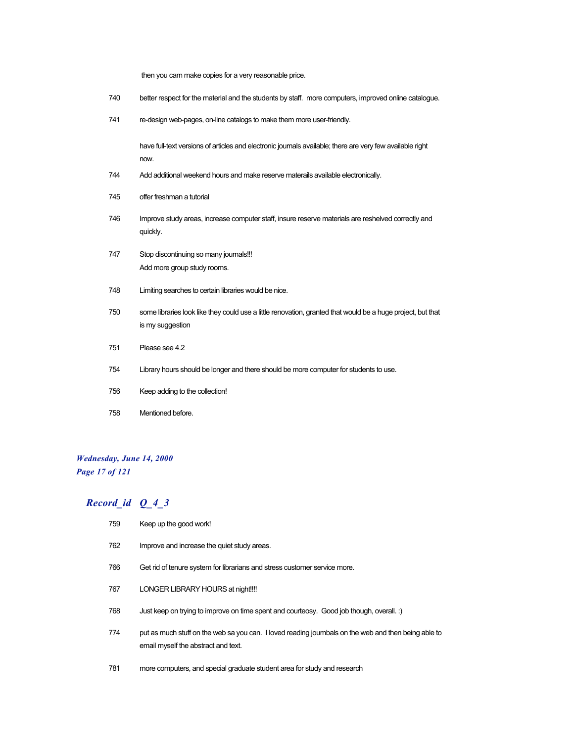then you cam make copies for a very reasonable price.

- 740 better respect for the material and the students by staff. more computers, improved online catalogue.
- 741 re-design web-pages, on-line catalogs to make them more user-friendly.

have full-text versions of articles and electronic journals available; there are very few available right now.

- 744 Add additional weekend hours and make reserve materails available electronically.
- 745 offer freshman a tutorial
- 746 Improve study areas, increase computer staff, insure reserve materials are reshelved correctly and quickly.
- 747 Stop discontinuing so many journals!!! Add more group study rooms.
- 748 Limiting searches to certain libraries would be nice.
- 750 some libraries look like they could use a little renovation, granted that would be a huge project, but that is my suggestion
- 751 Please see 4.2
- 754 Library hours should be longer and there should be more computer for students to use.
- 756 Keep adding to the collection!
- 758 Mentioned before.

# *Wednesday, June 14, 2000 Page 17 of 121*

- 759 Keep up the good work!
- 762 Improve and increase the quiet study areas.
- 766 Get rid of tenure system for librarians and stress customer service more.
- 767 LONGER LIBRARY HOURS at night!!!!
- 768 Just keep on trying to improve on time spent and courteosy. Good job though, overall. :)
- 774 put as much stuff on the web sa you can. I loved reading journbals on the web and then being able to email myself the abstract and text.
- 781 more computers, and special graduate student area for study and research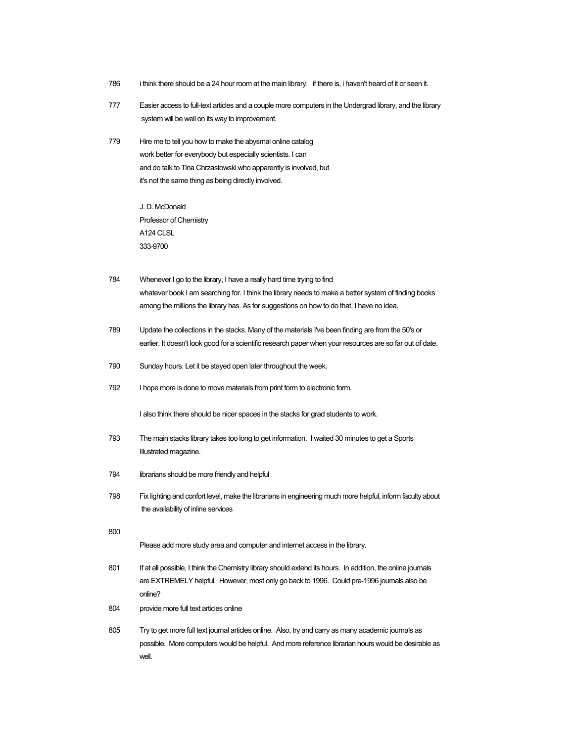- 786 i think there should be a 24 hour room at the main library. if there is, i haven't heard of it or seen it.
- 777 Easier access to full-text articles and a couple more computers in the Undergrad library, and the library system will be well on its way to improvement.
- 779 Hire me to tell you how to make the abysmal online catalog work better for everybody but especially scientists. I can and do talk to Tina Chrzastowski who apparently is involved, but it's not the same thing as being directly involved.

J. D. McDonald Professor of Chemistry A124 CLSL 333-9700

- 784 Whenever I go to the library, I have a really hard time trying to find whatever book I am searching for. I think the library needs to make a better system of finding books among the millions the library has. As for suggestions on how to do that, I have no idea.
- 789 Update the collections in the stacks. Many of the materials I've been finding are from the 50's or earlier. It doesn't look good for a scientific research paper when your resources are so far out of date.
- 790 Sunday hours. Let it be stayed open later throughout the week.
- 792 I hope more is done to move materials from print form to electronic form.

I also think there should be nicer spaces in the stacks for grad students to work.

- 793 The main stacks library takes too long to get information. I waited 30 minutes to get a Sports Illustrated magazine.
- 794 librarians should be more friendly and helpful
- 798 Fix lighting and confort level, make the librarians in engineering much more helpful, inform faculty about the availability of inline services
- 800

Please add more study area and computer and internet access in the library.

- 801 If at all possible, I think the Chemistry library should extend its hours. In addition, the online journals are EXTREMELY helpful. However, most only go back to 1996. Could pre-1996 journals also be online?
- 804 provide more full text articles online
- 805 Try to get more full text journal articles online. Also, try and carry as many academic journals as possible. More computers would be helpful. And more reference librarian hours would be desirable as well.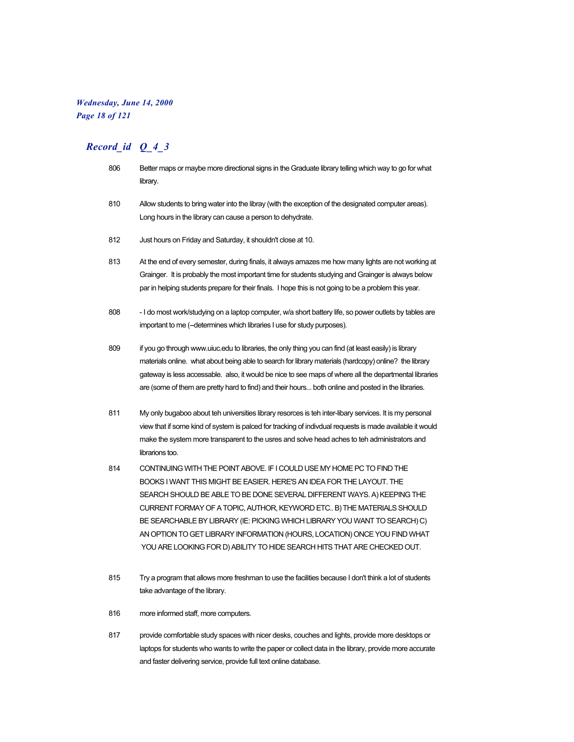# *Wednesday, June 14, 2000 Page 18 of 121*

- 806 Better maps or maybe more directional signs in the Graduate library telling which way to go for what library.
- 810 Allow students to bring water into the libray (with the exception of the designated computer areas). Long hours in the library can cause a person to dehydrate.
- 812 Just hours on Friday and Saturday, it shouldn't close at 10.
- 813 At the end of every semester, during finals, it always amazes me how many lights are not working at Grainger. It is probably the most important time for students studying and Grainger is always below par in helping students prepare for their finals. I hope this is not going to be a problem this year.
- 808 I do most work/studying on a laptop computer, w/a short battery life, so power outlets by tables are important to me (--determines which libraries I use for study purposes).
- 809 if you go through www.uiuc.edu to libraries, the only thing you can find (at least easily) is library materials online. what about being able to search for library materials (hardcopy) online? the library gateway is less accessable. also, it would be nice to see maps of where all the departmental libraries are (some of them are pretty hard to find) and their hours... both online and posted in the libraries.
- 811 My only bugaboo about teh universities library resorces is teh inter-libary services. It is my personal view that if some kind of system is palced for tracking of indivdual requests is made available it would make the system more transparent to the usres and solve head aches to teh administrators and librarions too.
- 814 CONTINUING WITH THE POINT ABOVE. IF I COULD USE MY HOME PC TO FIND THE BOOKS I WANT THIS MIGHT BE EASIER. HERE'S AN IDEA FOR THE LAYOUT. THE SEARCH SHOULD BE ABLE TO BE DONE SEVERAL DIFFERENT WAYS. A) KEEPING THE CURRENT FORMAY OF A TOPIC, AUTHOR, KEYWORD ETC.. B) THE MATERIALS SHOULD BE SEARCHABLE BY LIBRARY (IE: PICKING WHICH LIBRARY YOU WANT TO SEARCH) C) AN OPTION TO GET LIBRARY INFORMATION (HOURS, LOCATION) ONCE YOU FIND WHAT YOU ARE LOOKING FOR D) ABILITY TO HIDE SEARCH HITS THAT ARE CHECKED OUT.
- 815 Try a program that allows more freshman to use the facilities because I don't think a lot of students take advantage of the library.
- 816 more informed staff, more computers.
- 817 provide comfortable study spaces with nicer desks, couches and lights, provide more desktops or laptops for students who wants to write the paper or collect data in the library, provide more accurate and faster delivering service, provide full text online database.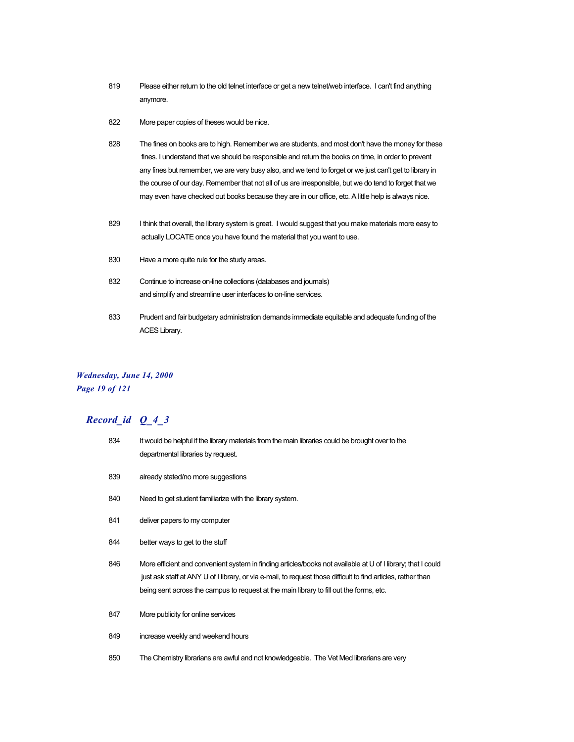- 819 Please either return to the old telnet interface or get a new telnet/web interface. I can't find anything anymore.
- 822 More paper copies of theses would be nice.
- 828 The fines on books are to high. Remember we are students, and most don't have the money for these fines. I understand that we should be responsible and return the books on time, in order to prevent any fines but remember, we are very busy also, and we tend to forget or we just can't get to library in the course of our day. Remember that not all of us are irresponsible, but we do tend to forget that we may even have checked out books because they are in our office, etc. A little help is always nice.
- 829 I think that overall, the library system is great. I would suggest that you make materials more easy to actually LOCATE once you have found the material that you want to use.
- 830 Have a more quite rule for the study areas.
- 832 Continue to increase on-line collections (databases and journals) and simplify and streamline user interfaces to on-line services.
- 833 Prudent and fair budgetary administration demands immediate equitable and adequate funding of the ACES Library.

#### *Wednesday, June 14, 2000 Page 19 of 121*

| 834 | It would be helpful if the library materials from the main libraries could be brought over to the<br>departmental libraries by request.                                                                                                                                                                                  |
|-----|--------------------------------------------------------------------------------------------------------------------------------------------------------------------------------------------------------------------------------------------------------------------------------------------------------------------------|
| 839 | already stated/no more suggestions                                                                                                                                                                                                                                                                                       |
| 840 | Need to get student familiarize with the library system.                                                                                                                                                                                                                                                                 |
| 841 | deliver papers to my computer                                                                                                                                                                                                                                                                                            |
| 844 | better ways to get to the stuff                                                                                                                                                                                                                                                                                          |
| 846 | More efficient and convenient system in finding articles/books not available at U of I library; that I could<br>just ask staff at ANY U of I library, or via e-mail, to request those difficult to find articles, rather than<br>being sent across the campus to request at the main library to fill out the forms, etc. |
| 847 | More publicity for online services                                                                                                                                                                                                                                                                                       |
| 849 | increase weekly and weekend hours                                                                                                                                                                                                                                                                                        |
| 850 | The Chemistry librarians are awful and not knowledgeable. The Vet Med librarians are very                                                                                                                                                                                                                                |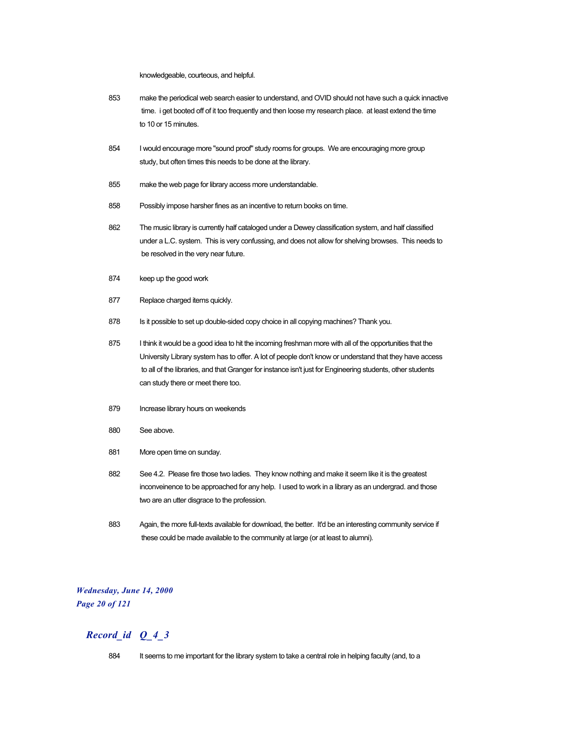knowledgeable, courteous, and helpful.

- 853 make the periodical web search easier to understand, and OVID should not have such a quick innactive time. i get booted off of it too frequently and then loose my research place. at least extend the time to 10 or 15 minutes.
- 854 I would encourage more "sound proof" study rooms for groups. We are encouraging more group study, but often times this needs to be done at the library.
- 855 make the web page for library access more understandable.
- 858 Possibly impose harsher fines as an incentive to return books on time.
- 862 The music library is currently half cataloged under a Dewey classification system, and half classified under a L.C. system. This is very confussing, and does not allow for shelving browses. This needs to be resolved in the very near future.
- 874 keep up the good work
- 877 Replace charged items quickly.
- 878 Is it possible to set up double-sided copy choice in all copying machines? Thank you.
- 875 I think it would be a good idea to hit the incoming freshman more with all of the opportunities that the University Library system has to offer. A lot of people don't know or understand that they have access to all of the libraries, and that Granger for instance isn't just for Engineering students, other students can study there or meet there too.
- 879 Increase library hours on weekends
- 880 See above.
- 881 More open time on sunday.
- 882 See 4.2. Please fire those two ladies. They know nothing and make it seem like it is the greatest inconveinence to be approached for any help. I used to work in a library as an undergrad. and those two are an utter disgrace to the profession.
- 883 Again, the more full-texts available for download, the better. It'd be an interesting community service if these could be made available to the community at large (or at least to alumni).

#### *Wednesday, June 14, 2000 Page 20 of 121*

### *Record\_id Q\_4\_3*

884 It seems to me important for the library system to take a central role in helping faculty (and, to a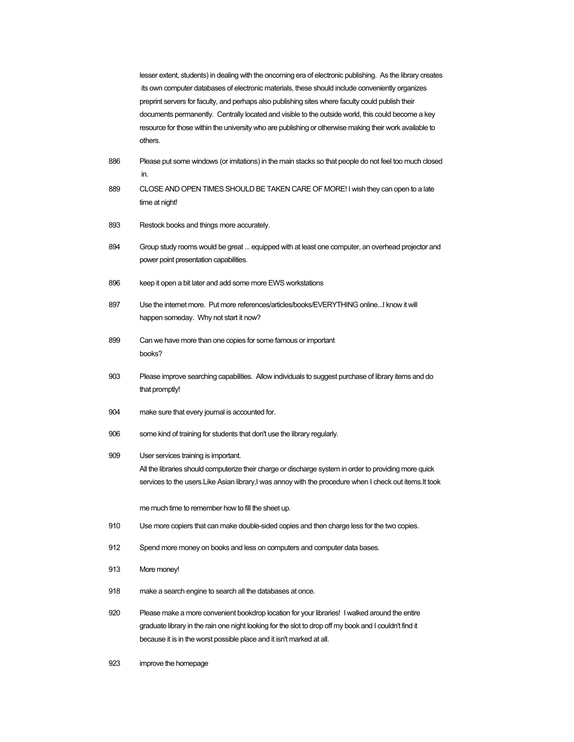lesser extent, students) in dealing with the oncoming era of electronic publishing. As the library creates its own computer databases of electronic materials, these should include conveniently organizes preprint servers for faculty, and perhaps also publishing sites where faculty could publish their documents permanently. Centrally located and visible to the outside world, this could become a key resource for those within the university who are publishing or otherwise making their work available to others.

- 886 Please put some windows (or imitations) in the main stacks so that people do not feel too much closed in.
- 889 CLOSE AND OPEN TIMES SHOULD BE TAKEN CARE OF MORE! I wish they can open to a late time at night!
- 893 Restock books and things more accurately.
- 894 Group study rooms would be great ... equipped with at least one computer, an overhead projector and power point presentation capabilities.
- 896 keep it open a bit later and add some more EWS workstations
- 897 Use the internet more. Put more references/articles/books/EVERYTHING online...I know it will happen someday. Why not start it now?
- 899 Can we have more than one copies for some famous or important books?
- 903 Please improve searching capabilities. Allow individuals to suggest purchase of library items and do that promptly!
- 904 make sure that every journal is accounted for.
- 906 some kind of training for students that don't use the library regularly.

#### 909 User services training is important.

All the libraries should computerize their charge or discharge system in order to providing more quick services to the users.Like Asian library,I was annoy with the procedure when I check out items.It took

me much time to remember how to fill the sheet up.

- 910 Use more copiers that can make double-sided copies and then charge less for the two copies.
- 912 Spend more money on books and less on computers and computer data bases.
- 913 More money!
- 918 make a search engine to search all the databases at once.
- 920 Please make a more convenient bookdrop location for your libraries! I walked around the entire graduate library in the rain one night looking for the slot to drop off my book and I couldn't find it because it is in the worst possible place and it isn't marked at all.
- 923 improve the homepage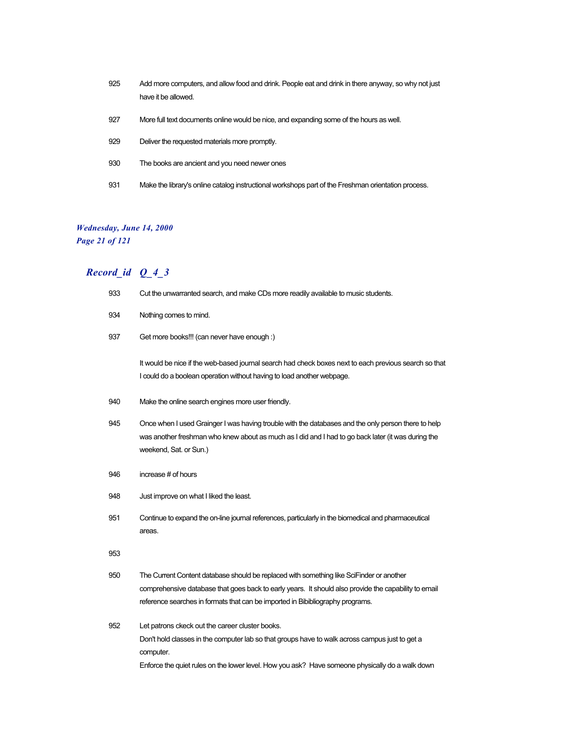- 925 Add more computers, and allow food and drink. People eat and drink in there anyway, so why not just have it be allowed.
- 927 More full text documents online would be nice, and expanding some of the hours as well.
- 929 Deliver the requested materials more promptly.
- 930 The books are ancient and you need newer ones
- 931 Make the library's online catalog instructional workshops part of the Freshman orientation process.

# *Wednesday, June 14, 2000*

*Page 21 of 121*

| 933 | Cut the unwarranted search, and make CDs more readily available to music students.                                                                                                                                                                                                 |
|-----|------------------------------------------------------------------------------------------------------------------------------------------------------------------------------------------------------------------------------------------------------------------------------------|
| 934 | Nothing comes to mind.                                                                                                                                                                                                                                                             |
| 937 | Get more books!!! (can never have enough :)                                                                                                                                                                                                                                        |
|     | It would be nice if the web-based journal search had check boxes next to each previous search so that<br>I could do a boolean operation without having to load another webpage.                                                                                                    |
| 940 | Make the online search engines more user friendly.                                                                                                                                                                                                                                 |
| 945 | Once when I used Grainger I was having trouble with the databases and the only person there to help<br>was another freshman who knew about as much as I did and I had to go back later (it was during the<br>weekend, Sat. or Sun.)                                                |
| 946 | increase # of hours                                                                                                                                                                                                                                                                |
| 948 | Just improve on what I liked the least.                                                                                                                                                                                                                                            |
| 951 | Continue to expand the on-line journal references, particularly in the biomedical and pharmaceutical<br>areas.                                                                                                                                                                     |
| 953 |                                                                                                                                                                                                                                                                                    |
| 950 | The Current Content database should be replaced with something like SciFinder or another<br>comprehensive database that goes back to early years. It should also provide the capability to email<br>reference searches in formats that can be imported in Bibibliography programs. |
| 952 | Let patrons ckeck out the career cluster books.<br>Don't hold classes in the computer lab so that groups have to walk across campus just to get a<br>computer.                                                                                                                     |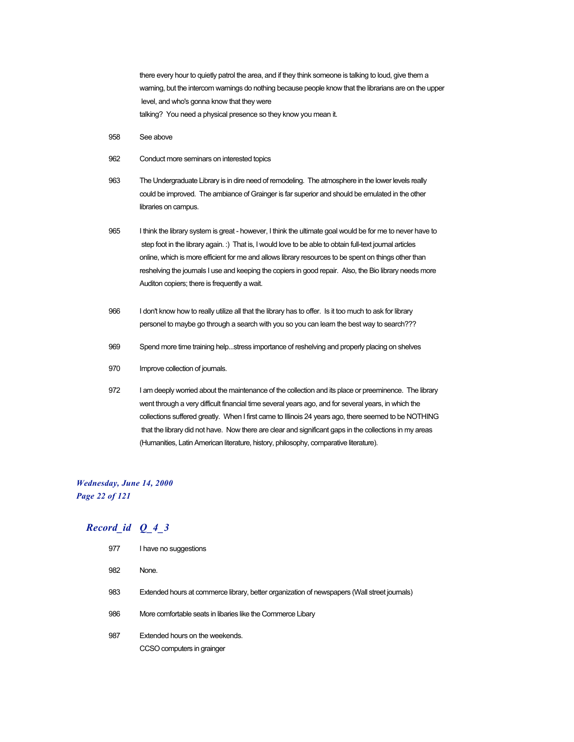there every hour to quietly patrol the area, and if they think someone is talking to loud, give them a warning, but the intercom warnings do nothing because people know that the librarians are on the upper level, and who's gonna know that they were talking? You need a physical presence so they know you mean it.

- 958 See above
- 962 Conduct more seminars on interested topics
- 963 The Undergraduate Library is in dire need of remodeling. The atmosphere in the lower levels really could be improved. The ambiance of Grainger is far superior and should be emulated in the other libraries on campus.
- 965 I think the library system is great however, I think the ultimate goal would be for me to never have to step foot in the library again. :) That is, I would love to be able to obtain full-text journal articles online, which is more efficient for me and allows library resources to be spent on things other than reshelving the journals I use and keeping the copiers in good repair. Also, the Bio library needs more Auditon copiers; there is frequently a wait.
- 966 I don't know how to really utilize all that the library has to offer. Is it too much to ask for library personel to maybe go through a search with you so you can learn the best way to search???
- 969 Spend more time training help...stress importance of reshelving and properly placing on shelves
- 970 Improve collection of journals.
- 972 I am deeply worried about the maintenance of the collection and its place or preeminence. The library went through a very difficult financial time several years ago, and for several years, in which the collections suffered greatly. When I first came to Illinois 24 years ago, there seemed to be NOTHING that the library did not have. Now there are clear and significant gaps in the collections in my areas (Humanities, Latin American literature, history, philosophy, comparative literature).

# *Wednesday, June 14, 2000 Page 22 of 121*

| 977 | I have no suggestions                                                                        |
|-----|----------------------------------------------------------------------------------------------|
| 982 | None.                                                                                        |
| 983 | Extended hours at commerce library, better organization of newspapers (Wall street journals) |
| 986 | More comfortable seats in libaries like the Commerce Libary                                  |
| 987 | Extended hours on the weekends.<br>CCSO computers in grainger                                |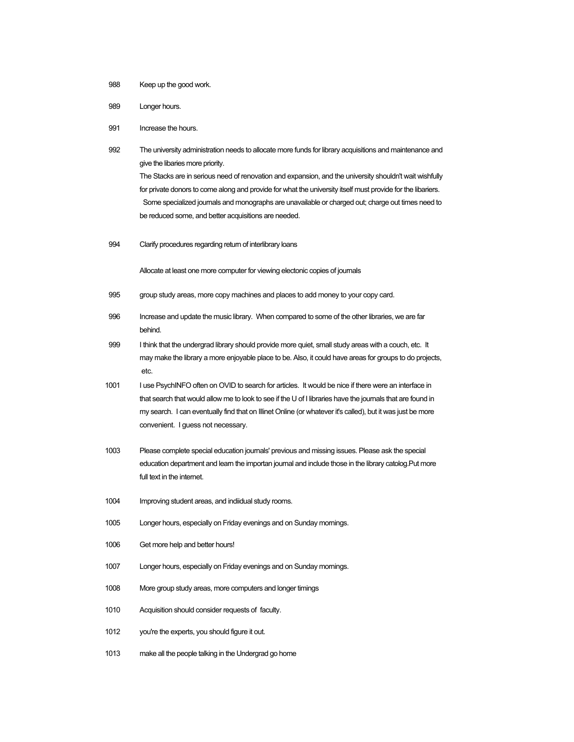- 988 Keep up the good work.
- 989 Longer hours.
- 991 Increase the hours.
- 992 The university administration needs to allocate more funds for library acquisitions and maintenance and give the libaries more priority. The Stacks are in serious need of renovation and expansion, and the university shouldn't wait wishfully for private donors to come along and provide for what the university itself must provide for the libariers. Some specialized journals and monographs are unavailable or charged out; charge out times need to be reduced some, and better acquisitions are needed.
- 994 Clarify procedures regarding return of interlibrary loans

Allocate at least one more computer for viewing electonic copies of journals

- 995 group study areas, more copy machines and places to add money to your copy card.
- 996 Increase and update the music library. When compared to some of the other libraries, we are far behind.
- 999 I think that the undergrad library should provide more quiet, small study areas with a couch, etc. It may make the library a more enjoyable place to be. Also, it could have areas for groups to do projects, etc.
- 1001 I use PsychINFO often on OVID to search for articles. It would be nice if there were an interface in that search that would allow me to look to see if the U of I libraries have the journals that are found in my search. I can eventually find that on Illinet Online (or whatever it's called), but it was just be more convenient. I guess not necessary.
- 1003 Please complete special education journals' previous and missing issues. Please ask the special education department and learn the importan journal and include those in the library catolog.Put more full text in the internet.
- 1004 Improving student areas, and indiidual study rooms.
- 1005 Longer hours, especially on Friday evenings and on Sunday mornings.
- 1006 Get more help and better hours!
- 1007 Longer hours, especially on Friday evenings and on Sunday mornings.
- 1008 More group study areas, more computers and longer timings
- 1010 Acquisition should consider requests of faculty.
- 1012 you're the experts, you should figure it out.
- 1013 make all the people talking in the Undergrad go home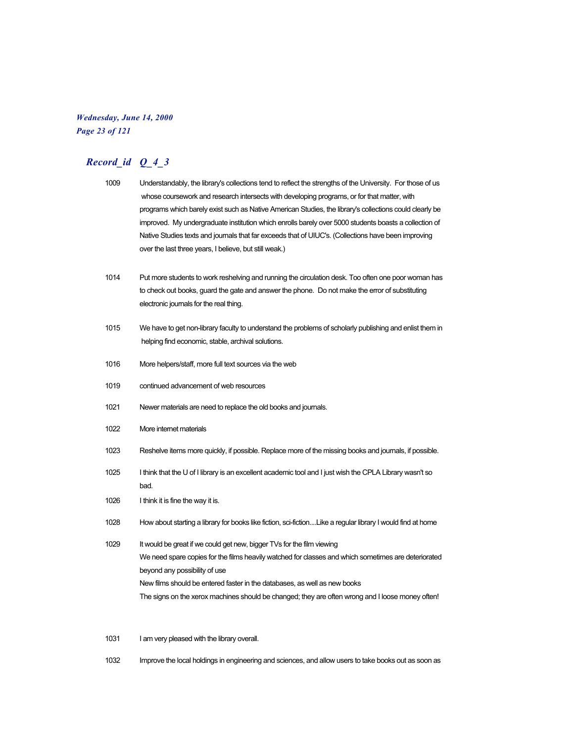#### *Wednesday, June 14, 2000 Page 23 of 121*

# *Record\_id Q\_4\_3*

| 1009 | Understandably, the library's collections tend to reflect the strengths of the University. For those of us |
|------|------------------------------------------------------------------------------------------------------------|
|      | whose coursework and research intersects with developing programs, or for that matter, with                |
|      | programs which barely exist such as Native American Studies, the library's collections could clearly be    |
|      | improved. My undergraduate institution which enrolls barely over 5000 students boasts a collection of      |
|      | Native Studies texts and journals that far exceeds that of UIUC's. (Collections have been improving        |
|      | over the last three years. I believe, but still weak.)                                                     |

- 1014 Put more students to work reshelving and running the circulation desk. Too often one poor woman has to check out books, guard the gate and answer the phone. Do not make the error of substituting electronic journals for the real thing.
- 1015 We have to get non-library faculty to understand the problems of scholarly publishing and enlist them in helping find economic, stable, archival solutions.
- 1016 More helpers/staff, more full text sources via the web
- 1019 continued advancement of web resources
- 1021 Newer materials are need to replace the old books and journals.
- 1022 More internet materials
- 1023 Reshelve items more quickly, if possible. Replace more of the missing books and journals, if possible.
- 1025 I think that the U of I library is an excellent academic tool and I just wish the CPLA Library wasn't so bad.
- 1026 I think it is fine the way it is.
- 1028 How about starting a library for books like fiction, sci-fiction....Like a regular library I would find at home
- 1029 It would be great if we could get new, bigger TVs for the film viewing We need spare copies for the films heavily watched for classes and which sometimes are deteriorated beyond any possibility of use New films should be entered faster in the databases, as well as new books The signs on the xerox machines should be changed; they are often wrong and I loose money often!

1031 I am very pleased with the library overall.

1032 Improve the local holdings in engineering and sciences, and allow users to take books out as soon as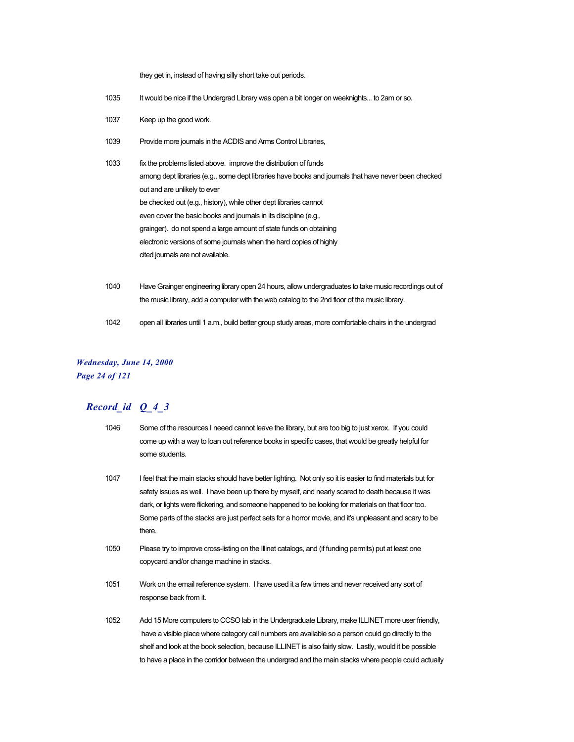they get in, instead of having silly short take out periods.

- 1035 It would be nice if the Undergrad Library was open a bit longer on weeknights... to 2am or so.
- 1037 Keep up the good work.
- 1039 Provide more journals in the ACDIS and Arms Control Libraries,
- 1033 fix the problems listed above. improve the distribution of funds among dept libraries (e.g., some dept libraries have books and journals that have never been checked out and are unlikely to ever be checked out (e.g., history), while other dept libraries cannot even cover the basic books and journals in its discipline (e.g., grainger). do not spend a large amount of state funds on obtaining electronic versions of some journals when the hard copies of highly cited journals are not available.
- 1040 Have Grainger engineering library open 24 hours, allow undergraduates to take music recordings out of the music library, add a computer with the web catalog to the 2nd floor of the music library.
- 1042 open all libraries until 1 a.m., build better group study areas, more comfortable chairs in the undergrad

# *Wednesday, June 14, 2000 Page 24 of 121*

- 1046 Some of the resources I neeed cannot leave the library, but are too big to just xerox. If you could come up with a way to loan out reference books in specific cases, that would be greatly helpful for some students.
- 1047 I feel that the main stacks should have better lighting. Not only so it is easier to find materials but for safety issues as well. I have been up there by myself, and nearly scared to death because it was dark, or lights were flickering, and someone happened to be looking for materials on that floor too. Some parts of the stacks are just perfect sets for a horror movie, and it's unpleasant and scary to be there.
- 1050 Please try to improve cross-listing on the Illinet catalogs, and (if funding permits) put at least one copycard and/or change machine in stacks.
- 1051 Work on the email reference system. I have used it a few times and never received any sort of response back from it.
- 1052 Add 15 More computers to CCSO lab in the Undergraduate Library, make ILLINET more user friendly, have a visible place where category call numbers are available so a person could go directly to the shelf and look at the book selection, because ILLINET is also fairly slow. Lastly, would it be possible to have a place in the corridor between the undergrad and the main stacks where people could actually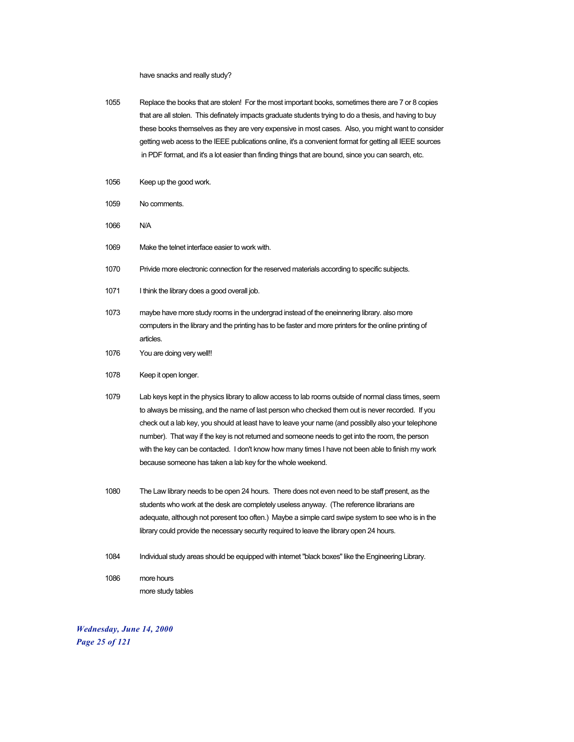have snacks and really study?

- 1055 Replace the books that are stolen! For the most important books, sometimes there are 7 or 8 copies that are all stolen. This definately impacts graduate students trying to do a thesis, and having to buy these books themselves as they are very expensive in most cases. Also, you might want to consider getting web acess to the IEEE publications online, it's a convenient format for getting all IEEE sources in PDF format, and it's a lot easier than finding things that are bound, since you can search, etc.
- 1056 Keep up the good work.
- 1059 No comments.
- 1066 N/A
- 1069 Make the telnet interface easier to work with.
- 1070 Privide more electronic connection for the reserved materials according to specific subjects.
- 1071 I think the library does a good overall job.
- 1073 maybe have more study rooms in the undergrad instead of the eneinnering library. also more computers in the library and the printing has to be faster and more printers for the online printing of articles.
- 1076 You are doing very well!!
- 1078 Keep it open longer.
- 1079 Lab keys kept in the physics library to allow access to lab rooms outside of normal class times, seem to always be missing, and the name of last person who checked them out is never recorded. If you check out a lab key, you should at least have to leave your name (and possiblly also your telephone number). That way if the key is not returned and someone needs to get into the room, the person with the key can be contacted. I don't know how many times I have not been able to finish my work because someone has taken a lab key for the whole weekend.
- 1080 The Law library needs to be open 24 hours. There does not even need to be staff present, as the students who work at the desk are completely useless anyway. (The reference librarians are adequate, although not poresent too often.) Maybe a simple card swipe system to see who is in the library could provide the necessary security required to leave the library open 24 hours.
- 1084 Individual study areas should be equipped with internet "black boxes" like the Engineering Library.
- 1086 more hours more study tables

*Wednesday, June 14, 2000 Page 25 of 121*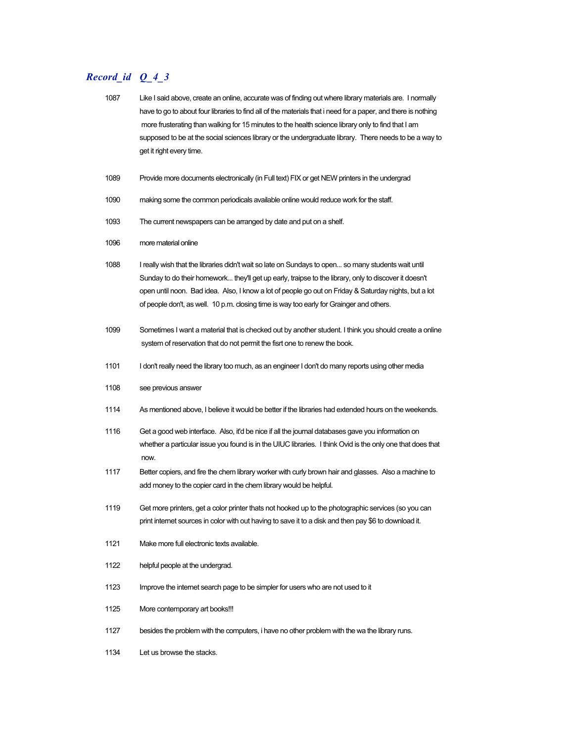- 1087 Like I said above, create an online, accurate was of finding out where library materials are. I normally have to go to about four libraries to find all of the materials that i need for a paper, and there is nothing more frusterating than walking for 15 minutes to the health science library only to find that I am supposed to be at the social sciences library or the undergraduate library. There needs to be a way to get it right every time.
- 1089 Provide more documents electronically (in Full text) FIX or get NEW printers in the undergrad
- 1090 making some the common periodicals available online would reduce work for the staff.
- 1093 The current newspapers can be arranged by date and put on a shelf.
- 1096 more material online
- 1088 I really wish that the libraries didn't wait so late on Sundays to open... so many students wait until Sunday to do their homework... they'll get up early, traipse to the library, only to discover it doesn't open until noon. Bad idea. Also, I know a lot of people go out on Friday & Saturday nights, but a lot of people don't, as well. 10 p.m. closing time is way too early for Grainger and others.
- 1099 Sometimes I want a material that is checked out by another student. I think you should create a online system of reservation that do not permit the fisrt one to renew the book.
- 1101 I don't really need the library too much, as an engineer I don't do many reports using other media
- 1108 see previous answer
- 1114 As mentioned above, I believe it would be better if the libraries had extended hours on the weekends.
- 1116 Get a good web interface. Also, it'd be nice if all the journal databases gave you information on whether a particular issue you found is in the UIUC libraries. I think Ovid is the only one that does that now.
- 1117 Better copiers, and fire the chem library worker with curly brown hair and glasses. Also a machine to add money to the copier card in the chem library would be helpful.
- 1119 Get more printers, get a color printer thats not hooked up to the photographic services (so you can print internet sources in color with out having to save it to a disk and then pay \$6 to download it.
- 1121 Make more full electronic texts available.
- 1122 helpful people at the undergrad.
- 1123 Improve the internet search page to be simpler for users who are not used to it
- 1125 More contemporary art books!!!
- 1127 besides the problem with the computers, i have no other problem with the wa the library runs.
- 1134 Let us browse the stacks.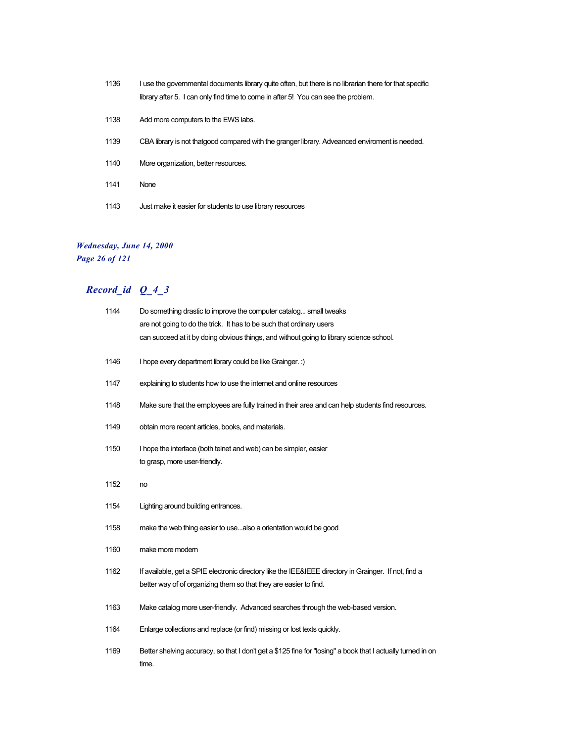- 1136 I use the governmental documents library quite often, but there is no librarian there for that specific library after 5. I can only find time to come in after 5! You can see the problem.
- 1138 Add more computers to the EWS labs.
- 1139 CBA library is not thatgood compared with the granger library. Adveanced enviroment is needed.
- 1140 More organization, better resources.
- 1141 None
- 1143 Just make it easier for students to use library resources

### *Wednesday, June 14, 2000*

*Page 26 of 121*

| 1144 | Do something drastic to improve the computer catalog small tweaks<br>are not going to do the trick. It has to be such that ordinary users<br>can succeed at it by doing obvious things, and without going to library science school. |
|------|--------------------------------------------------------------------------------------------------------------------------------------------------------------------------------------------------------------------------------------|
| 1146 | I hope every department library could be like Grainger. :)                                                                                                                                                                           |
| 1147 | explaining to students how to use the internet and online resources                                                                                                                                                                  |
| 1148 | Make sure that the employees are fully trained in their area and can help students find resources.                                                                                                                                   |
| 1149 | obtain more recent articles, books, and materials.                                                                                                                                                                                   |
| 1150 | I hope the interface (both telnet and web) can be simpler, easier<br>to grasp, more user-friendly.                                                                                                                                   |
| 1152 | no                                                                                                                                                                                                                                   |
| 1154 | Lighting around building entrances.                                                                                                                                                                                                  |
| 1158 | make the web thing easier to usealso a orientation would be good                                                                                                                                                                     |
| 1160 | make more modern                                                                                                                                                                                                                     |
| 1162 | If available, get a SPIE electronic directory like the IEE&IEEE directory in Grainger. If not, find a<br>better way of of organizing them so that they are easier to find.                                                           |
| 1163 | Make catalog more user-friendly. Advanced searches through the web-based version.                                                                                                                                                    |
| 1164 | Enlarge collections and replace (or find) missing or lost texts quickly.                                                                                                                                                             |
| 1169 | Better shelving accuracy, so that I don't get a \$125 fine for "losing" a book that I actually turned in on<br>time.                                                                                                                 |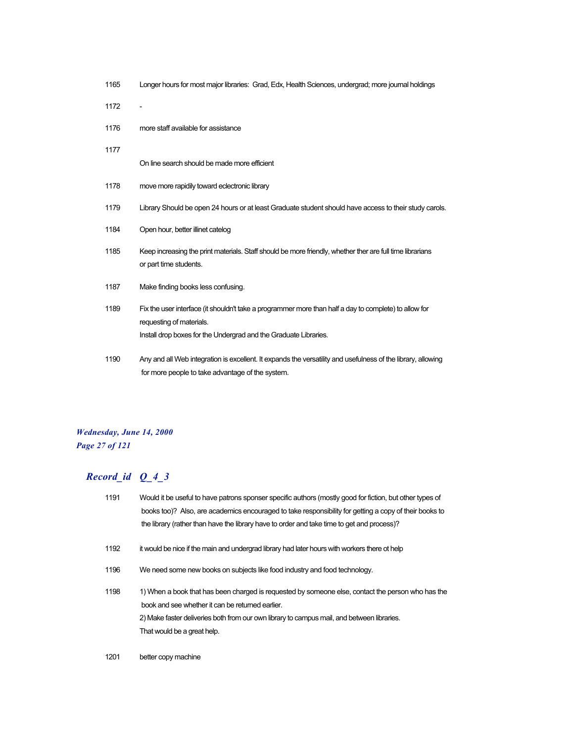| 1165 | Longer hours for most major libraries: Grad, Edx, Health Sciences, undergrad; more journal holdings                                                              |
|------|------------------------------------------------------------------------------------------------------------------------------------------------------------------|
| 1172 | $\overline{a}$                                                                                                                                                   |
| 1176 | more staff available for assistance                                                                                                                              |
| 1177 |                                                                                                                                                                  |
|      | On line search should be made more efficient                                                                                                                     |
| 1178 | move more rapidily toward eclectronic library                                                                                                                    |
| 1179 | Library Should be open 24 hours or at least Graduate student should have access to their study carols.                                                           |
| 1184 | Open hour, better illinet catelog                                                                                                                                |
| 1185 | Keep increasing the print materials. Staff should be more friendly, whether ther are full time librarians<br>or part time students.                              |
| 1187 | Make finding books less confusing.                                                                                                                               |
| 1189 | Fix the user interface (it shouldn't take a programmer more than half a day to complete) to allow for<br>requesting of materials.                                |
|      | Install drop boxes for the Undergrad and the Graduate Libraries.                                                                                                 |
| 1190 | Any and all Web integration is excellent. It expands the versatility and usefulness of the library, allowing<br>for more people to take advantage of the system. |

## *Wednesday, June 14, 2000 Page 27 of 121*

## *Record\_id Q\_4\_3*

| 1191 | Would it be useful to have patrons sponser specific authors (mostly good for fiction, but other types of |
|------|----------------------------------------------------------------------------------------------------------|
|      | books too)? Also, are academics encouraged to take responsibility for getting a copy of their books to   |
|      | the library (rather than have the library have to order and take time to get and process)?               |
| 1192 | it would be nice if the main and undergrad library had later hours with workers there ot help            |
| 1196 | We need some new books on subjects like food industry and food technology.                               |
| 1198 | 1) When a book that has been charged is requested by someone else, contact the person who has the        |
|      | book and see whether it can be returned earlier.                                                         |
|      | 2) Make faster deliveries both from our own library to campus mail, and between libraries.               |
|      | That would be a great help.                                                                              |
|      |                                                                                                          |

1201 better copy machine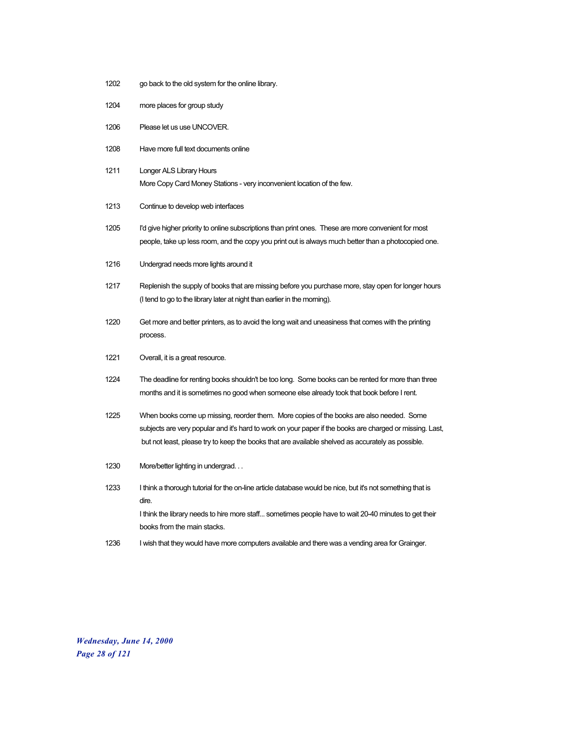- 1202 go back to the old system for the online library.
- 1204 more places for group study
- 1206 Please let us use UNCOVER.
- 1208 Have more full text documents online
- 1211 Longer ALS Library Hours More Copy Card Money Stations - very inconvenient location of the few.
- 1213 Continue to develop web interfaces
- 1205 I'd give higher priority to online subscriptions than print ones. These are more convenient for most people, take up less room, and the copy you print out is always much better than a photocopied one.
- 1216 Undergrad needs more lights around it
- 1217 Replenish the supply of books that are missing before you purchase more, stay open for longer hours (I tend to go to the library later at night than earlier in the morning).
- 1220 Get more and better printers, as to avoid the long wait and uneasiness that comes with the printing process.
- 1221 Overall, it is a great resource.
- 1224 The deadline for renting books shouldn't be too long. Some books can be rented for more than three months and it is sometimes no good when someone else already took that book before I rent.
- 1225 When books come up missing, reorder them. More copies of the books are also needed. Some subjects are very popular and it's hard to work on your paper if the books are charged or missing. Last, but not least, please try to keep the books that are available shelved as accurately as possible.
- 1230 More/better lighting in undergrad. . .
- 1233 I think a thorough tutorial for the on-line article database would be nice, but it's not something that is dire. I think the library needs to hire more staff... sometimes people have to wait 20-40 minutes to get their books from the main stacks.
- 1236 I wish that they would have more computers available and there was a vending area for Grainger.

*Wednesday, June 14, 2000 Page 28 of 121*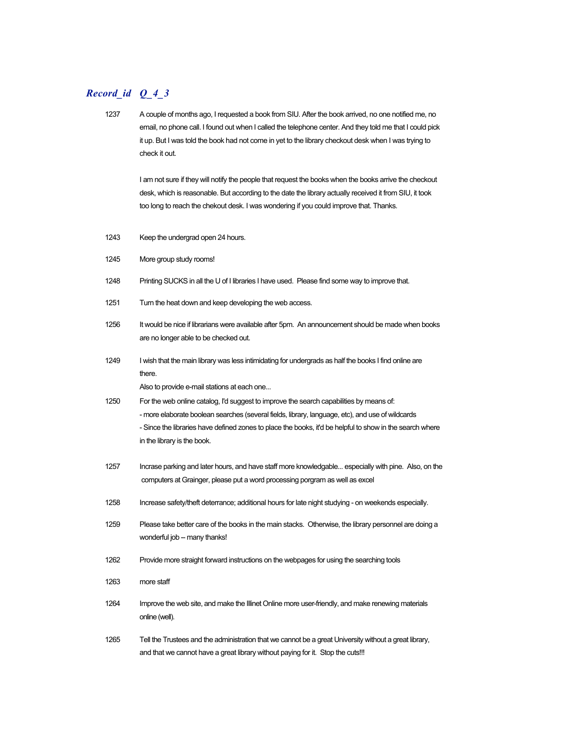## *Record\_id Q\_4\_3*

1237 A couple of months ago, I requested a book from SIU. After the book arrived, no one notified me, no email, no phone call. I found out when I called the telephone center. And they told me that I could pick it up. But I was told the book had not come in yet to the library checkout desk when I was trying to check it out. I am not sure if they will notify the people that request the books when the books arrive the checkout desk, which is reasonable. But according to the date the library actually received it from SIU, it took too long to reach the chekout desk. I was wondering if you could improve that. Thanks. 1243 Keep the undergrad open 24 hours. 1245 More group study rooms! 1248 Printing SUCKS in all the U of I libraries I have used. Please find some way to improve that. 1251 Turn the heat down and keep developing the web access. 1256 It would be nice if librarians were available after 5pm. An announcement should be made when books are no longer able to be checked out. 1249 I wish that the main library was less intimidating for undergrads as half the books I find online are there. Also to provide e-mail stations at each one... 1250 For the web online catalog, I'd suggest to improve the search capabilities by means of: - more elaborate boolean searches (several fields, library, language, etc), and use of wildcards - Since the libraries have defined zones to place the books, it'd be helpful to show in the search where in the library is the book. 1257 Incrase parking and later hours, and have staff more knowledgable... especially with pine. Also, on the computers at Grainger, please put a word processing porgram as well as excel 1258 Increase safety/theft deterrance; additional hours for late night studying - on weekends especially. 1259 Please take better care of the books in the main stacks. Otherwise, the library personnel are doing a wonderful job -- many thanks! 1262 Provide more straight forward instructions on the webpages for using the searching tools 1263 more staff 1264 Improve the web site, and make the Illinet Online more user-friendly, and make renewing materials online (well). 1265 Tell the Trustees and the administration that we cannot be a great University without a great library, and that we cannot have a great library without paying for it. Stop the cuts!!!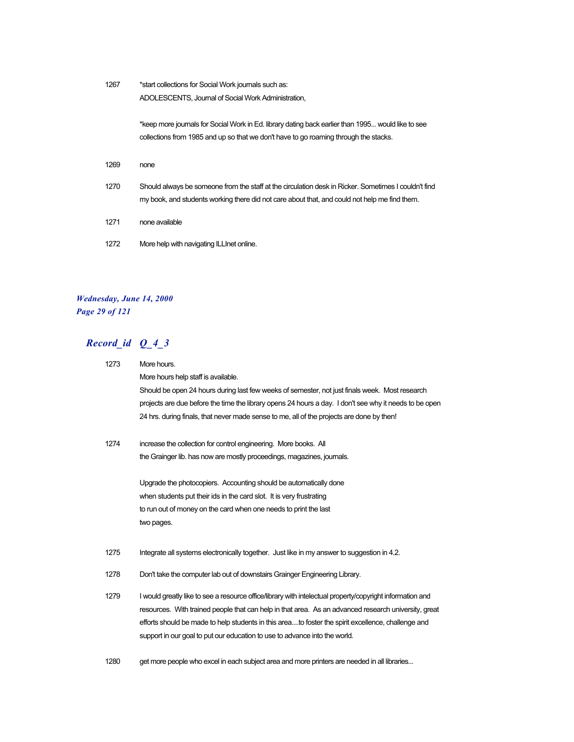| 1267 | *start collections for Social Work journals such as:                                                 |
|------|------------------------------------------------------------------------------------------------------|
|      | ADOLESCENTS, Journal of Social Work Administration,                                                  |
|      | *keep more journals for Social Work in Ed. library dating back earlier than 1995 would like to see   |
|      | collections from 1985 and up so that we don't have to go roaming through the stacks.                 |
| 1269 | none                                                                                                 |
| 1270 | Should always be someone from the staff at the circulation desk in Ricker. Sometimes I couldn't find |
|      | my book, and students working there did not care about that, and could not help me find them.        |
| 1271 | none available                                                                                       |
| 1272 | More help with navigating ILLInet online.                                                            |

### *Wednesday, June 14, 2000 Page 29 of 121*

## *Record\_id Q\_4\_3*

| 1273 | More hours.                                                                                               |
|------|-----------------------------------------------------------------------------------------------------------|
|      | More hours help staff is available.                                                                       |
|      | Should be open 24 hours during last few weeks of semester, not just finals week. Most research            |
|      | projects are due before the time the library opens 24 hours a day. I don't see why it needs to be open    |
|      | 24 hrs. during finals, that never made sense to me, all of the projects are done by then!                 |
| 1274 | increase the collection for control engineering. More books. All                                          |
|      | the Grainger lib. has now are mostly proceedings, magazines, journals.                                    |
|      | Upgrade the photocopiers. Accounting should be automatically done                                         |
|      | when students put their ids in the card slot. It is very frustrating                                      |
|      | to run out of money on the card when one needs to print the last                                          |
|      | two pages.                                                                                                |
| 1275 | Integrate all systems electronically together. Just like in my answer to suggestion in 4.2.               |
| 1278 | Don't take the computer lab out of downstairs Grainger Engineering Library.                               |
| 1279 | I would greatly like to see a resource office/library with intelectual property/copyright information and |
|      | resources. With trained people that can help in that area. As an advanced research university, great      |
|      | efforts should be made to help students in this areato foster the spirit excellence, challenge and        |
|      | support in our goal to put our education to use to advance into the world.                                |
|      |                                                                                                           |

1280 get more people who excel in each subject area and more printers are needed in all libraries...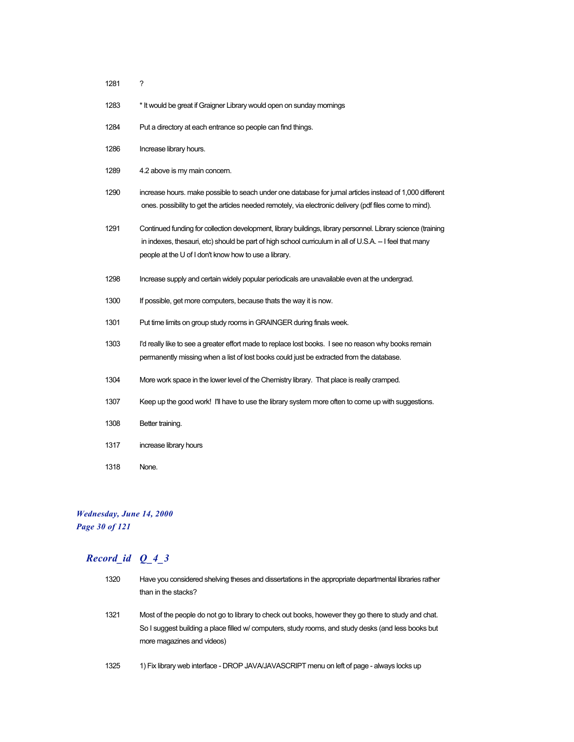- 1281 ?
- 1283 \* It would be great if Graigner Library would open on sunday mornings
- 1284 Put a directory at each entrance so people can find things.
- 1286 Increase library hours.
- 1289 4.2 above is my main concern.
- 1290 increase hours. make possible to seach under one database for jurnal articles instead of 1,000 different ones. possibility to get the articles needed remotely, via electronic delivery (pdf files come to mind).
- 1291 Continued funding for collection development, library buildings, library personnel. Library science (training in indexes, thesauri, etc) should be part of high school curriculum in all of U.S.A. -- I feel that many people at the U of I don't know how to use a library.
- 1298 Increase supply and certain widely popular periodicals are unavailable even at the undergrad.
- 1300 If possible, get more computers, because thats the way it is now.
- 1301 Put time limits on group study rooms in GRAINGER during finals week.
- 1303 I'd really like to see a greater effort made to replace lost books. I see no reason why books remain permanently missing when a list of lost books could just be extracted from the database.
- 1304 More work space in the lower level of the Chemistry library. That place is really cramped.
- 1307 Keep up the good work! I'll have to use the library system more often to come up with suggestions.
- 1308 Better training.
- 1317 increase library hours
- 1318 None.

#### *Wednesday, June 14, 2000 Page 30 of 121*

### *Record\_id Q\_4\_3*

| 1320 | Have you considered shelving theses and dissertations in the appropriate departmental libraries rather |
|------|--------------------------------------------------------------------------------------------------------|
|      | than in the stacks?                                                                                    |
| 1321 |                                                                                                        |
|      | Most of the people do not go to library to check out books, however they go there to study and chat.   |
|      | So I suggest building a place filled w/ computers, study rooms, and study desks (and less books but    |
|      | more magazines and videos)                                                                             |
|      |                                                                                                        |

1325 1) Fix library web interface - DROP JAVA/JAVASCRIPT menu on left of page - always locks up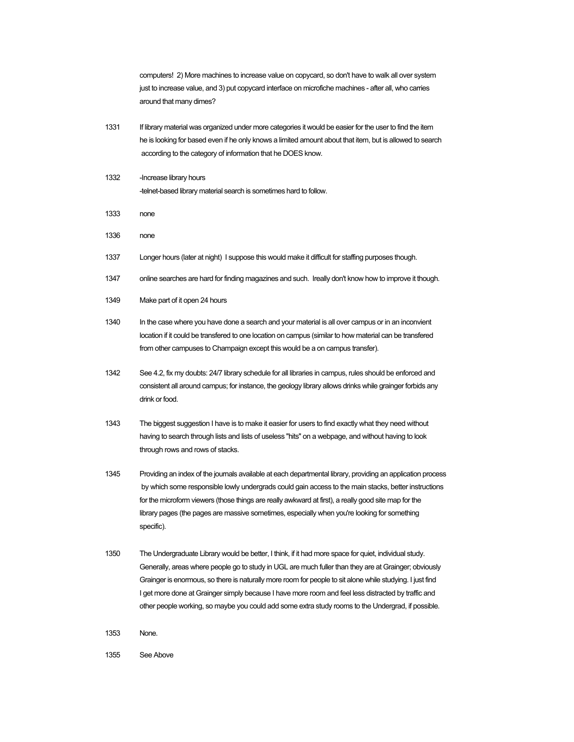computers! 2) More machines to increase value on copycard, so don't have to walk all over system just to increase value, and 3) put copycard interface on microfiche machines - after all, who carries around that many dimes?

- 1331 If library material was organized under more categories it would be easier for the user to find the item he is looking for based even if he only knows a limited amount about that item, but is allowed to search according to the category of information that he DOES know.
- 1332 Increase library hours -telnet-based library material search is sometimes hard to follow.
- 1333 none
- 1336 none
- 1337 Longer hours (later at night) I suppose this would make it difficult for staffing purposes though.
- 1347 online searches are hard for finding magazines and such. Ireally don't know how to improve it though.
- 1349 Make part of it open 24 hours
- 1340 In the case where you have done a search and your material is all over campus or in an inconvient location if it could be transfered to one location on campus (similar to how material can be transfered from other campuses to Champaign except this would be a on campus transfer).
- 1342 See 4.2, fix my doubts: 24/7 library schedule for all libraries in campus, rules should be enforced and consistent all around campus; for instance, the geology library allows drinks while grainger forbids any drink or food.
- 1343 The biggest suggestion I have is to make it easier for users to find exactly what they need without having to search through lists and lists of useless "hits" on a webpage, and without having to look through rows and rows of stacks.
- 1345 Providing an index of the journals available at each departmental library, providing an application process by which some responsible lowly undergrads could gain access to the main stacks, better instructions for the microform viewers (those things are really awkward at first), a really good site map for the library pages (the pages are massive sometimes, especially when you're looking for something specific).
- 1350 The Undergraduate Library would be better, I think, if it had more space for quiet, individual study. Generally, areas where people go to study in UGL are much fuller than they are at Grainger; obviously Grainger is enormous, so there is naturally more room for people to sit alone while studying. I just find I get more done at Grainger simply because I have more room and feel less distracted by traffic and other people working, so maybe you could add some extra study rooms to the Undergrad, if possible.
- 1353 None.
- 1355 See Above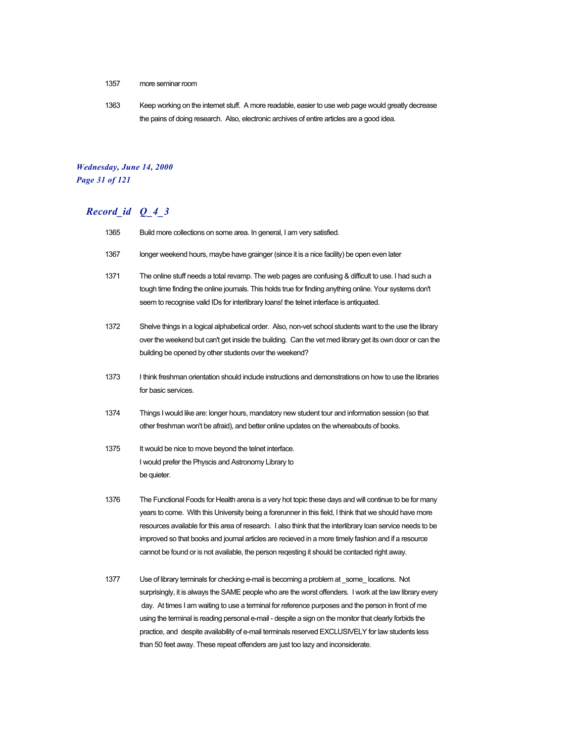- 1357 more seminar room
- 1363 Keep working on the internet stuff. A more readable, easier to use web page would greatly decrease the pains of doing research. Also, electronic archives of entire articles are a good idea.

#### *Wednesday, June 14, 2000 Page 31 of 121*

## *Record\_id Q\_4\_3*

| 1365 | Build more collections on some area. In general, I am very satisfied.                                                                                                                                                                                                                                                                                                                                                                                                                                                                |
|------|--------------------------------------------------------------------------------------------------------------------------------------------------------------------------------------------------------------------------------------------------------------------------------------------------------------------------------------------------------------------------------------------------------------------------------------------------------------------------------------------------------------------------------------|
| 1367 | longer weekend hours, maybe have grainger (since it is a nice facility) be open even later                                                                                                                                                                                                                                                                                                                                                                                                                                           |
| 1371 | The online stuff needs a total revamp. The web pages are confusing & difficult to use. I had such a<br>tough time finding the online journals. This holds true for finding anything online. Your systems don't<br>seem to recognise valid IDs for interlibrary loans! the telnet interface is antiquated.                                                                                                                                                                                                                            |
| 1372 | Shelve things in a logical alphabetical order. Also, non-vet school students want to the use the library<br>over the weekend but can't get inside the building. Can the vet med library get its own door or can the<br>building be opened by other students over the weekend?                                                                                                                                                                                                                                                        |
| 1373 | I think freshman orientation should include instructions and demonstrations on how to use the libraries<br>for basic services.                                                                                                                                                                                                                                                                                                                                                                                                       |
| 1374 | Things I would like are: longer hours, mandatory new student tour and information session (so that<br>other freshman won't be afraid), and better online updates on the whereabouts of books.                                                                                                                                                                                                                                                                                                                                        |
| 1375 | It would be nice to move beyond the telnet interface.<br>I would prefer the Physcis and Astronomy Library to<br>be quieter.                                                                                                                                                                                                                                                                                                                                                                                                          |
| 1376 | The Functional Foods for Health arena is a very hot topic these days and will continue to be for many<br>years to come. With this University being a forerunner in this field, I think that we should have more<br>resources available for this area of research. I also think that the interlibrary loan service needs to be<br>improved so that books and journal articles are recieved in a more timely fashion and if a resource<br>cannot be found or is not available, the person regesting it should be contacted right away. |
| 1377 | Use of library terminals for checking e-mail is becoming a problem at _some_locations. Not<br>surprisingly, it is always the SAME people who are the worst offenders. I work at the law library every<br>day. At times I am waiting to use a terminal for reference purposes and the person in front of me<br>using the terminal is reading personal e-mail - despite a sign on the monitor that clearly forbids the<br>practice, and despite availability of e-mail terminals reserved EXCLUSIVELY for law students less            |

than 50 feet away. These repeat offenders are just too lazy and inconsiderate.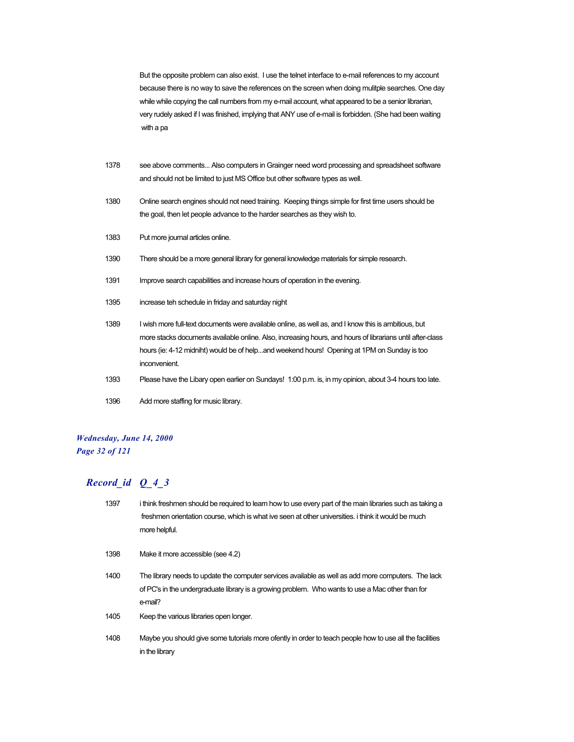But the opposite problem can also exist. I use the telnet interface to e-mail references to my account because there is no way to save the references on the screen when doing mulitple searches. One day while while copying the call numbers from my e-mail account, what appeared to be a senior librarian, very rudely asked if I was finished, implying that ANY use of e-mail is forbidden. (She had been waiting with a pa

- 1378 see above comments... Also computers in Grainger need word processing and spreadsheet software and should not be limited to just MS Office but other software types as well.
- 1380 Online search engines should not need training. Keeping things simple for first time users should be the goal, then let people advance to the harder searches as they wish to.
- 1383 Put more journal articles online.
- 1390 There should be a more general library for general knowledge materials for simple research.
- 1391 Improve search capabilities and increase hours of operation in the evening.
- 1395 increase teh schedule in friday and saturday night
- 1389 I wish more full-text documents were available online, as well as, and I know this is ambitious, but more stacks documents available online. Also, increasing hours, and hours of librarians until after-class hours (ie: 4-12 midniht) would be of help...and weekend hours! Opening at 1PM on Sunday is too inconvenient.
- 1393 Please have the Libary open earlier on Sundays! 1:00 p.m. is, in my opinion, about 3-4 hours too late.
- 1396 Add more staffing for music library.

#### *Wednesday, June 14, 2000 Page 32 of 121*

| 1397 | i think freshmen should be required to learn how to use every part of the main libraries such as taking a<br>freshmen orientation course, which is what ive seen at other universities. I think it would be much<br>more helpful. |
|------|-----------------------------------------------------------------------------------------------------------------------------------------------------------------------------------------------------------------------------------|
| 1398 | Make it more accessible (see 4.2)                                                                                                                                                                                                 |
| 1400 | The library needs to update the computer services available as well as add more computers. The lack<br>of PC's in the undergraduate library is a growing problem. Who wants to use a Mac other than for<br>e-mail?                |
| 1405 | Keep the various libraries open longer.                                                                                                                                                                                           |
| 1408 | Maybe you should give some tutorials more of ently in order to teach people how to use all the facilities<br>in the library                                                                                                       |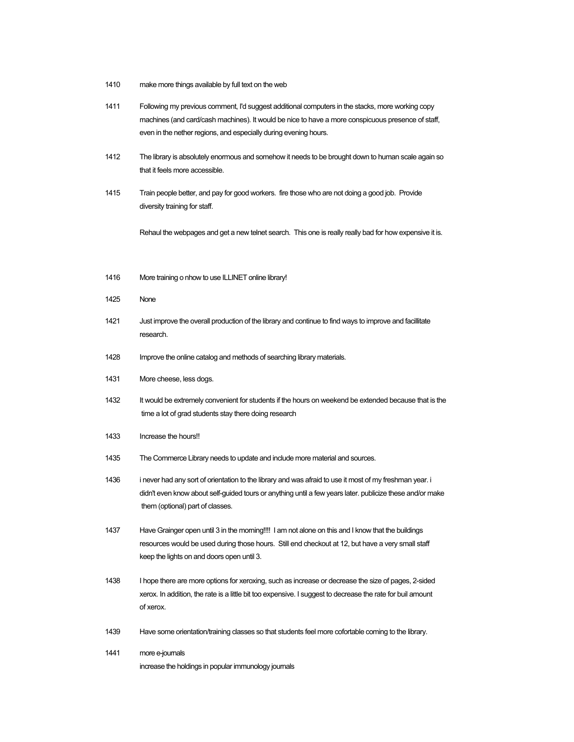- 1410 make more things available by full text on the web
- 1411 Following my previous comment, I'd suggest additional computers in the stacks, more working copy machines (and card/cash machines). It would be nice to have a more conspicuous presence of staff, even in the nether regions, and especially during evening hours.
- 1412 The library is absolutely enormous and somehow it needs to be brought down to human scale again so that it feels more accessible.
- 1415 Train people better, and pay for good workers. fire those who are not doing a good job. Provide diversity training for staff.

Rehaul the webpages and get a new telnet search. This one is really really bad for how expensive it is.

- 1416 More training o nhow to use ILLINET online library!
- 1425 None
- 1421 Just improve the overall production of the library and continue to find ways to improve and facillitate research.
- 1428 Improve the online catalog and methods of searching library materials.
- 1431 More cheese, less dogs.
- 1432 It would be extremely convenient for students if the hours on weekend be extended because that is the time a lot of grad students stay there doing research
- 1433 Increase the hours!
- 1435 The Commerce Library needs to update and include more material and sources.
- 1436 i never had any sort of orientation to the library and was afraid to use it most of my freshman year. i didn't even know about self-guided tours or anything until a few years later. publicize these and/or make them (optional) part of classes.
- 1437 Have Grainger open until 3 in the morning!!!! I am not alone on this and I know that the buildings resources would be used during those hours. Still end checkout at 12, but have a very small staff keep the lights on and doors open until 3.
- 1438 I hope there are more options for xeroxing, such as increase or decrease the size of pages, 2-sided xerox. In addition, the rate is a little bit too expensive. I suggest to decrease the rate for buil amount of xerox.
- 1439 Have some orientation/training classes so that students feel more cofortable coming to the library.
- 1441 more e-journals increase the holdings in popular immunology journals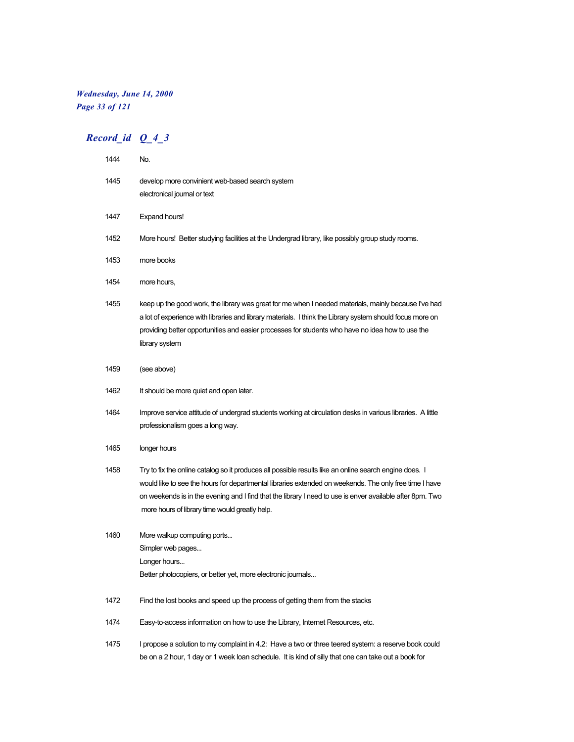## *Wednesday, June 14, 2000 Page 33 of 121*

## *Record\_id Q\_4\_3*

| 1444 | No.                                                                                                                                                                                                                                                                                                                                                                             |
|------|---------------------------------------------------------------------------------------------------------------------------------------------------------------------------------------------------------------------------------------------------------------------------------------------------------------------------------------------------------------------------------|
| 1445 | develop more convinient web-based search system<br>electronical journal or text                                                                                                                                                                                                                                                                                                 |
| 1447 | Expand hours!                                                                                                                                                                                                                                                                                                                                                                   |
| 1452 | More hours! Better studying facilities at the Undergrad library, like possibly group study rooms.                                                                                                                                                                                                                                                                               |
| 1453 | more books                                                                                                                                                                                                                                                                                                                                                                      |
| 1454 | more hours,                                                                                                                                                                                                                                                                                                                                                                     |
| 1455 | keep up the good work, the library was great for me when I needed materials, mainly because I've had<br>a lot of experience with libraries and library materials. I think the Library system should focus more on<br>providing better opportunities and easier processes for students who have no idea how to use the<br>library system                                         |
| 1459 | (see above)                                                                                                                                                                                                                                                                                                                                                                     |
| 1462 | It should be more quiet and open later.                                                                                                                                                                                                                                                                                                                                         |
| 1464 | Improve service attitude of undergrad students working at circulation desks in various libraries. A little<br>professionalism goes a long way.                                                                                                                                                                                                                                  |
| 1465 | longer hours                                                                                                                                                                                                                                                                                                                                                                    |
| 1458 | Try to fix the online catalog so it produces all possible results like an online search engine does. I<br>would like to see the hours for departmental libraries extended on weekends. The only free time I have<br>on weekends is in the evening and I find that the library I need to use is enver available after 8pm. Two<br>more hours of library time would greatly help. |
| 1460 | More walkup computing ports<br>Simpler web pages<br>Longer hours                                                                                                                                                                                                                                                                                                                |
|      | Better photocopiers, or better yet, more electronic journals                                                                                                                                                                                                                                                                                                                    |
| 1472 | Find the lost books and speed up the process of getting them from the stacks                                                                                                                                                                                                                                                                                                    |
| 1474 | Easy-to-access information on how to use the Library, Internet Resources, etc.                                                                                                                                                                                                                                                                                                  |
| 1475 | I propose a solution to my complaint in 4.2: Have a two or three teered system: a reserve book could                                                                                                                                                                                                                                                                            |

be on a 2 hour, 1 day or 1 week loan schedule. It is kind of silly that one can take out a book for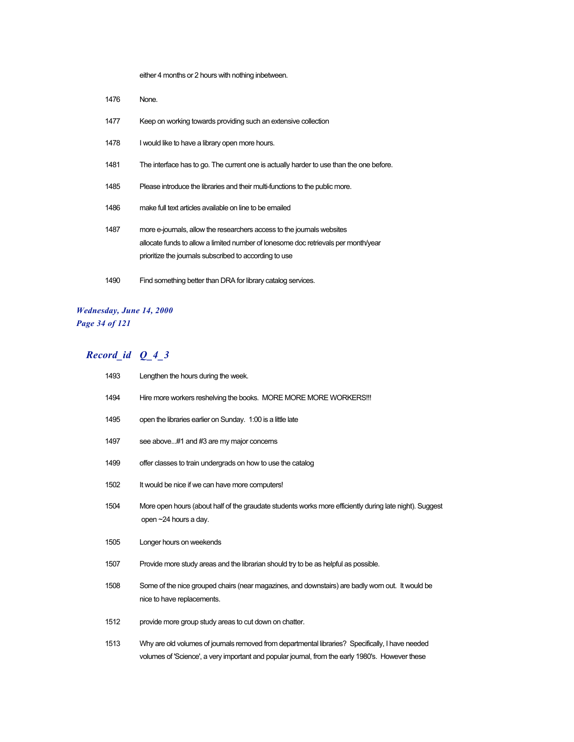either 4 months or 2 hours with nothing inbetween.

| 1476 | None.                                                                                                                                                                                                                  |
|------|------------------------------------------------------------------------------------------------------------------------------------------------------------------------------------------------------------------------|
| 1477 | Keep on working towards providing such an extensive collection                                                                                                                                                         |
| 1478 | I would like to have a library open more hours.                                                                                                                                                                        |
| 1481 | The interface has to go. The current one is actually harder to use than the one before.                                                                                                                                |
| 1485 | Please introduce the libraries and their multi-functions to the public more.                                                                                                                                           |
| 1486 | make full text articles available on line to be emailed                                                                                                                                                                |
| 1487 | more e-journals, allow the researchers access to the journals websites<br>allocate funds to allow a limited number of lonesome doc retrievals per month/year<br>prioritize the journals subscribed to according to use |
| 1490 | Find something better than DRA for library catalog services.                                                                                                                                                           |

## *Wednesday, June 14, 2000 Page 34 of 121*

| 1493 | Lengthen the hours during the week.                                                                                                                                                                  |
|------|------------------------------------------------------------------------------------------------------------------------------------------------------------------------------------------------------|
| 1494 | Hire more workers reshelving the books. MORE MORE MORE WORKERS!!!                                                                                                                                    |
| 1495 | open the libraries earlier on Sunday. 1:00 is a little late                                                                                                                                          |
| 1497 | see above#1 and #3 are my major concerns                                                                                                                                                             |
| 1499 | offer classes to train undergrads on how to use the catalog                                                                                                                                          |
| 1502 | It would be nice if we can have more computers!                                                                                                                                                      |
| 1504 | More open hours (about half of the graudate students works more efficiently during late night). Suggest<br>open ~24 hours a day.                                                                     |
| 1505 | Longer hours on weekends                                                                                                                                                                             |
| 1507 | Provide more study areas and the librarian should try to be as helpful as possible.                                                                                                                  |
| 1508 | Some of the nice grouped chairs (near magazines, and downstairs) are badly worn out. It would be<br>nice to have replacements.                                                                       |
| 1512 | provide more group study areas to cut down on chatter.                                                                                                                                               |
| 1513 | Why are old volumes of journals removed from departmental libraries? Specifically, I have needed<br>volumes of 'Science', a very important and popular journal, from the early 1980's. However these |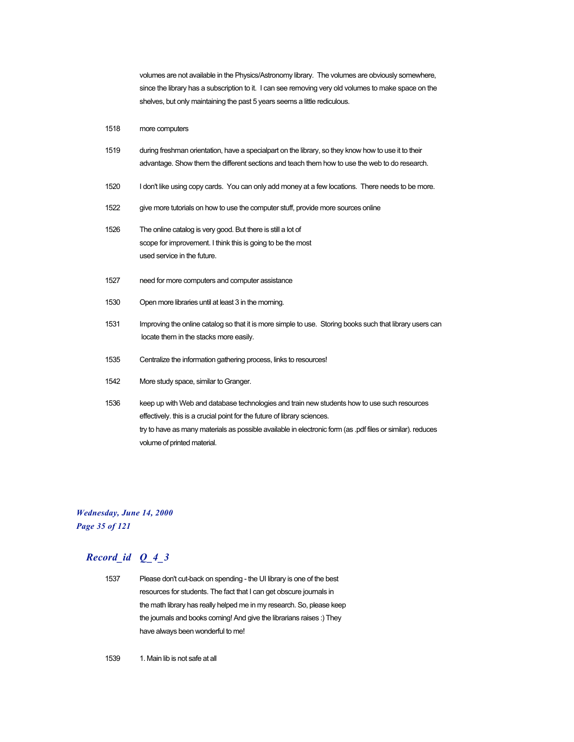volumes are not available in the Physics/Astronomy library. The volumes are obviously somewhere, since the library has a subscription to it. I can see removing very old volumes to make space on the shelves, but only maintaining the past 5 years seems a little rediculous.

#### 1518 more computers

| 1519 | during freshman orientation, have a specialpart on the library, so they know how to use it to their |
|------|-----------------------------------------------------------------------------------------------------|
|      | advantage. Show them the different sections and teach them how to use the web to do research.       |
|      |                                                                                                     |

- 1520 I don't like using copy cards. You can only add money at a few locations. There needs to be more.
- 1522 give more tutorials on how to use the computer stuff, provide more sources online

1526 The online catalog is very good. But there is still a lot of scope for improvement. I think this is going to be the most used service in the future.

- 1527 need for more computers and computer assistance
- 1530 Open more libraries until at least 3 in the morning.
- 1531 Improving the online catalog so that it is more simple to use. Storing books such that library users can locate them in the stacks more easily.
- 1535 Centralize the information gathering process, links to resources!
- 1542 More study space, similar to Granger.
- 1536 keep up with Web and database technologies and train new students how to use such resources effectively. this is a crucial point for the future of library sciences. try to have as many materials as possible available in electronic form (as .pdf files or similar). reduces volume of printed material.

#### *Wednesday, June 14, 2000 Page 35 of 121*

## *Record\_id Q\_4\_3*

1537 Please don't cut-back on spending - the UI library is one of the best resources for students. The fact that I can get obscure journals in the math library has really helped me in my research. So, please keep the journals and books coming! And give the librarians raises :) They have always been wonderful to me!

1539 1. Main lib is not safe at all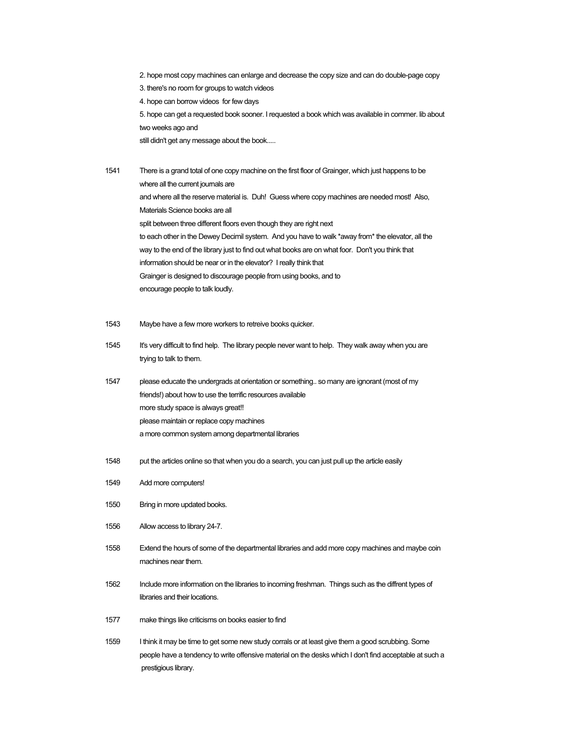2. hope most copy machines can enlarge and decrease the copy size and can do double-page copy 3. there's no room for groups to watch videos 4. hope can borrow videos for few days 5. hope can get a requested book sooner. I requested a book which was available in commer. lib about two weeks ago and still didn't get any message about the book.....

1541 There is a grand total of one copy machine on the first floor of Grainger, which just happens to be where all the current journals are and where all the reserve material is. Duh! Guess where copy machines are needed most! Also, Materials Science books are all split between three different floors even though they are right next to each other in the Dewey Decimil system. And you have to walk \*away from\* the elevator, all the way to the end of the library just to find out what books are on what foor. Don't you think that information should be near or in the elevator? I really think that Grainger is designed to discourage people from using books, and to encourage people to talk loudly.

- 1543 Maybe have a few more workers to retreive books quicker.
- 1545 It's very difficult to find help. The library people never want to help. They walk away when you are trying to talk to them.
- 1547 please educate the undergrads at orientation or something.. so many are ignorant (most of my friends!) about how to use the terrific resources available more study space is always great!! please maintain or replace copy machines a more common system among departmental libraries
- 1548 put the articles online so that when you do a search, you can just pull up the article easily
- 1549 Add more computers!
- 1550 Bring in more updated books.
- 1556 Allow access to library 24-7.
- 1558 Extend the hours of some of the departmental libraries and add more copy machines and maybe coin machines near them.
- 1562 Include more information on the libraries to incoming freshman. Things such as the diffrent types of libraries and their locations.
- 1577 make things like criticisms on books easier to find
- 1559 I think it may be time to get some new study corrals or at least give them a good scrubbing. Some people have a tendency to write offensive material on the desks which I don't find acceptable at such a prestigious library.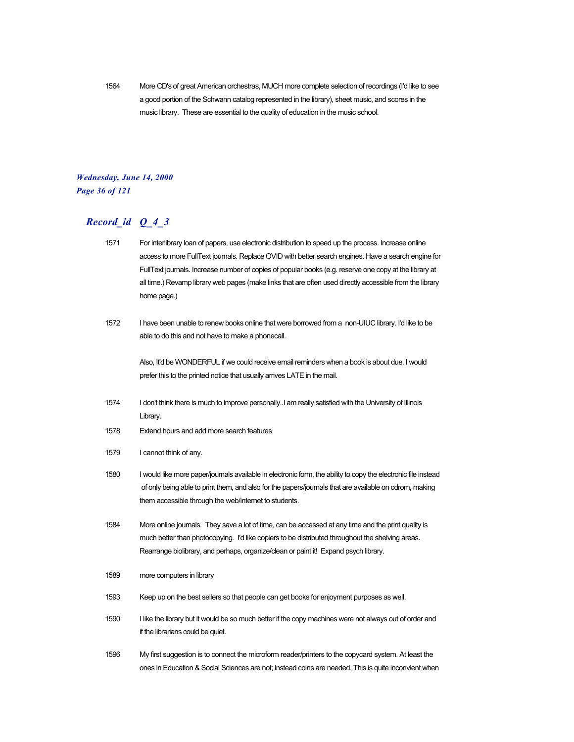1564 More CD's of great American orchestras, MUCH more complete selection of recordings (I'd like to see a good portion of the Schwann catalog represented in the library), sheet music, and scores in the music library. These are essential to the quality of education in the music school.

#### *Wednesday, June 14, 2000 Page 36 of 121*

### *Record\_id Q\_4\_3*

- 1571 For interlibrary loan of papers, use electronic distribution to speed up the process. Increase online access to more FullText journals. Replace OVID with better search engines. Have a search engine for FullText journals. Increase number of copies of popular books (e.g. reserve one copy at the library at all time.) Revamp library web pages (make links that are often used directly accessible from the library home page.)
- 1572 I have been unable to renew books online that were borrowed from a non-UIUC library. I'd like to be able to do this and not have to make a phonecall.

Also, It'd be WONDERFUL if we could receive email reminders when a book is about due. I would prefer this to the printed notice that usually arrives LATE in the mail.

- 1574 I don't think there is much to improve personally..I am really satisfied with the University of Illinois Library.
- 1578 Extend hours and add more search features
- 1579 I cannot think of any.
- 1580 I would like more paper/journals available in electronic form, the ability to copy the electronic file instead of only being able to print them, and also for the papers/journals that are available on cdrom, making them accessible through the web/internet to students.
- 1584 More online journals. They save a lot of time, can be accessed at any time and the print quality is much better than photocopying. I'd like copiers to be distributed throughout the shelving areas. Rearrange biolibrary, and perhaps, organize/clean or paint it! Expand psych library.
- 1589 more computers in library
- 1593 Keep up on the best sellers so that people can get books for enjoyment purposes as well.
- 1590 I like the library but it would be so much better if the copy machines were not always out of order and if the librarians could be quiet.
- 1596 My first suggestion is to connect the microform reader/printers to the copycard system. At least the ones in Education & Social Sciences are not; instead coins are needed. This is quite inconvient when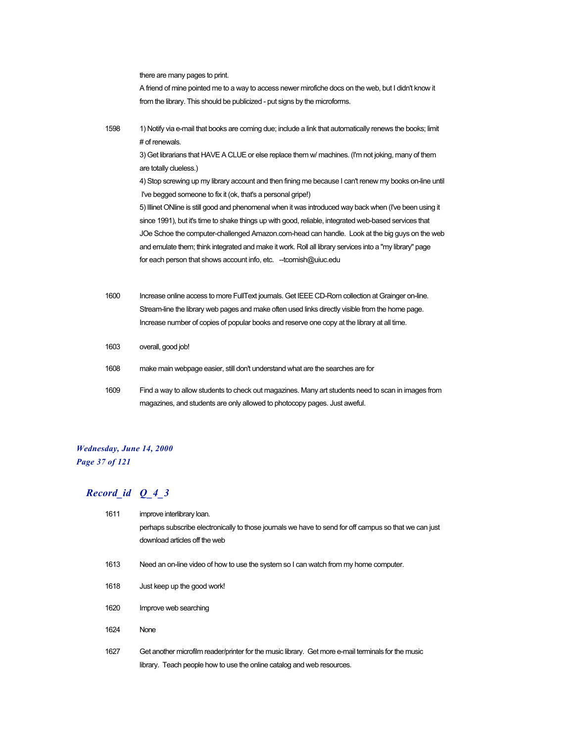there are many pages to print.

A friend of mine pointed me to a way to access newer mirofiche docs on the web, but I didn't know it from the library. This should be publicized - put signs by the microforms.

1598 1) Notify via e-mail that books are coming due; include a link that automatically renews the books; limit # of renewals.

> 3) Get librarians that HAVE A CLUE or else replace them w/ machines. (I'm not joking, many of them are totally clueless.)

4) Stop screwing up my library account and then fining me because I can't renew my books on-line until I've begged someone to fix it (ok, that's a personal gripe!)

5) Illinet ONline is still good and phenomenal when it was introduced way back when (I've been using it since 1991), but it's time to shake things up with good, reliable, integrated web-based services that JOe Schoe the computer-challenged Amazon.com-head can handle. Look at the big guys on the web and emulate them; think integrated and make it work. Roll all library services into a "my library" page for each person that shows account info, etc. --tcornish@uiuc.edu

- 1600 Increase online access to more FullText journals. Get IEEE CD-Rom collection at Grainger on-line. Stream-line the library web pages and make often used links directly visible from the home page. Increase number of copies of popular books and reserve one copy at the library at all time.
- 1603 overall, good job!
- 1608 make main webpage easier, still don't understand what are the searches are for
- 1609 Find a way to allow students to check out magazines. Many art students need to scan in images from magazines, and students are only allowed to photocopy pages. Just aweful.

#### *Wednesday, June 14, 2000 Page 37 of 121*

| 1611 | improve interlibrary loan.                                                                            |
|------|-------------------------------------------------------------------------------------------------------|
|      | perhaps subscribe electronically to those journals we have to send for off campus so that we can just |
|      | download articles off the web                                                                         |
| 1613 | Need an on-line video of how to use the system so I can watch from my home computer.                  |
| 1618 | Just keep up the good work!                                                                           |
| 1620 | Improve web searching                                                                                 |
| 1624 | <b>None</b>                                                                                           |
| 1627 | Get another microfilm reader/printer for the music library. Get more e-mail terminals for the music   |
|      | library. Teach people how to use the online catalog and web resources.                                |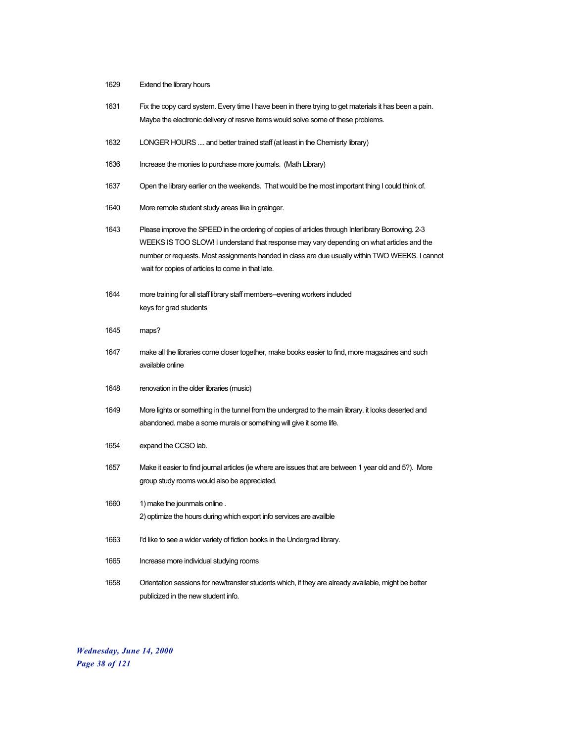- 1629 Extend the library hours
- 1631 Fix the copy card system. Every time I have been in there trying to get materials it has been a pain. Maybe the electronic delivery of resrve items would solve some of these problems.
- 1632 LONGER HOURS .... and better trained staff (at least in the Chemisrty library)
- 1636 Increase the monies to purchase more journals. (Math Library)
- 1637 Open the library earlier on the weekends. That would be the most important thing I could think of.
- 1640 More remote student study areas like in grainger.
- 1643 Please improve the SPEED in the ordering of copies of articles through Interlibrary Borrowing. 2-3 WEEKS IS TOO SLOW! I understand that response may vary depending on what articles and the number or requests. Most assignments handed in class are due usually within TWO WEEKS. I cannot wait for copies of articles to come in that late.
- 1644 more training for all staff library staff members--evening workers included keys for grad students
- 1645 maps?
- 1647 make all the libraries come closer together, make books easier to find, more magazines and such available online
- 1648 renovation in the older libraries (music)
- 1649 More lights or something in the tunnel from the undergrad to the main library. it looks deserted and abandoned. mabe a some murals or something will give it some life.
- 1654 expand the CCSO lab.
- 1657 Make it easier to find journal articles (ie where are issues that are between 1 year old and 5?). More group study rooms would also be appreciated.
- 1660 1) make the jounmals online . 2) optimize the hours during which export info services are availble
- 1663 I'd like to see a wider variety of fiction books in the Undergrad library.
- 1665 Increase more individual studying rooms
- 1658 Orientation sessions for new/transfer students which, if they are already available, might be better publicized in the new student info.

*Wednesday, June 14, 2000 Page 38 of 121*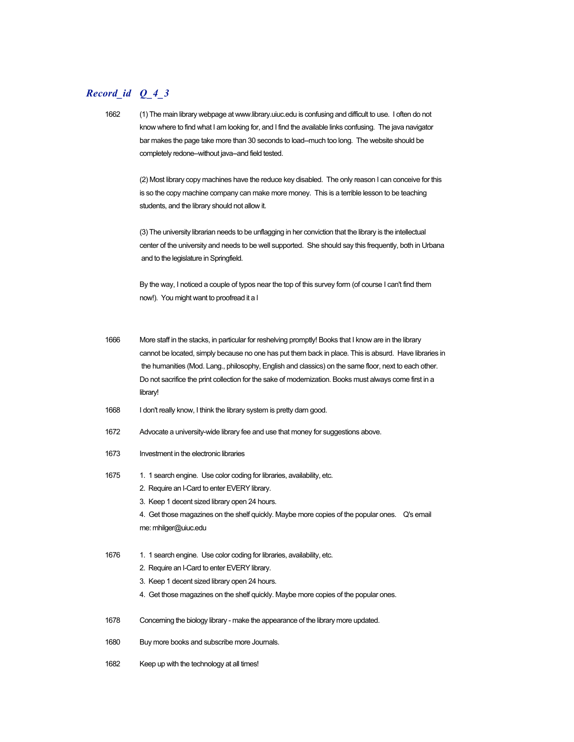## *Record\_id Q\_4\_3*

1662 (1) The main library webpage at www.library.uiuc.edu is confusing and difficult to use. I often do not know where to find what I am looking for, and I find the available links confusing. The java navigator bar makes the page take more than 30 seconds to load--much too long. The website should be completely redone--without java--and field tested.

> (2) Most library copy machines have the reduce key disabled. The only reason I can conceive for this is so the copy machine company can make more money. This is a terrible lesson to be teaching students, and the library should not allow it.

> (3) The university librarian needs to be unflagging in her conviction that the library is the intellectual center of the university and needs to be well supported. She should say this frequently, both in Urbana and to the legislature in Springfield.

By the way, I noticed a couple of typos near the top of this survey form (of course I can't find them now!). You might want to proofread it a l

- 1666 More staff in the stacks, in particular for reshelving promptly! Books that I know are in the library cannot be located, simply because no one has put them back in place. This is absurd. Have libraries in the humanities (Mod. Lang., philosophy, English and classics) on the same floor, next to each other. Do not sacrifice the print collection for the sake of modernization. Books must always come first in a library!
- 1668 I don't really know, I think the library system is pretty darn good.
- 1672 Advocate a university-wide library fee and use that money for suggestions above.
- 1673 Investment in the electronic libraries
- 1675 1. 1 search engine. Use color coding for libraries, availability, etc.
	- 2. Require an I-Card to enter EVERY library.
	- 3. Keep 1 decent sized library open 24 hours.

4. Get those magazines on the shelf quickly. Maybe more copies of the popular ones. Q's email me: mhilger@uiuc.edu

- 1676 1. 1 search engine. Use color coding for libraries, availability, etc.
	- 2. Require an I-Card to enter EVERY library.
	- 3. Keep 1 decent sized library open 24 hours.
	- 4. Get those magazines on the shelf quickly. Maybe more copies of the popular ones.
- 1678 Concerning the biology library make the appearance of the library more updated.
- 1680 Buy more books and subscribe more Journals.
- 1682 Keep up with the technology at all times!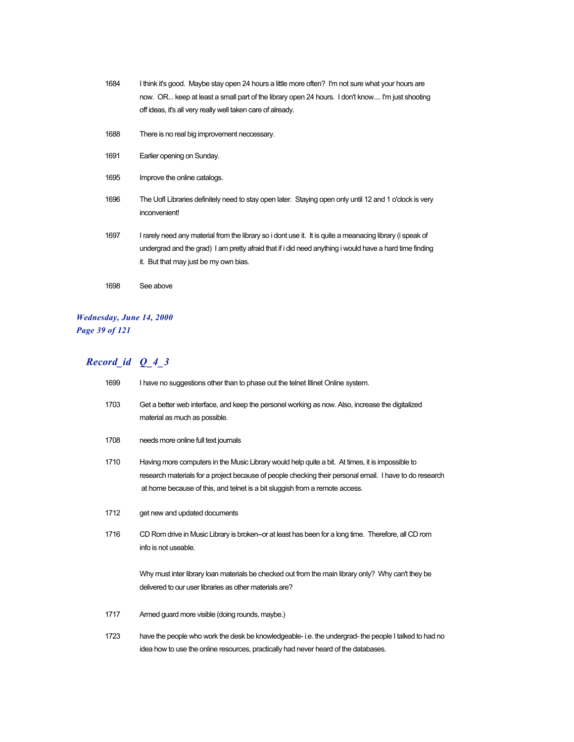| 1684 | I think it's good. Maybe stay open 24 hours a little more often? I'm not sure what your hours are<br>now. OR keep at least a small part of the library open 24 hours. I don't know I'm just shooting<br>off ideas, it's all very really well taken care of already. |
|------|---------------------------------------------------------------------------------------------------------------------------------------------------------------------------------------------------------------------------------------------------------------------|
| 1688 | There is no real big improvement neccessary.                                                                                                                                                                                                                        |
| 1691 | Earlier opening on Sunday.                                                                                                                                                                                                                                          |
| 1695 | Improve the online catalogs.                                                                                                                                                                                                                                        |
| 1696 | The Uofl Libraries definitely need to stay open later. Staying open only until 12 and 1 o'clock is very<br>inconvenient!                                                                                                                                            |
| 1697 | I rarely need any material from the library so i dont use it. It is quite a meanacing library (i speak of<br>undergrad and the grad) I am pretty afraid that if i did need anything i would have a hard time finding<br>it. But that may just be my own bias.       |
| 1698 | See above                                                                                                                                                                                                                                                           |

### *Wednesday, June 14, 2000 Page 39 of 121*

| 1699 | I have no suggestions other than to phase out the telnet Illinet Online system.                                                                                                                                                                                                            |
|------|--------------------------------------------------------------------------------------------------------------------------------------------------------------------------------------------------------------------------------------------------------------------------------------------|
| 1703 | Get a better web interface, and keep the personel working as now. Also, increase the digitalized<br>material as much as possible.                                                                                                                                                          |
| 1708 | needs more online full text journals                                                                                                                                                                                                                                                       |
| 1710 | Having more computers in the Music Library would help quite a bit. At times, it is impossible to<br>research materials for a project because of people checking their personal email. I have to do research<br>at home because of this, and telnet is a bit sluggish from a remote access. |
| 1712 | get new and updated documents                                                                                                                                                                                                                                                              |
| 1716 | CD Rom drive in Music Library is broken–or at least has been for a long time. Therefore, all CD rom<br>info is not useable.                                                                                                                                                                |
|      | Why must inter library loan materials be checked out from the main library only? Why can't they be<br>delivered to our user libraries as other materials are?                                                                                                                              |
| 1717 | Armed guard more visible (doing rounds, maybe.)                                                                                                                                                                                                                                            |
| 1723 | have the people who work the desk be knowledgeable-i.e. the undergrad-the people I talked to had no<br>idea how to use the online resources, practically had never heard of the databases.                                                                                                 |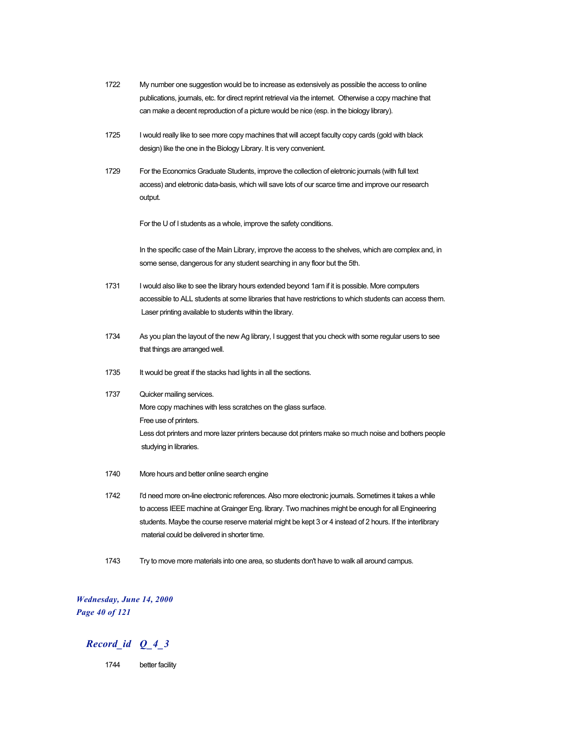- 1722 My number one suggestion would be to increase as extensively as possible the access to online publications, journals, etc. for direct reprint retrieval via the internet. Otherwise a copy machine that can make a decent reproduction of a picture would be nice (esp. in the biology library).
- 1725 I would really like to see more copy machines that will accept faculty copy cards (gold with black design) like the one in the Biology Library. It is very convenient.
- 1729 For the Economics Graduate Students, improve the collection of eletronic journals (with full text access) and eletronic data-basis, which will save lots of our scarce time and improve our research output.

For the U of I students as a whole, improve the safety conditions.

In the specific case of the Main Library, improve the access to the shelves, which are complex and, in some sense, dangerous for any student searching in any floor but the 5th.

- 1731 I would also like to see the library hours extended beyond 1am if it is possible. More computers accessible to ALL students at some libraries that have restrictions to which students can access them. Laser printing available to students within the library.
- 1734 As you plan the layout of the new Ag library, I suggest that you check with some regular users to see that things are arranged well.
- 1735 It would be great if the stacks had lights in all the sections.
- 1737 Quicker mailing services. More copy machines with less scratches on the glass surface. Free use of printers. Less dot printers and more lazer printers because dot printers make so much noise and bothers people studying in libraries.
- 1740 More hours and better online search engine
- 1742 I'd need more on-line electronic references. Also more electronic journals. Sometimes it takes a while to access IEEE machine at Grainger Eng. library. Two machines might be enough for all Engineering students. Maybe the course reserve material might be kept 3 or 4 instead of 2 hours. If the interlibrary material could be delivered in shorter time.
- 1743 Try to move more materials into one area, so students don't have to walk all around campus.

#### *Wednesday, June 14, 2000 Page 40 of 121*

#### *Record\_id Q\_4\_3*

1744 better facility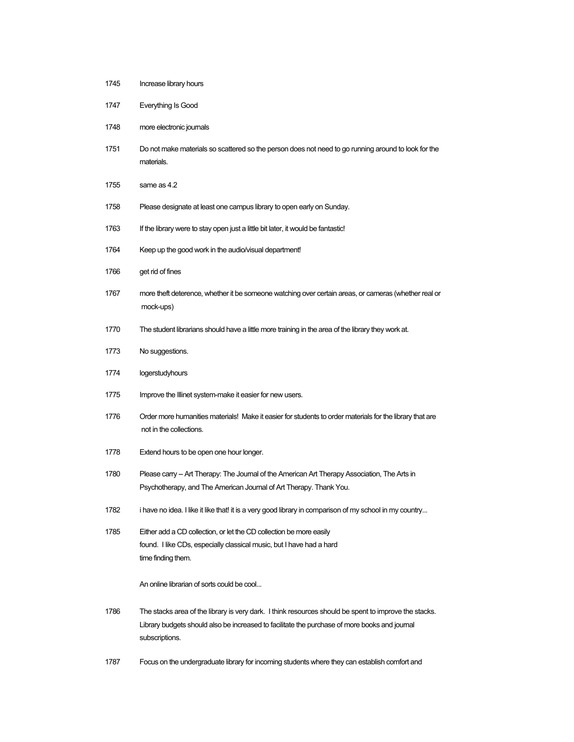| 1747 | Everything Is Good                                                                                                                                                                                                       |
|------|--------------------------------------------------------------------------------------------------------------------------------------------------------------------------------------------------------------------------|
| 1748 | more electronic journals                                                                                                                                                                                                 |
| 1751 | Do not make materials so scattered so the person does not need to go running around to look for the<br>materials.                                                                                                        |
| 1755 | same as 4.2                                                                                                                                                                                                              |
| 1758 | Please designate at least one campus library to open early on Sunday.                                                                                                                                                    |
| 1763 | If the library were to stay open just a little bit later, it would be fantastic!                                                                                                                                         |
| 1764 | Keep up the good work in the audio/visual department!                                                                                                                                                                    |
| 1766 | get rid of fines                                                                                                                                                                                                         |
| 1767 | more theft deterence, whether it be someone watching over certain areas, or cameras (whether real or<br>mock-ups)                                                                                                        |
| 1770 | The student librarians should have a little more training in the area of the library they work at.                                                                                                                       |
| 1773 | No suggestions.                                                                                                                                                                                                          |
| 1774 | logerstudyhours                                                                                                                                                                                                          |
| 1775 | Improve the Illinet system-make it easier for new users.                                                                                                                                                                 |
| 1776 | Order more humanities materials! Make it easier for students to order materials for the library that are<br>not in the collections.                                                                                      |
| 1778 | Extend hours to be open one hour longer.                                                                                                                                                                                 |
| 1780 | Please carry -- Art Therapy: The Journal of the American Art Therapy Association, The Arts in<br>Psychotherapy, and The American Journal of Art Therapy. Thank You.                                                      |
| 1782 | i have no idea. I like it like that! it is a very good library in comparison of my school in my country                                                                                                                  |
| 1785 | Either add a CD collection, or let the CD collection be more easily<br>found. I like CDs, especially classical music, but I have had a hard<br>time finding them.                                                        |
|      | An online librarian of sorts could be cool                                                                                                                                                                               |
| 1786 | The stacks area of the library is very dark. I think resources should be spent to improve the stacks.<br>Library budgets should also be increased to facilitate the purchase of more books and journal<br>subscriptions. |
|      |                                                                                                                                                                                                                          |

Increase library hours

Focus on the undergraduate library for incoming students where they can establish comfort and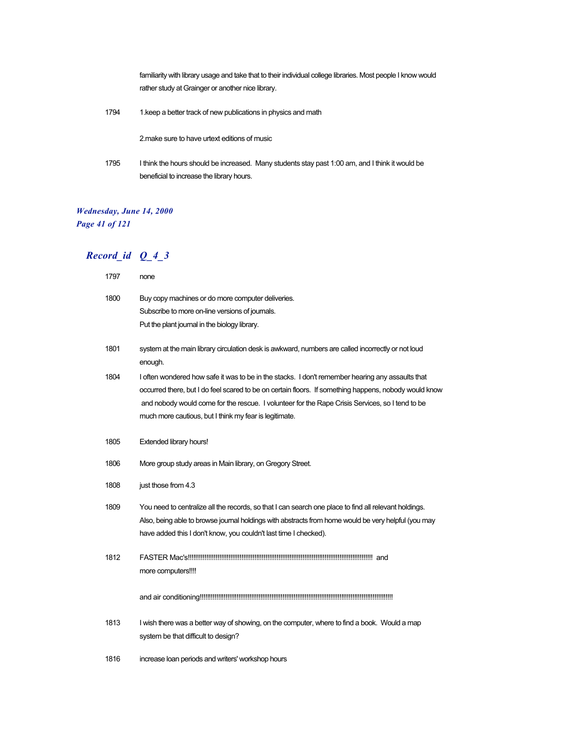familiarity with library usage and take that to their individual college libraries. Most people I know would rather study at Grainger or another nice library.

1794 1.keep a better track of new publications in physics and math

2.make sure to have urtext editions of music

1795 I think the hours should be increased. Many students stay past 1:00 am, and I think it would be beneficial to increase the library hours.

### *Wednesday, June 14, 2000 Page 41 of 121*

| 1797 | none                                                                                                                                                                                                                                                                                                                                                                   |
|------|------------------------------------------------------------------------------------------------------------------------------------------------------------------------------------------------------------------------------------------------------------------------------------------------------------------------------------------------------------------------|
| 1800 | Buy copy machines or do more computer deliveries.<br>Subscribe to more on-line versions of journals.<br>Put the plant journal in the biology library.                                                                                                                                                                                                                  |
| 1801 | system at the main library circulation desk is awkward, numbers are called incorrectly or not loud<br>enough.                                                                                                                                                                                                                                                          |
| 1804 | I often wondered how safe it was to be in the stacks. I don't remember hearing any assaults that<br>occurred there, but I do feel scared to be on certain floors. If something happens, nobody would know<br>and nobody would come for the rescue. I volunteer for the Rape Crisis Services, so I tend to be<br>much more cautious, but I think my fear is legitimate. |
| 1805 | <b>Extended library hours!</b>                                                                                                                                                                                                                                                                                                                                         |
| 1806 | More group study areas in Main library, on Gregory Street.                                                                                                                                                                                                                                                                                                             |
| 1808 | just those from 4.3                                                                                                                                                                                                                                                                                                                                                    |
| 1809 | You need to centralize all the records, so that I can search one place to find all relevant holdings.<br>Also, being able to browse journal holdings with abstracts from home would be very helpful (you may<br>have added this I don't know, you couldn't last time I checked).                                                                                       |
| 1812 | more computers!!!!                                                                                                                                                                                                                                                                                                                                                     |
|      |                                                                                                                                                                                                                                                                                                                                                                        |
| 1813 | I wish there was a better way of showing, on the computer, where to find a book. Would a map<br>system be that difficult to design?                                                                                                                                                                                                                                    |
| 1816 | increase loan periods and writers' workshop hours                                                                                                                                                                                                                                                                                                                      |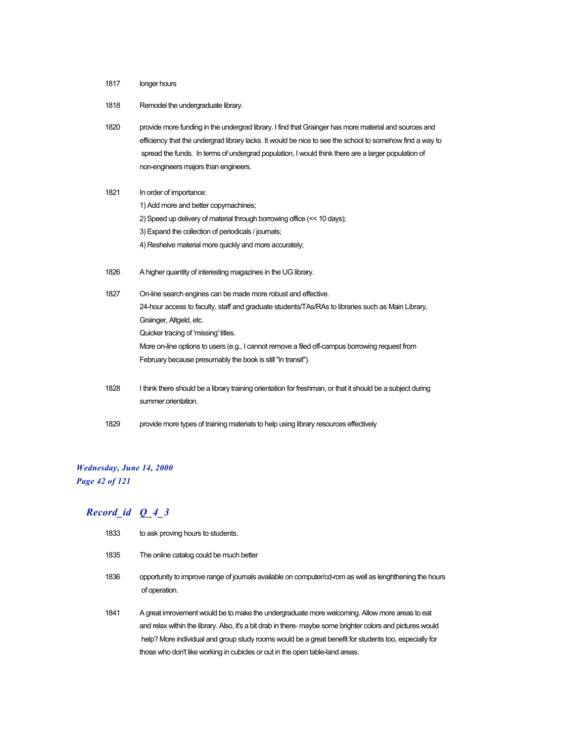- 1817 longer hours
- 1818 Remodel the undergraduate library.
- 1820 provide more funding in the undergrad library. I find that Grainger has more material and sources and efficiency that the undergrad library lacks. It would be nice to see the school to somehow find a way to spread the funds. In terms of undergrad population, I would think there are a larger population of non-engineers majors than engineers.

| 1821 | In order of importance:                                                                                    |
|------|------------------------------------------------------------------------------------------------------------|
|      | 1) Add more and better copymachines;                                                                       |
|      | 2) Speed up delivery of material through borrowing office (<< 10 days);                                    |
|      | 3) Expand the collection of periodicals / journals;                                                        |
|      | 4) Reshelve material more quickly and more accurately;                                                     |
|      |                                                                                                            |
| 1826 | A higher quantity of interesting magazines in the UG library.                                              |
|      |                                                                                                            |
| 1827 | On-line search engines can be made more robust and effective.                                              |
|      | 24-hour access to faculty, staff and graduate students/TAs/RAs to libraries such as Main Library,          |
|      | Grainger, Altgeld, etc.                                                                                    |
|      | Quicker tracing of 'missing' titles.                                                                       |
|      | More on-line options to users (e.g., I cannot remove a filed off-campus borrowing request from             |
|      | February because presumably the book is still "in transit").                                               |
|      |                                                                                                            |
| 1828 | I think there should be a library training orientation for freshman, or that it should be a subject during |
|      | summer orientation.                                                                                        |
|      |                                                                                                            |

1829 provide more types of training materials to help using library resources effectively

#### *Wednesday, June 14, 2000 Page 42 of 121*

- 1833 to ask proving hours to students.
- 1835 The online catalog could be much better
- 1836 opportunity to improve range of journals available on computer/cd-rom as well as lenghthening the hours of operation.
- 1841 A great imrovement would be to make the undergraduate more welcoming. Allow more areas to eat and relax within the library. Also, it's a bit drab in there- maybe some brighter colors and pictures would help? More individual and group study rooms would be a great benefit for students too, especially for those who don't like working in cubicles or out in the open table-land areas.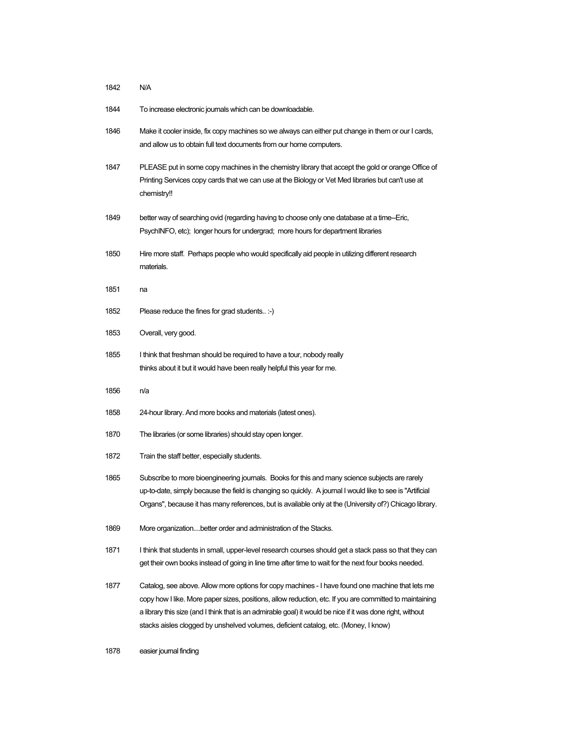| 1842 | N/A                                                                                                                                                                                                                                                                                                                                                                                                              |
|------|------------------------------------------------------------------------------------------------------------------------------------------------------------------------------------------------------------------------------------------------------------------------------------------------------------------------------------------------------------------------------------------------------------------|
| 1844 | To increase electronic journals which can be downloadable.                                                                                                                                                                                                                                                                                                                                                       |
| 1846 | Make it cooler inside, fix copy machines so we always can either put change in them or our I cards,<br>and allow us to obtain full text documents from our home computers.                                                                                                                                                                                                                                       |
| 1847 | PLEASE put in some copy machines in the chemistry library that accept the gold or orange Office of<br>Printing Services copy cards that we can use at the Biology or Vet Med libraries but can't use at<br>chemistry!!                                                                                                                                                                                           |
| 1849 | better way of searching ovid (regarding having to choose only one database at a time-Eric,<br>PsychINFO, etc); longer hours for undergrad; more hours for department libraries                                                                                                                                                                                                                                   |
| 1850 | Hire more staff. Perhaps people who would specifically aid people in utilizing different research<br>materials.                                                                                                                                                                                                                                                                                                  |
| 1851 | na                                                                                                                                                                                                                                                                                                                                                                                                               |
| 1852 | Please reduce the fines for grad students :-)                                                                                                                                                                                                                                                                                                                                                                    |
| 1853 | Overall, very good.                                                                                                                                                                                                                                                                                                                                                                                              |
| 1855 | I think that freshman should be required to have a tour, nobody really<br>thinks about it but it would have been really helpful this year for me.                                                                                                                                                                                                                                                                |
| 1856 | n/a                                                                                                                                                                                                                                                                                                                                                                                                              |
| 1858 | 24-hour library. And more books and materials (latest ones).                                                                                                                                                                                                                                                                                                                                                     |
| 1870 | The libraries (or some libraries) should stay open longer.                                                                                                                                                                                                                                                                                                                                                       |
| 1872 | Train the staff better, especially students.                                                                                                                                                                                                                                                                                                                                                                     |
| 1865 | Subscribe to more bioengineering journals. Books for this and many science subjects are rarely<br>up-to-date, simply because the field is changing so quickly. A journal I would like to see is "Artificial<br>Organs", because it has many references, but is available only at the (University of?) Chicago library.                                                                                           |
| 1869 | More organizationbetter order and administration of the Stacks.                                                                                                                                                                                                                                                                                                                                                  |
| 1871 | I think that students in small, upper-level research courses should get a stack pass so that they can<br>get their own books instead of going in line time after time to wait for the next four books needed.                                                                                                                                                                                                    |
| 1877 | Catalog, see above. Allow more options for copy machines - I have found one machine that lets me<br>copy how I like. More paper sizes, positions, allow reduction, etc. If you are committed to maintaining<br>a library this size (and I think that is an admirable goal) it would be nice if it was done right, without<br>stacks aisles clogged by unshelved volumes, deficient catalog, etc. (Money, I know) |

easier journal finding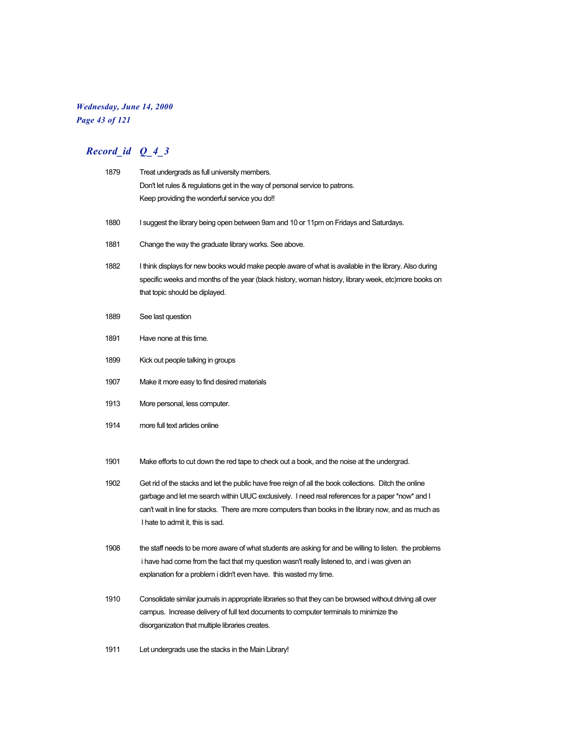### *Wednesday, June 14, 2000 Page 43 of 121*

| 1879 | Treat undergrads as full university members.                                                                                                                                                                                                                                                                                                             |
|------|----------------------------------------------------------------------------------------------------------------------------------------------------------------------------------------------------------------------------------------------------------------------------------------------------------------------------------------------------------|
|      | Don't let rules & regulations get in the way of personal service to patrons.                                                                                                                                                                                                                                                                             |
|      | Keep providing the wonderful service you do!!                                                                                                                                                                                                                                                                                                            |
| 1880 | I suggest the library being open between 9am and 10 or 11pm on Fridays and Saturdays.                                                                                                                                                                                                                                                                    |
| 1881 | Change the way the graduate library works. See above.                                                                                                                                                                                                                                                                                                    |
| 1882 | I think displays for new books would make people aware of what is available in the library. Also during<br>specific weeks and months of the year (black history, woman history, library week, etc)more books on<br>that topic should be diplayed.                                                                                                        |
| 1889 | See last question                                                                                                                                                                                                                                                                                                                                        |
| 1891 | Have none at this time.                                                                                                                                                                                                                                                                                                                                  |
| 1899 | Kick out people talking in groups                                                                                                                                                                                                                                                                                                                        |
| 1907 | Make it more easy to find desired materials                                                                                                                                                                                                                                                                                                              |
| 1913 | More personal, less computer.                                                                                                                                                                                                                                                                                                                            |
| 1914 | more full text articles online                                                                                                                                                                                                                                                                                                                           |
| 1901 | Make efforts to cut down the red tape to check out a book, and the noise at the undergrad.                                                                                                                                                                                                                                                               |
| 1902 | Get rid of the stacks and let the public have free reign of all the book collections. Ditch the online<br>garbage and let me search within UIUC exclusively. I need real references for a paper *now* and I<br>can't wait in line for stacks. There are more computers than books in the library now, and as much as<br>I hate to admit it, this is sad. |
| 1908 | the staff needs to be more aware of what students are asking for and be willing to listen. the problems<br>i have had come from the fact that my question wasn't really listened to, and i was given an<br>explanation for a problem i didn't even have. this wasted my time.                                                                            |
| 1910 | Consolidate similar journals in appropriate libraries so that they can be browsed without driving all over<br>campus. Increase delivery of full text documents to computer terminals to minimize the<br>disorganization that multiple libraries creates.                                                                                                 |
| 1911 | Let undergrads use the stacks in the Main Library!                                                                                                                                                                                                                                                                                                       |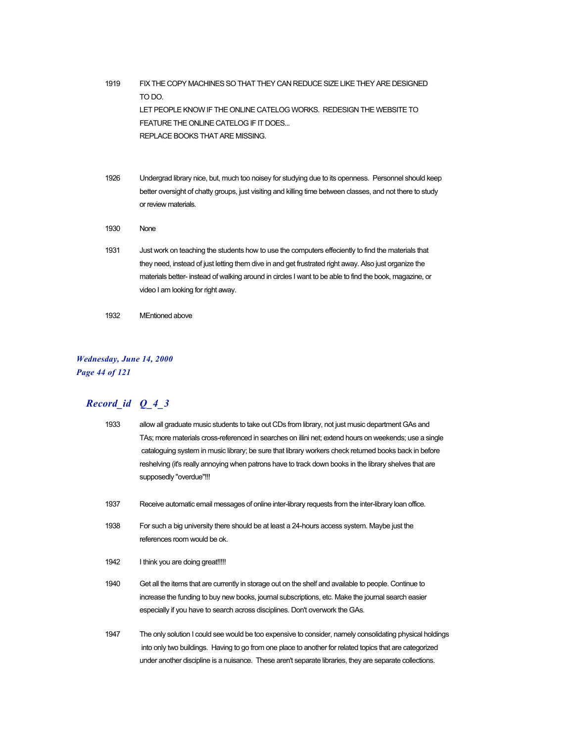1919 FIX THE COPY MACHINES SO THAT THEY CAN REDUCE SIZE LIKE THEY ARE DESIGNED TO DO. LET PEOPLE KNOW IF THE ONLINE CATELOG WORKS. REDESIGN THE WEBSITE TO FEATURE THE ONLINE CATELOG IF IT DOES... REPLACE BOOKS THAT ARE MISSING.

- 1926 Undergrad library nice, but, much too noisey for studying due to its openness. Personnel should keep better oversight of chatty groups, just visiting and killing time between classes, and not there to study or review materials.
- 1930 None
- 1931 Just work on teaching the students how to use the computers effeciently to find the materials that they need, instead of just letting them dive in and get frustrated right away. Also just organize the materials better- instead of walking around in circles I want to be able to find the book, magazine, or video I am looking for right away.
- 1932 MEntioned above

#### *Wednesday, June 14, 2000 Page 44 of 121*

| 1933 | allow all graduate music students to take out CDs from library, not just music department GAs and      |
|------|--------------------------------------------------------------------------------------------------------|
|      | TAs; more materials cross-referenced in searches on illini net; extend hours on weekends; use a single |
|      | cataloguing system in music library; be sure that library workers check returned books back in before  |
|      | reshelving (it's really annoying when patrons have to track down books in the library shelves that are |
|      | supposedly "overdue"!!!                                                                                |
|      |                                                                                                        |

- 1937 Receive automatic email messages of online inter-library requests from the inter-library loan office.
- 1938 For such a big university there should be at least a 24-hours access system. Maybe just the references room would be ok.
- 1942 I think you are doing great!!!!!
- 1940 Get all the items that are currently in storage out on the shelf and available to people. Continue to increase the funding to buy new books, journal subscriptions, etc. Make the journal search easier especially if you have to search across disciplines. Don't overwork the GAs.
- 1947 The only solution I could see would be too expensive to consider, namely consolidating physical holdings into only two buildings. Having to go from one place to another for related topics that are categorized under another discipline is a nuisance. These aren't separate libraries, they are separate collections.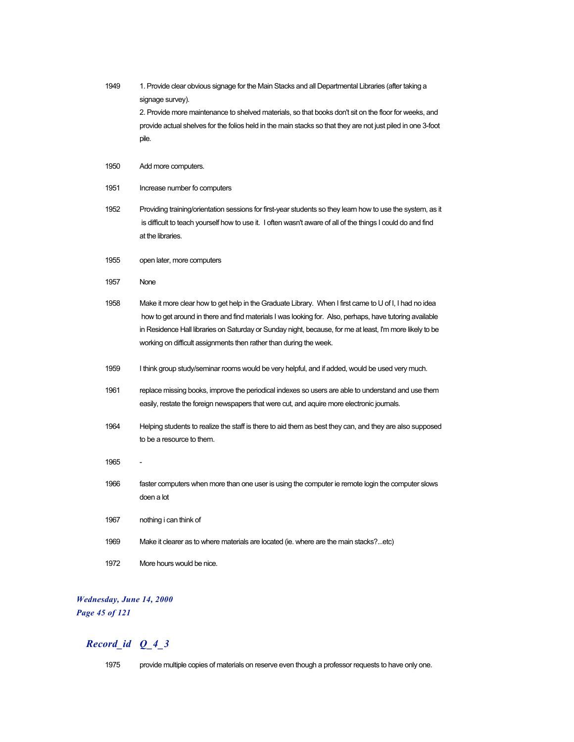| 1949 | 1. Provide clear obvious signage for the Main Stacks and all Departmental Libraries (after taking a<br>signage survey).<br>2. Provide more maintenance to shelved materials, so that books don't sit on the floor for weeks, and                                                                                                                                                                    |
|------|-----------------------------------------------------------------------------------------------------------------------------------------------------------------------------------------------------------------------------------------------------------------------------------------------------------------------------------------------------------------------------------------------------|
|      | provide actual shelves for the folios held in the main stacks so that they are not just piled in one 3-foot<br>pile.                                                                                                                                                                                                                                                                                |
| 1950 | Add more computers.                                                                                                                                                                                                                                                                                                                                                                                 |
| 1951 | Increase number fo computers                                                                                                                                                                                                                                                                                                                                                                        |
| 1952 | Providing training/orientation sessions for first-year students so they learn how to use the system, as it<br>is difficult to teach yourself how to use it. I often wasn't aware of all of the things I could do and find<br>at the libraries.                                                                                                                                                      |
| 1955 | open later, more computers                                                                                                                                                                                                                                                                                                                                                                          |
| 1957 | None                                                                                                                                                                                                                                                                                                                                                                                                |
| 1958 | Make it more clear how to get help in the Graduate Library. When I first came to U of I, I had no idea<br>how to get around in there and find materials I was looking for. Also, perhaps, have tutoring available<br>in Residence Hall libraries on Saturday or Sunday night, because, for me at least, I'm more likely to be<br>working on difficult assignments then rather than during the week. |
| 1959 | I think group study/seminar rooms would be very helpful, and if added, would be used very much.                                                                                                                                                                                                                                                                                                     |
| 1961 | replace missing books, improve the periodical indexes so users are able to understand and use them<br>easily, restate the foreign newspapers that were cut, and aquire more electronic journals.                                                                                                                                                                                                    |
| 1964 | Helping students to realize the staff is there to aid them as best they can, and they are also supposed<br>to be a resource to them.                                                                                                                                                                                                                                                                |
| 1965 |                                                                                                                                                                                                                                                                                                                                                                                                     |
| 1966 | faster computers when more than one user is using the computer ie remote login the computer slows<br>doen a lot                                                                                                                                                                                                                                                                                     |
| 1967 | nothing i can think of                                                                                                                                                                                                                                                                                                                                                                              |
| 1969 | Make it clearer as to where materials are located (ie. where are the main stacks?etc)                                                                                                                                                                                                                                                                                                               |
| 1972 | More hours would be nice.                                                                                                                                                                                                                                                                                                                                                                           |

## *Wednesday, June 14, 2000 Page 45 of 121*

## *Record\_id Q\_4\_3*

1975 provide multiple copies of materials on reserve even though a professor requests to have only one.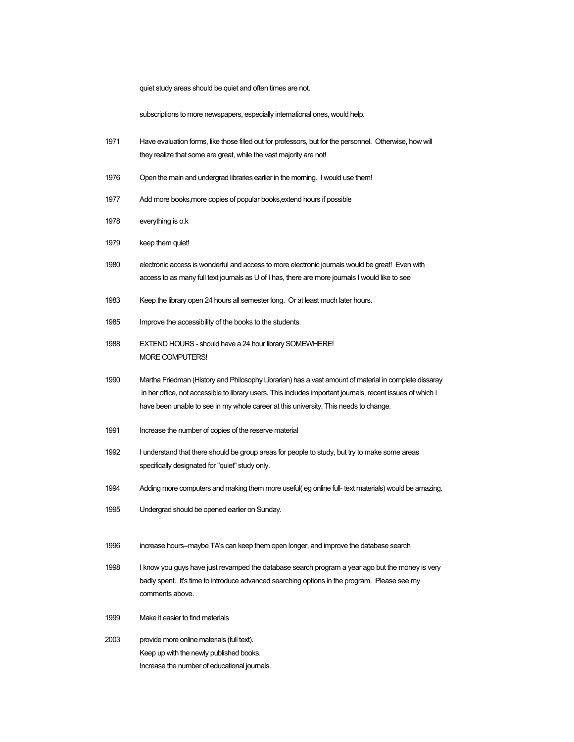quiet study areas should be quiet and often times are not.

subscriptions to more newspapers, especially international ones, would help.

- 1971 Have evaluation forms, like those filled out for professors, but for the personnel. Otherwise, how will they realize that some are great, while the vast majority are not!
- 1976 Open the main and undergrad libraries earlier in the morning. I would use them!
- 1977 Add more books,more copies of popular books,extend hours if possible
- 1978 everything is o.k
- 1979 keep them quiet!
- 1980 electronic access is wonderful and access to more electronic journals would be great! Even with access to as many full text journals as U of I has, there are more journals I would like to see
- 1983 Keep the library open 24 hours all semester long. Or at least much later hours.
- 1985 Improve the accessibility of the books to the students.
- 1988 EXTEND HOURS should have a 24 hour library SOMEWHERE! MORE COMPUTERS!
- 1990 Martha Friedman (History and Philosophy Librarian) has a vast amount of material in complete dissaray in her office, not accessible to library users. This includes important journals, recent issues of which I have been unable to see in my whole career at this university. This needs to change.
- 1991 Increase the number of copies of the reserve material
- 1992 I understand that there should be group areas for people to study, but try to make some areas specifically designated for "quiet" study only.
- 1994 Adding more computers and making them more useful( eg online full- text materials) would be amazing.
- 1995 Undergrad should be opened earlier on Sunday.
- 1996 increase hours--maybe TA's can keep them open longer, and improve the database search
- 1998 I know you guys have just revamped the database search program a year ago but the money is very badly spent. It's time to introduce advanced searching options in the program. Please see my comments above.
- 1999 Make it easier to find materials
- 2003 provide more online materials (full text). Keep up with the newly published books. Increase the number of educational journals.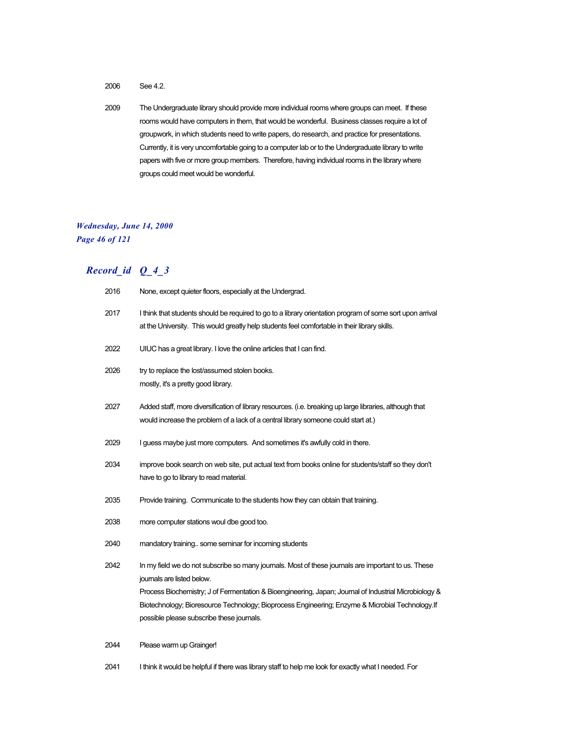2006 See 4.2.

2009 The Undergraduate library should provide more individual rooms where groups can meet. If these rooms would have computers in them, that would be wonderful. Business classes require a lot of groupwork, in which students need to write papers, do research, and practice for presentations. Currently, it is very uncomfortable going to a computer lab or to the Undergraduate library to write papers with five or more group members. Therefore, having individual rooms in the library where groups could meet would be wonderful.

#### *Wednesday, June 14, 2000 Page 46 of 121*

## *Record\_id Q\_4\_3*

| 2016 | None, except quieter floors, especially at the Undergrad.                                                                                                                                                  |
|------|------------------------------------------------------------------------------------------------------------------------------------------------------------------------------------------------------------|
| 2017 | I think that students should be required to go to a library orientation program of some sort upon arrival<br>at the University. This would greatly help students feel comfortable in their library skills. |
| 2022 | UIUC has a great library. I love the online articles that I can find.                                                                                                                                      |
| 2026 | try to replace the lost/assumed stolen books.<br>mostly, it's a pretty good library.                                                                                                                       |
| 2027 | Added staff, more diversification of library resources. (i.e. breaking up large libraries, although that<br>would increase the problem of a lack of a central library someone could start at.)             |
| 2029 | I guess maybe just more computers. And sometimes it's awfully cold in there.                                                                                                                               |
| 2034 | improve book search on web site, put actual text from books online for students/staff so they don't<br>have to go to library to read material.                                                             |
| 2035 | Provide training. Communicate to the students how they can obtain that training.                                                                                                                           |
| 2038 | more computer stations woul dbe good too.                                                                                                                                                                  |
| 2040 | mandatory training some seminar for incoming students                                                                                                                                                      |
| 2042 | In my field we do not subscribe so many journals. Most of these journals are important to us. These<br>journals are listed below.                                                                          |
|      | Process Biochemistry; J of Fermentation & Bioengineering, Japan; Journal of Industrial Microbiology &                                                                                                      |
|      | Biotechnology; Bioresource Technology; Bioprocess Engineering; Enzyme & Microbial Technology.If<br>possible please subscribe these journals.                                                               |
| 2044 | Please warm up Grainger!                                                                                                                                                                                   |

2041 I think it would be helpful if there was library staff to help me look for exactly what I needed. For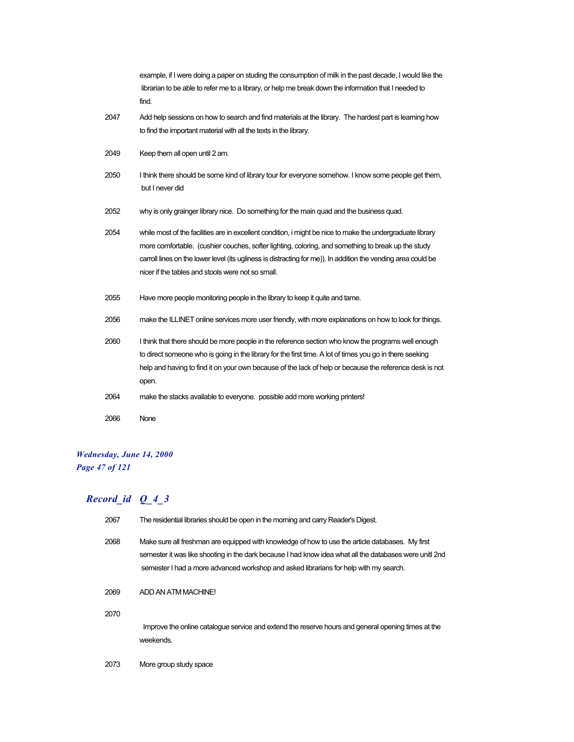|      | example, if I were doing a paper on studing the consumption of milk in the past decade, I would like the<br>librarian to be able to refer me to a library, or help me break down the information that I needed to<br>find.                                                                                                                                                             |
|------|----------------------------------------------------------------------------------------------------------------------------------------------------------------------------------------------------------------------------------------------------------------------------------------------------------------------------------------------------------------------------------------|
| 2047 | Add help sessions on how to search and find materials at the library. The hardest part is learning how<br>to find the important material with all the texts in the library.                                                                                                                                                                                                            |
| 2049 | Keep them all open until 2 am.                                                                                                                                                                                                                                                                                                                                                         |
| 2050 | I think there should be some kind of library tour for everyone somehow. I know some people get them,<br>but I never did                                                                                                                                                                                                                                                                |
| 2052 | why is only grainger library nice. Do something for the main quad and the business quad.                                                                                                                                                                                                                                                                                               |
| 2054 | while most of the facilities are in excellent condition, i might be nice to make the undergraduate library<br>more comfortable. (cushier couches, softer lighting, coloring, and something to break up the study<br>carroll lines on the lower level (its ugliness is distracting for me)). In addition the vending area could be<br>nicer if the tables and stools were not so small. |
| 2055 | Have more people monitoring people in the library to keep it quite and tame.                                                                                                                                                                                                                                                                                                           |
| 2056 | make the ILLINET online services more user friendly, with more explanations on how to look for things.                                                                                                                                                                                                                                                                                 |
| 2060 | I think that there should be more people in the reference section who know the programs well enough<br>to direct someone who is going in the library for the first time. A lot of times you go in there seeking<br>help and having to find it on your own because of the lack of help or because the reference desk is not<br>open.                                                    |
| 2064 | make the stacks available to everyone. possible add more working printers!                                                                                                                                                                                                                                                                                                             |
| 2066 | None                                                                                                                                                                                                                                                                                                                                                                                   |

## *Wednesday, June 14, 2000 Page 47 of 121*

| 2067 | The residential libraries should be open in the morning and carry Reader's Digest.                                                                                                                                                                                                                   |
|------|------------------------------------------------------------------------------------------------------------------------------------------------------------------------------------------------------------------------------------------------------------------------------------------------------|
| 2068 | Make sure all freshman are equipped with knowledge of how to use the article databases. My first<br>semester it was like shooting in the dark because I had know idea what all the databases were unitl 2nd<br>semester I had a more advanced workshop and asked librarians for help with my search. |
| 2069 | ADD AN ATM MACHINE!                                                                                                                                                                                                                                                                                  |
| 2070 | Improve the online catalogue service and extend the reserve hours and general opening times at the<br>weekends.                                                                                                                                                                                      |
| 2073 | More group study space                                                                                                                                                                                                                                                                               |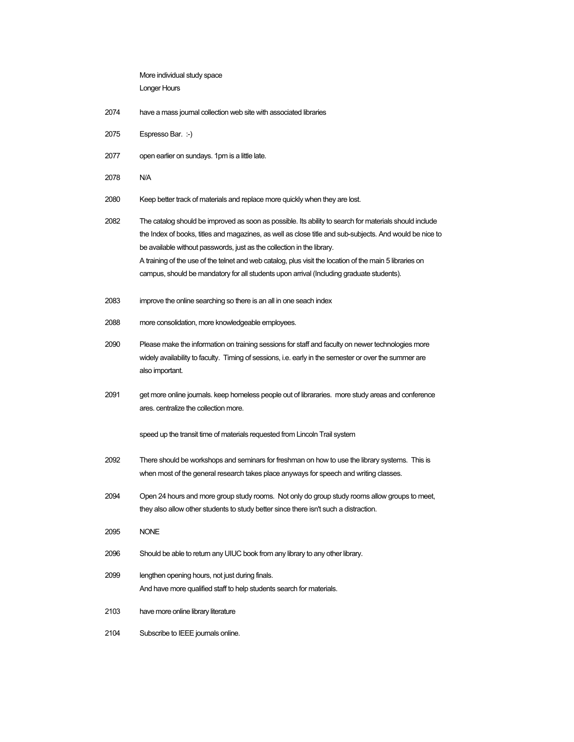More individual study space Longer Hours

- 2074 have a mass journal collection web site with associated libraries
- 2075 Espresso Bar. :-)
- 2077 open earlier on sundays. 1pm is a little late.
- 2078 N/A

2080 Keep better track of materials and replace more quickly when they are lost.

2082 The catalog should be improved as soon as possible. Its ability to search for materials should include the Index of books, titles and magazines, as well as close title and sub-subjects. And would be nice to be available without passwords, just as the collection in the library. A training of the use of the telnet and web catalog, plus visit the location of the main 5 libraries on campus, should be mandatory for all students upon arrival (Including graduate students).

- 2083 improve the online searching so there is an all in one seach index
- 2088 more consolidation, more knowledgeable employees.
- 2090 Please make the information on training sessions for staff and faculty on newer technologies more widely availability to faculty. Timing of sessions, i.e. early in the semester or over the summer are also important.
- 2091 get more online journals. keep homeless people out of librararies. more study areas and conference ares. centralize the collection more.

speed up the transit time of materials requested from Lincoln Trail system

- 2092 There should be workshops and seminars for freshman on how to use the library systems. This is when most of the general research takes place anyways for speech and writing classes.
- 2094 Open 24 hours and more group study rooms. Not only do group study rooms allow groups to meet, they also allow other students to study better since there isn't such a distraction.
- 2095 NONE
- 2096 Should be able to return any UIUC book from any library to any other library.
- 2099 lengthen opening hours, not just during finals. And have more qualified staff to help students search for materials.
- 2103 have more online library literature
- 2104 Subscribe to IEEE journals online.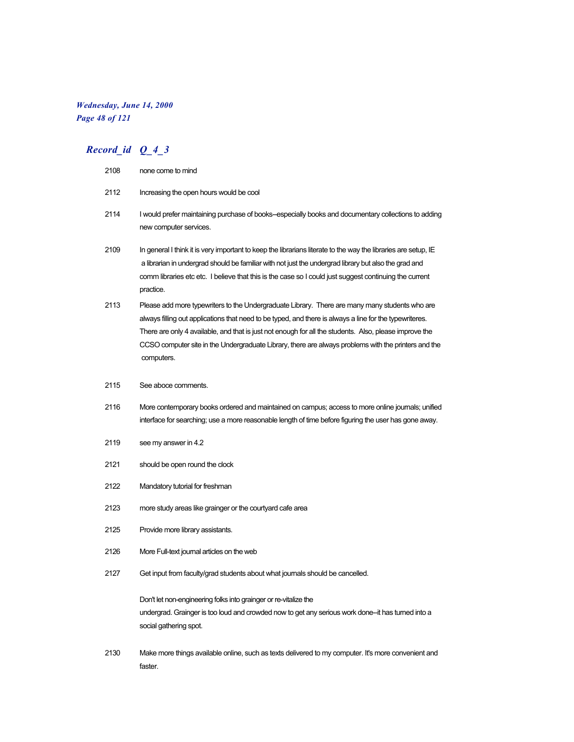### *Wednesday, June 14, 2000 Page 48 of 121*

| 2108 | none come to mind                                                                                                                                                                                                                                                                                                                                                                                                                         |
|------|-------------------------------------------------------------------------------------------------------------------------------------------------------------------------------------------------------------------------------------------------------------------------------------------------------------------------------------------------------------------------------------------------------------------------------------------|
| 2112 | Increasing the open hours would be cool                                                                                                                                                                                                                                                                                                                                                                                                   |
| 2114 | I would prefer maintaining purchase of books-especially books and documentary collections to adding<br>new computer services.                                                                                                                                                                                                                                                                                                             |
| 2109 | In general I think it is very important to keep the librarians literate to the way the libraries are setup, IE<br>a librarian in undergrad should be familiar with not just the undergrad library but also the grad and<br>comm libraries etc etc. I believe that this is the case so I could just suggest continuing the current<br>practice.                                                                                            |
| 2113 | Please add more typewriters to the Undergraduate Library. There are many many students who are<br>always filling out applications that need to be typed, and there is always a line for the typewriteres.<br>There are only 4 available, and that is just not enough for all the students. Also, please improve the<br>CCSO computer site in the Undergraduate Library, there are always problems with the printers and the<br>computers. |
| 2115 | See aboce comments.                                                                                                                                                                                                                                                                                                                                                                                                                       |
| 2116 | More contemporary books ordered and maintained on campus; access to more online journals; unified<br>interface for searching; use a more reasonable length of time before figuring the user has gone away.                                                                                                                                                                                                                                |
| 2119 | see my answer in 4.2                                                                                                                                                                                                                                                                                                                                                                                                                      |
| 2121 | should be open round the clock                                                                                                                                                                                                                                                                                                                                                                                                            |
| 2122 | Mandatory tutorial for freshman                                                                                                                                                                                                                                                                                                                                                                                                           |
| 2123 | more study areas like grainger or the courtyard cafe area                                                                                                                                                                                                                                                                                                                                                                                 |
| 2125 | Provide more library assistants.                                                                                                                                                                                                                                                                                                                                                                                                          |
| 2126 | More Full-text journal articles on the web                                                                                                                                                                                                                                                                                                                                                                                                |
| 2127 | Get input from faculty/grad students about what journals should be cancelled.                                                                                                                                                                                                                                                                                                                                                             |
|      | Don't let non-engineering folks into grainger or re-vitalize the<br>undergrad. Grainger is too loud and crowded now to get any serious work done—it has turned into a<br>social gathering spot.                                                                                                                                                                                                                                           |
| 2130 | Make more things available online, such as texts delivered to my computer. It's more convenient and<br>faster.                                                                                                                                                                                                                                                                                                                            |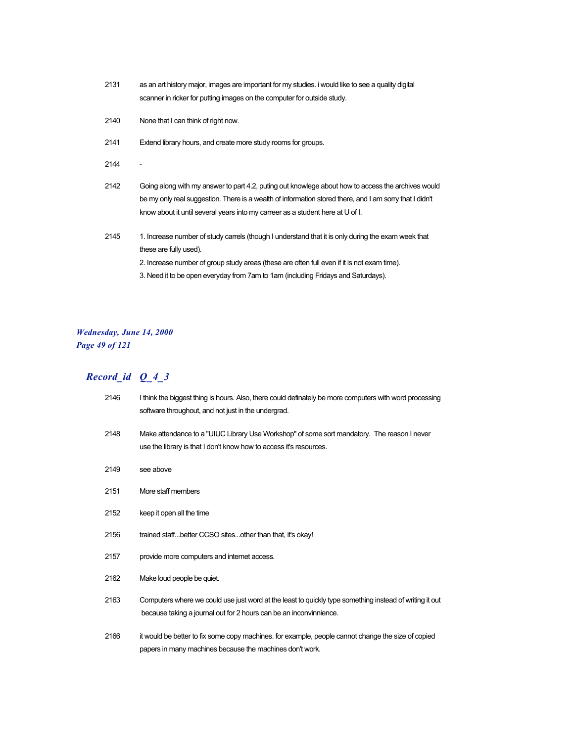- 2131 as an art history major, images are important for my studies. i would like to see a quality digital scanner in ricker for putting images on the computer for outside study.
- 2140 None that I can think of right now.
- 2141 Extend library hours, and create more study rooms for groups.
- 2144 -
- 2142 Going along with my answer to part 4.2, puting out knowlege about how to access the archives would be my only real suggestion. There is a wealth of information stored there, and I am sorry that I didn't know about it until several years into my carreer as a student here at U of I.
- 2145 1. Increase number of study carrels (though I understand that it is only during the exam week that these are fully used).
	- 2. Increase number of group study areas (these are often full even if it is not exam time).
	- 3. Need it to be open everyday from 7am to 1am (including Fridays and Saturdays).

#### *Wednesday, June 14, 2000 Page 49 of 121*

| 2146 | I think the biggest thing is hours. Also, there could definately be more computers with word processing<br>software throughout, and not just in the undergrad.                |
|------|-------------------------------------------------------------------------------------------------------------------------------------------------------------------------------|
| 2148 | Make attendance to a "UIUC Library Use Workshop" of some sort mandatory. The reason I never<br>use the library is that I don't know how to access it's resources.             |
| 2149 | see above                                                                                                                                                                     |
| 2151 | More staff members                                                                                                                                                            |
| 2152 | keep it open all the time                                                                                                                                                     |
| 2156 | trained staffbetter CCSO sitesother than that, it's okay!                                                                                                                     |
| 2157 | provide more computers and internet access.                                                                                                                                   |
| 2162 | Make loud people be quiet.                                                                                                                                                    |
| 2163 | Computers where we could use just word at the least to quickly type something instead of writing it out<br>because taking a journal out for 2 hours can be an inconvinnience. |
| 2166 | it would be better to fix some copy machines. for example, people cannot change the size of copied<br>papers in many machines because the machines don't work.                |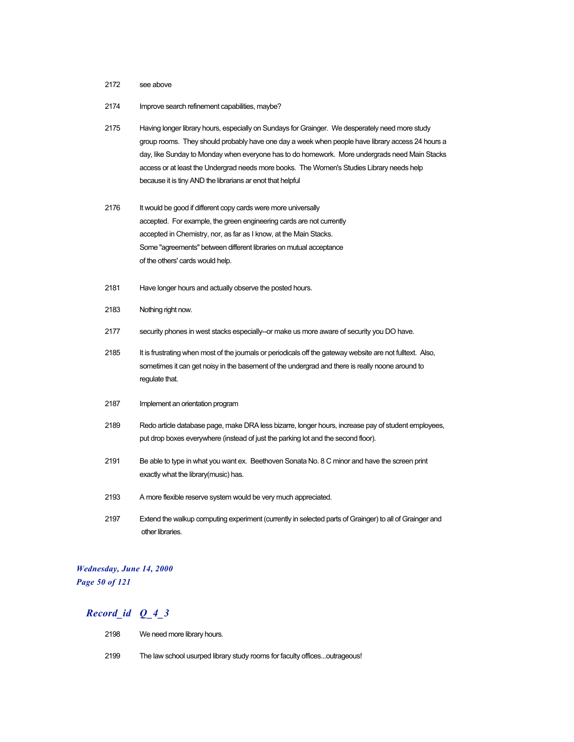#### 2172 see above

- 2174 Improve search refinement capabilities, maybe?
- 2175 Having longer library hours, especially on Sundays for Grainger. We desperately need more study group rooms. They should probably have one day a week when people have library access 24 hours a day, like Sunday to Monday when everyone has to do homework. More undergrads need Main Stacks access or at least the Undergrad needs more books. The Women's Studies Library needs help because it is tiny AND the librarians ar enot that helpful
- 2176 It would be good if different copy cards were more universally accepted. For example, the green engineering cards are not currently accepted in Chemistry, nor, as far as I know, at the Main Stacks. Some "agreements" between different libraries on mutual acceptance of the others' cards would help.
- 2181 Have longer hours and actually observe the posted hours.
- 2183 Nothing right now.
- 2177 security phones in west stacks especially--or make us more aware of security you DO have.
- 2185 It is frustrating when most of the journals or periodicals off the gateway website are not fulltext. Also, sometimes it can get noisy in the basement of the undergrad and there is really noone around to regulate that.
- 2187 Implement an orientation program
- 2189 Redo article database page, make DRA less bizarre, longer hours, increase pay of student employees, put drop boxes everywhere (instead of just the parking lot and the second floor).
- 2191 Be able to type in what you want ex. Beethoven Sonata No. 8 C minor and have the screen print exactly what the library(music) has.
- 2193 A more flexible reserve system would be very much appreciated.
- 2197 Extend the walkup computing experiment (currently in selected parts of Grainger) to all of Grainger and other libraries.

#### *Wednesday, June 14, 2000 Page 50 of 121*

- 2198 We need more library hours.
- 2199 The law school usurped library study rooms for faculty offices...outrageous!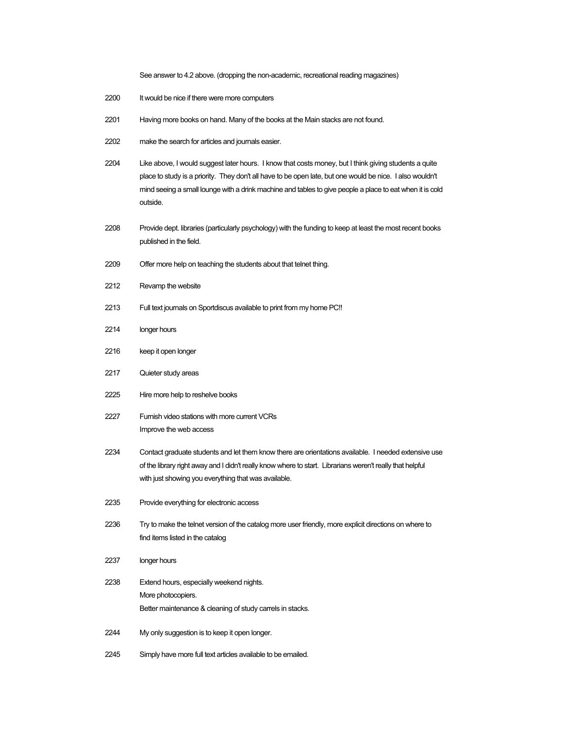See answer to 4.2 above. (dropping the non-academic, recreational reading magazines)

- 2200 It would be nice if there were more computers
- Having more books on hand. Many of the books at the Main stacks are not found.
- make the search for articles and journals easier.
- Like above, I would suggest later hours. I know that costs money, but I think giving students a quite place to study is a priority. They don't all have to be open late, but one would be nice. I also wouldn't mind seeing a small lounge with a drink machine and tables to give people a place to eat when it is cold outside.
- Provide dept. libraries (particularly psychology) with the funding to keep at least the most recent books published in the field.
- Offer more help on teaching the students about that telnet thing.
- Revamp the website
- Full text journals on Sportdiscus available to print from my home PC!!
- longer hours
- keep it open longer
- Quieter study areas
- Hire more help to reshelve books
- Furnish video stations with more current VCRs Improve the web access
- Contact graduate students and let them know there are orientations available. I needed extensive use of the library right away and I didn't really know where to start. Librarians weren't really that helpful with just showing you everything that was available.
- Provide everything for electronic access
- Try to make the telnet version of the catalog more user friendly, more explicit directions on where to find items listed in the catalog
- longer hours
- Extend hours, especially weekend nights. More photocopiers. Better maintenance & cleaning of study carrels in stacks.
- My only suggestion is to keep it open longer.
- Simply have more full text articles available to be emailed.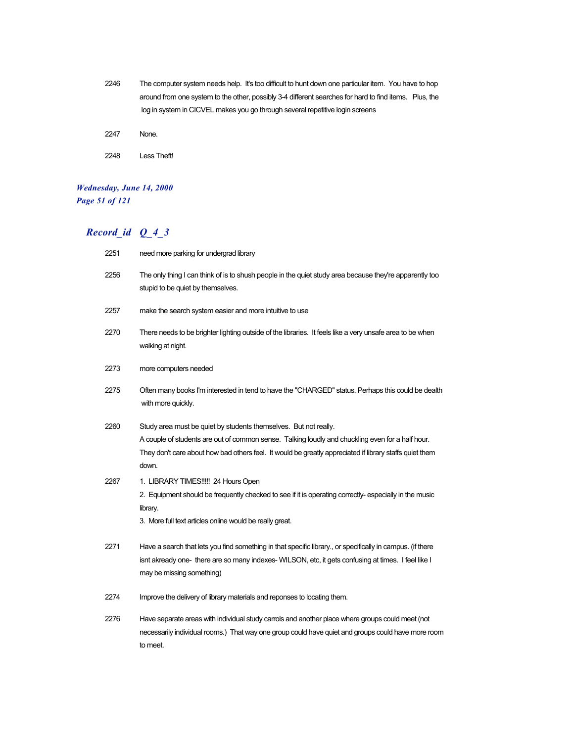- 2246 The computer system needs help. It's too difficult to hunt down one particular item. You have to hop around from one system to the other, possibly 3-4 different searches for hard to find items. Plus, the log in system in CICVEL makes you go through several repetitive login screens
- 2247 None.
- 2248 Less Theft!

## *Wednesday, June 14, 2000 Page 51 of 121*

| 2251 | need more parking for undergrad library                                                                                                                                                                                                                                                  |
|------|------------------------------------------------------------------------------------------------------------------------------------------------------------------------------------------------------------------------------------------------------------------------------------------|
| 2256 | The only thing I can think of is to shush people in the quiet study area because they're apparently too<br>stupid to be quiet by themselves.                                                                                                                                             |
| 2257 | make the search system easier and more intuitive to use                                                                                                                                                                                                                                  |
| 2270 | There needs to be brighter lighting outside of the libraries. It feels like a very unsafe area to be when<br>walking at night.                                                                                                                                                           |
| 2273 | more computers needed                                                                                                                                                                                                                                                                    |
| 2275 | Often many books I'm interested in tend to have the "CHARGED" status. Perhaps this could be dealth<br>with more quickly.                                                                                                                                                                 |
| 2260 | Study area must be quiet by students themselves. But not really.<br>A couple of students are out of common sense. Talking loudly and chuckling even for a half hour.<br>They don't care about how bad others feel. It would be greatly appreciated if library staffs quiet them<br>down. |
| 2267 | 1. LIBRARY TIMES!!!!! 24 Hours Open<br>2. Equipment should be frequently checked to see if it is operating correctly-especially in the music<br>library.<br>3. More full text articles online would be really great.                                                                     |
| 2271 | Have a search that lets you find something in that specific library., or specifically in campus. (if there<br>isnt akready one- there are so many indexes- WILSON, etc, it gets confusing at times. I feel like I<br>may be missing something)                                           |
| 2274 | Improve the delivery of library materials and reponses to locating them.                                                                                                                                                                                                                 |
| 2276 | Have separate areas with individual study carrols and another place where groups could meet (not<br>necessarily individual rooms.) That way one group could have quiet and groups could have more room<br>to meet.                                                                       |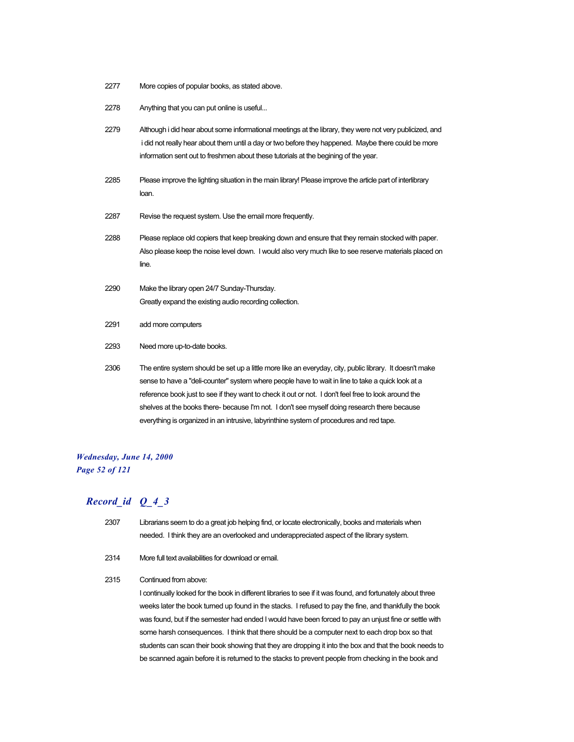- 2277 More copies of popular books, as stated above.
- 2278 Anything that you can put online is useful...
- 2279 Although i did hear about some informational meetings at the library, they were not very publicized, and i did not really hear about them until a day or two before they happened. Maybe there could be more information sent out to freshmen about these tutorials at the begining of the year.
- 2285 Please improve the lighting situation in the main library! Please improve the article part of interlibrary loan.
- 2287 Revise the request system. Use the email more frequently.
- 2288 Please replace old copiers that keep breaking down and ensure that they remain stocked with paper. Also please keep the noise level down. I would also very much like to see reserve materials placed on line.
- 2290 Make the library open 24/7 Sunday-Thursday. Greatly expand the existing audio recording collection.
- 2291 add more computers
- 2293 Need more up-to-date books.
- 2306 The entire system should be set up a little more like an everyday, city, public library. It doesn't make sense to have a "deli-counter" system where people have to wait in line to take a quick look at a reference book just to see if they want to check it out or not. I don't feel free to look around the shelves at the books there- because I'm not. I don't see myself doing research there because everything is organized in an intrusive, labyrinthine system of procedures and red tape.

### *Wednesday, June 14, 2000 Page 52 of 121*

### *Record\_id Q\_4\_3*

- 2307 Librarians seem to do a great job helping find, or locate electronically, books and materials when needed. I think they are an overlooked and underappreciated aspect of the library system.
- 2314 More full text availabilities for download or email.
- 2315 Continued from above:

I continually looked for the book in different libraries to see if it was found, and fortunately about three weeks later the book turned up found in the stacks. I refused to pay the fine, and thankfully the book was found, but if the semester had ended I would have been forced to pay an unjust fine or settle with some harsh consequences. I think that there should be a computer next to each drop box so that students can scan their book showing that they are dropping it into the box and that the book needs to be scanned again before it is returned to the stacks to prevent people from checking in the book and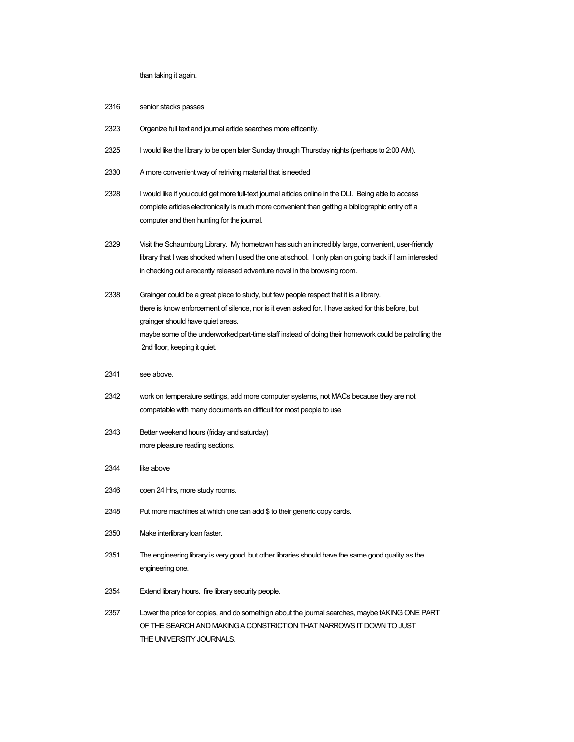than taking it again.

- 2316 senior stacks passes
- 2323 Organize full text and journal article searches more efficently.
- 2325 I would like the library to be open later Sunday through Thursday nights (perhaps to 2:00 AM).
- 2330 A more convenient way of retriving material that is needed
- 2328 I would like if you could get more full-text journal articles online in the DLI. Being able to access complete articles electronically is much more convenient than getting a bibliographic entry off a computer and then hunting for the journal.
- 2329 Visit the Schaumburg Library. My hometown has such an incredibly large, convenient, user-friendly library that I was shocked when I used the one at school. I only plan on going back if I am interested in checking out a recently released adventure novel in the browsing room.
- 2338 Grainger could be a great place to study, but few people respect that it is a library. there is know enforcement of silence, nor is it even asked for. I have asked for this before, but grainger should have quiet areas. maybe some of the underworked part-time staff instead of doing their homework could be patrolling the 2nd floor, keeping it quiet.
- 2341 see above.
- 2342 work on temperature settings, add more computer systems, not MACs because they are not compatable with many documents an difficult for most people to use
- 2343 Better weekend hours (friday and saturday) more pleasure reading sections.
- 2344 like above
- 2346 open 24 Hrs, more study rooms.
- 2348 Put more machines at which one can add \$ to their generic copy cards.
- 2350 Make interlibrary loan faster.
- 2351 The engineering library is very good, but other libraries should have the same good quality as the engineering one.
- 2354 Extend library hours. fire library security people.
- 2357 Lower the price for copies, and do somethign about the journal searches, maybe tAKING ONE PART OF THE SEARCH AND MAKING A CONSTRICTION THAT NARROWS IT DOWN TO JUST THE UNIVERSITY JOURNALS.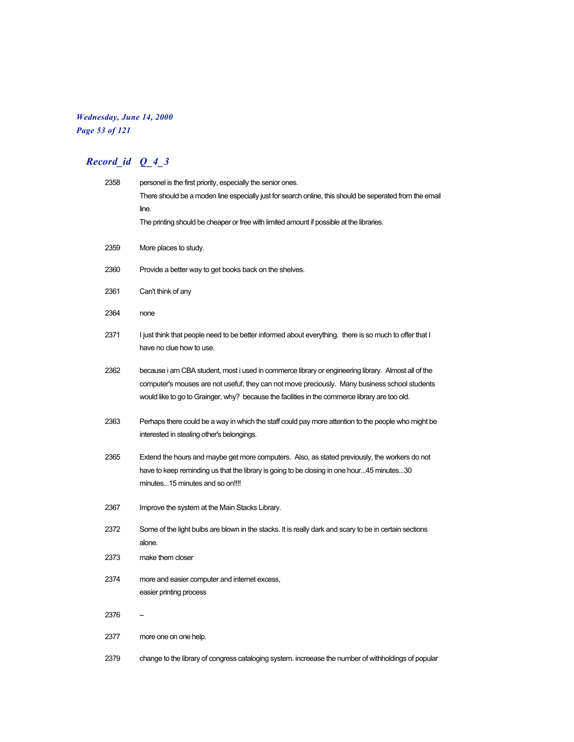## *Wednesday, June 14, 2000 Page 53 of 121*

| 2358 | personel is the first priority, especially the senior ones.                                                                                                                                                                                                                                            |
|------|--------------------------------------------------------------------------------------------------------------------------------------------------------------------------------------------------------------------------------------------------------------------------------------------------------|
|      | There should be a moden line especially just for search online, this should be seperated from the email                                                                                                                                                                                                |
|      | line.                                                                                                                                                                                                                                                                                                  |
|      | The printing should be cheaper or free with limited amount if possible at the libraries.                                                                                                                                                                                                               |
| 2359 | More places to study.                                                                                                                                                                                                                                                                                  |
| 2360 | Provide a better way to get books back on the shelves.                                                                                                                                                                                                                                                 |
| 2361 | Can't think of any                                                                                                                                                                                                                                                                                     |
| 2364 | none                                                                                                                                                                                                                                                                                                   |
| 2371 | I just think that people need to be better informed about everything. there is so much to offer that I<br>have no clue how to use.                                                                                                                                                                     |
| 2362 | because i am CBA student, most i used in commerce library or engineering library. Almost all of the<br>computer's mouses are not usefuf, they can not move preciously. Many business school students<br>would like to go to Grainger, why? because the facilities in the commerce library are too old. |
| 2363 | Perhaps there could be a way in which the staff could pay more attention to the people who might be<br>interested in stealing other's belongings.                                                                                                                                                      |
| 2365 | Extend the hours and maybe get more computers. Also, as stated previously, the workers do not<br>have to keep reminding us that the library is going to be closing in one hour45 minutes30<br>minutes15 minutes and so on!!!!                                                                          |
| 2367 | Improve the system at the Main Stacks Library.                                                                                                                                                                                                                                                         |
| 2372 | Some of the light bulbs are blown in the stacks. It is really dark and scary to be in certain sections<br>alone.                                                                                                                                                                                       |
| 2373 | make them closer                                                                                                                                                                                                                                                                                       |
| 2374 | more and easier computer and internet excess,                                                                                                                                                                                                                                                          |
|      | easier printing process                                                                                                                                                                                                                                                                                |
| 2376 |                                                                                                                                                                                                                                                                                                        |
| 2377 | more one on one help.                                                                                                                                                                                                                                                                                  |
| 2379 | change to the library of congress cataloging system. increease the number of withholdings of popular                                                                                                                                                                                                   |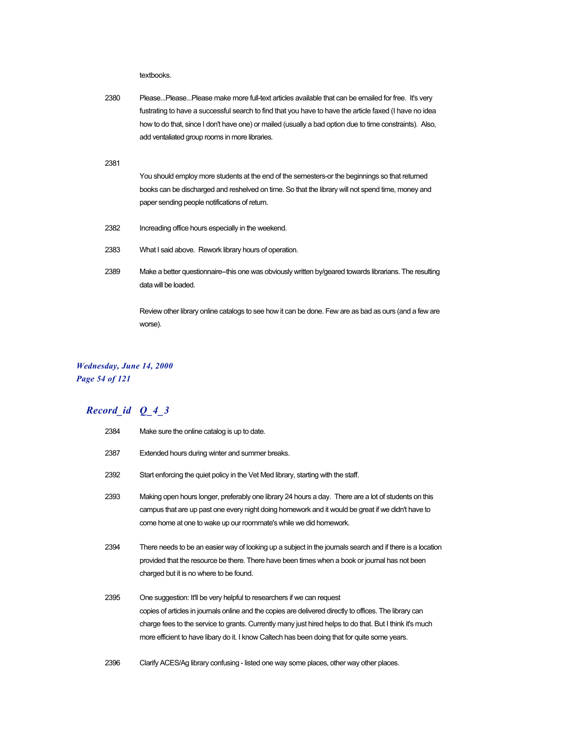textbooks.

2380 Please...Please...Please make more full-text articles available that can be emailed for free. It's very fustrating to have a successful search to find that you have to have the article faxed (I have no idea how to do that, since I don't have one) or mailed (usually a bad option due to time constraints). Also, add ventaliated group rooms in more libraries.

2381

You should employ more students at the end of the semesters-or the beginnings so that returned books can be discharged and reshelved on time. So that the library will not spend time, money and paper sending people notifications of return.

- 2382 Increading office hours especially in the weekend.
- 2383 What I said above. Rework library hours of operation.
- 2389 Make a better questionnaire--this one was obviously written by/geared towards librarians. The resulting data will be loaded.

Review other library online catalogs to see how it can be done. Few are as bad as ours (and a few are worse).

### *Wednesday, June 14, 2000 Page 54 of 121*

| 2384 | Make sure the online catalog is up to date.                                                                                                                                                                                                                                                                                                                                                   |
|------|-----------------------------------------------------------------------------------------------------------------------------------------------------------------------------------------------------------------------------------------------------------------------------------------------------------------------------------------------------------------------------------------------|
| 2387 | Extended hours during winter and summer breaks.                                                                                                                                                                                                                                                                                                                                               |
| 2392 | Start enforcing the quiet policy in the Vet Med library, starting with the staff.                                                                                                                                                                                                                                                                                                             |
| 2393 | Making open hours longer, preferably one library 24 hours a day. There are a lot of students on this<br>campus that are up past one every night doing homework and it would be great if we didn't have to<br>come home at one to wake up our roommate's while we did homework.                                                                                                                |
| 2394 | There needs to be an easier way of looking up a subject in the journals search and if there is a location<br>provided that the resource be there. There have been times when a book or journal has not been<br>charged but it is no where to be found.                                                                                                                                        |
| 2395 | One suggestion: It'll be very helpful to researchers if we can request<br>copies of articles in journals online and the copies are delivered directly to offices. The library can<br>charge fees to the service to grants. Currently many just hired helps to do that. But I think it's much<br>more efficient to have libary do it. I know Caltech has been doing that for quite some years. |
| 2396 | Clarify ACES/Ag library confusing - listed one way some places, other way other places.                                                                                                                                                                                                                                                                                                       |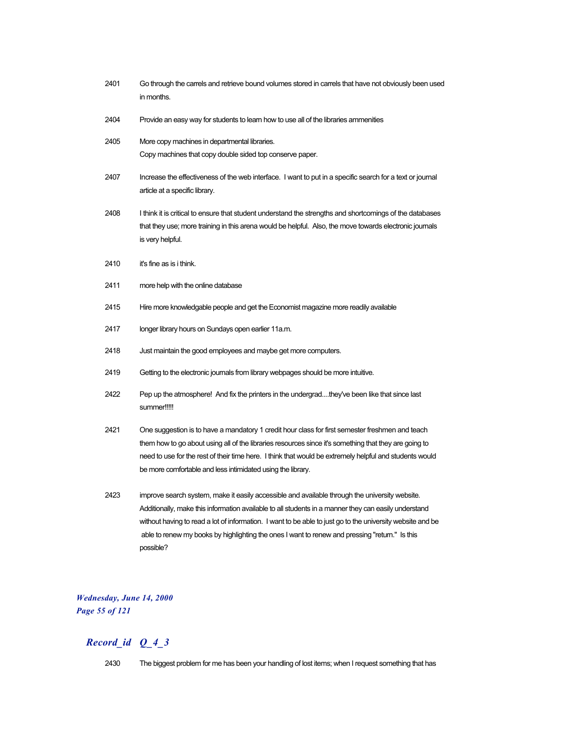- 2401 Go through the carrels and retrieve bound volumes stored in carrels that have not obviously been used in months.
- 2404 Provide an easy way for students to learn how to use all of the libraries ammenities
- 2405 More copy machines in departmental libraries. Copy machines that copy double sided top conserve paper.
- 2407 Increase the effectiveness of the web interface. I want to put in a specific search for a text or journal article at a specific library.
- 2408 I think it is critical to ensure that student understand the strengths and shortcomings of the databases that they use; more training in this arena would be helpful. Also, the move towards electronic journals is very helpful.
- 2410 it's fine as is i think.
- 2411 more help with the online database
- 2415 Hire more knowledgable people and get the Economist magazine more readily available
- 2417 longer library hours on Sundays open earlier 11a.m.
- 2418 Just maintain the good employees and maybe get more computers.
- 2419 Getting to the electronic journals from library webpages should be more intuitive.
- 2422 Pep up the atmosphere! And fix the printers in the undergrad....they've been like that since last summer!!!!!
- 2421 One suggestion is to have a mandatory 1 credit hour class for first semester freshmen and teach them how to go about using all of the libraries resources since it's something that they are going to need to use for the rest of their time here. I think that would be extremely helpful and students would be more comfortable and less intimidated using the library.
- 2423 improve search system, make it easily accessible and available through the university website. Additionally, make this information available to all students in a manner they can easily understand without having to read a lot of information. I want to be able to just go to the university website and be able to renew my books by highlighting the ones I want to renew and pressing "return." Is this possible?

### *Wednesday, June 14, 2000 Page 55 of 121*

### *Record\_id Q\_4\_3*

2430 The biggest problem for me has been your handling of lost items; when I request something that has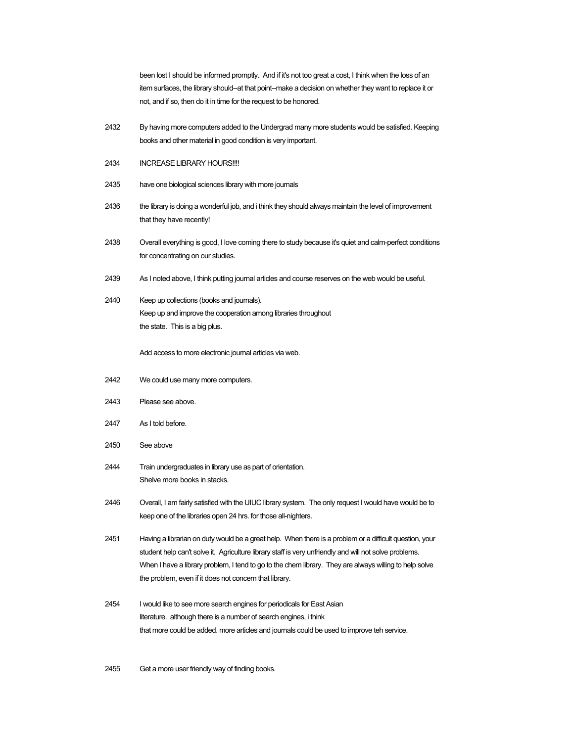been lost I should be informed promptly. And if it's not too great a cost, I think when the loss of an item surfaces, the library should--at that point--make a decision on whether they want to replace it or not, and if so, then do it in time for the request to be honored.

2432 By having more computers added to the Undergrad many more students would be satisfied. Keeping books and other material in good condition is very important.

#### 2434 INCREASE LIBRARY HOURS!!!!

- 2435 have one biological sciences library with more journals
- 2436 the library is doing a wonderful job, and i think they should always maintain the level of improvement that they have recently!
- 2438 Overall everything is good, I love coming there to study because it's quiet and calm-perfect conditions for concentrating on our studies.
- 2439 As I noted above, I think putting journal articles and course reserves on the web would be useful.
- 2440 Keep up collections (books and journals). Keep up and improve the cooperation among libraries throughout the state. This is a big plus.

Add access to more electronic journal articles via web.

- 2442 We could use many more computers.
- 2443 Please see above.
- 2447 As I told before.
- 2450 See above
- 2444 Train undergraduates in library use as part of orientation. Shelve more books in stacks.
- 2446 Overall, I am fairly satisfied with the UIUC library system. The only request I would have would be to keep one of the libraries open 24 hrs. for those all-nighters.
- 2451 Having a librarian on duty would be a great help. When there is a problem or a difficult question, your student help can't solve it. Agriculture library staff is very unfriendly and will not solve problems. When I have a library problem, I tend to go to the chem library. They are always willing to help solve the problem, even if it does not concern that library.
- 2454 I would like to see more search engines for periodicals for East Asian literature. although there is a number of search engines, i think that more could be added. more articles and journals could be used to improve teh service.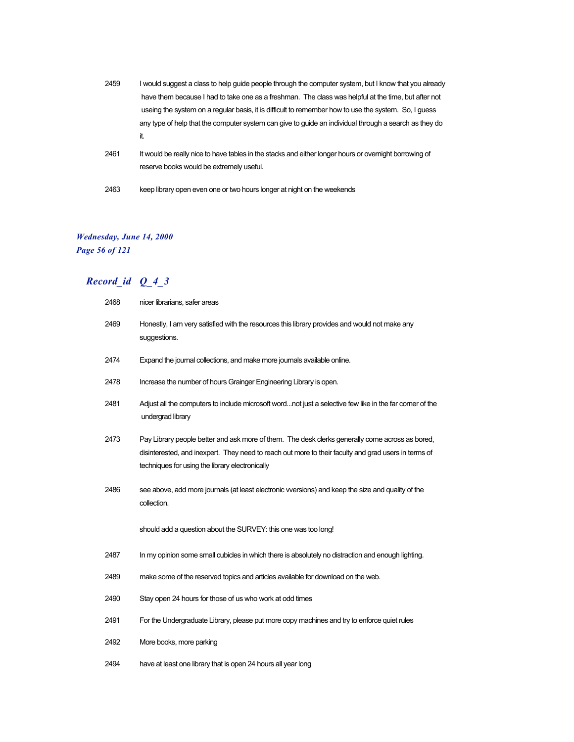- 2459 I would suggest a class to help guide people through the computer system, but I know that you already have them because I had to take one as a freshman. The class was helpful at the time, but after not useing the system on a regular basis, it is difficult to remember how to use the system. So, I guess any type of help that the computer system can give to guide an individual through a search as they do it.
- 2461 It would be really nice to have tables in the stacks and either longer hours or overnight borrowing of reserve books would be extremely useful.
- 2463 keep library open even one or two hours longer at night on the weekends

### *Wednesday, June 14, 2000*

*Page 56 of 121*

| 2468 | nicer librarians, safer areas                                                                                                                                                                                                                              |
|------|------------------------------------------------------------------------------------------------------------------------------------------------------------------------------------------------------------------------------------------------------------|
| 2469 | Honestly, I am very satisfied with the resources this library provides and would not make any<br>suggestions.                                                                                                                                              |
| 2474 | Expand the journal collections, and make more journals available online.                                                                                                                                                                                   |
| 2478 | Increase the number of hours Grainger Engineering Library is open.                                                                                                                                                                                         |
| 2481 | Adjust all the computers to include microsoft wordnot just a selective few like in the far corner of the<br>undergrad library                                                                                                                              |
| 2473 | Pay Library people better and ask more of them. The desk clerks generally come across as bored,<br>disinterested, and inexpert. They need to reach out more to their faculty and grad users in terms of<br>techniques for using the library electronically |
| 2486 | see above, add more journals (at least electronic vversions) and keep the size and quality of the<br>collection.                                                                                                                                           |
|      | should add a question about the SURVEY: this one was too long!                                                                                                                                                                                             |
| 2487 | In my opinion some small cubicles in which there is absolutely no distraction and enough lighting.                                                                                                                                                         |
| 2489 | make some of the reserved topics and articles available for download on the web.                                                                                                                                                                           |
| 2490 | Stay open 24 hours for those of us who work at odd times                                                                                                                                                                                                   |
| 2491 | For the Undergraduate Library, please put more copy machines and try to enforce quiet rules                                                                                                                                                                |
| 2492 | More books, more parking                                                                                                                                                                                                                                   |
| 2494 | have at least one library that is open 24 hours all year long                                                                                                                                                                                              |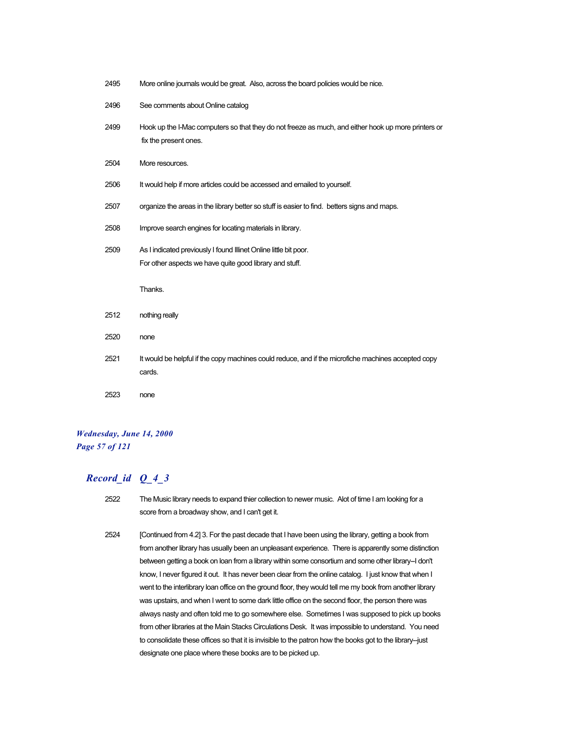| 2495 | More online journals would be great. Also, across the board policies would be nice.                                          |
|------|------------------------------------------------------------------------------------------------------------------------------|
| 2496 | See comments about Online catalog                                                                                            |
| 2499 | Hook up the I-Mac computers so that they do not freeze as much, and either hook up more printers or<br>fix the present ones. |
| 2504 | More resources.                                                                                                              |
| 2506 | It would help if more articles could be accessed and emailed to yourself.                                                    |
| 2507 | organize the areas in the library better so stuff is easier to find. betters signs and maps.                                 |
| 2508 | Improve search engines for locating materials in library.                                                                    |
| 2509 | As I indicated previously I found Illinet Online little bit poor.                                                            |
|      | For other aspects we have quite good library and stuff.                                                                      |
|      | Thanks.                                                                                                                      |
| 2512 | nothing really                                                                                                               |
| 2520 | none                                                                                                                         |
| 2521 | It would be helpful if the copy machines could reduce, and if the microfiche machines accepted copy                          |
|      | cards.                                                                                                                       |
|      |                                                                                                                              |

### *Wednesday, June 14, 2000 Page 57 of 121*

- 2522 The Music library needs to expand thier collection to newer music. Alot of time I am looking for a score from a broadway show, and I can't get it.
- 2524 [Continued from 4.2] 3. For the past decade that I have been using the library, getting a book from from another library has usually been an unpleasant experience. There is apparently some distinction between getting a book on loan from a library within some consortium and some other library-I don't know, I never figured it out. It has never been clear from the online catalog. I just know that when I went to the interlibrary loan office on the ground floor, they would tell me my book from another library was upstairs, and when I went to some dark little office on the second floor, the person there was always nasty and often told me to go somewhere else. Sometimes I was supposed to pick up books from other libraries at the Main Stacks Circulations Desk. It was impossible to understand. You need to consolidate these offices so that it is invisible to the patron how the books got to the library--just designate one place where these books are to be picked up.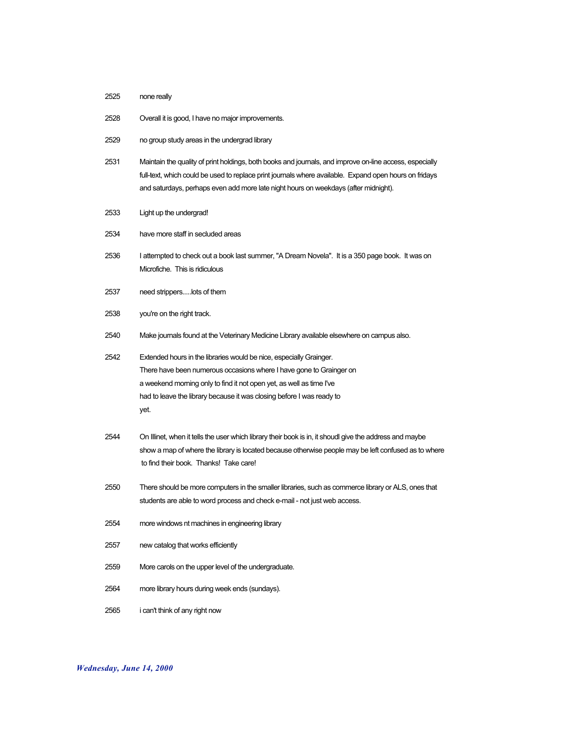- none really
- Overall it is good, I have no major improvements.
- no group study areas in the undergrad library
- Maintain the quality of print holdings, both books and journals, and improve on-line access, especially full-text, which could be used to replace print journals where available. Expand open hours on fridays and saturdays, perhaps even add more late night hours on weekdays (after midnight).
- Light up the undergrad!
- have more staff in secluded areas
- I attempted to check out a book last summer, "A Dream Novela". It is a 350 page book. It was on Microfiche. This is ridiculous
- need strippers.....lots of them
- you're on the right track.
- Make journals found at the Veterinary Medicine Library available elsewhere on campus also.
- Extended hours in the libraries would be nice, especially Grainger. There have been numerous occasions where I have gone to Grainger on a weekend morning only to find it not open yet, as well as time I've had to leave the library because it was closing before I was ready to yet.
- On Illinet, when it tells the user which library their book is in, it shoudl give the address and maybe show a map of where the library is located because otherwise people may be left confused as to where to find their book. Thanks! Take care!
- There should be more computers in the smaller libraries, such as commerce library or ALS, ones that students are able to word process and check e-mail - not just web access.
- more windows nt machines in engineering library
- new catalog that works efficiently
- More carols on the upper level of the undergraduate.
- more library hours during week ends (sundays).
- i can't think of any right now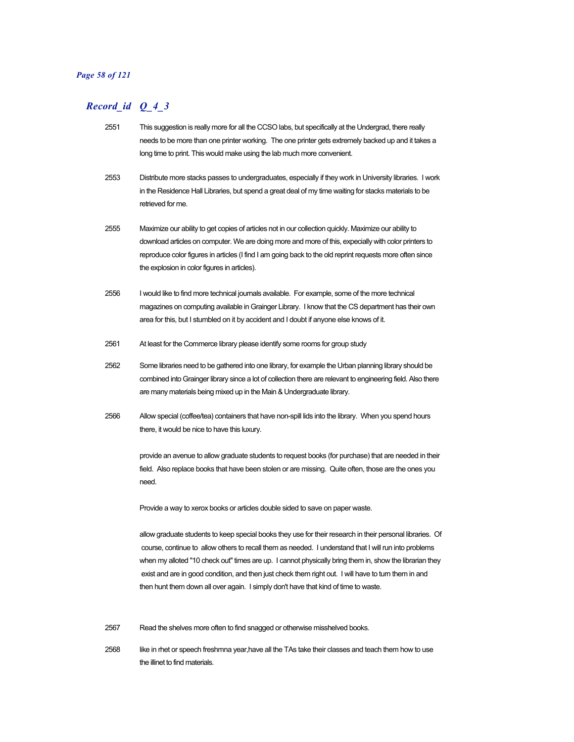#### *Page 58 of 121*

### *Record\_id Q\_4\_3*

- 2551 This suggestion is really more for all the CCSO labs, but specifically at the Undergrad, there really needs to be more than one printer working. The one printer gets extremely backed up and it takes a long time to print. This would make using the lab much more convenient.
- 2553 Distribute more stacks passes to undergraduates, especially if they work in University libraries. I work in the Residence Hall Libraries, but spend a great deal of my time waiting for stacks materials to be retrieved for me.
- 2555 Maximize our ability to get copies of articles not in our collection quickly. Maximize our ability to download articles on computer. We are doing more and more of this, expecially with color printers to reproduce color figures in articles (I find I am going back to the old reprint requests more often since the explosion in color figures in articles).
- 2556 I would like to find more technical journals available. For example, some of the more technical magazines on computing available in Grainger Library. I know that the CS department has their own area for this, but I stumbled on it by accident and I doubt if anyone else knows of it.
- 2561 At least for the Commerce library please identify some rooms for group study
- 2562 Some libraries need to be gathered into one library, for example the Urban planning library should be combined into Grainger library since a lot of collection there are relevant to engineering field. Also there are many materials being mixed up in the Main & Undergraduate library.
- 2566 Allow special (coffee/tea) containers that have non-spill lids into the library. When you spend hours there, it would be nice to have this luxury.

provide an avenue to allow graduate students to request books (for purchase) that are needed in their field. Also replace books that have been stolen or are missing. Quite often, those are the ones you need.

Provide a way to xerox books or articles double sided to save on paper waste.

allow graduate students to keep special books they use for their research in their personal libraries. Of course, continue to allow others to recall them as needed. I understand that I will run into problems when my alloted "10 check out" times are up. I cannot physically bring them in, show the librarian they exist and are in good condition, and then just check them right out. I will have to turn them in and then hunt them down all over again. I simply don't have that kind of time to waste.

2567 Read the shelves more often to find snagged or otherwise misshelved books.

2568 like in rhet or speech freshmna year,have all the TAs take their classes and teach them how to use the illinet to find materials.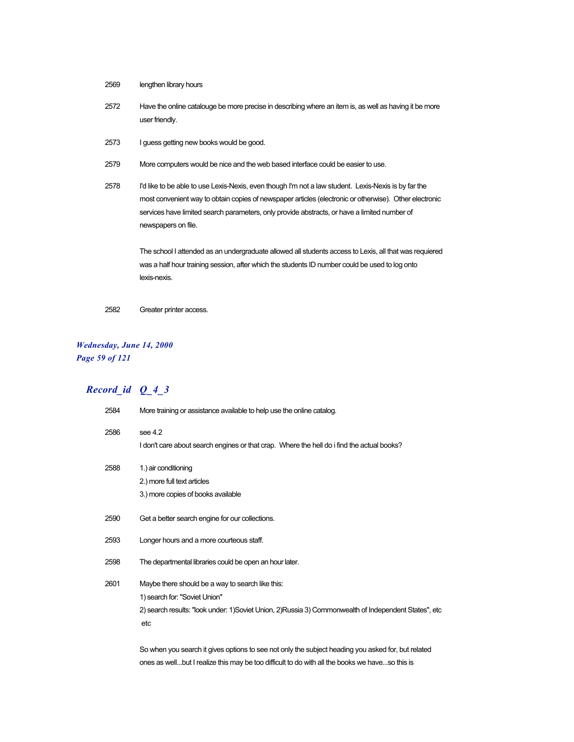- 2569 lengthen library hours
- 2572 Have the online catalouge be more precise in describing where an item is, as well as having it be more user friendly.
- 2573 I guess getting new books would be good.
- 2579 More computers would be nice and the web based interface could be easier to use.
- 2578 I'd like to be able to use Lexis-Nexis, even though I'm not a law student. Lexis-Nexis is by far the most convenient way to obtain copies of newspaper articles (electronic or otherwise). Other electronic services have limited search parameters, only provide abstracts, or have a limited number of newspapers on file.

The school I attended as an undergraduate allowed all students access to Lexis, all that was requiered was a half hour training session, after which the students ID number could be used to log onto lexis-nexis.

2582 Greater printer access.

### *Wednesday, June 14, 2000 Page 59 of 121*

# *Record\_id Q\_4\_3*

| 2584 | More training or assistance available to help use the online catalog.                                  |
|------|--------------------------------------------------------------------------------------------------------|
| 2586 | see $4.2$                                                                                              |
|      | I don't care about search engines or that crap. Where the hell do i find the actual books?             |
| 2588 | 1.) air conditioning                                                                                   |
|      | 2.) more full text articles                                                                            |
|      | 3.) more copies of books available                                                                     |
| 2590 | Get a better search engine for our collections.                                                        |
| 2593 | Longer hours and a more courteous staff.                                                               |
| 2598 | The departmental libraries could be open an hour later.                                                |
| 2601 | Maybe there should be a way to search like this:                                                       |
|      | 1) search for: "Soviet Union"                                                                          |
|      | 2) search results: "look under: 1) Soviet Union, 2) Russia 3) Commonwealth of Independent States", etc |
|      | etc                                                                                                    |
|      | So when you search it gives options to see not only the subject heading you asked for, but related     |
|      |                                                                                                        |

ones as well...but I realize this may be too difficult to do with all the books we have...so this is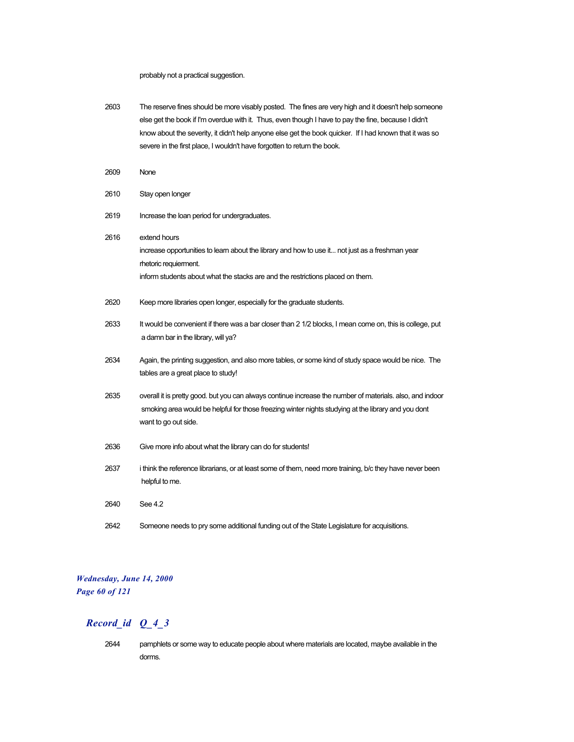probably not a practical suggestion.

- 2603 The reserve fines should be more visably posted. The fines are very high and it doesn't help someone else get the book if I'm overdue with it. Thus, even though I have to pay the fine, because I didn't know about the severity, it didn't help anyone else get the book quicker. If I had known that it was so severe in the first place, I wouldn't have forgotten to return the book.
- 2609 None
- 2610 Stay open longer
- 2619 Increase the loan period for undergraduates.
- 2616 extend hours increase opportunities to learn about the library and how to use it... not just as a freshman year rhetoric requierment. inform students about what the stacks are and the restrictions placed on them. 2620 Keep more libraries open longer, especially for the graduate students. 2633 It would be convenient if there was a bar closer than 2 1/2 blocks, I mean come on, this is college, put a damn bar in the library, will ya? 2634 Again, the printing suggestion, and also more tables, or some kind of study space would be nice. The tables are a great place to study! 2635 overall it is pretty good. but you can always continue increase the number of materials. also, and indoor smoking area would be helpful for those freezing winter nights studying at the library and you dont want to go out side. 2636 Give more info about what the library can do for students! 2637 i think the reference librarians, or at least some of them, need more training, b/c they have never been helpful to me. 2640 See 4.2 2642 Someone needs to pry some additional funding out of the State Legislature for acquisitions.

### *Wednesday, June 14, 2000 Page 60 of 121*

### *Record\_id Q\_4\_3*

2644 pamphlets or some way to educate people about where materials are located, maybe available in the dorms.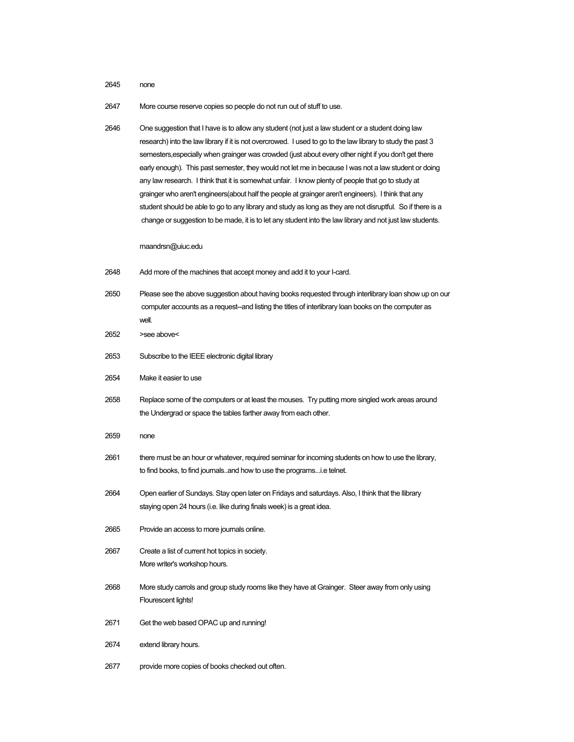2645 none

2647 More course reserve copies so people do not run out of stuff to use.

2646 One suggestion that I have is to allow any student (not just a law student or a student doing law research) into the law library if it is not overcrowed. I used to go to the law library to study the past 3 semesters,especially when grainger was crowded (just about every other night if you don't get there early enough). This past semester, they would not let me in because I was not a law student or doing any law research. I think that it is somewhat unfair. I know plenty of people that go to study at grainger who aren't engineers(about half the people at grainger aren't engineers). I think that any student should be able to go to any library and study as long as they are not disruptful. So if there is a change or suggestion to be made, it is to let any student into the law library and not just law students.

#### maandrsn@uiuc.edu

| 2648 | Add more of the machines that accept money and add it to your I-card. |  |  |
|------|-----------------------------------------------------------------------|--|--|
|      |                                                                       |  |  |

- 2650 Please see the above suggestion about having books requested through interlibrary loan show up on our computer accounts as a request--and listing the titles of interlibrary loan books on the computer as well.
- 2652 >see above<
- 2653 Subscribe to the IEEE electronic digital library
- 2654 Make it easier to use
- 2658 Replace some of the computers or at least the mouses. Try putting more singled work areas around the Undergrad or space the tables farther away from each other.
- 2659 none
- 2661 there must be an hour or whatever, required seminar for incoming students on how to use the library, to find books, to find journals..and how to use the programs...i.e telnet.
- 2664 Open earlier of Sundays. Stay open later on Fridays and saturdays. Also, I think that the llibrary staying open 24 hours (i.e. like during finals week) is a great idea.
- 2665 Provide an access to more journals online.
- 2667 Create a list of current hot topics in society. More writer's workshop hours.
- 2668 More study carrols and group study rooms like they have at Grainger. Steer away from only using Flourescent lights!
- 2671 Get the web based OPAC up and running!
- 2674 extend library hours.
- 2677 provide more copies of books checked out often.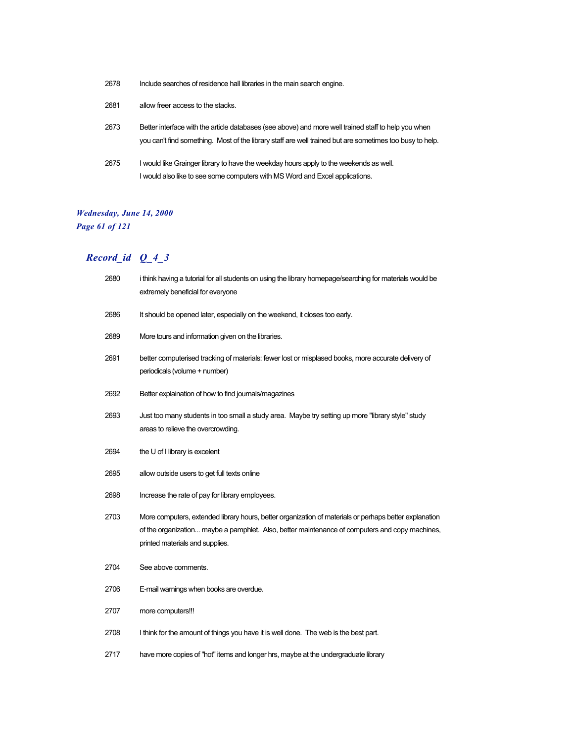| 2678 | Include searches of residence hall libraries in the main search engine.                                                                                                                                          |
|------|------------------------------------------------------------------------------------------------------------------------------------------------------------------------------------------------------------------|
| 2681 | allow freer access to the stacks.                                                                                                                                                                                |
| 2673 | Better interface with the article databases (see above) and more well trained staff to help you when<br>you can't find something. Most of the library staff are well trained but are sometimes too busy to help. |
| 2675 | I would like Grainger library to have the weekday hours apply to the weekends as well.<br>I would also like to see some computers with MS Word and Excel applications.                                           |

# *Wednesday, June 14, 2000*

*Page 61 of 121*

| 2680 | i think having a tutorial for all students on using the library homepage/searching for materials would be<br>extremely beneficial for everyone                                                                                              |
|------|---------------------------------------------------------------------------------------------------------------------------------------------------------------------------------------------------------------------------------------------|
| 2686 | It should be opened later, especially on the weekend, it closes too early.                                                                                                                                                                  |
| 2689 | More tours and information given on the libraries.                                                                                                                                                                                          |
| 2691 | better computerised tracking of materials: fewer lost or misplased books, more accurate delivery of<br>periodicals (volume + number)                                                                                                        |
| 2692 | Better explaination of how to find journals/magazines                                                                                                                                                                                       |
| 2693 | Just too many students in too small a study area. Maybe try setting up more "library style" study<br>areas to relieve the overcrowding.                                                                                                     |
| 2694 | the U of I library is excelent                                                                                                                                                                                                              |
| 2695 | allow outside users to get full texts online                                                                                                                                                                                                |
| 2698 | Increase the rate of pay for library employees.                                                                                                                                                                                             |
| 2703 | More computers, extended library hours, better organization of materials or perhaps better explanation<br>of the organization maybe a pamphlet. Also, better maintenance of computers and copy machines,<br>printed materials and supplies. |
| 2704 | See above comments.                                                                                                                                                                                                                         |
| 2706 | E-mail warnings when books are overdue.                                                                                                                                                                                                     |
| 2707 | more computers!!!                                                                                                                                                                                                                           |
| 2708 | I think for the amount of things you have it is well done. The web is the best part.                                                                                                                                                        |
| 2717 | have more copies of "hot" items and longer hrs, maybe at the undergraduate library                                                                                                                                                          |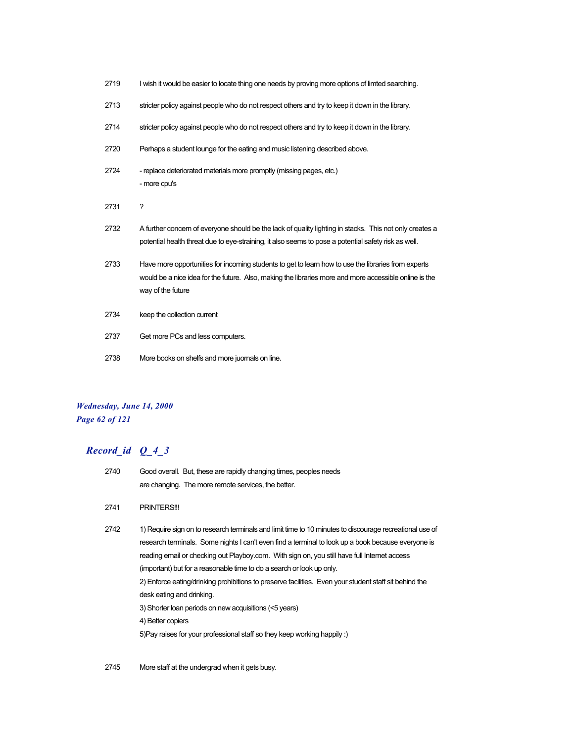| 2719 | I wish it would be easier to locate thing one needs by proving more options of limted searching.                                                                                                                                   |
|------|------------------------------------------------------------------------------------------------------------------------------------------------------------------------------------------------------------------------------------|
| 2713 | stricter policy against people who do not respect others and try to keep it down in the library.                                                                                                                                   |
| 2714 | stricter policy against people who do not respect others and try to keep it down in the library.                                                                                                                                   |
| 2720 | Perhaps a student lounge for the eating and music listening described above.                                                                                                                                                       |
| 2724 | - replace deteriorated materials more promptly (missing pages, etc.)<br>- more cpu's                                                                                                                                               |
| 2731 | ?                                                                                                                                                                                                                                  |
| 2732 | A further concern of everyone should be the lack of quality lighting in stacks. This not only creates a                                                                                                                            |
|      | potential health threat due to eye-straining, it also seems to pose a potential safety risk as well.                                                                                                                               |
| 2733 | Have more opportunities for incoming students to get to learn how to use the libraries from experts<br>would be a nice idea for the future. Also, making the libraries more and more accessible online is the<br>way of the future |
| 2734 | keep the collection current                                                                                                                                                                                                        |
| 2737 | Get more PCs and less computers.                                                                                                                                                                                                   |

## *Wednesday, June 14, 2000 Page 62 of 121*

| 2741<br><b>PRINTERS!!!</b>                                                                                                                                                                                                                                                                                                                                                                                                                                                                                                                                                                                                                                                                        |  |
|---------------------------------------------------------------------------------------------------------------------------------------------------------------------------------------------------------------------------------------------------------------------------------------------------------------------------------------------------------------------------------------------------------------------------------------------------------------------------------------------------------------------------------------------------------------------------------------------------------------------------------------------------------------------------------------------------|--|
| 1) Require sign on to research terminals and limit time to 10 minutes to discourage recreational use of<br>2742<br>research terminals. Some nights I can't even find a terminal to look up a book because everyone is<br>reading email or checking out Playboy.com. With sign on, you still have full Internet access<br>(important) but for a reasonable time to do a search or look up only.<br>2) Enforce eating/drinking prohibitions to preserve facilities. Even your student staff sit behind the<br>desk eating and drinking.<br>3) Shorter loan periods on new acquisitions (<5 years)<br>4) Better copiers<br>5) Pay raises for your professional staff so they keep working happily :) |  |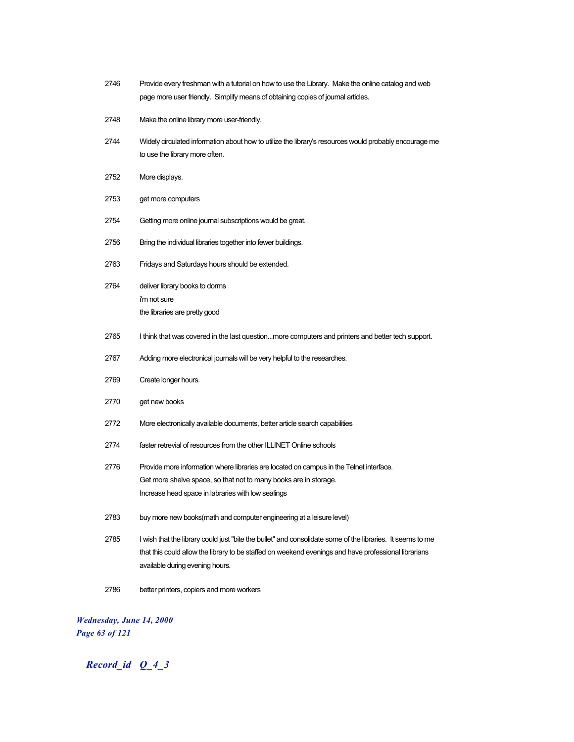| 2746 | Provide every freshman with a tutorial on how to use the Library. Make the online catalog and web<br>page more user friendly. Simplify means of obtaining copies of journal articles.                                                                 |
|------|-------------------------------------------------------------------------------------------------------------------------------------------------------------------------------------------------------------------------------------------------------|
| 2748 | Make the online library more user-friendly.                                                                                                                                                                                                           |
| 2744 | Widely circulated information about how to utilize the library's resources would probably encourage me<br>to use the library more often.                                                                                                              |
| 2752 | More displays.                                                                                                                                                                                                                                        |
| 2753 | get more computers                                                                                                                                                                                                                                    |
| 2754 | Getting more online journal subscriptions would be great.                                                                                                                                                                                             |
| 2756 | Bring the individual libraries together into fewer buildings.                                                                                                                                                                                         |
| 2763 | Fridays and Saturdays hours should be extended.                                                                                                                                                                                                       |
| 2764 | deliver library books to dorms<br>i'm not sure<br>the libraries are pretty good                                                                                                                                                                       |
| 2765 | I think that was covered in the last questionmore computers and printers and better tech support.                                                                                                                                                     |
| 2767 | Adding more electronical journals will be very helpful to the researches.                                                                                                                                                                             |
| 2769 | Create longer hours.                                                                                                                                                                                                                                  |
| 2770 | get new books                                                                                                                                                                                                                                         |
| 2772 | More electronically available documents, better article search capabilities                                                                                                                                                                           |
| 2774 | faster retrevial of resources from the other ILLINET Online schools                                                                                                                                                                                   |
| 2776 | Provide more information where libraries are located on campus in the Telnet interface.<br>Get more shelve space, so that not to many books are in storage.<br>Increase head space in labraries with low sealings                                     |
| 2783 | buy more new books(math and computer engineering at a leisure level)                                                                                                                                                                                  |
| 2785 | I wish that the library could just "bite the bullet" and consolidate some of the libraries. It seems to me<br>that this could allow the library to be staffed on weekend evenings and have professional librarians<br>available during evening hours. |
| 2786 | better printers, copiers and more workers                                                                                                                                                                                                             |

*Wednesday, June 14, 2000 Page 63 of 121*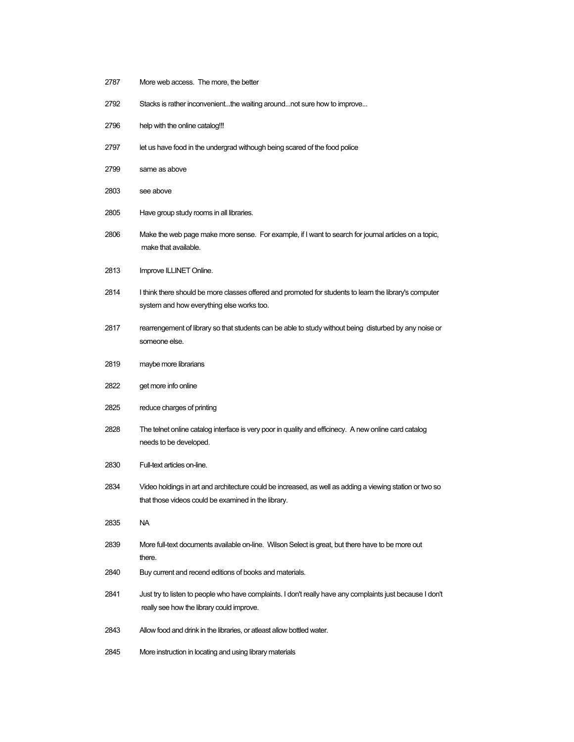- More web access. The more, the better
- Stacks is rather inconvenient...the waiting around...not sure how to improve...
- help with the online catalog!!!
- let us have food in the undergrad withough being scared of the food police
- same as above
- see above
- Have group study rooms in all libraries.
- Make the web page make more sense. For example, if I want to search for journal articles on a topic, make that available.
- Improve ILLINET Online.
- I think there should be more classes offered and promoted for students to learn the library's computer system and how everything else works too.
- 2817 rearrengement of library so that students can be able to study without being disturbed by any noise or someone else.
- maybe more librarians
- get more info online
- reduce charges of printing
- The telnet online catalog interface is very poor in quality and efficinecy. A new online card catalog needs to be developed.
- Full-text articles on-line.
- Video holdings in art and architecture could be increased, as well as adding a viewing station or two so that those videos could be examined in the library.
- NA
- More full-text documents available on-line. Wilson Select is great, but there have to be more out there.
- Buy current and recend editions of books and materials.
- Just try to listen to people who have complaints. I don't really have any complaints just because I don't really see how the library could improve.
- Allow food and drink in the libraries, or atleast allow bottled water.
- More instruction in locating and using library materials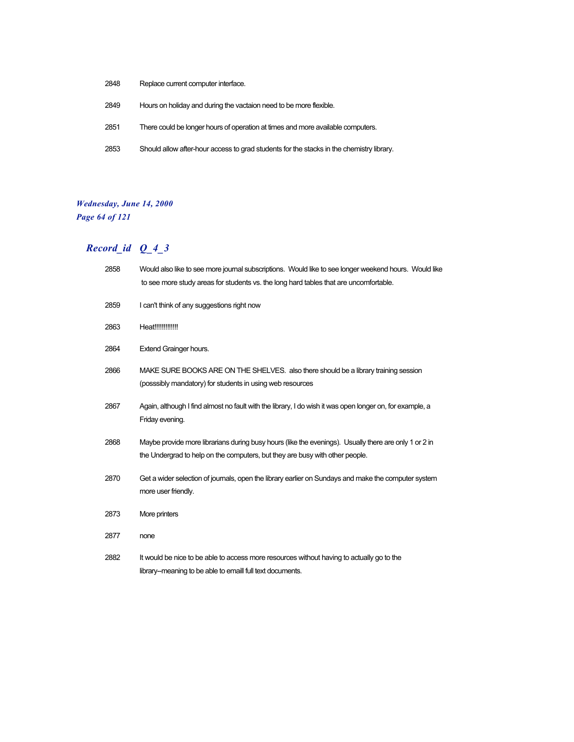- Replace current computer interface.
- Hours on holiday and during the vactaion need to be more flexible.
- There could be longer hours of operation at times and more available computers.
- Should allow after-hour access to grad students for the stacks in the chemistry library.

### *Wednesday, June 14, 2000 Page 64 of 121*

| 2858 | Would also like to see more journal subscriptions. Would like to see longer weekend hours. Would like<br>to see more study areas for students vs. the long hard tables that are uncomfortable. |
|------|------------------------------------------------------------------------------------------------------------------------------------------------------------------------------------------------|
| 2859 | I can't think of any suggestions right now                                                                                                                                                     |
| 2863 | Heat!!!!!!!!!!!!!                                                                                                                                                                              |
| 2864 | <b>Extend Grainger hours.</b>                                                                                                                                                                  |
| 2866 | MAKE SURE BOOKS ARE ON THE SHELVES. also there should be a library training session<br>(posssibly mandatory) for students in using web resources                                               |
| 2867 | Again, although I find almost no fault with the library, I do wish it was open longer on, for example, a<br>Friday evening.                                                                    |
| 2868 | Maybe provide more librarians during busy hours (like the evenings). Usually there are only 1 or 2 in<br>the Undergrad to help on the computers, but they are busy with other people.          |
| 2870 | Get a wider selection of journals, open the library earlier on Sundays and make the computer system<br>more user friendly.                                                                     |
| 2873 | More printers                                                                                                                                                                                  |
| 2877 | none                                                                                                                                                                                           |
| 2882 | It would be nice to be able to access more resources without having to actually go to the<br>library--meaning to be able to emaill full text documents.                                        |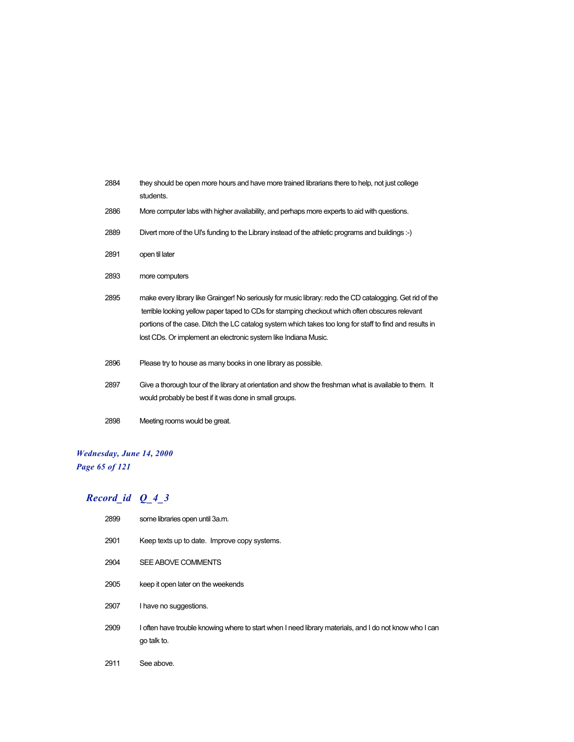| 2884 | they should be open more hours and have more trained librarians there to help, not just college<br>students.                                                                                                                                                                                                                                                                              |
|------|-------------------------------------------------------------------------------------------------------------------------------------------------------------------------------------------------------------------------------------------------------------------------------------------------------------------------------------------------------------------------------------------|
| 2886 | More computer labs with higher availability, and perhaps more experts to aid with questions.                                                                                                                                                                                                                                                                                              |
| 2889 | Divert more of the UI's funding to the Library instead of the athletic programs and buildings :-)                                                                                                                                                                                                                                                                                         |
| 2891 | open til later                                                                                                                                                                                                                                                                                                                                                                            |
| 2893 | more computers                                                                                                                                                                                                                                                                                                                                                                            |
| 2895 | make every library like Grainger! No seriously for music library: redo the CD catalogging. Get rid of the<br>terrible looking yellow paper taped to CDs for stamping checkout which often obscures relevant<br>portions of the case. Ditch the LC catalog system which takes too long for staff to find and results in<br>lost CDs. Or implement an electronic system like Indiana Music. |
| 2896 | Please try to house as many books in one library as possible.                                                                                                                                                                                                                                                                                                                             |
| 2897 | Give a thorough tour of the library at orientation and show the freshman what is available to them. It<br>would probably be best if it was done in small groups.                                                                                                                                                                                                                          |
| 2898 | Meeting rooms would be great.                                                                                                                                                                                                                                                                                                                                                             |

## *Wednesday, June 14, 2000 Page 65 of 121*

| 2899 | some libraries open until 3a.m.                                                                                       |
|------|-----------------------------------------------------------------------------------------------------------------------|
| 2901 | Keep texts up to date. Improve copy systems.                                                                          |
| 2904 | SEE ABOVE COMMENTS                                                                                                    |
| 2905 | keep it open later on the weekends                                                                                    |
| 2907 | I have no suggestions.                                                                                                |
| 2909 | I often have trouble knowing where to start when I need library materials, and I do not know who I can<br>go talk to. |
| 2911 | See above.                                                                                                            |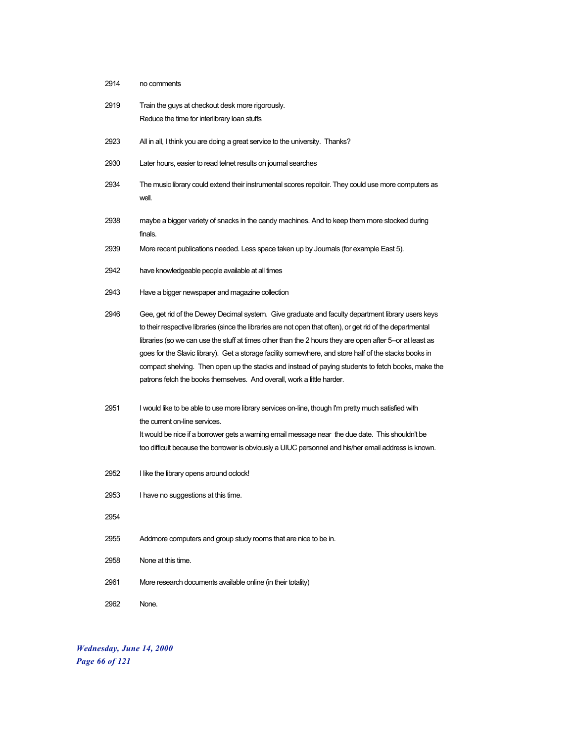| 2914 | no comments                                                                                                                                                                                                                                                                                                                                                                                                                                                                                                                                                                                                         |
|------|---------------------------------------------------------------------------------------------------------------------------------------------------------------------------------------------------------------------------------------------------------------------------------------------------------------------------------------------------------------------------------------------------------------------------------------------------------------------------------------------------------------------------------------------------------------------------------------------------------------------|
| 2919 | Train the guys at checkout desk more rigorously.<br>Reduce the time for interlibrary loan stuffs                                                                                                                                                                                                                                                                                                                                                                                                                                                                                                                    |
| 2923 | All in all, I think you are doing a great service to the university. Thanks?                                                                                                                                                                                                                                                                                                                                                                                                                                                                                                                                        |
| 2930 | Later hours, easier to read telnet results on journal searches                                                                                                                                                                                                                                                                                                                                                                                                                                                                                                                                                      |
| 2934 | The music library could extend their instrumental scores repoitoir. They could use more computers as<br>well.                                                                                                                                                                                                                                                                                                                                                                                                                                                                                                       |
| 2938 | maybe a bigger variety of snacks in the candy machines. And to keep them more stocked during<br>finals.                                                                                                                                                                                                                                                                                                                                                                                                                                                                                                             |
| 2939 | More recent publications needed. Less space taken up by Journals (for example East 5).                                                                                                                                                                                                                                                                                                                                                                                                                                                                                                                              |
| 2942 | have knowledgeable people available at all times                                                                                                                                                                                                                                                                                                                                                                                                                                                                                                                                                                    |
| 2943 | Have a bigger newspaper and magazine collection                                                                                                                                                                                                                                                                                                                                                                                                                                                                                                                                                                     |
| 2946 | Gee, get rid of the Dewey Decimal system. Give graduate and faculty department library users keys<br>to their respective libraries (since the libraries are not open that often), or get rid of the departmental<br>libraries (so we can use the stuff at times other than the 2 hours they are open after 5-or at least as<br>goes for the Slavic library). Get a storage facility somewhere, and store half of the stacks books in<br>compact shelving. Then open up the stacks and instead of paying students to fetch books, make the<br>patrons fetch the books themselves. And overall, work a little harder. |
| 2951 | I would like to be able to use more library services on-line, though I'm pretty much satisfied with<br>the current on-line services.<br>It would be nice if a borrower gets a warning email message near the due date. This shouldn't be<br>too difficult because the borrower is obviously a UIUC personnel and his/her email address is known.                                                                                                                                                                                                                                                                    |
| 2952 | I like the library opens around oclock!                                                                                                                                                                                                                                                                                                                                                                                                                                                                                                                                                                             |
| 2953 | I have no suggestions at this time.                                                                                                                                                                                                                                                                                                                                                                                                                                                                                                                                                                                 |
| 2954 |                                                                                                                                                                                                                                                                                                                                                                                                                                                                                                                                                                                                                     |
| 2955 | Addmore computers and group study rooms that are nice to be in.                                                                                                                                                                                                                                                                                                                                                                                                                                                                                                                                                     |
| 2958 | None at this time.                                                                                                                                                                                                                                                                                                                                                                                                                                                                                                                                                                                                  |
| 2961 | More research documents available online (in their totality)                                                                                                                                                                                                                                                                                                                                                                                                                                                                                                                                                        |
| 2962 | None.                                                                                                                                                                                                                                                                                                                                                                                                                                                                                                                                                                                                               |

*Wednesday, June 14, 2000 Page 66 of 121*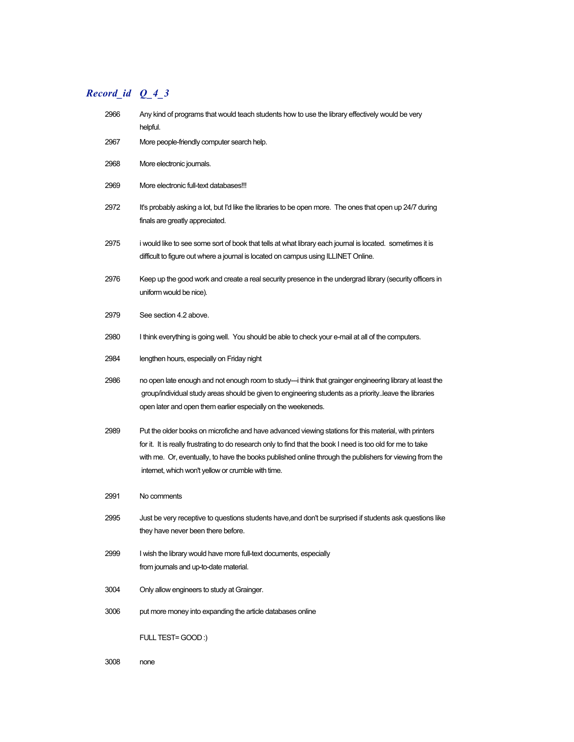# *Record\_id Q\_4\_3*

| 2966 | Any kind of programs that would teach students how to use the library effectively would be very<br>helpful.                                                                                                                                                                                                                                                                           |
|------|---------------------------------------------------------------------------------------------------------------------------------------------------------------------------------------------------------------------------------------------------------------------------------------------------------------------------------------------------------------------------------------|
| 2967 | More people-friendly computer search help.                                                                                                                                                                                                                                                                                                                                            |
| 2968 | More electronic journals.                                                                                                                                                                                                                                                                                                                                                             |
| 2969 | More electronic full-text databases!!!                                                                                                                                                                                                                                                                                                                                                |
| 2972 | It's probably asking a lot, but I'd like the libraries to be open more. The ones that open up 24/7 during<br>finals are greatly appreciated.                                                                                                                                                                                                                                          |
| 2975 | i would like to see some sort of book that tells at what library each journal is located. sometimes it is<br>difficult to figure out where a journal is located on campus using ILLINET Online.                                                                                                                                                                                       |
| 2976 | Keep up the good work and create a real security presence in the undergrad library (security officers in<br>uniform would be nice).                                                                                                                                                                                                                                                   |
| 2979 | See section 4.2 above.                                                                                                                                                                                                                                                                                                                                                                |
| 2980 | I think everything is going well. You should be able to check your e-mail at all of the computers.                                                                                                                                                                                                                                                                                    |
| 2984 | lengthen hours, especially on Friday night                                                                                                                                                                                                                                                                                                                                            |
| 2986 | no open late enough and not enough room to study---i think that grainger engineering library at least the<br>group/individual study areas should be given to engineering students as a priority. leave the libraries<br>open later and open them earlier especially on the weekeneds.                                                                                                 |
| 2989 | Put the older books on microfiche and have advanced viewing stations for this material, with printers<br>for it. It is really frustrating to do research only to find that the book I need is too old for me to take<br>with me. Or, eventually, to have the books published online through the publishers for viewing from the<br>internet, which won't yellow or crumble with time. |
| 2991 | No comments                                                                                                                                                                                                                                                                                                                                                                           |
| 2995 | Just be very receptive to questions students have, and don't be surprised if students ask questions like<br>they have never been there before.                                                                                                                                                                                                                                        |
| 2999 | I wish the library would have more full-text documents, especially<br>from journals and up-to-date material.                                                                                                                                                                                                                                                                          |
| 3004 | Only allow engineers to study at Grainger.                                                                                                                                                                                                                                                                                                                                            |
| 3006 | put more money into expanding the article databases online                                                                                                                                                                                                                                                                                                                            |
|      | FULL TEST=GOOD:)                                                                                                                                                                                                                                                                                                                                                                      |

3008 none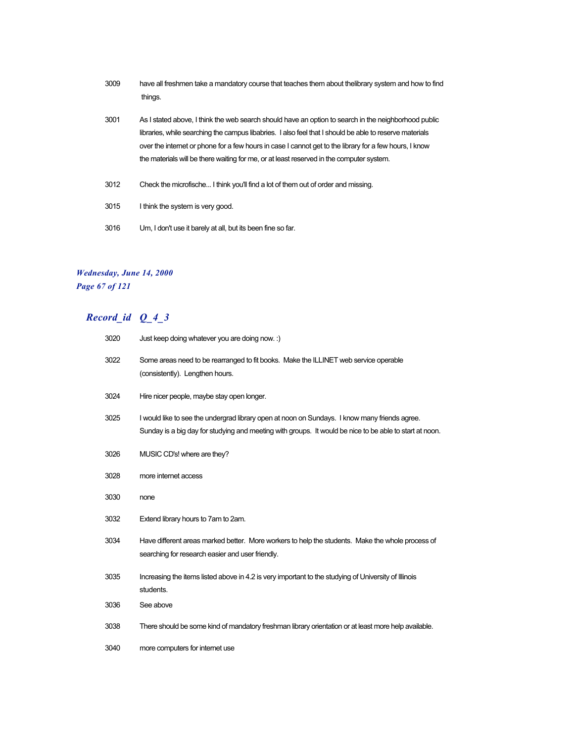- have all freshmen take a mandatory course that teaches them about thelibrary system and how to find things.
- As I stated above, I think the web search should have an option to search in the neighborhood public libraries, while searching the campus libabries. I also feel that I should be able to reserve materials over the internet or phone for a few hours in case I cannot get to the library for a few hours, I know the materials will be there waiting for me, or at least reserved in the computer system.
- Check the microfische... I think you'll find a lot of them out of order and missing.
- I think the system is very good.
- Um, I don't use it barely at all, but its been fine so far.

### *Wednesday, June 14, 2000 Page 67 of 121*

| 3020 | Just keep doing whatever you are doing now. :)                                                                                                                                                           |
|------|----------------------------------------------------------------------------------------------------------------------------------------------------------------------------------------------------------|
| 3022 | Some areas need to be rearranged to fit books. Make the ILLINET web service operable<br>(consistently). Lengthen hours.                                                                                  |
| 3024 | Hire nicer people, maybe stay open longer.                                                                                                                                                               |
| 3025 | I would like to see the undergrad library open at noon on Sundays. I know many friends agree.<br>Sunday is a big day for studying and meeting with groups. It would be nice to be able to start at noon. |
| 3026 | MUSIC CD's! where are they?                                                                                                                                                                              |
| 3028 | more internet access                                                                                                                                                                                     |
| 3030 | none                                                                                                                                                                                                     |
| 3032 | Extend library hours to 7am to 2am.                                                                                                                                                                      |
| 3034 | Have different areas marked better. More workers to help the students. Make the whole process of<br>searching for research easier and user friendly.                                                     |
| 3035 | Increasing the items listed above in 4.2 is very important to the studying of University of Illinois<br>students.                                                                                        |
| 3036 | See above                                                                                                                                                                                                |
| 3038 | There should be some kind of mandatory freshman library orientation or at least more help available.                                                                                                     |
| 3040 | more computers for internet use                                                                                                                                                                          |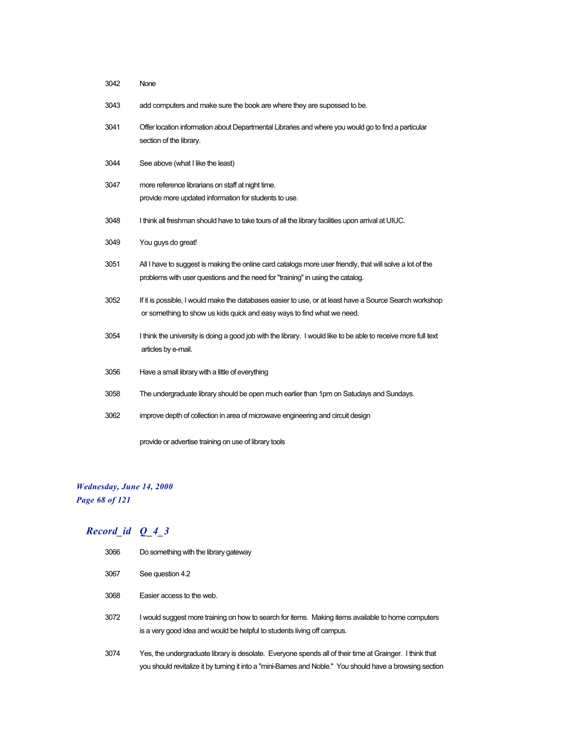| 3042 | None                                                                                                                                                                                        |
|------|---------------------------------------------------------------------------------------------------------------------------------------------------------------------------------------------|
| 3043 | add computers and make sure the book are where they are supossed to be.                                                                                                                     |
| 3041 | Offer location information about Departmental Libraries and where you would go to find a particular<br>section of the library.                                                              |
| 3044 | See above (what I like the least)                                                                                                                                                           |
| 3047 | more reference librarians on staff at night time.<br>provide more updated information for students to use.                                                                                  |
| 3048 | I think all freshman should have to take tours of all the library facilities upon arrival at UIUC.                                                                                          |
| 3049 | You guys do great!                                                                                                                                                                          |
| 3051 | All I have to suggest is making the online card catalogs more user friendly, that will solve a lot of the<br>problems with user questions and the need for "training" in using the catalog. |
| 3052 | If it is possible, I would make the databases easier to use, or at least have a Source Search workshop<br>or something to show us kids quick and easy ways to find what we need.            |
| 3054 | I think the university is doing a good job with the library. I would like to be able to receive more full text<br>articles by e-mail.                                                       |
| 3056 | Have a small library with a little of everything                                                                                                                                            |
| 3058 | The undergraduate library should be open much earlier than 1pm on Satudays and Sundays.                                                                                                     |
| 3062 | improve depth of collection in area of microwave engineering and circuit design                                                                                                             |
|      | provide or advertise training on use of library tools                                                                                                                                       |

## *Wednesday, June 14, 2000 Page 68 of 121*

| 3066 | Do something with the library gateway                                                                                                                                                                                |
|------|----------------------------------------------------------------------------------------------------------------------------------------------------------------------------------------------------------------------|
| 3067 | See question 4.2                                                                                                                                                                                                     |
| 3068 | Easier access to the web.                                                                                                                                                                                            |
| 3072 | I would suggest more training on how to search for items. Making items available to home computers<br>is a very good idea and would be helpful to students living off campus.                                        |
| 3074 | Yes, the undergraduate library is desolate. Everyone spends all of their time at Grainger. I think that<br>you should revitalize it by turning it into a "mini-Barnes and Noble." You should have a browsing section |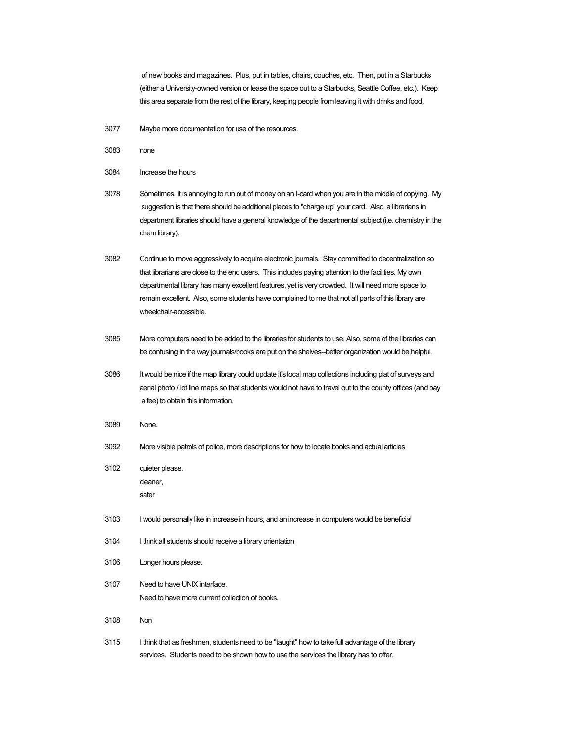of new books and magazines. Plus, put in tables, chairs, couches, etc. Then, put in a Starbucks (either a University-owned version or lease the space out to a Starbucks, Seattle Coffee, etc.). Keep this area separate from the rest of the library, keeping people from leaving it with drinks and food.

3077 Maybe more documentation for use of the resources.

3083 none

```
3084 Increase the hours
```
- 3078 Sometimes, it is annoying to run out of money on an I-card when you are in the middle of copying. My suggestion is that there should be additional places to "charge up" your card. Also, a librarians in department libraries should have a general knowledge of the departmental subject (i.e. chemistry in the chem library).
- 3082 Continue to move aggressively to acquire electronic journals. Stay committed to decentralization so that librarians are close to the end users. This includes paying attention to the facilities. My own departmental library has many excellent features, yet is very crowded. It will need more space to remain excellent. Also, some students have complained to me that not all parts of this library are wheelchair-accessible.
- 3085 More computers need to be added to the libraries for students to use. Also, some of the libraries can be confusing in the way journals/books are put on the shelves--better organization would be helpful.
- 3086 It would be nice if the map library could update it's local map collections including plat of surveys and aerial photo / lot line maps so that students would not have to travel out to the county offices (and pay a fee) to obtain this information.
- 3089 None.
- 3092 More visible patrols of police, more descriptions for how to locate books and actual articles
- 3102 quieter please. cleaner, safer
- 3103 I would personally like in increase in hours, and an increase in computers would be beneficial
- 3104 I think all students should receive a library orientation
- 3106 Longer hours please.
- 3107 Need to have UNIX interface. Need to have more current collection of books.
- 3108 Non
- 3115 I think that as freshmen, students need to be "taught" how to take full advantage of the library services. Students need to be shown how to use the services the library has to offer.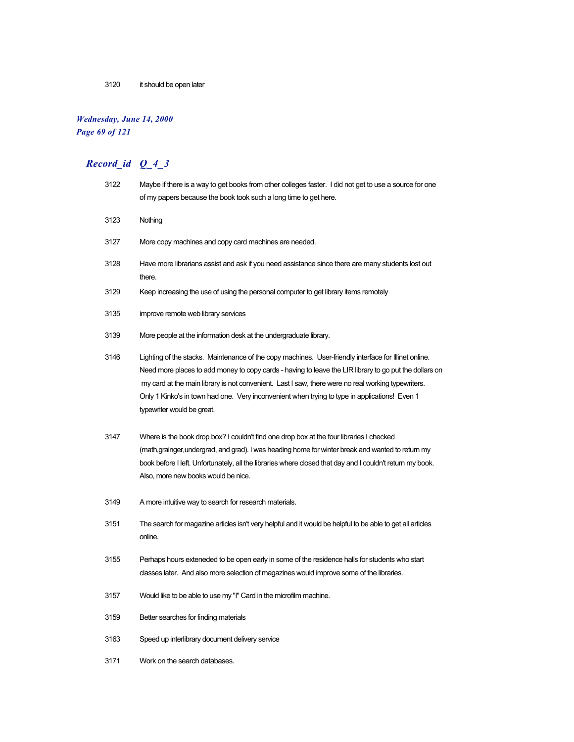### 3120 it should be open later

## *Wednesday, June 14, 2000*

*Page 69 of 121*

| 3122 | Maybe if there is a way to get books from other colleges faster. I did not get to use a source for one<br>of my papers because the book took such a long time to get here.                                                                                                                                                                                                                                                                           |
|------|------------------------------------------------------------------------------------------------------------------------------------------------------------------------------------------------------------------------------------------------------------------------------------------------------------------------------------------------------------------------------------------------------------------------------------------------------|
| 3123 | Nothing                                                                                                                                                                                                                                                                                                                                                                                                                                              |
| 3127 | More copy machines and copy card machines are needed.                                                                                                                                                                                                                                                                                                                                                                                                |
| 3128 | Have more librarians assist and ask if you need assistance since there are many students lost out<br>there.                                                                                                                                                                                                                                                                                                                                          |
| 3129 | Keep increasing the use of using the personal computer to get library items remotely                                                                                                                                                                                                                                                                                                                                                                 |
| 3135 | improve remote web library services                                                                                                                                                                                                                                                                                                                                                                                                                  |
| 3139 | More people at the information desk at the undergraduate library.                                                                                                                                                                                                                                                                                                                                                                                    |
| 3146 | Lighting of the stacks. Maintenance of the copy machines. User-friendly interface for Illinet online.<br>Need more places to add money to copy cards - having to leave the LIR library to go put the dollars on<br>my card at the main library is not convenient. Last I saw, there were no real working typewriters.<br>Only 1 Kinko's in town had one. Very inconvenient when trying to type in applications! Even 1<br>typewriter would be great. |
| 3147 | Where is the book drop box? I couldn't find one drop box at the four libraries I checked<br>(math,grainger,undergrad, and grad). I was heading home for winter break and wanted to return my<br>book before I left. Unfortunately, all the libraries where closed that day and I couldn't return my book.<br>Also, more new books would be nice.                                                                                                     |
| 3149 | A more intuitive way to search for research materials.                                                                                                                                                                                                                                                                                                                                                                                               |
| 3151 | The search for magazine articles isn't very helpful and it would be helpful to be able to get all articles<br>online.                                                                                                                                                                                                                                                                                                                                |
| 3155 | Perhaps hours exteneded to be open early in some of the residence halls for students who start<br>classes later. And also more selection of magazines would improve some of the libraries.                                                                                                                                                                                                                                                           |
| 3157 | Would like to be able to use my "I" Card in the microfilm machine.                                                                                                                                                                                                                                                                                                                                                                                   |
| 3159 | Better searches for finding materials                                                                                                                                                                                                                                                                                                                                                                                                                |
| 3163 | Speed up interlibrary document delivery service                                                                                                                                                                                                                                                                                                                                                                                                      |
| 3171 | Work on the search databases.                                                                                                                                                                                                                                                                                                                                                                                                                        |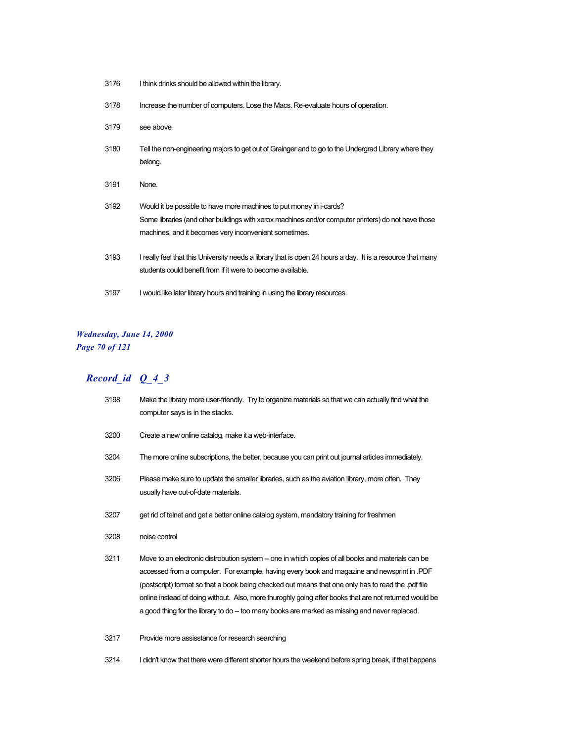| 3176 | I think drinks should be allowed within the library.                                                                                                                                                                                |
|------|-------------------------------------------------------------------------------------------------------------------------------------------------------------------------------------------------------------------------------------|
| 3178 | Increase the number of computers. Lose the Macs. Re-evaluate hours of operation.                                                                                                                                                    |
| 3179 | see above                                                                                                                                                                                                                           |
| 3180 | Tell the non-engineering majors to get out of Grainger and to go to the Undergrad Library where they<br>belong.                                                                                                                     |
| 3191 | None.                                                                                                                                                                                                                               |
| 3192 | Would it be possible to have more machines to put money in i-cards?<br>Some libraries (and other buildings with xerox machines and/or computer printers) do not have those<br>machines, and it becomes very inconvenient sometimes. |
| 3193 | I really feel that this University needs a library that is open 24 hours a day. It is a resource that many<br>students could benefit from if it were to become available.                                                           |
| 3197 | I would like later library hours and training in using the library resources.                                                                                                                                                       |

## *Wednesday, June 14, 2000 Page 70 of 121*

# *Record\_id Q\_4\_3*

| 3198 | Make the library more user-friendly. Try to organize materials so that we can actually find what the<br>computer says is in the stacks.                                                                                                                                                                                                                                                                                                                                                                           |
|------|-------------------------------------------------------------------------------------------------------------------------------------------------------------------------------------------------------------------------------------------------------------------------------------------------------------------------------------------------------------------------------------------------------------------------------------------------------------------------------------------------------------------|
| 3200 | Create a new online catalog, make it a web-interface.                                                                                                                                                                                                                                                                                                                                                                                                                                                             |
| 3204 | The more online subscriptions, the better, because you can print out journal articles immediately.                                                                                                                                                                                                                                                                                                                                                                                                                |
| 3206 | Please make sure to update the smaller libraries, such as the aviation library, more often. They<br>usually have out-of-date materials.                                                                                                                                                                                                                                                                                                                                                                           |
| 3207 | get rid of telnet and get a better online catalog system, mandatory training for freshmen                                                                                                                                                                                                                                                                                                                                                                                                                         |
| 3208 | noise control                                                                                                                                                                                                                                                                                                                                                                                                                                                                                                     |
| 3211 | Move to an electronic distrobution system – one in which copies of all books and materials can be<br>accessed from a computer. For example, having every book and magazine and newsprint in .PDF<br>(postscript) format so that a book being checked out means that one only has to read the .pdf file<br>online instead of doing without. Also, more thuroghly going after books that are not returned would be<br>a good thing for the library to do - too many books are marked as missing and never replaced. |
| 3217 | Provide more assisstance for research searching                                                                                                                                                                                                                                                                                                                                                                                                                                                                   |

3214 I didn't know that there were different shorter hours the weekend before spring break, if that happens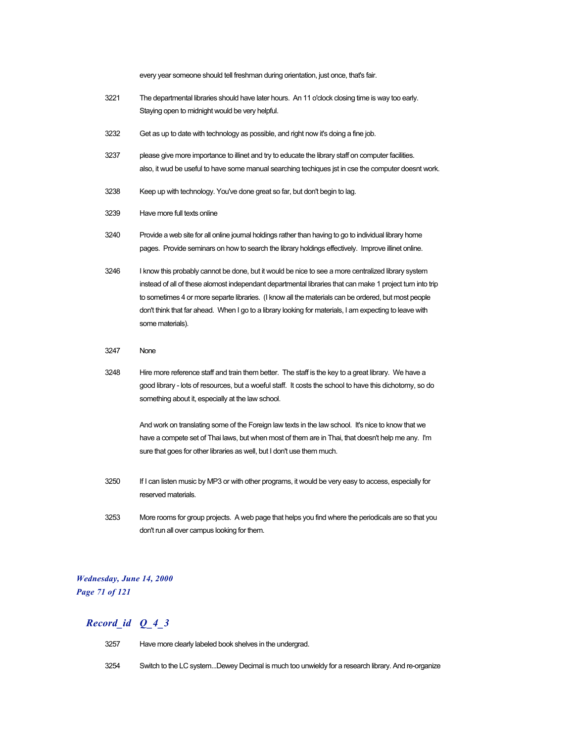every year someone should tell freshman during orientation, just once, that's fair.

- 3221 The departmental libraries should have later hours. An 11 o'clock closing time is way too early. Staying open to midnight would be very helpful.
- 3232 Get as up to date with technology as possible, and right now it's doing a fine job.
- 3237 please give more importance to illinet and try to educate the library staff on computer facilities. also, it wud be useful to have some manual searching techiques jst in cse the computer doesnt work.
- 3238 Keep up with technology. You've done great so far, but don't begin to lag.
- 3239 Have more full texts online
- 3240 Provide a web site for all online journal holdings rather than having to go to individual library home pages. Provide seminars on how to search the library holdings effectively. Improve illinet online.
- 3246 I know this probably cannot be done, but it would be nice to see a more centralized library system instead of all of these alomost independant departmental libraries that can make 1 project turn into trip to sometimes 4 or more separte libraries. (I know all the materials can be ordered, but most people don't think that far ahead. When I go to a library looking for materials, I am expecting to leave with some materials).
- 3247 None
- 3248 Hire more reference staff and train them better. The staff is the key to a great library. We have a good library - lots of resources, but a woeful staff. It costs the school to have this dichotomy, so do something about it, especially at the law school.

And work on translating some of the Foreign law texts in the law school. It's nice to know that we have a compete set of Thai laws, but when most of them are in Thai, that doesn't help me any. I'm sure that goes for other libraries as well, but I don't use them much.

- 3250 If I can listen music by MP3 or with other programs, it would be very easy to access, especially for reserved materials.
- 3253 More rooms for group projects. A web page that helps you find where the periodicals are so that you don't run all over campus looking for them.

### *Wednesday, June 14, 2000 Page 71 of 121*

- 3257 Have more clearly labeled book shelves in the undergrad.
- 3254 Switch to the LC system...Dewey Decimal is much too unwieldy for a research library. And re-organize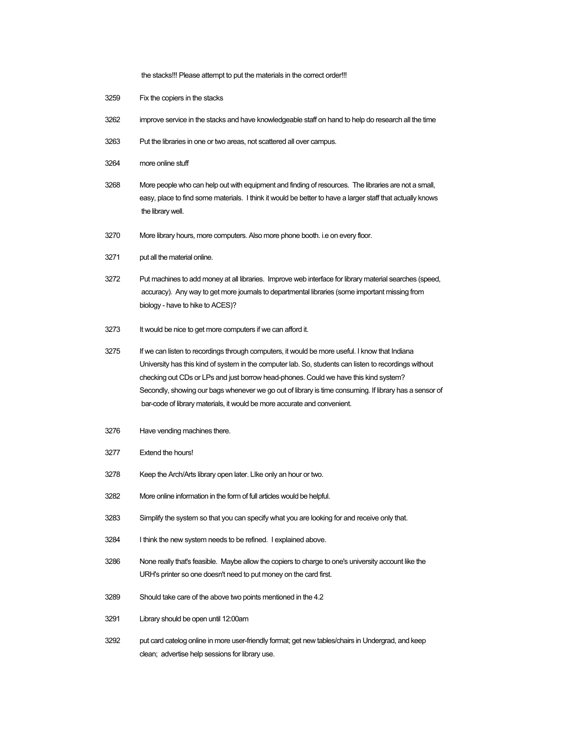the stacks!!! Please attempt to put the materials in the correct order!!!

- Fix the copiers in the stacks
- improve service in the stacks and have knowledgeable staff on hand to help do research all the time
- Put the libraries in one or two areas, not scattered all over campus.
- more online stuff
- More people who can help out with equipment and finding of resources. The libraries are not a small, easy, place to find some materials. I think it would be better to have a larger staff that actually knows the library well.
- More library hours, more computers. Also more phone booth. i.e on every floor.
- put all the material online.
- Put machines to add money at all libraries. Improve web interface for library material searches (speed, accuracy). Any way to get more journals to departmental libraries (some important missing from biology - have to hike to ACES)?
- It would be nice to get more computers if we can afford it.
- 3275 If we can listen to recordings through computers, it would be more useful. I know that Indiana University has this kind of system in the computer lab. So, students can listen to recordings without checking out CDs or LPs and just borrow head-phones. Could we have this kind system? Secondly, showing our bags whenever we go out of library is time consuming. If library has a sensor of bar-code of library materials, it would be more accurate and convenient.
- Have vending machines there.
- Extend the hours!
- Keep the Arch/Arts library open later. LIke only an hour or two.
- More online information in the form of full articles would be helpful.
- Simplify the system so that you can specify what you are looking for and receive only that.
- I think the new system needs to be refined. I explained above.
- None really that's feasible. Maybe allow the copiers to charge to one's university account like the URH's printer so one doesn't need to put money on the card first.
- Should take care of the above two points mentioned in the 4.2
- Library should be open until 12:00am
- put card catelog online in more user-friendly format; get new tables/chairs in Undergrad, and keep clean; advertise help sessions for library use.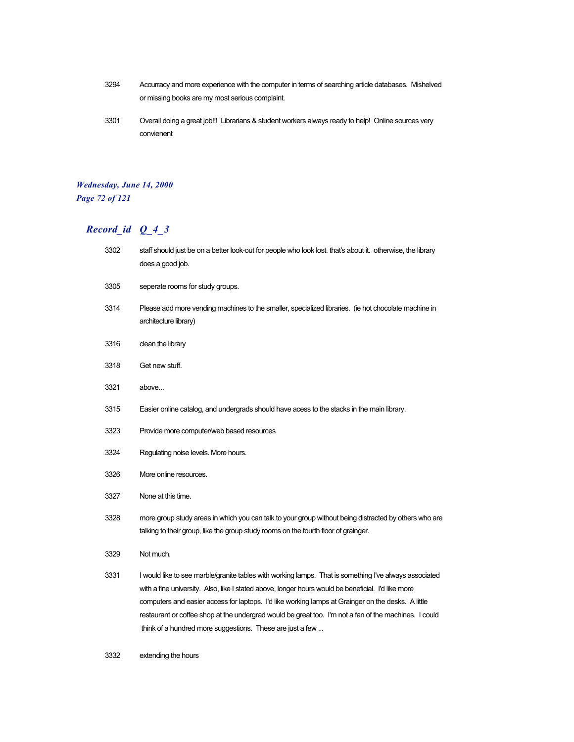- 3294 Accurracy and more experience with the computer in terms of searching article databases. Mishelved or missing books are my most serious complaint.
- 3301 Overall doing a great job!!! Librarians & student workers always ready to help! Online sources very convienent

## *Wednesday, June 14, 2000 Page 72 of 121*

# *Record\_id Q\_4\_3*

| 3302 | staff should just be on a better look-out for people who look lost. that's about it. otherwise, the library<br>does a good job.                                                                                                                                                                                                                                                                                                                                                          |
|------|------------------------------------------------------------------------------------------------------------------------------------------------------------------------------------------------------------------------------------------------------------------------------------------------------------------------------------------------------------------------------------------------------------------------------------------------------------------------------------------|
| 3305 | seperate rooms for study groups.                                                                                                                                                                                                                                                                                                                                                                                                                                                         |
| 3314 | Please add more vending machines to the smaller, specialized libraries. (ie hot chocolate machine in<br>architecture library)                                                                                                                                                                                                                                                                                                                                                            |
| 3316 | clean the library                                                                                                                                                                                                                                                                                                                                                                                                                                                                        |
| 3318 | Get new stuff.                                                                                                                                                                                                                                                                                                                                                                                                                                                                           |
| 3321 | above                                                                                                                                                                                                                                                                                                                                                                                                                                                                                    |
| 3315 | Easier online catalog, and undergrads should have acess to the stacks in the main library.                                                                                                                                                                                                                                                                                                                                                                                               |
| 3323 | Provide more computer/web based resources                                                                                                                                                                                                                                                                                                                                                                                                                                                |
| 3324 | Regulating noise levels. More hours.                                                                                                                                                                                                                                                                                                                                                                                                                                                     |
| 3326 | More online resources.                                                                                                                                                                                                                                                                                                                                                                                                                                                                   |
| 3327 | None at this time.                                                                                                                                                                                                                                                                                                                                                                                                                                                                       |
| 3328 | more group study areas in which you can talk to your group without being distracted by others who are<br>talking to their group, like the group study rooms on the fourth floor of grainger.                                                                                                                                                                                                                                                                                             |
| 3329 | Not much.                                                                                                                                                                                                                                                                                                                                                                                                                                                                                |
| 3331 | I would like to see marble/granite tables with working lamps. That is something I've always associated<br>with a fine university. Also, like I stated above, longer hours would be beneficial. I'd like more<br>computers and easier access for laptops. I'd like working lamps at Grainger on the desks. A little<br>restaurant or coffee shop at the undergrad would be great too. I'm not a fan of the machines. I could<br>think of a hundred more suggestions. These are just a few |

3332 extending the hours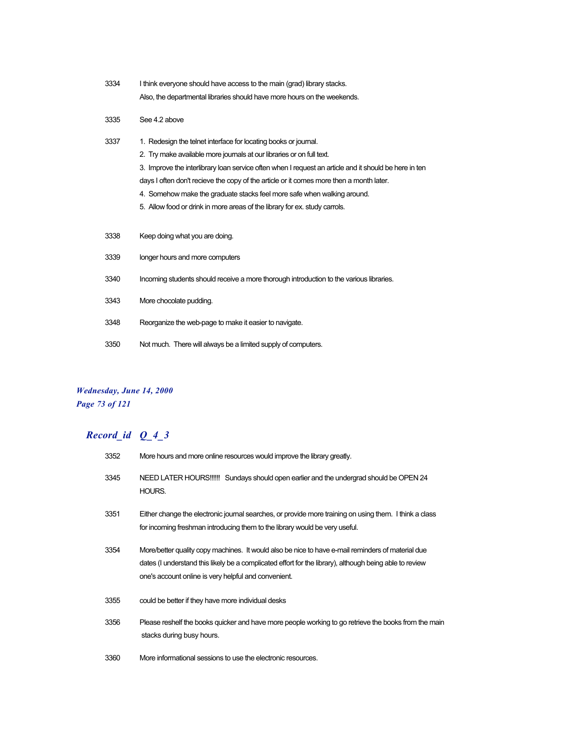| 3334 | I think everyone should have access to the main (grad) library stacks.   |
|------|--------------------------------------------------------------------------|
|      | Also, the departmental libraries should have more hours on the weekends. |

- 3335 See 4.2 above
- 3337 1. Redesign the telnet interface for locating books or journal. 2. Try make available more journals at our libraries or on full text. 3. Improve the interlibrary loan service often when I request an article and it should be here in ten days I often don't recieve the copy of the article or it comes more then a month later. 4. Somehow make the graduate stacks feel more safe when walking around. 5. Allow food or drink in more areas of the library for ex. study carrols. 3338 Keep doing what you are doing. 3339 longer hours and more computers 3340 Incoming students should receive a more thorough introduction to the various libraries. 3343 More chocolate pudding. 3348 Reorganize the web-page to make it easier to navigate. 3350 Not much. There will always be a limited supply of computers.

### *Wednesday, June 14, 2000 Page 73 of 121*

| 3352 | More hours and more online resources would improve the library greatly.                                                                                                                                                                                              |  |
|------|----------------------------------------------------------------------------------------------------------------------------------------------------------------------------------------------------------------------------------------------------------------------|--|
| 3345 | NEED LATER HOURS!!!!!! Sundays should open earlier and the undergrad should be OPEN 24<br>HOURS.                                                                                                                                                                     |  |
| 3351 | Either change the electronic journal searches, or provide more training on using them. I think a class<br>for incoming freshman introducing them to the library would be very useful.                                                                                |  |
| 3354 | More/better quality copy machines. It would also be nice to have e-mail reminders of material due<br>dates (I understand this likely be a complicated effort for the library), although being able to review<br>one's account online is very helpful and convenient. |  |
| 3355 | could be better if they have more individual desks                                                                                                                                                                                                                   |  |
| 3356 | Please reshelf the books quicker and have more people working to go retrieve the books from the main<br>stacks during busy hours.                                                                                                                                    |  |
| 3360 | More informational sessions to use the electronic resources.                                                                                                                                                                                                         |  |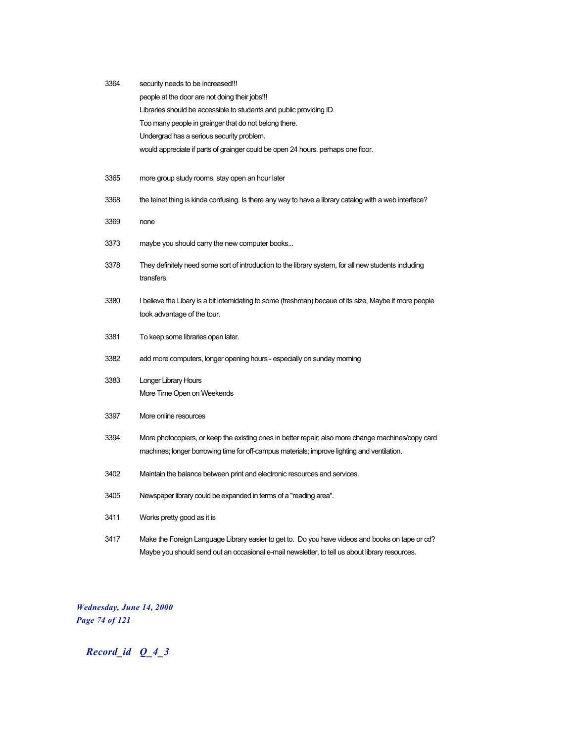| 3364 | security needs to be increased!!!                                                                                  |  |  |
|------|--------------------------------------------------------------------------------------------------------------------|--|--|
|      | people at the door are not doing their jobs!!!                                                                     |  |  |
|      | Libraries should be accessible to students and public providing ID.                                                |  |  |
|      | Too many people in grainger that do not belong there.                                                              |  |  |
|      | Undergrad has a serious security problem.                                                                          |  |  |
|      | would appreciate if parts of grainger could be open 24 hours. perhaps one floor.                                   |  |  |
|      |                                                                                                                    |  |  |
| 3365 | more group study rooms, stay open an hour later                                                                    |  |  |
| 3368 | the telnet thing is kinda confusing. Is there any way to have a library catalog with a web interface?              |  |  |
| 3369 | none                                                                                                               |  |  |
| 3373 | maybe you should carry the new computer books                                                                      |  |  |
|      |                                                                                                                    |  |  |
| 3378 | They definitely need some sort of introduction to the library system, for all new students including<br>transfers. |  |  |
| 3380 | I believe the Libary is a bit intemidating to some (freshman) becaue of its size, Maybe if more people             |  |  |
|      | took advantage of the tour.                                                                                        |  |  |
|      |                                                                                                                    |  |  |
| 3381 | To keep some libraries open later.                                                                                 |  |  |
| 3382 | add more computers, longer opening hours - especially on sunday moming                                             |  |  |
| 3383 | <b>Longer Library Hours</b>                                                                                        |  |  |
|      | More Time Open on Weekends                                                                                         |  |  |
| 3397 | More online resources                                                                                              |  |  |
| 3394 | More photocopiers, or keep the existing ones in better repair; also more change machines/copy card                 |  |  |
|      | machines; longer borrowing time for off-campus materials; improve lighting and ventilation.                        |  |  |
| 3402 | Maintain the balance between print and electronic resources and services.                                          |  |  |
| 3405 | Newspaper library could be expanded in terms of a "reading area".                                                  |  |  |
| 3411 | Works pretty good as it is                                                                                         |  |  |
| 3417 | Make the Foreign Language Library easier to get to. Do you have videos and books on tape or cd?                    |  |  |
|      | Maybe you should send out an occasional e-mail newsletter, to tell us about library resources.                     |  |  |

*Wednesday, June 14, 2000 Page 74 of 121*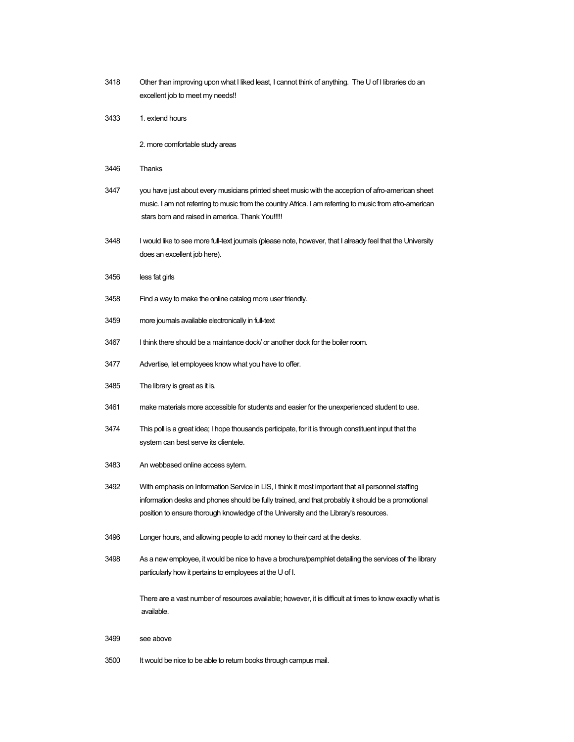| 3418 | Other than improving upon what I liked least, I cannot think of anything. The U of I libraries do an<br>excellent job to meet my needs!!                                                                                                                                                         |
|------|--------------------------------------------------------------------------------------------------------------------------------------------------------------------------------------------------------------------------------------------------------------------------------------------------|
| 3433 | 1. extend hours                                                                                                                                                                                                                                                                                  |
|      | 2. more comfortable study areas                                                                                                                                                                                                                                                                  |
| 3446 | Thanks                                                                                                                                                                                                                                                                                           |
| 3447 | you have just about every musicians printed sheet music with the acception of afro-american sheet<br>music. I am not referring to music from the country Africa. I am referring to music from afro-american<br>stars born and raised in america. Thank You!!!!!                                  |
| 3448 | I would like to see more full-text journals (please note, however, that I already feel that the University<br>does an excellent job here).                                                                                                                                                       |
| 3456 | less fat girls                                                                                                                                                                                                                                                                                   |
| 3458 | Find a way to make the online catalog more user friendly.                                                                                                                                                                                                                                        |
| 3459 | more journals available electronically in full-text                                                                                                                                                                                                                                              |
| 3467 | I think there should be a maintance dock/ or another dock for the boiler room.                                                                                                                                                                                                                   |
| 3477 | Advertise, let employees know what you have to offer.                                                                                                                                                                                                                                            |
| 3485 | The library is great as it is.                                                                                                                                                                                                                                                                   |
| 3461 | make materials more accessible for students and easier for the unexperienced student to use.                                                                                                                                                                                                     |
| 3474 | This poll is a great idea; I hope thousands participate, for it is through constituent input that the<br>system can best serve its clientele.                                                                                                                                                    |
| 3483 | An webbased online access sytem.                                                                                                                                                                                                                                                                 |
| 3492 | With emphasis on Information Service in LIS, I think it most important that all personnel staffing<br>information desks and phones should be fully trained, and that probably it should be a promotional<br>position to ensure thorough knowledge of the University and the Library's resources. |
| 3496 | Longer hours, and allowing people to add money to their card at the desks.                                                                                                                                                                                                                       |
| 3498 | As a new employee, it would be nice to have a brochure/pamphlet detailing the services of the library<br>particularly how it pertains to employees at the U of I.                                                                                                                                |
|      | There are a vast number of resources available; however, it is difficult at times to know exactly what is<br>available.                                                                                                                                                                          |
| 3499 | see above                                                                                                                                                                                                                                                                                        |
| 3500 | It would be nice to be able to return books through campus mail.                                                                                                                                                                                                                                 |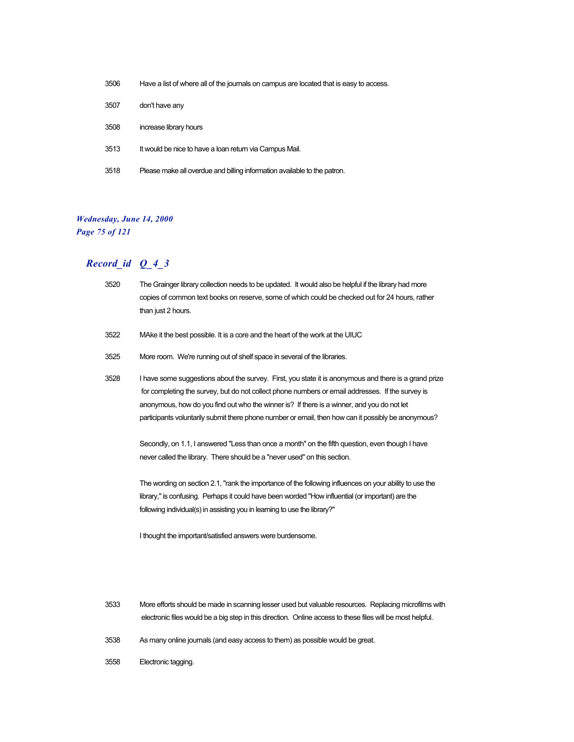| 3506 | Have a list of where all of the journals on campus are located that is easy to access. |
|------|----------------------------------------------------------------------------------------|
| 3507 | don't have any                                                                         |
| 3508 | increase library hours                                                                 |
| 3513 | It would be nice to have a loan return via Campus Mail.                                |
| 3518 | Please make all overdue and billing information available to the patron.               |

## *Wednesday, June 14, 2000 Page 75 of 121*

| 3520 | The Grainger library collection needs to be updated. It would also be helpful if the library had more<br>copies of common text books on reserve, some of which could be checked out for 24 hours, rather<br>than just 2 hours.                                                                                                                                                                                 |  |
|------|----------------------------------------------------------------------------------------------------------------------------------------------------------------------------------------------------------------------------------------------------------------------------------------------------------------------------------------------------------------------------------------------------------------|--|
| 3522 | MAke it the best possible. It is a core and the heart of the work at the UIUC                                                                                                                                                                                                                                                                                                                                  |  |
| 3525 | More room. We're running out of shelf space in several of the libraries.                                                                                                                                                                                                                                                                                                                                       |  |
| 3528 | I have some suggestions about the survey. First, you state it is anonymous and there is a grand prize<br>for completing the survey, but do not collect phone numbers or email addresses. If the survey is<br>anonymous, how do you find out who the winner is? If there is a winner, and you do not let<br>participants voluntarily submit there phone number or email, then how can it possibly be anonymous? |  |
|      | Secondly, on 1.1, I answered "Less than once a month" on the fifth question, even though I have<br>never called the library. There should be a "never used" on this section.                                                                                                                                                                                                                                   |  |
|      | The wording on section 2.1, "rank the importance of the following influences on your ability to use the<br>library," is confusing. Perhaps it could have been worded "How influential (or important) are the<br>following individual(s) in assisting you in learning to use the library?"                                                                                                                      |  |
|      | I thought the important/satisfied answers were burdensome.                                                                                                                                                                                                                                                                                                                                                     |  |

- 3533 More efforts should be made in scanning lesser used but valuable resources. Replacing microfilms with electronic files would be a big step in this direction. Online access to these files will be most helpful.
- 3538 As many online journals (and easy access to them) as possible would be great.
- 3558 Electronic tagging.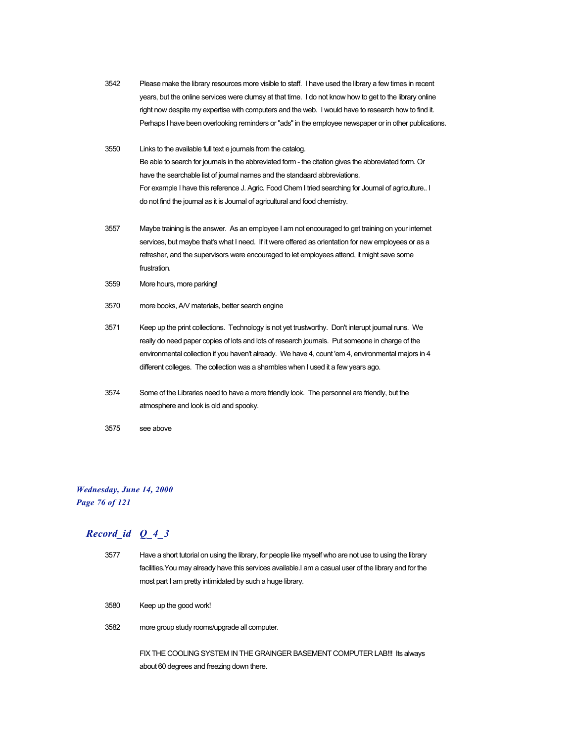- 3542 Please make the library resources more visible to staff. I have used the library a few times in recent years, but the online services were clumsy at that time. I do not know how to get to the library online right now despite my expertise with computers and the web. I would have to research how to find it. Perhaps I have been overlooking reminders or "ads" in the employee newspaper or in other publications.
- 3550 Links to the available full text e journals from the catalog. Be able to search for journals in the abbreviated form - the citation gives the abbreviated form. Or have the searchable list of journal names and the standaard abbreviations. For example I have this reference J. Agric. Food Chem I tried searching for Journal of agriculture.. I do not find the journal as it is Journal of agricultural and food chemistry.
- 3557 Maybe training is the answer. As an employee I am not encouraged to get training on your internet services, but maybe that's what I need. If it were offered as orientation for new employees or as a refresher, and the supervisors were encouraged to let employees attend, it might save some frustration.
- 3559 More hours, more parking!
- 3570 more books, A/V materials, better search engine
- 3571 Keep up the print collections. Technology is not yet trustworthy. Don't interupt journal runs. We really do need paper copies of lots and lots of research journals. Put someone in charge of the environmental collection if you haven't already. We have 4, count 'em 4, environmental majors in 4 different colleges. The collection was a shambles when I used it a few years ago.
- 3574 Some of the Libraries need to have a more friendly look. The personnel are friendly, but the atmosphere and look is old and spooky.
- 3575 see above

### *Wednesday, June 14, 2000 Page 76 of 121*

## *Record\_id Q\_4\_3*

- 3577 Have a short tutorial on using the library, for people like myself who are not use to using the library facilities.You may already have this services available.I am a casual user of the library and for the most part I am pretty intimidated by such a huge library.
- 3580 Keep up the good work!
- 3582 more group study rooms/upgrade all computer.

FIX THE COOLING SYSTEM IN THE GRAINGER BASEMENT COMPUTER LAB!!! Its always about 60 degrees and freezing down there.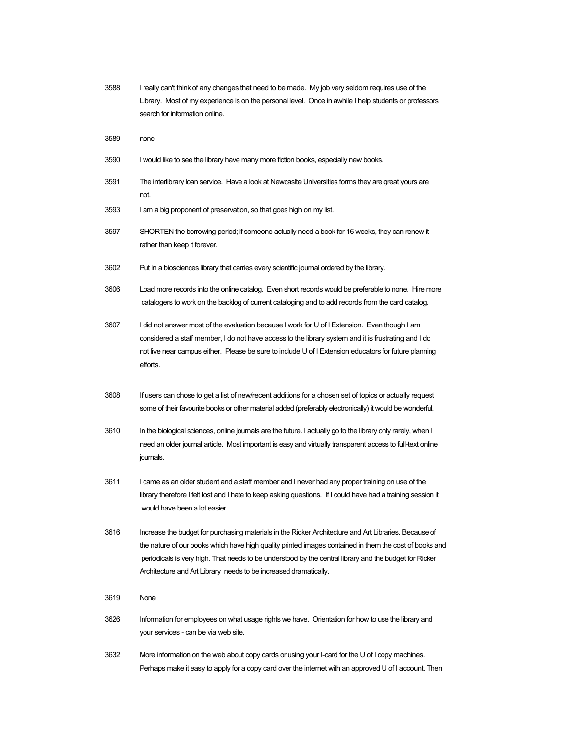| 3588 | I really can't think of any changes that need to be made. My job very seldom requires use of the      |  |
|------|-------------------------------------------------------------------------------------------------------|--|
|      | Library. Most of my experience is on the personal level. Once in awhile I help students or professors |  |
|      | search for information online.                                                                        |  |

- 3589 none
- 3590 I would like to see the library have many more fiction books, especially new books.
- 3591 The interlibrary loan service. Have a look at Newcaslte Universities forms they are great yours are not.
- 3593 I am a big proponent of preservation, so that goes high on my list.
- 3597 SHORTEN the borrowing period; if someone actually need a book for 16 weeks, they can renew it rather than keep it forever.
- 3602 Put in a biosciences library that carries every scientific journal ordered by the library.
- 3606 Load more records into the online catalog. Even short records would be preferable to none. Hire more catalogers to work on the backlog of current cataloging and to add records from the card catalog.
- 3607 I did not answer most of the evaluation because I work for U of I Extension. Even though I am considered a staff member, I do not have access to the library system and it is frustrating and I do not live near campus either. Please be sure to include U of I Extension educators for future planning efforts.
- 3608 If users can chose to get a list of new/recent additions for a chosen set of topics or actually request some of their favourite books or other material added (preferably electronically) it would be wonderful.
- 3610 In the biological sciences, online journals are the future. I actually go to the library only rarely, when I need an older journal article. Most important is easy and virtually transparent access to full-text online journals.
- 3611 I came as an older student and a staff member and I never had any proper training on use of the library therefore I felt lost and I hate to keep asking questions. If I could have had a training session it would have been a lot easier
- 3616 Increase the budget for purchasing materials in the Ricker Architecture and Art Libraries. Because of the nature of our books which have high quality printed images contained in them the cost of books and periodicals is very high. That needs to be understood by the central library and the budget for Ricker Architecture and Art Library needs to be increased dramatically.
- 3619 None
- 3626 Information for employees on what usage rights we have. Orientation for how to use the library and your services - can be via web site.
- 3632 More information on the web about copy cards or using your I-card for the U of I copy machines. Perhaps make it easy to apply for a copy card over the internet with an approved U of I account. Then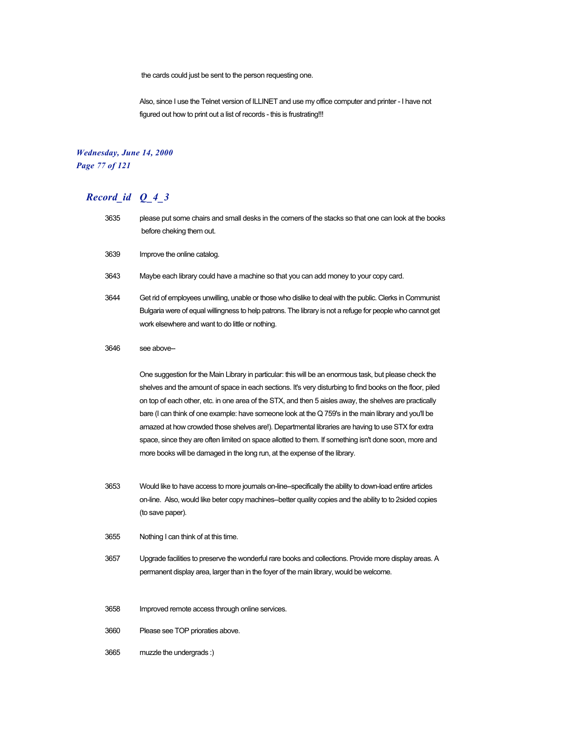the cards could just be sent to the person requesting one.

Also, since I use the Telnet version of ILLINET and use my office computer and printer - I have not figured out how to print out a list of records - this is frustrating!!!

### *Wednesday, June 14, 2000 Page 77 of 121*

## *Record\_id Q\_4\_3*

- 3635 please put some chairs and small desks in the corners of the stacks so that one can look at the books before cheking them out.
- 3639 Improve the online catalog.
- 3643 Maybe each library could have a machine so that you can add money to your copy card.
- 3644 Get rid of employees unwilling, unable or those who dislike to deal with the public. Clerks in Communist Bulgaria were of equal willingness to help patrons. The library is not a refuge for people who cannot get work elsewhere and want to do little or nothing.
- 3646 see above--

One suggestion for the Main Library in particular: this will be an enormous task, but please check the shelves and the amount of space in each sections. It's very disturbing to find books on the floor, piled on top of each other, etc. in one area of the STX, and then 5 aisles away, the shelves are practically bare (I can think of one example: have someone look at the Q 759's in the main library and you'll be amazed at how crowded those shelves are!). Departmental libraries are having to use STX for extra space, since they are often limited on space allotted to them. If something isn't done soon, more and more books will be damaged in the long run, at the expense of the library.

- 3653 Would like to have access to more journals on-line--specifically the ability to down-load entire articles on-line. Also, would like beter copy machines--better quality copies and the ability to to 2sided copies (to save paper).
- 3655 Nothing I can think of at this time.
- 3657 Upgrade facilities to preserve the wonderful rare books and collections. Provide more display areas. A permanent display area, larger than in the foyer of the main library, would be welcome.
- 3658 Improved remote access through online services.
- 3660 Please see TOP prioraties above.
- 3665 muzzle the undergrads :)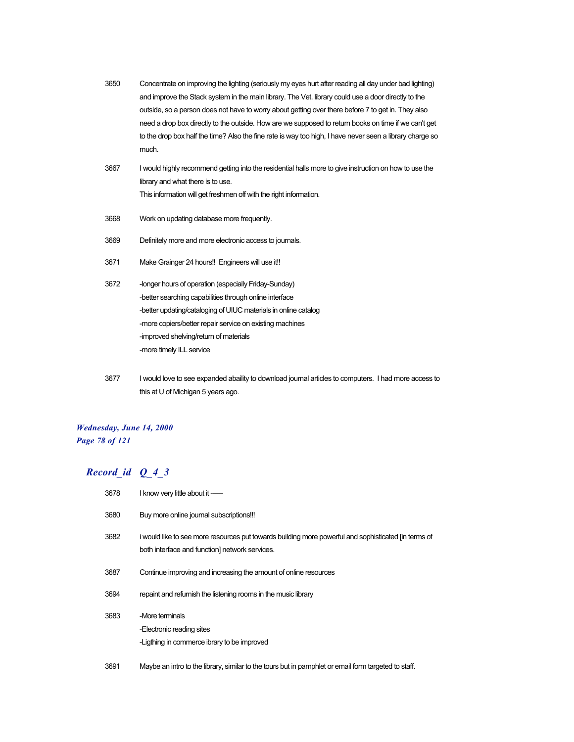- 3650 Concentrate on improving the lighting (seriously my eyes hurt after reading all day under bad lighting) and improve the Stack system in the main library. The Vet. library could use a door directly to the outside, so a person does not have to worry about getting over there before 7 to get in. They also need a drop box directly to the outside. How are we supposed to return books on time if we can't get to the drop box half the time? Also the fine rate is way too high, I have never seen a library charge so much.
- 3667 I would highly recommend getting into the residential halls more to give instruction on how to use the library and what there is to use. This information will get freshmen off with the right information.
- 3668 Work on updating database more frequently.
- 3669 Definitely more and more electronic access to journals.
- 3671 Make Grainger 24 hours!! Engineers will use it!!
- 3672 longer hours of operation (especially Friday-Sunday) -better searching capabilities through online interface -better updating/cataloging of UIUC materials in online catalog -more copiers/better repair service on existing machines -improved shelving/return of materials -more timely ILL service
- 3677 I would love to see expanded abaility to download journal articles to computers. I had more access to this at U of Michigan 5 years ago.

#### *Wednesday, June 14, 2000 Page 78 of 121*

| 3678 | I know very little about it ----                                                                                                                       |
|------|--------------------------------------------------------------------------------------------------------------------------------------------------------|
| 3680 | Buy more online journal subscriptions!!!                                                                                                               |
| 3682 | i would like to see more resources put towards building more powerful and sophisticated [in terms of<br>both interface and function] network services. |
| 3687 | Continue improving and increasing the amount of online resources                                                                                       |
| 3694 | repaint and refurnish the listening rooms in the music library                                                                                         |
| 3683 | -More terminals<br>-Electronic reading sites<br>-Ligthing in commerce ibrary to be improved                                                            |
| 3691 | Maybe an intro to the library, similar to the tours but in pamphlet or email form targeted to staff.                                                   |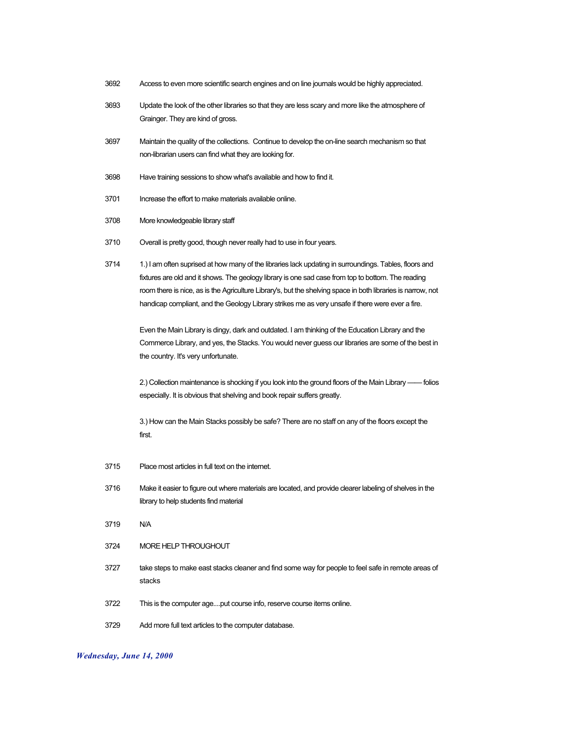- 3692 Access to even more scientific search engines and on line journals would be highly appreciated.
- 3693 Update the look of the other libraries so that they are less scary and more like the atmosphere of Grainger. They are kind of gross.
- 3697 Maintain the quality of the collections. Continue to develop the on-line search mechanism so that non-librarian users can find what they are looking for.
- 3698 Have training sessions to show what's available and how to find it.
- 3701 Increase the effort to make materials available online.
- 3708 More knowledgeable library staff
- 3710 Overall is pretty good, though never really had to use in four years.
- 3714 1.) I am often suprised at how many of the libraries lack updating in surroundings. Tables, floors and fixtures are old and it shows. The geology library is one sad case from top to bottom. The reading room there is nice, as is the Agriculture Library's, but the shelving space in both libraries is narrow, not handicap compliant, and the Geology Library strikes me as very unsafe if there were ever a fire.

Even the Main Library is dingy, dark and outdated. I am thinking of the Education Library and the Commerce Library, and yes, the Stacks. You would never guess our libraries are some of the best in the country. It's very unfortunate.

2.) Collection maintenance is shocking if you look into the ground floors of the Main Library —— folios especially. It is obvious that shelving and book repair suffers greatly.

3.) How can the Main Stacks possibly be safe? There are no staff on any of the floors except the first.

- 3715 Place most articles in full text on the internet.
- 3716 Make it easier to figure out where materials are located, and provide clearer labeling of shelves in the library to help students find material
- 3719 N/A
- 3724 MORE HELP THROUGHOUT
- 3727 take steps to make east stacks cleaner and find some way for people to feel safe in remote areas of stacks
- 3722 This is the computer age....put course info, reserve course items online.
- 3729 Add more full text articles to the computer database.

#### *Wednesday, June 14, 2000*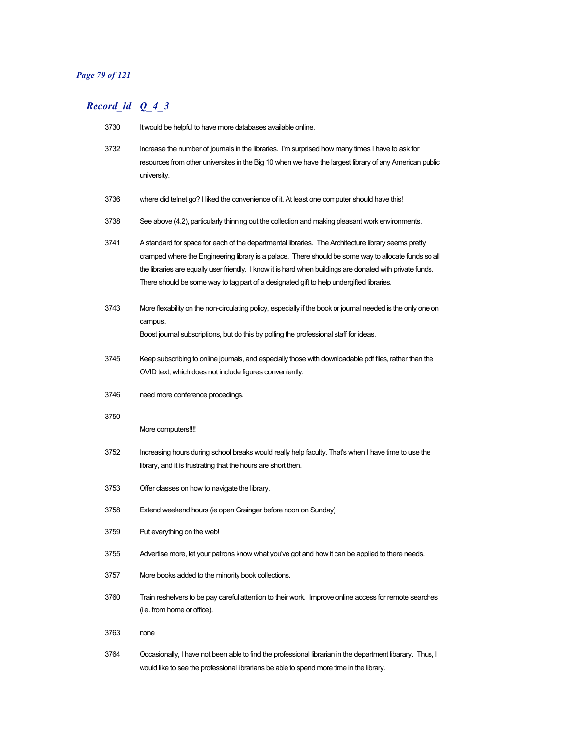## *Page 79 of 121*

| 3730 | It would be helpful to have more databases available online.                                                                                                                                                                                                                                                                                                                                                        |
|------|---------------------------------------------------------------------------------------------------------------------------------------------------------------------------------------------------------------------------------------------------------------------------------------------------------------------------------------------------------------------------------------------------------------------|
| 3732 | Increase the number of journals in the libraries. I'm surprised how many times I have to ask for<br>resources from other universites in the Big 10 when we have the largest library of any American public<br>university.                                                                                                                                                                                           |
| 3736 | where did telnet go? I liked the convenience of it. At least one computer should have this!                                                                                                                                                                                                                                                                                                                         |
| 3738 | See above (4.2), particularly thinning out the collection and making pleasant work environments.                                                                                                                                                                                                                                                                                                                    |
| 3741 | A standard for space for each of the departmental libraries. The Architecture library seems pretty<br>cramped where the Engineering library is a palace. There should be some way to allocate funds so all<br>the libraries are equally user friendly. I know it is hard when buildings are donated with private funds.<br>There should be some way to tag part of a designated gift to help undergifted libraries. |
| 3743 | More flexability on the non-circulating policy, especially if the book or journal needed is the only one on<br>campus.<br>Boost journal subscriptions, but do this by polling the professional staff for ideas.                                                                                                                                                                                                     |
| 3745 | Keep subscribing to online journals, and especially those with downloadable pdf files, rather than the<br>OVID text, which does not include figures conveniently.                                                                                                                                                                                                                                                   |
| 3746 | need more conference procedings.                                                                                                                                                                                                                                                                                                                                                                                    |
| 3750 | More computers!!!!                                                                                                                                                                                                                                                                                                                                                                                                  |
| 3752 | Increasing hours during school breaks would really help faculty. That's when I have time to use the<br>library, and it is frustrating that the hours are short then.                                                                                                                                                                                                                                                |
| 3753 | Offer classes on how to navigate the library.                                                                                                                                                                                                                                                                                                                                                                       |
| 3758 | Extend weekend hours (ie open Grainger before noon on Sunday)                                                                                                                                                                                                                                                                                                                                                       |
| 3759 | Put everything on the web!                                                                                                                                                                                                                                                                                                                                                                                          |
| 3755 | Advertise more, let your patrons know what you've got and how it can be applied to there needs.                                                                                                                                                                                                                                                                                                                     |
| 3757 | More books added to the minority book collections.                                                                                                                                                                                                                                                                                                                                                                  |
| 3760 | Train reshelvers to be pay careful attention to their work. Improve online access for remote searches<br>(i.e. from home or office).                                                                                                                                                                                                                                                                                |
| 3763 | none                                                                                                                                                                                                                                                                                                                                                                                                                |
| 3764 | Occasionally, I have not been able to find the professional librarian in the department libarary. Thus, I<br>would like to see the professional librarians be able to spend more time in the library.                                                                                                                                                                                                               |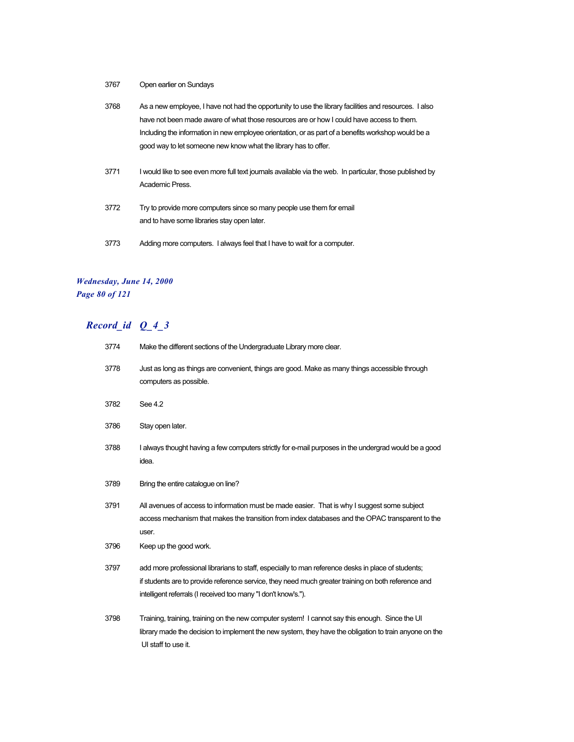3767 Open earlier on Sundays

| 3768 | As a new employee, I have not had the opportunity to use the library facilities and resources. I also     |
|------|-----------------------------------------------------------------------------------------------------------|
|      | have not been made aware of what those resources are or how I could have access to them.                  |
|      | Including the information in new employee orientation, or as part of a benefits workshop would be a       |
|      | good way to let someone new know what the library has to offer.                                           |
| 3771 | I would like to see even more full text journals available via the web. In particular, those published by |
|      | Academic Press.                                                                                           |

- 3772 Try to provide more computers since so many people use them for email and to have some libraries stay open later.
- 3773 Adding more computers. I always feel that I have to wait for a computer.

#### *Wednesday, June 14, 2000 Page 80 of 121*

| 3774 | Make the different sections of the Undergraduate Library more clear.                                                                                                                                                                                                        |
|------|-----------------------------------------------------------------------------------------------------------------------------------------------------------------------------------------------------------------------------------------------------------------------------|
| 3778 | Just as long as things are convenient, things are good. Make as many things accessible through<br>computers as possible.                                                                                                                                                    |
| 3782 | See 4.2                                                                                                                                                                                                                                                                     |
| 3786 | Stay open later.                                                                                                                                                                                                                                                            |
| 3788 | I always thought having a few computers strictly for e-mail purposes in the undergrad would be a good<br>idea.                                                                                                                                                              |
| 3789 | Bring the entire catalogue on line?                                                                                                                                                                                                                                         |
| 3791 | All avenues of access to information must be made easier. That is why I suggest some subject<br>access mechanism that makes the transition from index databases and the OPAC transparent to the<br>user.                                                                    |
| 3796 | Keep up the good work.                                                                                                                                                                                                                                                      |
| 3797 | add more professional librarians to staff, especially to man reference desks in place of students;<br>if students are to provide reference service, they need much greater training on both reference and<br>intelligent referrals (I received too many "I don't know's."). |
| 3798 | Training, training, training on the new computer system! I cannot say this enough. Since the UI<br>library made the decision to implement the new system, they have the obligation to train anyone on the<br>UI staff to use it.                                            |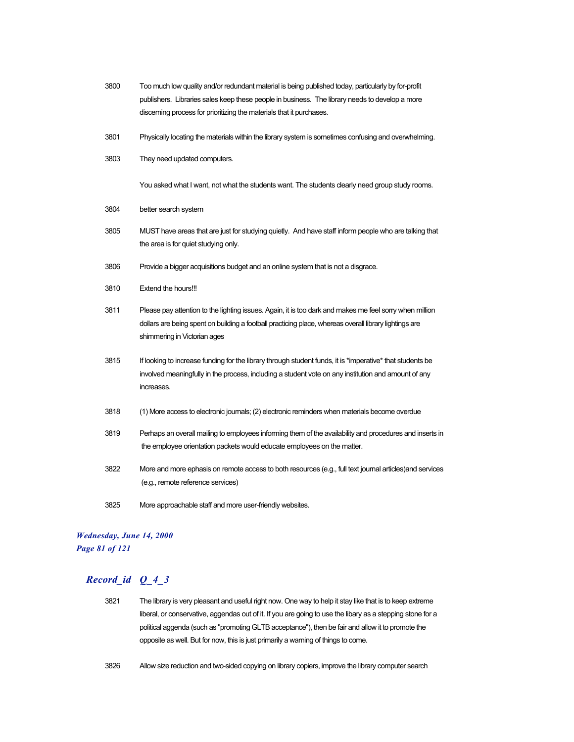- 3800 Too much low quality and/or redundant material is being published today, particularly by for-profit publishers. Libraries sales keep these people in business. The library needs to develop a more discerning process for prioritizing the materials that it purchases.
- 3801 Physically locating the materials within the library system is sometimes confusing and overwhelming.
- 3803 They need updated computers.

You asked what I want, not what the students want. The students clearly need group study rooms.

- 3804 better search system
- 3805 MUST have areas that are just for studying quietly. And have staff inform people who are talking that the area is for quiet studying only.
- 3806 Provide a bigger acquisitions budget and an online system that is not a disgrace.
- 3810 Extend the hours!!!
- 3811 Please pay attention to the lighting issues. Again, it is too dark and makes me feel sorry when million dollars are being spent on building a football practicing place, whereas overall library lightings are shimmering in Victorian ages
- 3815 If looking to increase funding for the library through student funds, it is \*imperative\* that students be involved meaningfully in the process, including a student vote on any institution and amount of any increases.
- 3818 (1) More access to electronic journals; (2) electronic reminders when materials become overdue
- 3819 Perhaps an overall mailing to employees informing them of the availability and procedures and inserts in the employee orientation packets would educate employees on the matter.
- 3822 More and more ephasis on remote access to both resources (e.g., full text journal articles)and services (e.g., remote reference services)
- 3825 More approachable staff and more user-friendly websites.

#### *Wednesday, June 14, 2000 Page 81 of 121*

- 3821 The library is very pleasant and useful right now. One way to help it stay like that is to keep extreme liberal, or conservative, aggendas out of it. If you are going to use the libary as a stepping stone for a political aggenda (such as "promoting GLTB acceptance"), then be fair and allow it to promote the opposite as well. But for now, this is just primarily a warning of things to come.
- 3826 Allow size reduction and two-sided copying on library copiers, improve the library computer search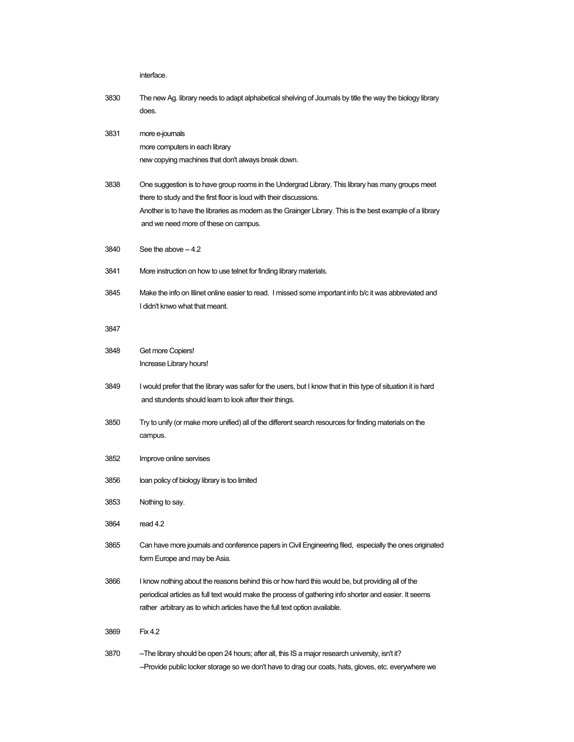interface.

- 3830 The new Ag. library needs to adapt alphabetical shelving of Journals by title the way the biology library does.
- 3831 more e-journals more computers in each library new copying machines that don't always break down.
- 3838 One suggestion is to have group rooms in the Undergrad Library. This library has many groups meet there to study and the first floor is loud with their discussions. Another is to have the libraries as modern as the Grainger Library. This is the best example of a library and we need more of these on campus.
- $3840$  See the above  $-4.2$
- 3841 More instruction on how to use telnet for finding library materials.
- 3845 Make the info on Illinet online easier to read. I missed some important info b/c it was abbreviated and I didn't knwo what that meant.

#### 3

| 3847 |                                                                                                                                                                                                                                                                                          |
|------|------------------------------------------------------------------------------------------------------------------------------------------------------------------------------------------------------------------------------------------------------------------------------------------|
| 3848 | Get more Copiers!<br>Increase Library hours!                                                                                                                                                                                                                                             |
| 3849 | I would prefer that the library was safer for the users, but I know that in this type of situation it is hard<br>and stundents should learn to look after their things.                                                                                                                  |
| 3850 | Try to unify (or make more unified) all of the different search resources for finding materials on the<br>campus.                                                                                                                                                                        |
| 3852 | Improve online servises                                                                                                                                                                                                                                                                  |
| 3856 | loan policy of biology library is too limited                                                                                                                                                                                                                                            |
| 3853 | Nothing to say.                                                                                                                                                                                                                                                                          |
| 3864 | read 4.2                                                                                                                                                                                                                                                                                 |
| 3865 | Can have more journals and conference papers in Civil Engineering filed, especially the ones originated<br>form Europe and may be Asia.                                                                                                                                                  |
| 3866 | I know nothing about the reasons behind this or how hard this would be, but providing all of the<br>periodical articles as full text would make the process of gathering info shorter and easier. It seems<br>rather arbitrary as to which articles have the full text option available. |
| 3869 | <b>Fix 4.2</b>                                                                                                                                                                                                                                                                           |
| 3870 | -The library should be open 24 hours; after all, this IS a major research university, isn't it?<br>-Provide public locker storage so we don't have to drag our coats, hats, gloves, etc. everywhere we                                                                                   |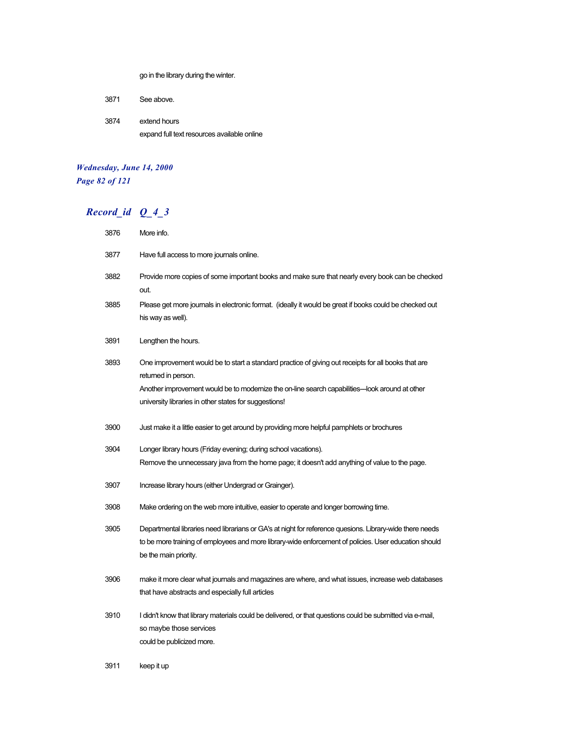go in the library during the winter.

3871 See above.

3874 extend hours expand full text resources available online

#### *Wednesday, June 14, 2000 Page 82 of 121*

## *Record\_id Q\_4\_3*

| 3876 | More info.                                                                                                                                                                                                                                 |
|------|--------------------------------------------------------------------------------------------------------------------------------------------------------------------------------------------------------------------------------------------|
| 3877 | Have full access to more journals online.                                                                                                                                                                                                  |
| 3882 | Provide more copies of some important books and make sure that nearly every book can be checked                                                                                                                                            |
|      | out.                                                                                                                                                                                                                                       |
| 3885 | Please get more journals in electronic format. (ideally it would be great if books could be checked out<br>his way as well).                                                                                                               |
| 3891 | Lengthen the hours.                                                                                                                                                                                                                        |
| 3893 | One improvement would be to start a standard practice of giving out receipts for all books that are<br>returned in person.                                                                                                                 |
|      | Another improvement would be to modernize the on-line search capabilities—look around at other<br>university libraries in other states for suggestions!                                                                                    |
| 3900 | Just make it a little easier to get around by providing more helpful pamphlets or brochures                                                                                                                                                |
| 3904 | Longer library hours (Friday evening; during school vacations).                                                                                                                                                                            |
|      | Remove the unnecessary java from the home page; it doesn't add anything of value to the page.                                                                                                                                              |
| 3907 | Increase library hours (either Undergrad or Grainger).                                                                                                                                                                                     |
| 3908 | Make ordering on the web more intuitive, easier to operate and longer borrowing time.                                                                                                                                                      |
| 3905 | Departmental libraries need librarians or GA's at night for reference quesions. Library-wide there needs<br>to be more training of employees and more library-wide enforcement of policies. User education should<br>be the main priority. |
| 3906 | make it more clear what journals and magazines are where, and what issues, increase web databases<br>that have abstracts and especially full articles                                                                                      |
| 3910 | I didn't know that library materials could be delivered, or that questions could be submitted via e-mail,<br>so maybe those services<br>could be publicized more.                                                                          |

3911 keep it up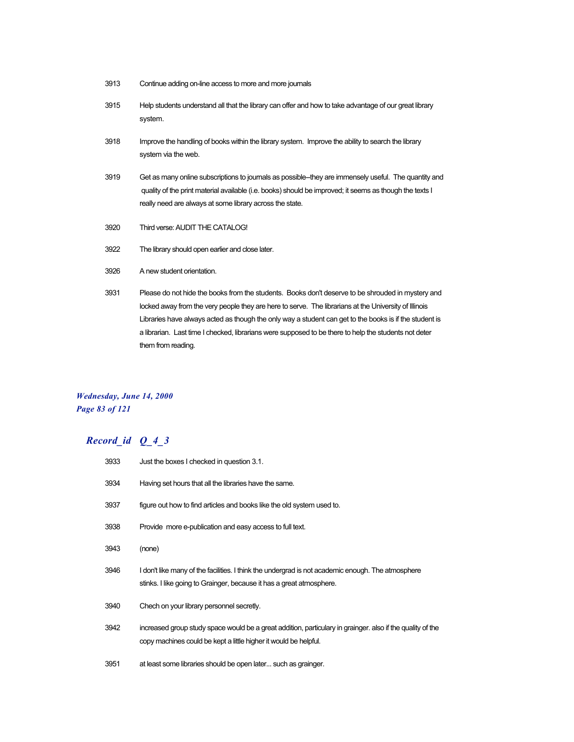- 3913 Continue adding on-line access to more and more journals
- 3915 Help students understand all that the library can offer and how to take advantage of our great library system.
- 3918 Improve the handling of books within the library system. Improve the ability to search the library system via the web.
- 3919 Get as many online subscriptions to journals as possible--they are immensely useful. The quantity and quality of the print material available (i.e. books) should be improved; it seems as though the texts I really need are always at some library across the state.
- 3920 Third verse: AUDIT THE CATALOG!
- 3922 The library should open earlier and close later.
- 3926 A new student orientation.
- 3931 Please do not hide the books from the students. Books don't deserve to be shrouded in mystery and locked away from the very people they are here to serve. The librarians at the University of Illinois Libraries have always acted as though the only way a student can get to the books is if the student is a librarian. Last time I checked, librarians were supposed to be there to help the students not deter them from reading.

#### *Wednesday, June 14, 2000 Page 83 of 121*

| 3933 | Just the boxes I checked in question 3.1.                                                                                                                                      |
|------|--------------------------------------------------------------------------------------------------------------------------------------------------------------------------------|
| 3934 | Having set hours that all the libraries have the same.                                                                                                                         |
| 3937 | figure out how to find articles and books like the old system used to.                                                                                                         |
| 3938 | Provide more e-publication and easy access to full text.                                                                                                                       |
| 3943 | (none)                                                                                                                                                                         |
| 3946 | I don't like many of the facilities. I think the undergrad is not academic enough. The atmosphere<br>stinks. I like going to Grainger, because it has a great atmosphere.      |
| 3940 | Chech on your library personnel secretly.                                                                                                                                      |
| 3942 | increased group study space would be a great addition, particulary in grainger. also if the quality of the<br>copy machines could be kept a little higher it would be helpful. |
| 3951 | at least some libraries should be open later such as grainger.                                                                                                                 |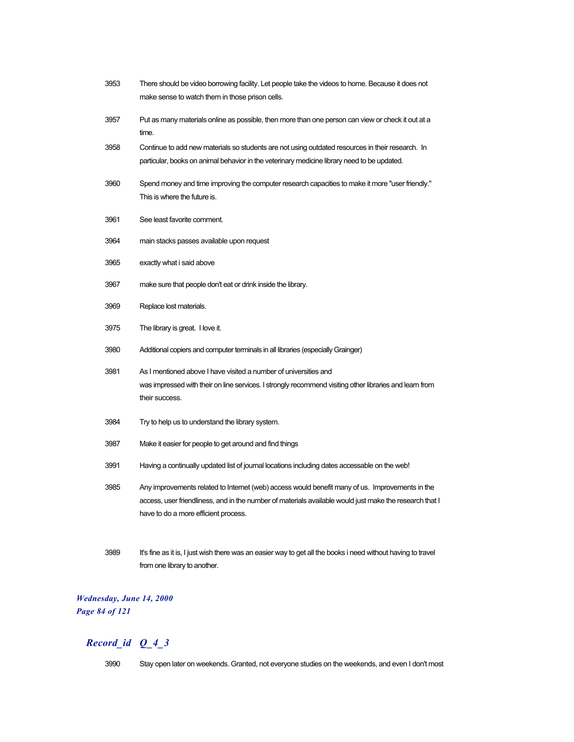| 3953 | There should be video borrowing facility. Let people take the videos to home. Because it does not                                |
|------|----------------------------------------------------------------------------------------------------------------------------------|
|      | make sense to watch them in those prison cells.                                                                                  |
| 3957 | Put as many materials online as possible, then more than one person can view or check it out at a<br>time.                       |
| 3958 | Continue to add new materials so students are not using outdated resources in their research. In                                 |
|      | particular, books on animal behavior in the veterinary medicine library need to be updated.                                      |
| 3960 | ".Spend money and time improving the computer research capacities to make it more "user friendly<br>This is where the future is. |
| 3961 | See least favorite comment.                                                                                                      |
| 3964 | main stacks passes available upon request                                                                                        |
| 3965 | exactly what i said above                                                                                                        |
| 3967 | make sure that people don't eat or drink inside the library.                                                                     |
| 3969 | Replace lost materials.                                                                                                          |
| 3975 | The library is great. I love it.                                                                                                 |
| 3980 | Additional copiers and computer terminals in all libraries (especially Grainger)                                                 |
| 3981 | As I mentioned above I have visited a number of universities and                                                                 |
|      | was impressed with their on line services. I strongly recommend visiting other libraries and learn from                          |
|      | their success.                                                                                                                   |
| 3984 | Try to help us to understand the library system.                                                                                 |
| 3987 | Make it easier for people to get around and find things                                                                          |
| 3991 | Having a continually updated list of journal locations including dates accessable on the web!                                    |
| 3985 | Any improvements related to Internet (web) access would benefit many of us. Improvements in the                                  |
|      | access, user friendliness, and in the number of materials available would just make the research that I                          |
|      | have to do a more efficient process.                                                                                             |
|      |                                                                                                                                  |
| 3989 | It's fine as it is, I just wish there was an easier way to get all the books i need without having to travel                     |

# *Wednesday, June 14, 2000*

from one library to another.

*Page 84 of 121*

## *Record\_id Q\_4\_3*

3990 Stay open later on weekends. Granted, not everyone studies on the weekends, and even I don't most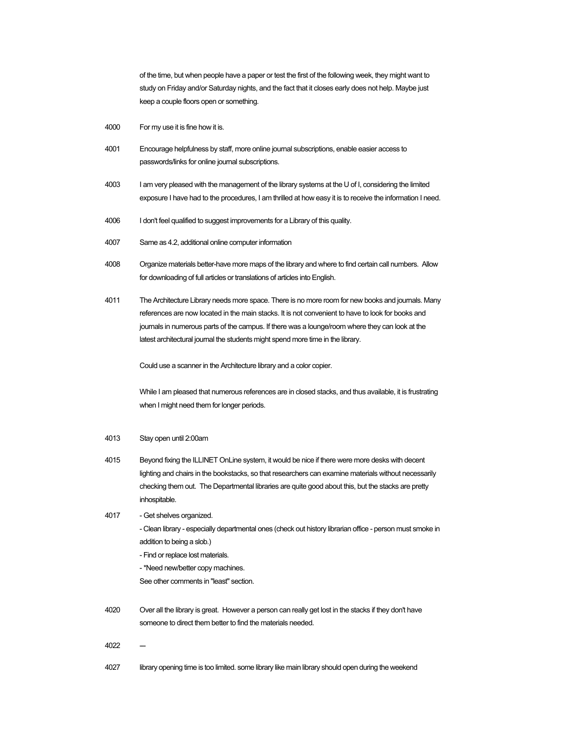of the time, but when people have a paper or test the first of the following week, they might want to study on Friday and/or Saturday nights, and the fact that it closes early does not help. Maybe just keep a couple floors open or something.

- 4000 For my use it is fine how it is.
- 4001 Encourage helpfulness by staff, more online journal subscriptions, enable easier access to passwords/links for online journal subscriptions.
- 4003 I am very pleased with the management of the library systems at the U of I, considering the limited exposure I have had to the procedures, I am thrilled at how easy it is to receive the information I need.
- 4006 I don't feel qualified to suggest improvements for a Library of this quality.
- 4007 Same as 4.2, additional online computer information
- 4008 Organize materials better-have more maps of the library and where to find certain call numbers. Allow for downloading of full articles or translations of articles into English.
- 4011 The Architecture Library needs more space. There is no more room for new books and journals. Many references are now located in the main stacks. It is not convenient to have to look for books and journals in numerous parts of the campus. If there was a lounge/room where they can look at the latest architectural journal the students might spend more time in the library.

Could use a scanner in the Architecture library and a color copier.

While I am pleased that numerous references are in closed stacks, and thus available, it is frustrating when I might need them for longer periods.

#### 4013 Stay open until 2:00am

- 4015 Beyond fixing the ILLINET OnLine system, it would be nice if there were more desks with decent lighting and chairs in the bookstacks, so that researchers can examine materials without necessarily checking them out. The Departmental libraries are quite good about this, but the stacks are pretty inhospitable.
- 4017 Get shelves organized.
	- Clean library especially departmental ones (check out history librarian office person must smoke in addition to being a slob.)
	- Find or replace lost materials.
	- \*Need new/better copy machines.
	- See other comments in "least" section.
- 4020 Over all the library is great. However a person can really get lost in the stacks if they don't have someone to direct them better to find the materials needed.
- 4022
- 4027 library opening time is too limited. some library like main library should open during the weekend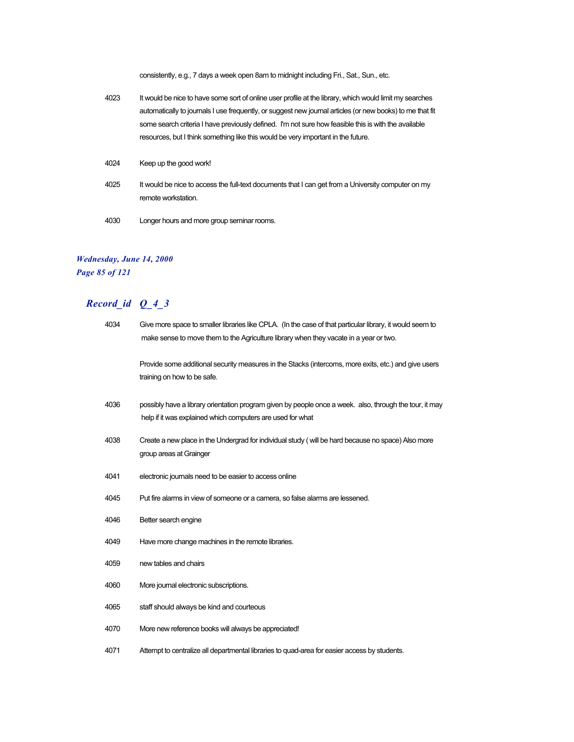consistently, e.g., 7 days a week open 8am to midnight including Fri., Sat., Sun., etc.

- 4023 It would be nice to have some sort of online user profile at the library, which would limit my searches automatically to journals I use frequently, or suggest new journal articles (or new books) to me that fit some search criteria I have previously defined. I'm not sure how feasible this is with the available resources, but I think something like this would be very important in the future.
- 4024 Keep up the good work!
- 4025 It would be nice to access the full-text documents that I can get from a University computer on my remote workstation.
- 4030 Longer hours and more group seminar rooms.

#### *Wednesday, June 14, 2000 Page 85 of 121*

| 4034 | Give more space to smaller libraries like CPLA. (In the case of that particular library, it would seem to<br>make sense to move them to the Agriculture library when they vacate in a year or two. |
|------|----------------------------------------------------------------------------------------------------------------------------------------------------------------------------------------------------|
|      | Provide some additional security measures in the Stacks (intercoms, more exits, etc.) and give users<br>training on how to be safe.                                                                |
| 4036 | possibly have a library orientation program given by people once a week. also, through the tour, it may<br>help if it was explained which computers are used for what                              |
| 4038 | Create a new place in the Undergrad for individual study (will be hard because no space) Also more<br>group areas at Grainger                                                                      |
| 4041 | electronic journals need to be easier to access online                                                                                                                                             |
| 4045 | Put fire alarms in view of someone or a camera, so false alarms are lessened.                                                                                                                      |
| 4046 | Better search engine                                                                                                                                                                               |
| 4049 | Have more change machines in the remote libraries.                                                                                                                                                 |
| 4059 | new tables and chairs                                                                                                                                                                              |
| 4060 | More journal electronic subscriptions.                                                                                                                                                             |
| 4065 | staff should always be kind and courteous                                                                                                                                                          |
| 4070 | More new reference books will always be appreciated!                                                                                                                                               |
| 4071 | Attempt to centralize all departmental libraries to quad-area for easier access by students.                                                                                                       |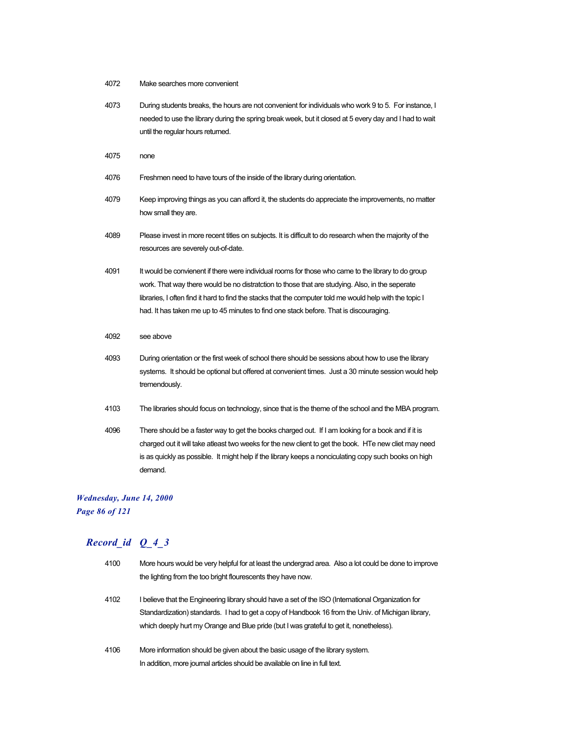- 4072 Make searches more convenient
- 4073 During students breaks, the hours are not convenient for individuals who work 9 to 5. For instance, I needed to use the library during the spring break week, but it closed at 5 every day and I had to wait until the regular hours returned.
- 4075 none
- 4076 Freshmen need to have tours of the inside of the library during orientation.
- 4079 Keep improving things as you can afford it, the students do appreciate the improvements, no matter how small they are.
- 4089 Please invest in more recent titles on subjects. It is difficult to do research when the majority of the resources are severely out-of-date.
- 4091 It would be convienent if there were individual rooms for those who came to the library to do group work. That way there would be no distratction to those that are studying. Also, in the seperate libraries, I often find it hard to find the stacks that the computer told me would help with the topic I had. It has taken me up to 45 minutes to find one stack before. That is discouraging.
- 4092 see above
- 4093 During orientation or the first week of school there should be sessions about how to use the library systems. It should be optional but offered at convenient times. Just a 30 minute session would help tremendously.
- 4103 The libraries should focus on technology, since that is the theme of the school and the MBA program.
- 4096 There should be a faster way to get the books charged out. If I am looking for a book and if it is charged out it will take atleast two weeks for the new client to get the book. HTe new cliet may need is as quickly as possible. It might help if the library keeps a nonciculating copy such books on high demand.

#### *Wednesday, June 14, 2000*

*Page 86 of 121*

| 4100 | More hours would be very helpful for at least the undergrad area. Also a lot could be done to improve |
|------|-------------------------------------------------------------------------------------------------------|
|      | the lighting from the too bright flourescents they have now.                                          |
| 4102 | believe that the Engineering library should have a set of the ISO (International Organization for     |
|      | Standardization) standards. I had to get a copy of Handbook 16 from the Univ. of Michigan library.    |
|      | which deeply hurt my Orange and Blue pride (but I was grateful to get it, nonetheless).               |
| 4106 | More information should be given about the basic usage of the library system.                         |
|      | In addition, more journal articles should be available on line in full text.                          |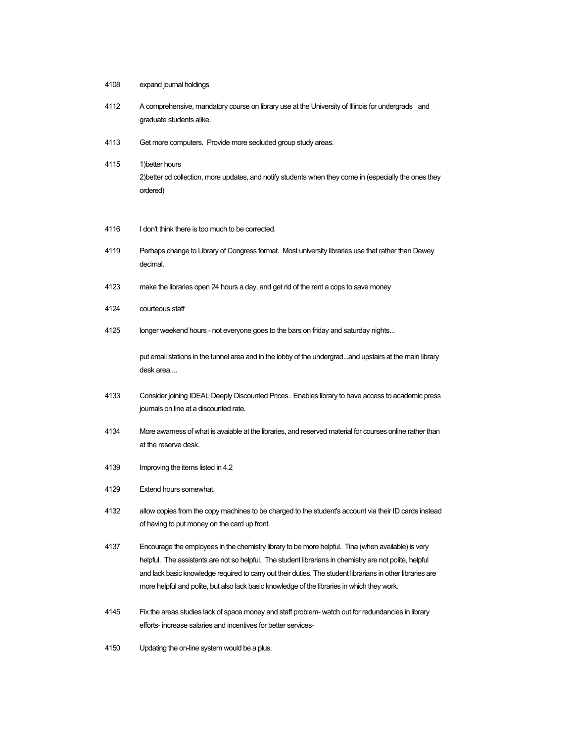- 4108 expand journal holdings
- 4112 A comprehensive, mandatory course on library use at the University of Illinois for undergrads \_and\_ graduate students alike.
- 4113 Get more computers. Provide more secluded group study areas.
- 4115 1)better hours 2)better cd collection, more updates, and notify students when they come in (especially the ones they ordered)
- 4116 I don't think there is too much to be corrected.
- 4119 Perhaps change to Library of Congress format. Most university libraries use that rather than Dewey decimal.
- 4123 make the libraries open 24 hours a day, and get rid of the rent a cops to save money
- 4124 courteous staff
- 4125 longer weekend hours not everyone goes to the bars on friday and saturday nights...

put email stations in the tunnel area and in the lobby of the undergrad...and upstairs at the main library desk area....

- 4133 Consider joining IDEAL Deeply Discounted Prices. Enables library to have access to academic press journals on line at a discounted rate.
- 4134 More awarness of what is avaiable at the libraries, and reserved material for courses online rather than at the reserve desk.
- 4139 Improving the items listed in 4.2
- 4129 Extend hours somewhat.
- 4132 allow copies from the copy machines to be charged to the student's account via their ID cards instead of having to put money on the card up front.
- 4137 Encourage the employees in the chemistry library to be more helpful. Tina (when available) is very helpful. The assistants are not so helpful. The student librarians in chemistry are not polite, helpful and lack basic knowledge required to carry out their duties. The student librarians in other libraries are more helpful and polite, but also lack basic knowledge of the libraries in which they work.
- 4145 Fix the areas studies lack of space money and staff problem- watch out for redundancies in library efforts- increase salaries and incentives for better services-
- 4150 Updating the on-line system would be a plus.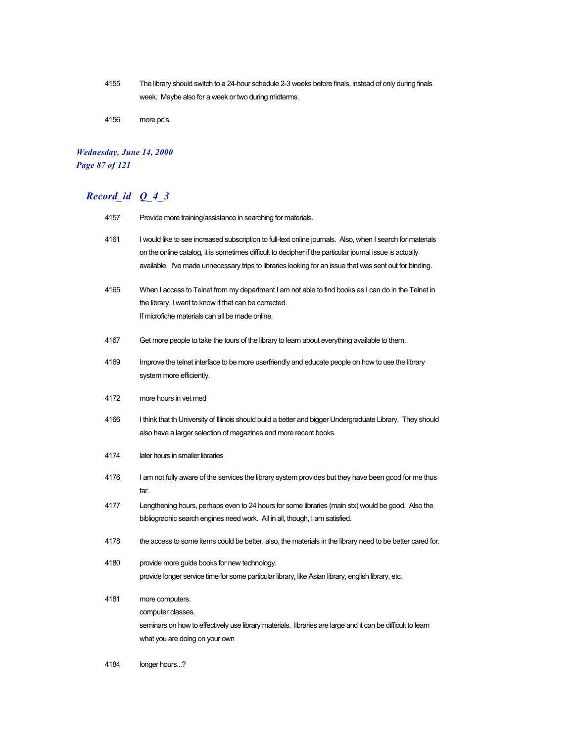4155 The library should switch to a 24-hour schedule 2-3 weeks before finals, instead of only during finals week. Maybe also for a week or two during midterms.

4156 more pc's.

### *Wednesday, June 14, 2000 Page 87 of 121*

## *Record\_id Q\_4\_3*

| 4157 | Provide more training/assistance in searching for materials.                                                                                                                                                                                                                                                                      |
|------|-----------------------------------------------------------------------------------------------------------------------------------------------------------------------------------------------------------------------------------------------------------------------------------------------------------------------------------|
| 4161 | I would like to see increased subscription to full-text online journals. Also, when I search for materials<br>on the online catalog, it is sometimes difficult to decipher if the particular journal issue is actually<br>available. I've made unnecessary trips to libraries looking for an issue that was sent out for binding. |
| 4165 | When I access to Telnet from my department I am not able to find books as I can do in the Telnet in<br>the library. I want to know if that can be corrected.<br>If microfiche materials can all be made online.                                                                                                                   |
| 4167 | Get more people to take the tours of the library to learn about everything available to them.                                                                                                                                                                                                                                     |
| 4169 | Improve the telnet interface to be more userfriendly and educate people on how to use the library<br>system more efficiently.                                                                                                                                                                                                     |
| 4172 | more hours in vet med                                                                                                                                                                                                                                                                                                             |
| 4166 | I think that th University of Illinois should build a better and bigger Undergraduate Library. They should<br>also have a larger selection of magazines and more recent books.                                                                                                                                                    |
| 4174 | later hours in smaller libraries                                                                                                                                                                                                                                                                                                  |
| 4176 | I am not fully aware of the services the library system provides but they have been good for me thus<br>far.                                                                                                                                                                                                                      |
| 4177 | Lengthening hours, perhaps even to 24 hours for some libraries (main stx) would be good. Also the<br>bibliograohic search engines need work. All in all, though, I am satisfied.                                                                                                                                                  |
| 4178 | the access to some items could be better. also, the materials in the library need to be better cared for.                                                                                                                                                                                                                         |
| 4180 | provide more guide books for new technology.<br>provide longer service time for some particular library, like Asian library, english library, etc.                                                                                                                                                                                |
| 4181 | more computers.<br>computer classes.<br>seminars on how to effectively use library materials. libraries are large and it can be difficult to learn<br>what you are doing on your own                                                                                                                                              |

4184 longer hours...?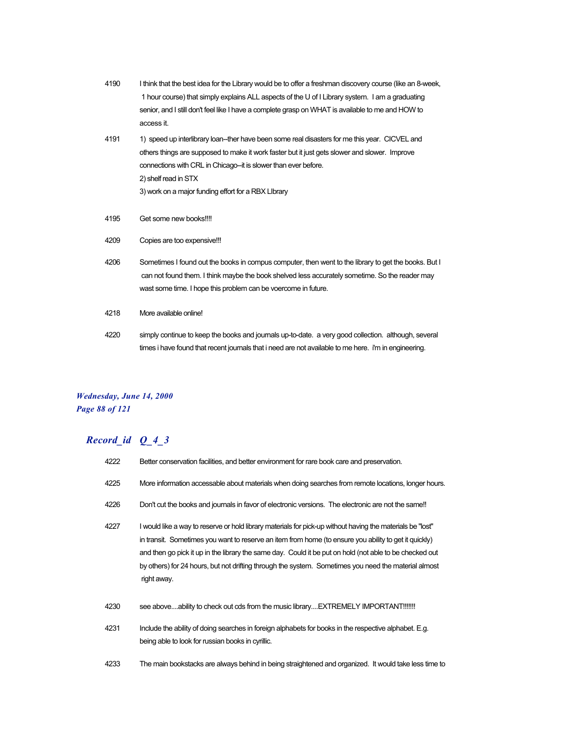- 4190 I think that the best idea for the Library would be to offer a freshman discovery course (like an 8-week, 1 hour course) that simply explains ALL aspects of the U of I Library system. I am a graduating senior, and I still don't feel like I have a complete grasp on WHAT is available to me and HOW to access it.
- 4191 1) speed up interlibrary loan--ther have been some real disasters for me this year. CICVEL and others things are supposed to make it work faster but it just gets slower and slower. Improve connections with CRL in Chicago--it is slower than ever before. 2) shelf read in STX 3) work on a major funding effort for a RBX LIbrary
- 4195 Get some new books!!!!
- 4209 Copies are too expensive!!!
- 4206 Sometimes I found out the books in compus computer, then went to the library to get the books. But I can not found them. I think maybe the book shelved less accurately sometime. So the reader may wast some time. I hope this problem can be voercome in future.
- 4218 More available online!
- 4220 simply continue to keep the books and journals up-to-date. a very good collection. although, several times i have found that recent journals that i need are not available to me here. i'm in engineering.

#### *Wednesday, June 14, 2000 Page 88 of 121*

| 4222 | Better conservation facilities, and better environment for rare book care and preservation.                                                                                                                                                                                                                                                                                                                                                           |
|------|-------------------------------------------------------------------------------------------------------------------------------------------------------------------------------------------------------------------------------------------------------------------------------------------------------------------------------------------------------------------------------------------------------------------------------------------------------|
| 4225 | More information accessable about materials when doing searches from remote locations, longer hours.                                                                                                                                                                                                                                                                                                                                                  |
| 4226 | Don't cut the books and journals in favor of electronic versions. The electronic are not the same!!                                                                                                                                                                                                                                                                                                                                                   |
| 4227 | I would like a way to reserve or hold library materials for pick-up without having the materials be "lost"<br>in transit. Sometimes you want to reserve an item from home (to ensure you ability to get it quickly)<br>and then go pick it up in the library the same day. Could it be put on hold (not able to be checked out<br>by others) for 24 hours, but not drifting through the system. Sometimes you need the material almost<br>right away. |
| 4230 | see aboveability to check out cds from the music libraryEXTREMELY IMPORTANT!!!!!!!                                                                                                                                                                                                                                                                                                                                                                    |
| 4231 | Include the ability of doing searches in foreign alphabets for books in the respective alphabet. E.g.<br>being able to look for russian books in cyrillic.                                                                                                                                                                                                                                                                                            |
| 4233 | The main bookstacks are always behind in being straightened and organized. It would take less time to                                                                                                                                                                                                                                                                                                                                                 |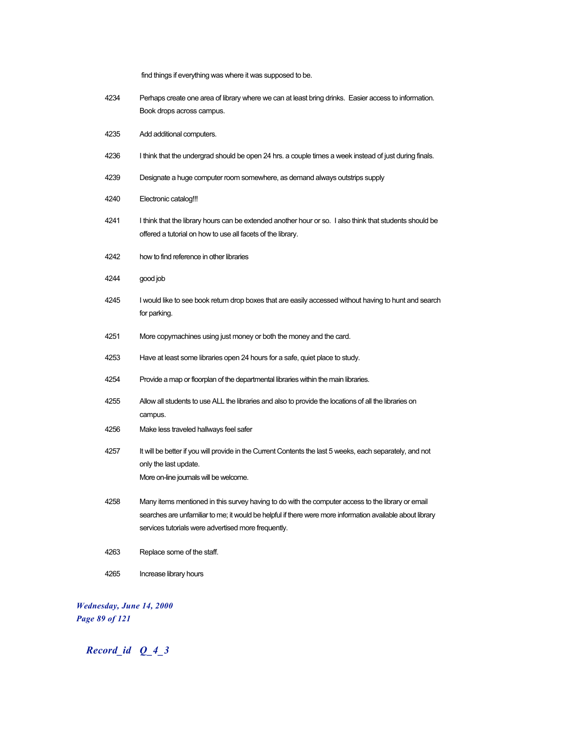find things if everything was where it was supposed to be.

- 4234 Perhaps create one area of library where we can at least bring drinks. Easier access to information. Book drops across campus.
- 4235 Add additional computers.
- 4236 I think that the undergrad should be open 24 hrs. a couple times a week instead of just during finals.
- 4239 Designate a huge computer room somewhere, as demand always outstrips supply
- 4240 Electronic catalog!!!
- 4241 I think that the library hours can be extended another hour or so. I also think that students should be offered a tutorial on how to use all facets of the library.
- 4242 how to find reference in other libraries
- 4244 good job
- 4245 I would like to see book return drop boxes that are easily accessed without having to hunt and search for parking.
- 4251 More copymachines using just money or both the money and the card.
- 4253 Have at least some libraries open 24 hours for a safe, quiet place to study.
- 4254 Provide a map or floorplan of the departmental libraries within the main libraries.
- 4255 Allow all students to use ALL the libraries and also to provide the locations of all the libraries on campus.
- 4256 Make less traveled hallways feel safer
- 4257 It will be better if you will provide in the Current Contents the last 5 weeks, each separately, and not only the last update. More on-line journals will be welcome.
- 4258 Many items mentioned in this survey having to do with the computer access to the library or email searches are unfamiliar to me; it would be helpful if there were more information available about library services tutorials were advertised more frequently.
- 4263 Replace some of the staff.
- 4265 Increase library hours

*Wednesday, June 14, 2000 Page 89 of 121*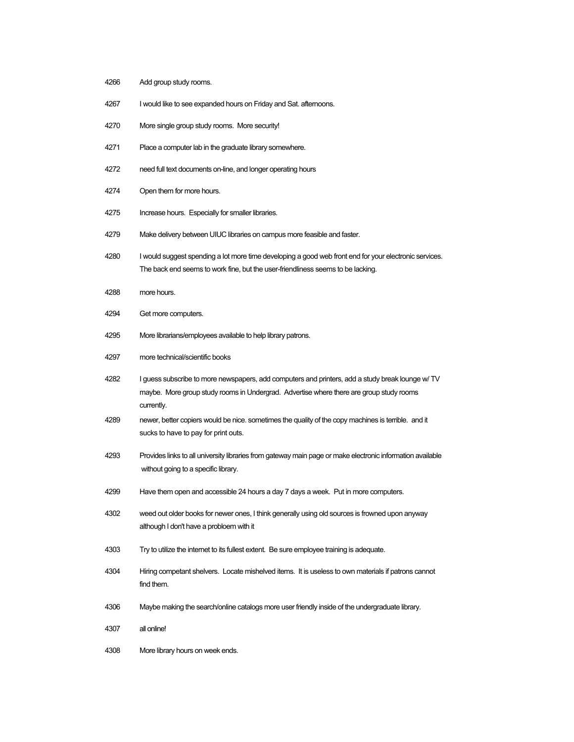- Add group study rooms.
- I would like to see expanded hours on Friday and Sat. afternoons.
- More single group study rooms. More security!
- Place a computer lab in the graduate library somewhere.
- need full text documents on-line, and longer operating hours
- Open them for more hours.
- Increase hours. Especially for smaller libraries.
- Make delivery between UIUC libraries on campus more feasible and faster.
- 4280 I would suggest spending a lot more time developing a good web front end for your electronic services. The back end seems to work fine, but the user-friendliness seems to be lacking.
- more hours.
- Get more computers.
- More librarians/employees available to help library patrons.
- more technical/scientific books
- I guess subscribe to more newspapers, add computers and printers, add a study break lounge w/ TV maybe. More group study rooms in Undergrad. Advertise where there are group study rooms currently.
- newer, better copiers would be nice. sometimes the quality of the copy machines is terrible. and it sucks to have to pay for print outs.
- Provides links to all university libraries from gateway main page or make electronic information available without going to a specific library.
- Have them open and accessible 24 hours a day 7 days a week. Put in more computers.
- weed out older books for newer ones, I think generally using old sources is frowned upon anyway although I don't have a probloem with it
- Try to utilize the internet to its fullest extent. Be sure employee training is adequate.
- Hiring competant shelvers. Locate mishelved items. It is useless to own materials if patrons cannot find them.
- Maybe making the search/online catalogs more user friendly inside of the undergraduate library.
- all online!
- More library hours on week ends.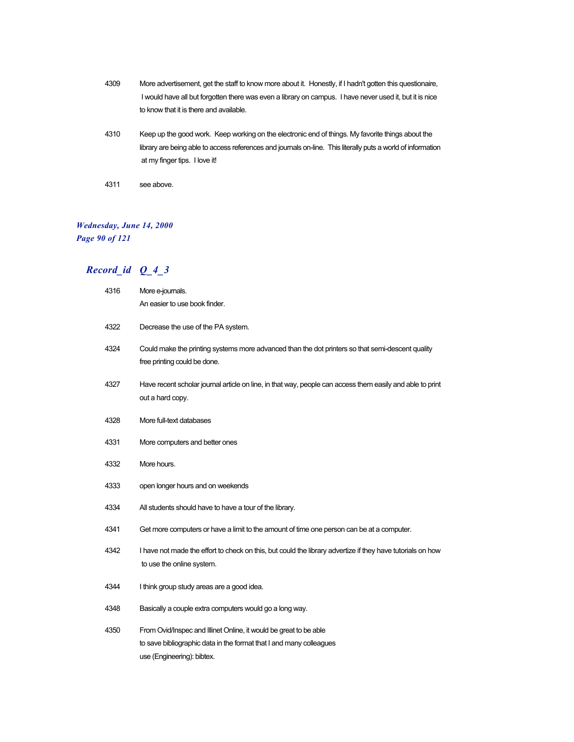- 4309 More advertisement, get the staff to know more about it. Honestly, if I hadn't gotten this questionaire, I would have all but forgotten there was even a library on campus. I have never used it, but it is nice to know that it is there and available.
- 4310 Keep up the good work. Keep working on the electronic end of things. My favorite things about the library are being able to access references and journals on-line. This literally puts a world of information at my finger tips. I love it!
- 4311 see above.

#### *Wednesday, June 14, 2000 Page 90 of 121*

| 4316 | More e-journals.                                                                                                                                                       |
|------|------------------------------------------------------------------------------------------------------------------------------------------------------------------------|
|      | An easier to use book finder.                                                                                                                                          |
| 4322 | Decrease the use of the PA system.                                                                                                                                     |
| 4324 | Could make the printing systems more advanced than the dot printers so that semi-descent quality<br>free printing could be done.                                       |
| 4327 | Have recent scholar journal article on line, in that way, people can access them easily and able to print<br>out a hard copy.                                          |
| 4328 | More full-text databases                                                                                                                                               |
| 4331 | More computers and better ones                                                                                                                                         |
| 4332 | More hours.                                                                                                                                                            |
| 4333 | open longer hours and on weekends                                                                                                                                      |
| 4334 | All students should have to have a tour of the library.                                                                                                                |
| 4341 | Get more computers or have a limit to the amount of time one person can be at a computer.                                                                              |
| 4342 | I have not made the effort to check on this, but could the library advertize if they have tutorials on how<br>to use the online system.                                |
| 4344 | I think group study areas are a good idea.                                                                                                                             |
| 4348 | Basically a couple extra computers would go a long way.                                                                                                                |
| 4350 | From Ovid/Inspec and Illinet Online, it would be great to be able<br>to save bibliographic data in the format that I and many colleagues<br>use (Engineering): bibtex. |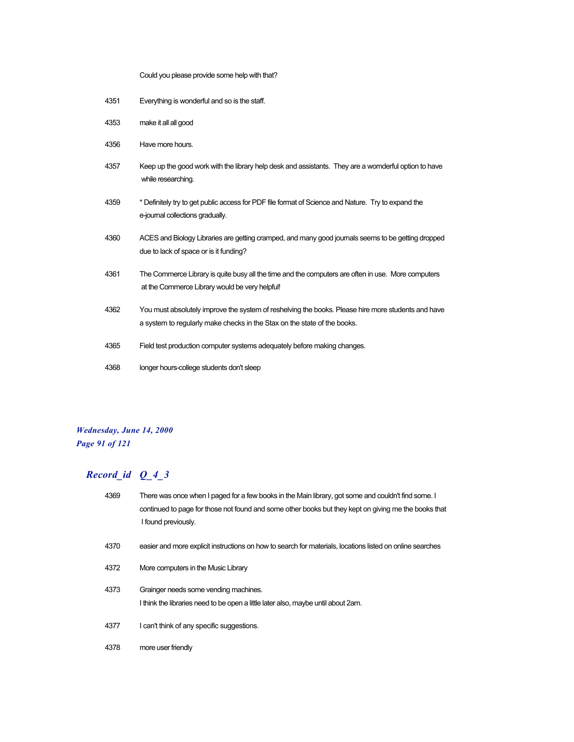Could you please provide some help with that?

- 4351 Everything is wonderful and so is the staff.
- 4353 make it all all good
- 4356 Have more hours.
- 4357 Keep up the good work with the library help desk and assistants. They are a womderful option to have while researching.
- 4359 \* Definitely try to get public access for PDF file format of Science and Nature. Try to expand the e-journal collections gradually.
- 4360 ACES and Biology Libraries are getting cramped, and many good journals seems to be getting dropped due to lack of space or is it funding?
- 4361 The Commerce Library is quite busy all the time and the computers are often in use. More computers at the Commerce Library would be very helpful!
- 4362 You must absolutely improve the system of reshelving the books. Please hire more students and have a system to regularly make checks in the Stax on the state of the books.
- 4365 Field test production computer systems adequately before making changes.
- 4368 longer hours-college students don't sleep

#### *Wednesday, June 14, 2000 Page 91 of 121*

| 4369 | There was once when I paged for a few books in the Main library, got some and couldn't find some. I<br>continued to page for those not found and some other books but they kept on giving me the books that<br>I found previously. |
|------|------------------------------------------------------------------------------------------------------------------------------------------------------------------------------------------------------------------------------------|
| 4370 | easier and more explicit instructions on how to search for materials, locations listed on online searches                                                                                                                          |
| 4372 | More computers in the Music Library                                                                                                                                                                                                |
| 4373 | Grainger needs some vending machines.<br>I think the libraries need to be open a little later also, maybe until about 2am.                                                                                                         |
| 4377 | I can't think of any specific suggestions.                                                                                                                                                                                         |
| 4378 | more user friendly                                                                                                                                                                                                                 |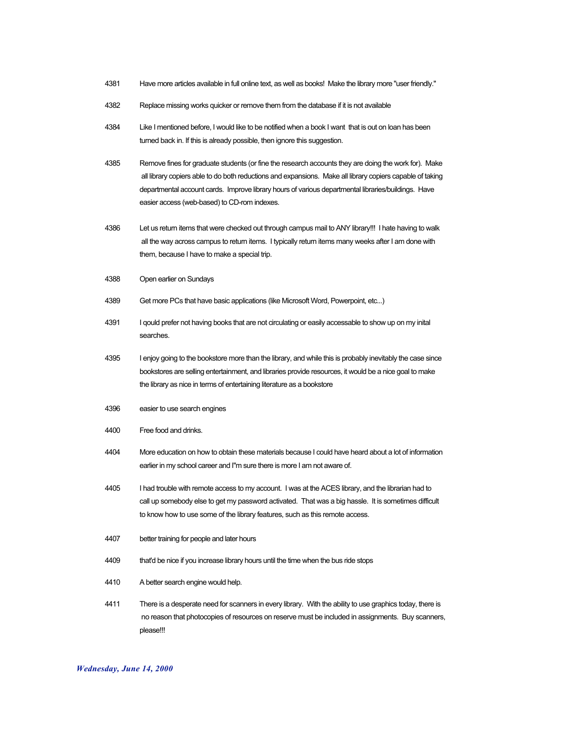- 4381 Have more articles available in full online text, as well as books! Make the library more "user friendly."
- 4382 Replace missing works quicker or remove them from the database if it is not available
- 4384 Like I mentioned before, I would like to be notified when a book I want that is out on loan has been turned back in. If this is already possible, then ignore this suggestion.
- 4385 Remove fines for graduate students (or fine the research accounts they are doing the work for). Make all library copiers able to do both reductions and expansions. Make all library copiers capable of taking departmental account cards. Improve library hours of various departmental libraries/buildings. Have easier access (web-based) to CD-rom indexes.
- 4386 Let us return items that were checked out through campus mail to ANY library!!! I hate having to walk all the way across campus to return items. I typically return items many weeks after I am done with them, because I have to make a special trip.
- 4388 Open earlier on Sundays
- 4389 Get more PCs that have basic applications (like Microsoft Word, Powerpoint, etc...)
- 4391 I qould prefer not having books that are not circulating or easily accessable to show up on my inital searches.
- 4395 I enjoy going to the bookstore more than the library, and while this is probably inevitably the case since bookstores are selling entertainment, and libraries provide resources, it would be a nice goal to make the library as nice in terms of entertaining literature as a bookstore
- 4396 easier to use search engines
- 4400 Free food and drinks.
- 4404 More education on how to obtain these materials because I could have heard about a lot of information earlier in my school career and I"m sure there is more I am not aware of.
- 4405 I had trouble with remote access to my account. I was at the ACES library, and the librarian had to call up somebody else to get my password activated. That was a big hassle. It is sometimes difficult to know how to use some of the library features, such as this remote access.
- 4407 better training for people and later hours
- 4409 that'd be nice if you increase library hours until the time when the bus ride stops
- 4410 A better search engine would help.
- 4411 There is a desperate need for scanners in every library. With the ability to use graphics today, there is no reason that photocopies of resources on reserve must be included in assignments. Buy scanners, please!!!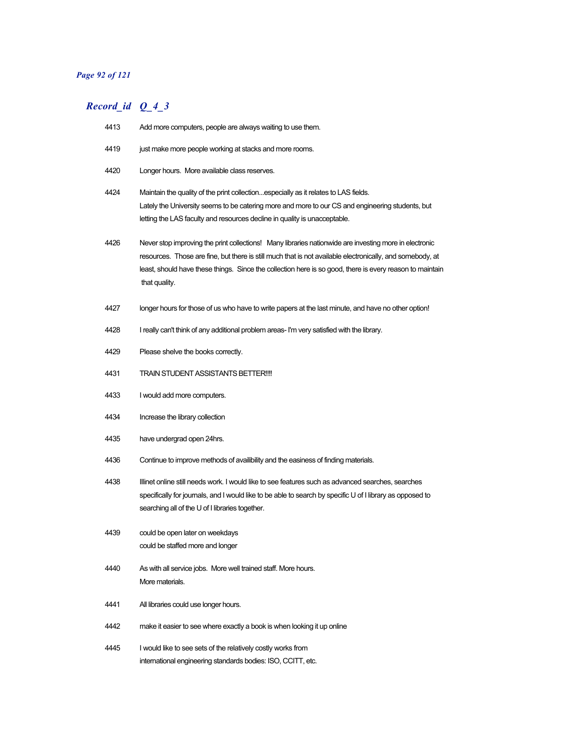### *Page 92 of 121*

| 4413 | Add more computers, people are always waiting to use them.                                                                                                                                                                                                                                                                                       |
|------|--------------------------------------------------------------------------------------------------------------------------------------------------------------------------------------------------------------------------------------------------------------------------------------------------------------------------------------------------|
| 4419 | just make more people working at stacks and more rooms.                                                                                                                                                                                                                                                                                          |
| 4420 | Longer hours. More available class reserves.                                                                                                                                                                                                                                                                                                     |
| 4424 | Maintain the quality of the print collectionespecially as it relates to LAS fields.<br>Lately the University seems to be catering more and more to our CS and engineering students, but<br>letting the LAS faculty and resources decline in quality is unacceptable.                                                                             |
| 4426 | Never stop improving the print collections! Many libraries nationwide are investing more in electronic<br>resources. Those are fine, but there is still much that is not available electronically, and somebody, at<br>least, should have these things. Since the collection here is so good, there is every reason to maintain<br>that quality. |
| 4427 | longer hours for those of us who have to write papers at the last minute, and have no other option!                                                                                                                                                                                                                                              |
| 4428 | I really can't think of any additional problem areas- I'm very satisfied with the library.                                                                                                                                                                                                                                                       |
| 4429 | Please shelve the books correctly.                                                                                                                                                                                                                                                                                                               |
| 4431 | TRAIN STUDENT ASSISTANTS BETTER!!!!                                                                                                                                                                                                                                                                                                              |
| 4433 | I would add more computers.                                                                                                                                                                                                                                                                                                                      |
| 4434 | Increase the library collection                                                                                                                                                                                                                                                                                                                  |
| 4435 | have undergrad open 24hrs.                                                                                                                                                                                                                                                                                                                       |
| 4436 | Continue to improve methods of availibility and the easiness of finding materials.                                                                                                                                                                                                                                                               |
| 4438 | Illinet online still needs work. I would like to see features such as advanced searches, searches<br>specifically for journals, and I would like to be able to search by specific U of I library as opposed to<br>searching all of the U of I libraries together.                                                                                |
| 4439 | could be open later on weekdays<br>could be staffed more and longer                                                                                                                                                                                                                                                                              |
| 4440 | As with all service jobs. More well trained staff. More hours.<br>More materials.                                                                                                                                                                                                                                                                |
| 4441 | All libraries could use longer hours.                                                                                                                                                                                                                                                                                                            |
| 4442 | make it easier to see where exactly a book is when looking it up online                                                                                                                                                                                                                                                                          |
| 4445 | I would like to see sets of the relatively costly works from<br>international engineering standards bodies: ISO, CCITT, etc.                                                                                                                                                                                                                     |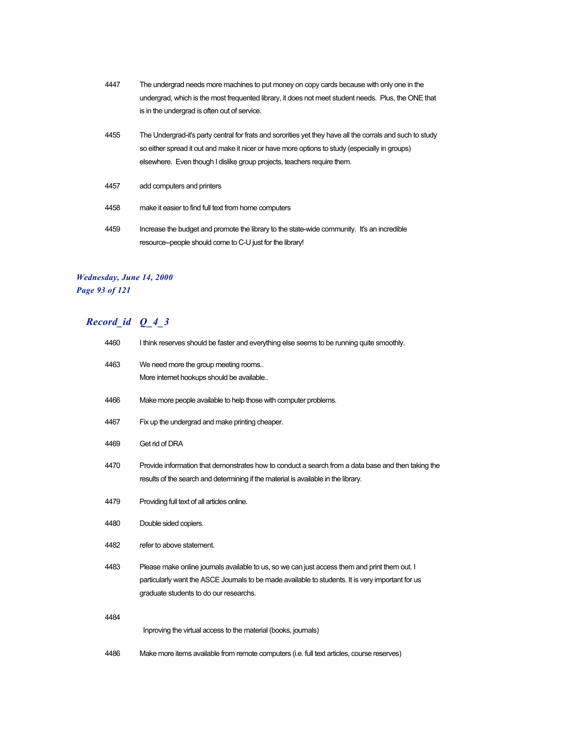- 4447 The undergrad needs more machines to put money on copy cards because with only one in the undergrad, which is the most frequented library, it does not meet student needs. Plus, the ONE that is in the undergrad is often out of service.
- 4455 The Undergrad-it's party central for frats and sororities yet they have all the corrals and such to study so either spread it out and make it nicer or have more options to study (especially in groups) elsewhere. Even though I dislike group projects, teachers require them.
- 4457 add computers and printers
- 4458 make it easier to find full text from home computers
- 4459 Increase the budget and promote the library to the state-wide community. It's an incredible resource--people should come to C-U just for the library!

#### *Wednesday, June 14, 2000 Page 93 of 121*

| 4460 | I think reserves should be faster and everything else seems to be running quite smoothly.                                                                                                                                                    |
|------|----------------------------------------------------------------------------------------------------------------------------------------------------------------------------------------------------------------------------------------------|
| 4463 | We need more the group meeting rooms<br>More internet hookups should be available                                                                                                                                                            |
| 4466 | Make more people available to help those with computer problems.                                                                                                                                                                             |
| 4467 | Fix up the undergrad and make printing cheaper.                                                                                                                                                                                              |
| 4469 | Get rid of DRA                                                                                                                                                                                                                               |
| 4470 | Provide information that demonstrates how to conduct a search from a data base and then taking the<br>results of the search and determining if the material is available in the library.                                                     |
| 4479 | Providing full text of all articles online.                                                                                                                                                                                                  |
| 4480 | Double sided copiers.                                                                                                                                                                                                                        |
| 4482 | refer to above statement.                                                                                                                                                                                                                    |
| 4483 | Please make online journals available to us, so we can just access them and print them out. I<br>particularly want the ASCE Journals to be made available to students. It is very important for us<br>graduate students to do our researchs. |
| 4484 |                                                                                                                                                                                                                                              |
|      | Inproving the virtual access to the material (books, journals)                                                                                                                                                                               |
| 4486 | Make more items available from remote computers (i.e. full text articles, course reserves)                                                                                                                                                   |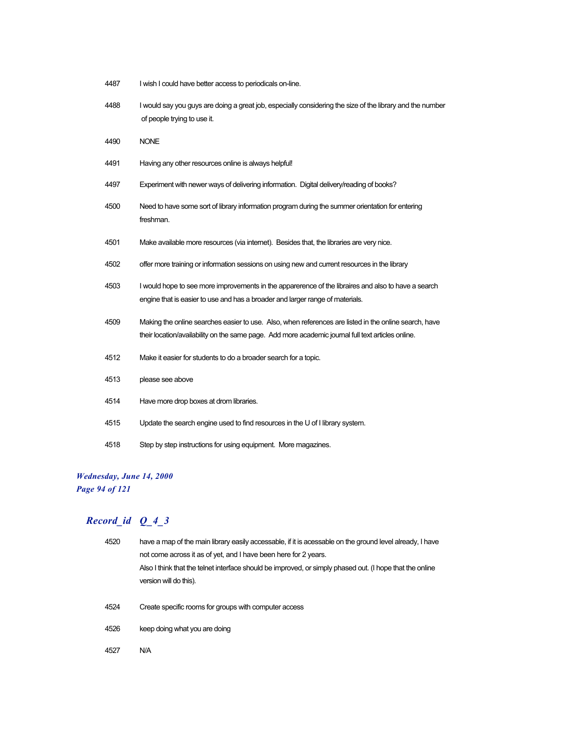- 4487 I wish I could have better access to periodicals on-line.
- I would say you guys are doing a great job, especially considering the size of the library and the number of people trying to use it.

NONE

- Having any other resources online is always helpful!
- Experiment with newer ways of delivering information. Digital delivery/reading of books?
- Need to have some sort of library information program during the summer orientation for entering freshman.
- Make available more resources (via internet). Besides that, the libraries are very nice.
- offer more training or information sessions on using new and current resources in the library
- I would hope to see more improvements in the apparerence of the libraires and also to have a search engine that is easier to use and has a broader and larger range of materials.
- Making the online searches easier to use. Also, when references are listed in the online search, have their location/availability on the same page. Add more academic journal full text articles online.
- Make it easier for students to do a broader search for a topic.
- please see above Have more drop boxes at drom libraries. Update the search engine used to find resources in the U of I library system.
- Step by step instructions for using equipment. More magazines.

#### *Wednesday, June 14, 2000 Page 94 of 121*

| 4520 | have a map of the main library easily accessable, if it is acessable on the ground level already, I have |
|------|----------------------------------------------------------------------------------------------------------|
|      | not come across it as of yet, and I have been here for 2 years.                                          |
|      | Also I think that the telnet interface should be improved, or simply phased out. (I hope that the online |
|      | version will do this).                                                                                   |
|      |                                                                                                          |
| 4524 | Create specific rooms for groups with computer access                                                    |
|      |                                                                                                          |
| 4526 | keep doing what you are doing                                                                            |
| 4527 | N/A                                                                                                      |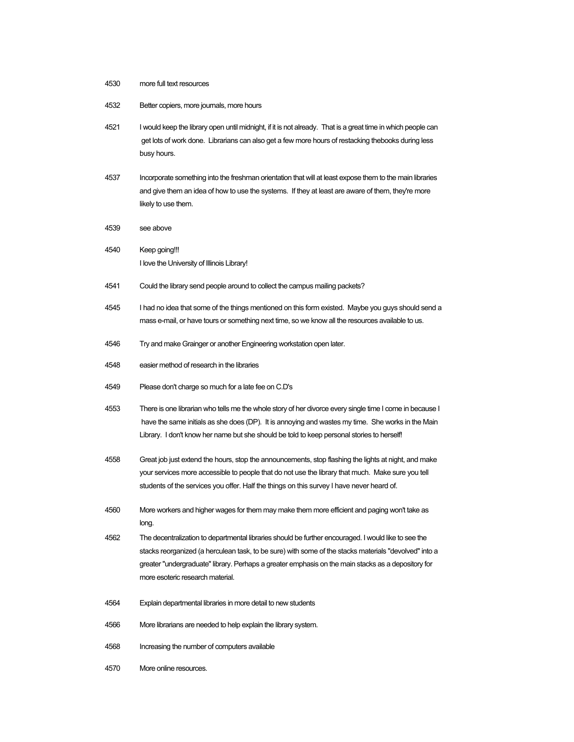- 4530 more full text resources
- 4532 Better copiers, more journals, more hours
- 4521 I would keep the library open until midnight, if it is not already. That is a great time in which people can get lots of work done. Librarians can also get a few more hours of restacking thebooks during less busy hours.
- 4537 Incorporate something into the freshman orientation that will at least expose them to the main libraries and give them an idea of how to use the systems. If they at least are aware of them, they're more likely to use them.
- 4539 see above
- 4540 Keep going!!! I love the University of Illinois Library!
- 4541 Could the library send people around to collect the campus mailing packets?
- 4545 I had no idea that some of the things mentioned on this form existed. Maybe you guys should send a mass e-mail, or have tours or something next time, so we know all the resources available to us.
- 4546 Try and make Grainger or another Engineering workstation open later.
- 4548 easier method of research in the libraries
- 4549 Please don't charge so much for a late fee on C.D's
- 4553 There is one librarian who tells me the whole story of her divorce every single time I come in because I have the same initials as she does (DP). It is annoying and wastes my time. She works in the Main Library. I don't know her name but she should be told to keep personal stories to herself!
- 4558 Great job just extend the hours, stop the announcements, stop flashing the lights at night, and make your services more accessible to people that do not use the library that much. Make sure you tell students of the services you offer. Half the things on this survey I have never heard of.
- 4560 More workers and higher wages for them may make them more efficient and paging won't take as long.
- 4562 The decentralization to departmental libraries should be further encouraged. I would like to see the stacks reorganized (a herculean task, to be sure) with some of the stacks materials "devolved" into a greater "undergraduate" library. Perhaps a greater emphasis on the main stacks as a depository for more esoteric research material.
- 4564 Explain departmental libraries in more detail to new students
- 4566 More librarians are needed to help explain the library system.
- 4568 Increasing the number of computers available
- 4570 More online resources.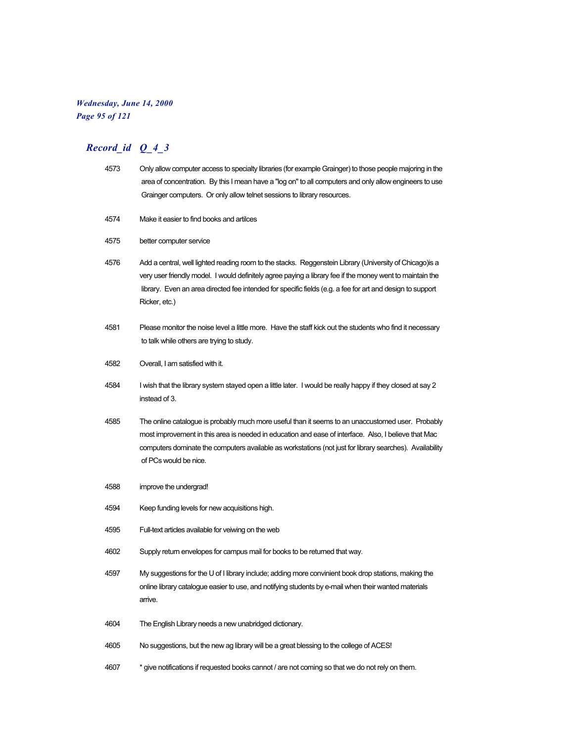#### *Wednesday, June 14, 2000 Page 95 of 121*

- 4573 Only allow computer access to specialty libraries (for example Grainger) to those people majoring in the area of concentration. By this I mean have a "log on" to all computers and only allow engineers to use Grainger computers. Or only allow telnet sessions to library resources.
- 4574 Make it easier to find books and artilces
- 4575 better computer service
- 4576 Add a central, well lighted reading room to the stacks. Reggenstein Library (University of Chicago)is a very user friendly model. I would definitely agree paying a library fee if the money went to maintain the library. Even an area directed fee intended for specific fields (e.g. a fee for art and design to support Ricker, etc.)
- 4581 Please monitor the noise level a little more. Have the staff kick out the students who find it necessary to talk while others are trying to study.
- 4582 Overall, I am satisfied with it.
- 4584 I wish that the library system stayed open a little later. I would be really happy if they closed at say 2 instead of 3.
- 4585 The online catalogue is probably much more useful than it seems to an unaccustomed user. Probably most improvement in this area is needed in education and ease of interface. Also, I believe that Mac computers dominate the computers available as workstations (not just for library searches). Availability of PCs would be nice.
- 4588 improve the undergrad!
- 4594 Keep funding levels for new acquisitions high.
- 4595 Full-text articles available for veiwing on the web
- 4602 Supply return envelopes for campus mail for books to be returned that way.
- 4597 My suggestions for the U of I library include; adding more convinient book drop stations, making the online library catalogue easier to use, and notifying students by e-mail when their wanted materials arrive.
- 4604 The English Library needs a new unabridged dictionary.
- 4605 No suggestions, but the new ag library will be a great blessing to the college of ACES!
- 4607 \* give notifications if requested books cannot / are not coming so that we do not rely on them.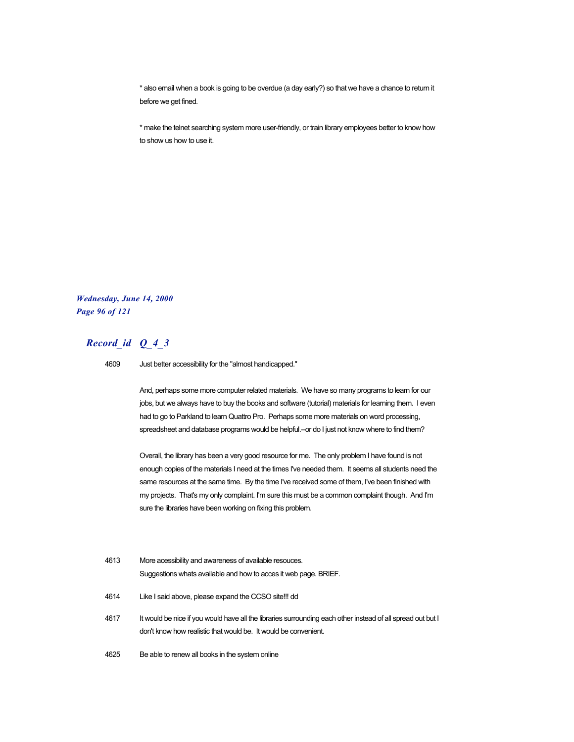\* also email when a book is going to be overdue (a day early?) so that we have a chance to return it before we get fined.

\* make the telnet searching system more user-friendly, or train library employees better to know how to show us how to use it.

*Wednesday, June 14, 2000 Page 96 of 121*

## *Record\_id Q\_4\_3*

4609 Just better accessibility for the "almost handicapped."

And, perhaps some more computer related materials. We have so many programs to learn for our jobs, but we always have to buy the books and software (tutorial) materials for learning them. I even had to go to Parkland to learn Quattro Pro. Perhaps some more materials on word processing, spreadsheet and database programs would be helpful.--or do I just not know where to find them?

Overall, the library has been a very good resource for me. The only problem I have found is not enough copies of the materials I need at the times I've needed them. It seems all students need the same resources at the same time. By the time I've received some of them, I've been finished with my projects. That's my only complaint. I'm sure this must be a common complaint though. And I'm sure the libraries have been working on fixing this problem.

| 4613 | More acessibility and awareness of available resouces.                                                                                                                         |
|------|--------------------------------------------------------------------------------------------------------------------------------------------------------------------------------|
|      | Suggestions whats available and how to acces it web page. BRIEF.                                                                                                               |
| 4614 | Like I said above, please expand the CCSO site!!! dd                                                                                                                           |
| 4617 | It would be nice if you would have all the libraries surrounding each other instead of all spread out but I<br>don't know how realistic that would be. It would be convenient. |
| 4625 | Be able to renew all books in the system online                                                                                                                                |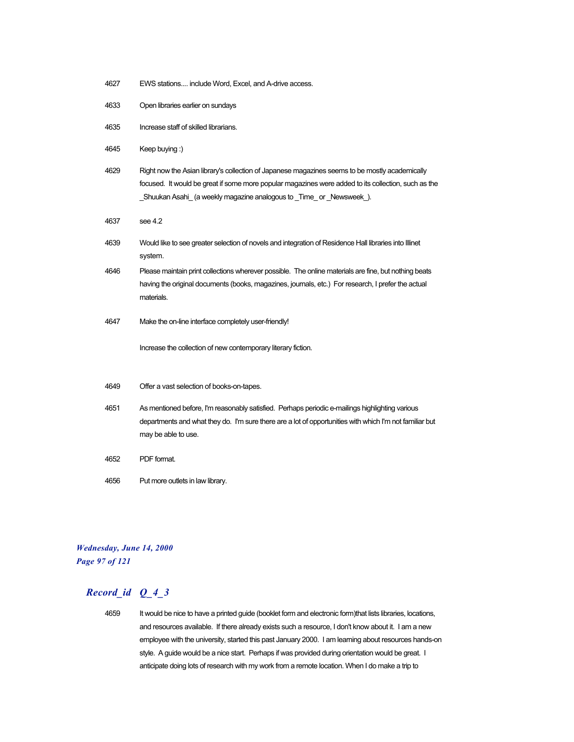- 4627 EWS stations.... include Word, Excel, and A-drive access.
- 4633 Open libraries earlier on sundays
- 4635 Increase staff of skilled librarians.
- 4645 Keep buying :)
- 4629 Right now the Asian library's collection of Japanese magazines seems to be mostly academically focused. It would be great if some more popular magazines were added to its collection, such as the \_Shuukan Asahi\_ (a weekly magazine analogous to \_Time\_ or \_Newsweek\_).
- 4637 see 4.2
- 4639 Would like to see greater selection of novels and integration of Residence Hall libraries into Illinet system.
- 4646 Please maintain print collections wherever possible. The online materials are fine, but nothing beats having the original documents (books, magazines, journals, etc.) For research, I prefer the actual materials.
- 4647 Make the on-line interface completely user-friendly!

Increase the collection of new contemporary literary fiction.

- 4649 Offer a vast selection of books-on-tapes.
- 4651 As mentioned before, I'm reasonably satisfied. Perhaps periodic e-mailings highlighting various departments and what they do. I'm sure there are a lot of opportunities with which I'm not familiar but may be able to use.
- 4652 PDF format.
- 4656 Put more outlets in law library.

#### *Wednesday, June 14, 2000 Page 97 of 121*

## *Record\_id Q\_4\_3*

4659 It would be nice to have a printed guide (booklet form and electronic form)that lists libraries, locations, and resources available. If there already exists such a resource, I don't know about it. I am a new employee with the university, started this past January 2000. I am learning about resources hands-on style. A guide would be a nice start. Perhaps if was provided during orientation would be great. I anticipate doing lots of research with my work from a remote location. When I do make a trip to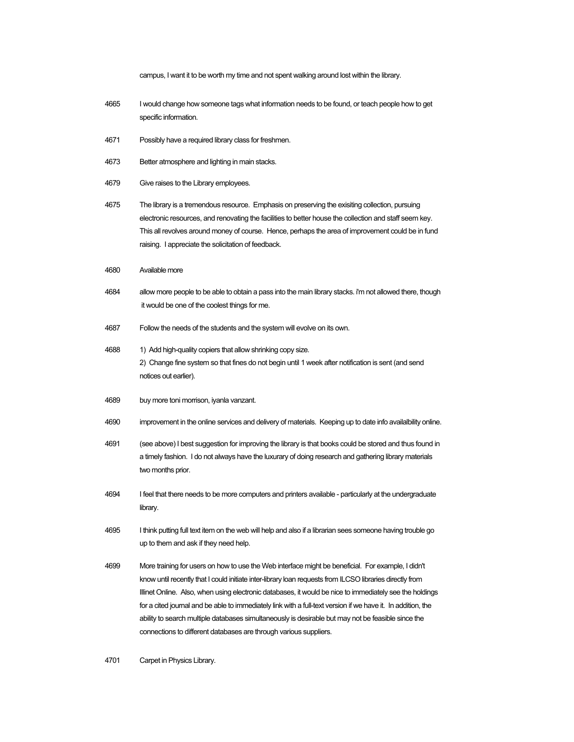campus, I want it to be worth my time and not spent walking around lost within the library. 4665 I would change how someone tags what information needs to be found, or teach people how to get specific information. 4671 Possibly have a required library class for freshmen. 4673 Better atmosphere and lighting in main stacks. 4679 Give raises to the Library employees. 4675 The library is a tremendous resource. Emphasis on preserving the exisiting collection, pursuing electronic resources, and renovating the facilities to better house the collection and staff seem key. This all revolves around money of course. Hence, perhaps the area of improvement could be in fund raising. I appreciate the solicitation of feedback. 4680 Available more 4684 allow more people to be able to obtain a pass into the main library stacks. i'm not allowed there, though it would be one of the coolest things for me. 4687 Follow the needs of the students and the system will evolve on its own. 4688 1) Add high-quality copiers that allow shrinking copy size. 2) Change fine system so that fines do not begin until 1 week after notification is sent (and send notices out earlier). 4689 buy more toni morrison, iyanla vanzant. 4690 improvement in the online services and delivery of materials. Keeping up to date info availalbility online. 4691 (see above) I best suggestion for improving the library is that books could be stored and thus found in a timely fashion. I do not always have the luxurary of doing research and gathering library materials two months prior. 4694 I feel that there needs to be more computers and printers available - particularly at the undergraduate library. 4695 I think putting full text item on the web will help and also if a librarian sees someone having trouble go up to them and ask if they need help. 4699 More training for users on how to use the Web interface might be beneficial. For example, I didn't know until recently that I could initiate inter-library loan requests from ILCSO libraries directly from Illinet Online. Also, when using electronic databases, it would be nice to immediately see the holdings for a cited journal and be able to immediately link with a full-text version if we have it. In addition, the ability to search multiple databases simultaneously is desirable but may not be feasible since the connections to different databases are through various suppliers.

4701 Carpet in Physics Library.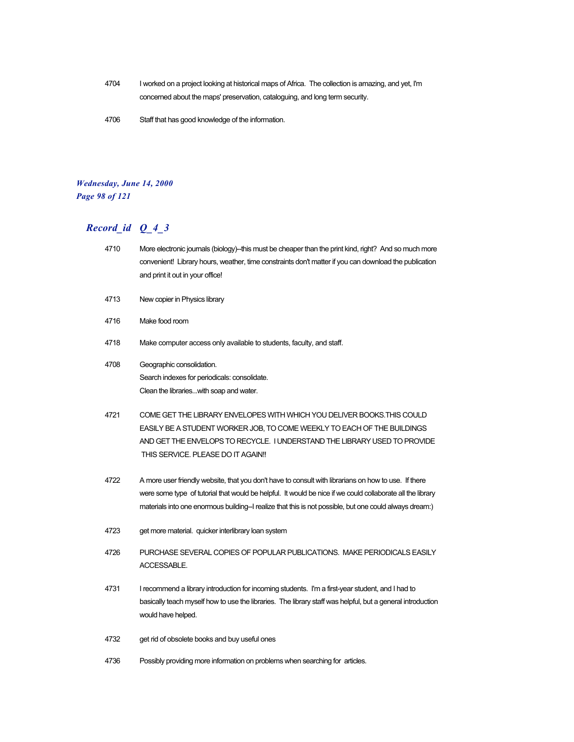- 4704 I worked on a project looking at historical maps of Africa. The collection is amazing, and yet, I'm concerned about the maps' preservation, cataloguing, and long term security.
- 4706 Staff that has good knowledge of the information.

#### *Wednesday, June 14, 2000 Page 98 of 121*

- 4710 More electronic journals (biology)--this must be cheaper than the print kind, right? And so much more convenient! Library hours, weather, time constraints don't matter if you can download the publication and print it out in your office!
- 4713 New copier in Physics library
- 4716 Make food room
- 4718 Make computer access only available to students, faculty, and staff.
- 4708 Geographic consolidation. Search indexes for periodicals: consolidate. Clean the libraries...with soap and water.
- 4721 COME GET THE LIBRARY ENVELOPES WITH WHICH YOU DELIVER BOOKS.THIS COULD EASILY BE A STUDENT WORKER JOB, TO COME WEEKLY TO EACH OF THE BUILDINGS AND GET THE ENVELOPS TO RECYCLE. I UNDERSTAND THE LIBRARY USED TO PROVIDE THIS SERVICE. PLEASE DO IT AGAIN!!
- 4722 A more user friendly website, that you don't have to consult with librarians on how to use. If there were some type of tutorial that would be helpful. It would be nice if we could collaborate all the library materials into one enormous building-I realize that this is not possible, but one could always dream:)
- 4723 get more material. quicker interlibrary loan system
- 4726 PURCHASE SEVERAL COPIES OF POPULAR PUBLICATIONS. MAKE PERIODICALS EASILY ACCESSABLE.
- 4731 I recommend a library introduction for incoming students. I'm a first-year student, and I had to basically teach myself how to use the libraries. The library staff was helpful, but a general introduction would have helped.
- 4732 get rid of obsolete books and buy useful ones
- 4736 Possibly providing more information on problems when searching for articles.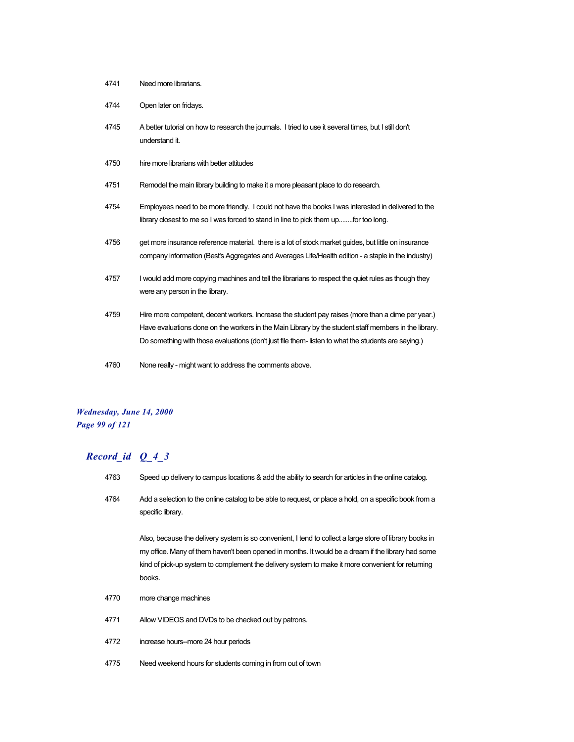- 4744 Open later on fridays.
- 4745 A better tutorial on how to research the journals. I tried to use it several times, but I still don't understand it.
- 4750 hire more librarians with better attitudes
- 4751 Remodel the main library building to make it a more pleasant place to do research.
- 4754 Employees need to be more friendly. I could not have the books I was interested in delivered to the library closest to me so I was forced to stand in line to pick them up........for too long.
- 4756 get more insurance reference material. there is a lot of stock market guides, but little on insurance company information (Best's Aggregates and Averages Life/Health edition - a staple in the industry)
- 4757 I would add more copying machines and tell the librarians to respect the quiet rules as though they were any person in the library.
- 4759 Hire more competent, decent workers. Increase the student pay raises (more than a dime per year.) Have evaluations done on the workers in the Main Library by the student staff members in the library. Do something with those evaluations (don't just file them- listen to what the students are saying.)
- 4760 None really might want to address the comments above.

#### *Wednesday, June 14, 2000 Page 99 of 121*

#### *Record\_id Q\_4\_3*

- 4763 Speed up delivery to campus locations & add the ability to search for articles in the online catalog.
- 4764 Add a selection to the online catalog to be able to request, or place a hold, on a specific book from a specific library.

Also, because the delivery system is so convenient, I tend to collect a large store of library books in my office. Many of them haven't been opened in months. It would be a dream if the library had some kind of pick-up system to complement the delivery system to make it more convenient for returning books.

- 4770 more change machines
- 4771 Allow VIDEOS and DVDs to be checked out by patrons.
- 4772 increase hours--more 24 hour periods
- 4775 Need weekend hours for students coming in from out of town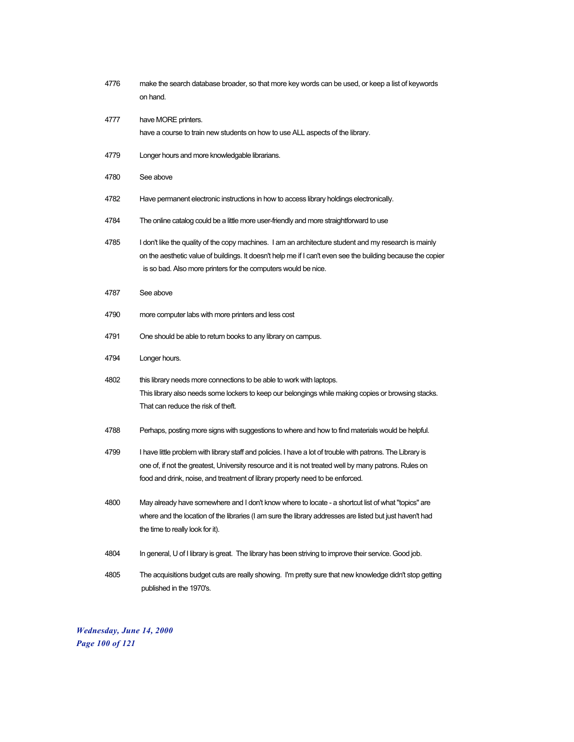| 4776 | make the search database broader, so that more key words can be used, or keep a list of keywords<br>on hand.                                                                                                                                                                                          |
|------|-------------------------------------------------------------------------------------------------------------------------------------------------------------------------------------------------------------------------------------------------------------------------------------------------------|
| 4777 | have MORE printers.<br>have a course to train new students on how to use ALL aspects of the library.                                                                                                                                                                                                  |
| 4779 | Longer hours and more knowledgable librarians.                                                                                                                                                                                                                                                        |
| 4780 | See above                                                                                                                                                                                                                                                                                             |
| 4782 | Have permanent electronic instructions in how to access library holdings electronically.                                                                                                                                                                                                              |
| 4784 | The online catalog could be a little more user-friendly and more straightforward to use                                                                                                                                                                                                               |
| 4785 | I don't like the quality of the copy machines. I am an architecture student and my research is mainly<br>on the aesthetic value of buildings. It doesn't help me if I can't even see the building because the copier<br>is so bad. Also more printers for the computers would be nice.                |
| 4787 | See above                                                                                                                                                                                                                                                                                             |
| 4790 | more computer labs with more printers and less cost                                                                                                                                                                                                                                                   |
| 4791 | One should be able to return books to any library on campus.                                                                                                                                                                                                                                          |
| 4794 | Longer hours.                                                                                                                                                                                                                                                                                         |
| 4802 | this library needs more connections to be able to work with laptops.<br>This library also needs some lockers to keep our belongings while making copies or browsing stacks.<br>That can reduce the risk of theft.                                                                                     |
| 4788 | Perhaps, posting more signs with suggestions to where and how to find materials would be helpful.                                                                                                                                                                                                     |
| 4799 | I have little problem with library staff and policies. I have a lot of trouble with patrons. The Library is<br>one of, if not the greatest, University resource and it is not treated well by many patrons. Rules on<br>food and drink, noise, and treatment of library property need to be enforced. |
| 4800 | May already have somewhere and I don't know where to locate - a shortcut list of what "topics" are<br>where and the location of the libraries (I am sure the library addresses are listed but just haven't had<br>the time to really look for it).                                                    |
| 4804 | In general, U of I library is great. The library has been striving to improve their service. Good job.                                                                                                                                                                                                |
| 4805 | The acquisitions budget cuts are really showing. I'm pretty sure that new knowledge didn't stop getting<br>published in the 1970's.                                                                                                                                                                   |

*Wednesday, June 14, 2000 Page 100 of 121*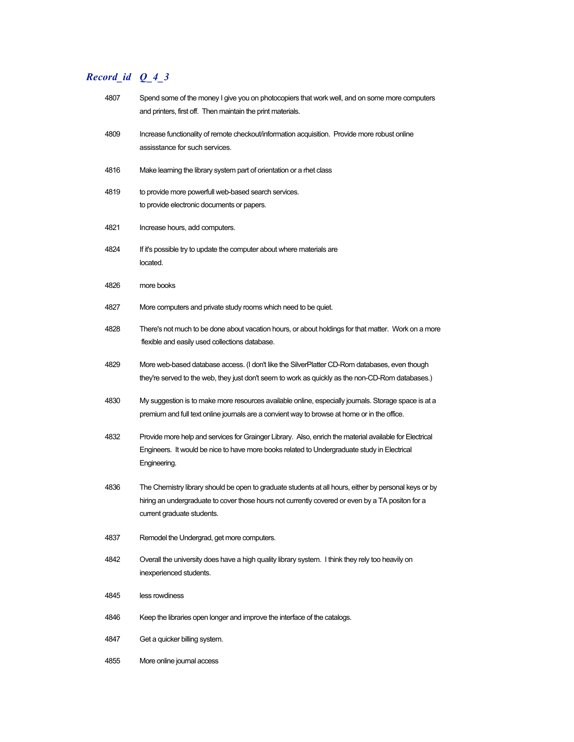| 4807 | Spend some of the money I give you on photocopiers that work well, and on some more computers<br>and printers, first off. Then maintain the print materials.                                                                            |
|------|-----------------------------------------------------------------------------------------------------------------------------------------------------------------------------------------------------------------------------------------|
| 4809 | Increase functionality of remote checkout/information acquisition. Provide more robust online<br>assisstance for such services.                                                                                                         |
| 4816 | Make learning the library system part of orientation or a rhet class                                                                                                                                                                    |
| 4819 | to provide more powerfull web-based search services.<br>to provide electronic documents or papers.                                                                                                                                      |
| 4821 | Increase hours, add computers.                                                                                                                                                                                                          |
| 4824 | If it's possible try to update the computer about where materials are<br>located.                                                                                                                                                       |
| 4826 | more books                                                                                                                                                                                                                              |
| 4827 | More computers and private study rooms which need to be quiet.                                                                                                                                                                          |
| 4828 | There's not much to be done about vacation hours, or about holdings for that matter. Work on a more<br>flexible and easily used collections database.                                                                                   |
| 4829 | More web-based database access. (I don't like the SilverPlatter CD-Rom databases, even though<br>they're served to the web, they just don't seem to work as quickly as the non-CD-Rom databases.)                                       |
| 4830 | My suggestion is to make more resources available online, especially journals. Storage space is at a<br>premium and full text online journals are a convient way to browse at home or in the office.                                    |
| 4832 | Provide more help and services for Grainger Library. Also, enrich the material available for Electrical<br>Engineers. It would be nice to have more books related to Undergraduate study in Electrical<br>Engineering.                  |
| 4836 | The Chemistry library should be open to graduate students at all hours, either by personal keys or by<br>hiring an undergraduate to cover those hours not currently covered or even by a TA positon for a<br>current graduate students. |
| 4837 | Remodel the Undergrad, get more computers.                                                                                                                                                                                              |
| 4842 | Overall the university does have a high quality library system. I think they rely too heavily on<br>inexperienced students.                                                                                                             |
| 4845 | less rowdiness                                                                                                                                                                                                                          |
| 4846 | Keep the libraries open longer and improve the interface of the catalogs.                                                                                                                                                               |
| 4847 | Get a quicker billing system.                                                                                                                                                                                                           |
| 4855 | More online journal access                                                                                                                                                                                                              |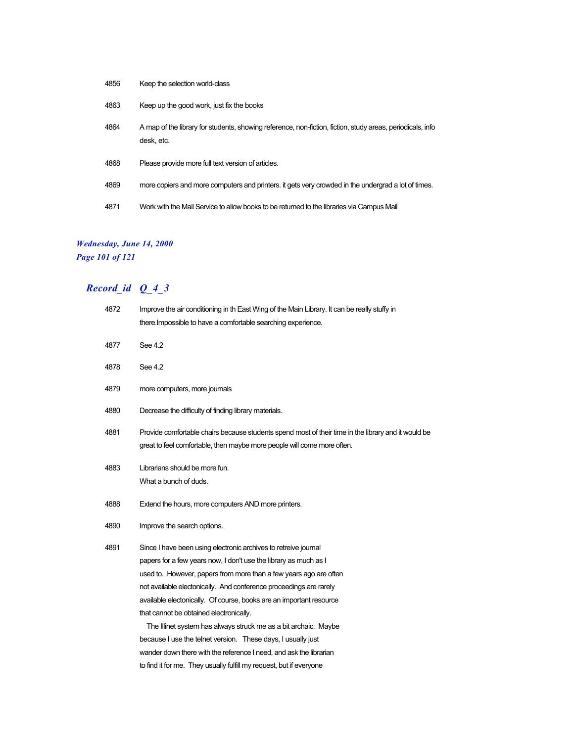| 4856 | Keep the selection world-class                                                                                           |
|------|--------------------------------------------------------------------------------------------------------------------------|
| 4863 | Keep up the good work, just fix the books                                                                                |
| 4864 | A map of the library for students, showing reference, non-fiction, fiction, study areas, periodicals, info<br>desk. etc. |
| 4868 | Please provide more full text version of articles.                                                                       |
| 4869 | more copiers and more computers and printers, it gets very crowded in the undergrad a lot of times.                      |
| 4871 | Work with the Mail Service to allow books to be returned to the libraries via Campus Mail                                |

## *Wednesday, June 14, 2000*

*Page 101 of 121*

| 4872 | Improve the air conditioning in th East Wing of the Main Library. It can be really stuffy in        |
|------|-----------------------------------------------------------------------------------------------------|
|      | there. Impossible to have a comfortable searching experience.                                       |
| 4877 | See 4.2                                                                                             |
|      |                                                                                                     |
| 4878 | See 4.2                                                                                             |
| 4879 | more computers, more journals                                                                       |
| 4880 | Decrease the difficulty of finding library materials.                                               |
| 4881 | Provide comfortable chairs because students spend most of their time in the library and it would be |
|      | great to feel comfortable, then maybe more people will come more often.                             |
|      |                                                                                                     |
| 4883 | Librarians should be more fun.                                                                      |
|      | What a bunch of duds.                                                                               |
| 4888 | Extend the hours, more computers AND more printers.                                                 |
| 4890 | Improve the search options.                                                                         |
| 4891 | Since I have been using electronic archives to retreive journal                                     |
|      | papers for a few years now, I don't use the library as much as I                                    |
|      | used to. However, papers from more than a few years ago are often                                   |
|      | not available electonically. And conference proceedings are rarely                                  |
|      | available electonically. Of course, books are an important resource                                 |
|      | that cannot be obtained electronically.                                                             |
|      | The Illinet system has always struck me as a bit archaic. Maybe                                     |
|      | because I use the telnet version. These days, I usually just                                        |
|      | wander down there with the reference I need, and ask the librarian                                  |
|      | to find it for me. They usually fulfill my request, but if everyone                                 |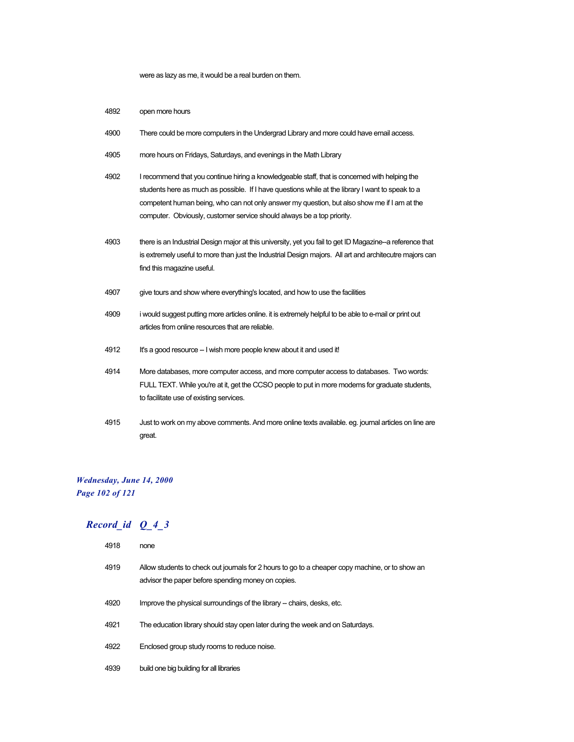were as lazy as me, it would be a real burden on them.

- 4892 open more hours
- 4900 There could be more computers in the Undergrad Library and more could have email access.
- 4905 more hours on Fridays, Saturdays, and evenings in the Math Library
- 4902 I recommend that you continue hiring a knowledgeable staff, that is concerned with helping the students here as much as possible. If I have questions while at the library I want to speak to a competent human being, who can not only answer my question, but also show me if I am at the computer. Obviously, customer service should always be a top priority.
- 4903 there is an Industrial Design major at this university, yet you fail to get ID Magazine--a reference that is extremely useful to more than just the Industrial Design majors. All art and architecutre majors can find this magazine useful.
- 4907 give tours and show where everything's located, and how to use the facilities
- 4909 i would suggest putting more articles online. it is extremely helpful to be able to e-mail or print out articles from online resources that are reliable.
- 4912 It's a good resource -- I wish more people knew about it and used it!
- 4914 More databases, more computer access, and more computer access to databases. Two words: FULL TEXT. While you're at it, get the CCSO people to put in more modems for graduate students, to facilitate use of existing services.
- 4915 Just to work on my above comments. And more online texts available. eg. journal articles on line are great.

#### *Wednesday, June 14, 2000 Page 102 of 121*

| 4918 | none                                                                                                                                                  |
|------|-------------------------------------------------------------------------------------------------------------------------------------------------------|
| 4919 | Allow students to check out journals for 2 hours to go to a cheaper copy machine, or to show an<br>advisor the paper before spending money on copies. |
| 4920 | Improve the physical surroundings of the library - chairs, desks, etc.                                                                                |
| 4921 | The education library should stay open later during the week and on Saturdays.                                                                        |
| 4922 | Enclosed group study rooms to reduce noise.                                                                                                           |
| 4939 | build one big building for all libraries                                                                                                              |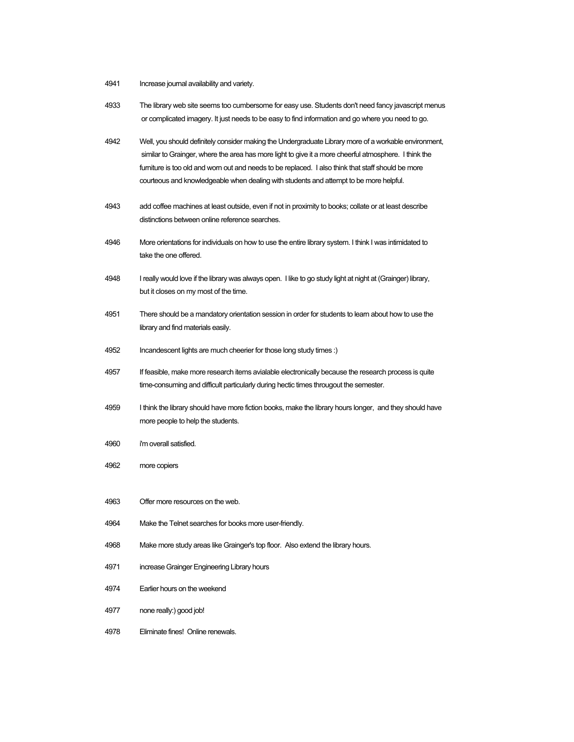- Increase journal availability and variety.
- The library web site seems too cumbersome for easy use. Students don't need fancy javascript menus or complicated imagery. It just needs to be easy to find information and go where you need to go.
- Well, you should definitely consider making the Undergraduate Library more of a workable environment, similar to Grainger, where the area has more light to give it a more cheerful atmosphere. I think the furniture is too old and worn out and needs to be replaced. I also think that staff should be more courteous and knowledgeable when dealing with students and attempt to be more helpful.
- add coffee machines at least outside, even if not in proximity to books; collate or at least describe distinctions between online reference searches.
- More orientations for individuals on how to use the entire library system. I think I was intimidated to take the one offered.
- I really would love if the library was always open. I like to go study light at night at (Grainger) library, but it closes on my most of the time.
- There should be a mandatory orientation session in order for students to learn about how to use the library and find materials easily.
- Incandescent lights are much cheerier for those long study times :)
- If feasible, make more research items avialable electronically because the research process is quite time-consuming and difficult particularly during hectic times througout the semester.
- I think the library should have more fiction books, make the library hours longer, and they should have more people to help the students.
- i'm overall satisfied.
- more copiers
- Offer more resources on the web.
- Make the Telnet searches for books more user-friendly.
- Make more study areas like Grainger's top floor. Also extend the library hours.
- increase Grainger Engineering Library hours
- Earlier hours on the weekend
- none really:) good job!
- Eliminate fines! Online renewals.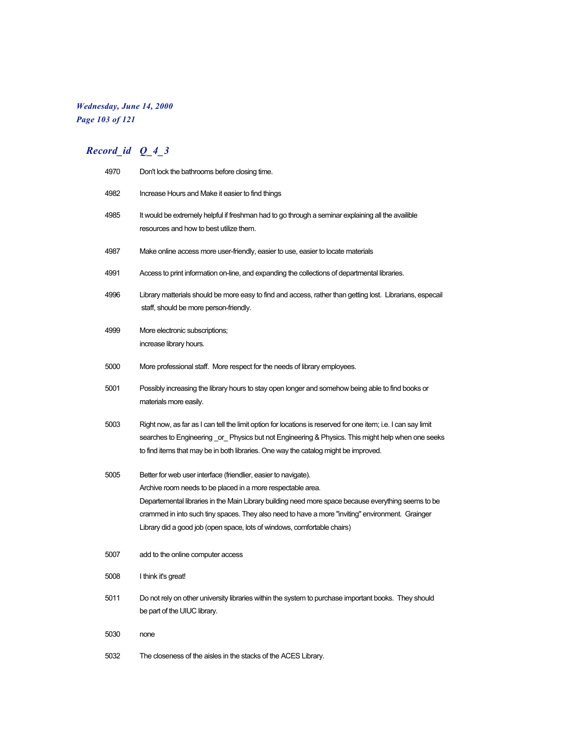### *Wednesday, June 14, 2000 Page 103 of 121*

| 4970 | Don't lock the bathrooms before closing time.                                                                                                                                                                                                                                                                                                                                                                         |
|------|-----------------------------------------------------------------------------------------------------------------------------------------------------------------------------------------------------------------------------------------------------------------------------------------------------------------------------------------------------------------------------------------------------------------------|
| 4982 | Increase Hours and Make it easier to find things                                                                                                                                                                                                                                                                                                                                                                      |
| 4985 | It would be extremely helpful if freshman had to go through a seminar explaining all the availible<br>resources and how to best utilize them.                                                                                                                                                                                                                                                                         |
| 4987 | Make online access more user-friendly, easier to use, easier to locate materials                                                                                                                                                                                                                                                                                                                                      |
| 4991 | Access to print information on-line, and expanding the collections of departmental libraries.                                                                                                                                                                                                                                                                                                                         |
| 4996 | Library matterials should be more easy to find and access, rather than getting lost. Librarians, especail<br>staff, should be more person-friendly.                                                                                                                                                                                                                                                                   |
| 4999 | More electronic subscriptions;<br>increase library hours.                                                                                                                                                                                                                                                                                                                                                             |
| 5000 | More professional staff. More respect for the needs of library employees.                                                                                                                                                                                                                                                                                                                                             |
| 5001 | Possibly increasing the library hours to stay open longer and somehow being able to find books or<br>materials more easily.                                                                                                                                                                                                                                                                                           |
| 5003 | Right now, as far as I can tell the limit option for locations is reserved for one item; i.e. I can say limit<br>searches to Engineering _or _ Physics but not Engineering & Physics. This might help when one seeks<br>to find items that may be in both libraries. One way the catalog might be improved.                                                                                                           |
| 5005 | Better for web user interface (friendlier, easier to navigate).<br>Archive room needs to be placed in a more respectable area.<br>Departemental libraries in the Main Library building need more space because everything seems to be<br>crammed in into such tiny spaces. They also need to have a more "inviting" environment. Grainger<br>Library did a good job (open space, lots of windows, comfortable chairs) |
| 5007 | add to the online computer access                                                                                                                                                                                                                                                                                                                                                                                     |
| 5008 | I think it's great!                                                                                                                                                                                                                                                                                                                                                                                                   |
| 5011 | Do not rely on other university libraries within the system to purchase important books. They should<br>be part of the UIUC library.                                                                                                                                                                                                                                                                                  |
| 5030 | none                                                                                                                                                                                                                                                                                                                                                                                                                  |
| 5032 | The closeness of the aisles in the stacks of the ACES Library.                                                                                                                                                                                                                                                                                                                                                        |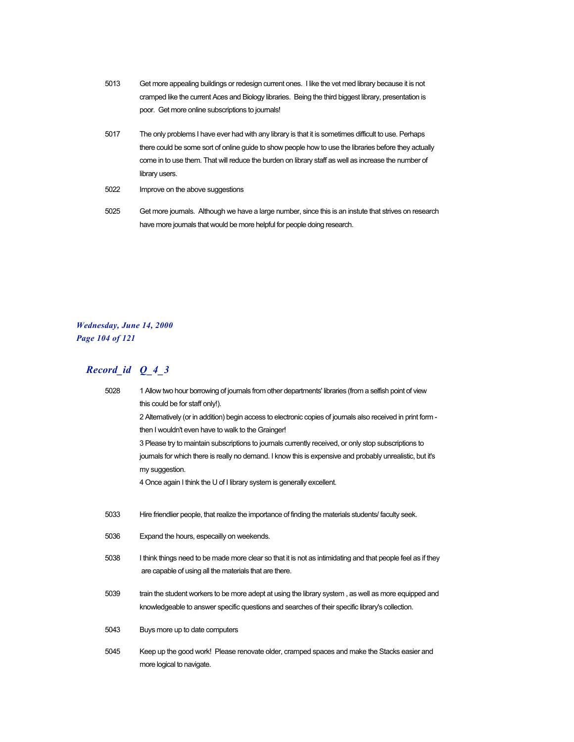- 5013 Get more appealing buildings or redesign current ones. I like the vet med library because it is not cramped like the current Aces and Biology libraries. Being the third biggest library, presentation is poor. Get more online subscriptions to journals!
- 5017 The only problems I have ever had with any library is that it is sometimes difficult to use. Perhaps there could be some sort of online guide to show people how to use the libraries before they actually come in to use them. That will reduce the burden on library staff as well as increase the number of library users.
- 5022 Improve on the above suggestions
- 5025 Get more journals. Although we have a large number, since this is an instute that strives on research have more journals that would be more helpful for people doing research.

## *Wednesday, June 14, 2000 Page 104 of 121*

| 5028 | 1 Allow two hour borrowing of journals from other departments' libraries (from a selfish point of view       |
|------|--------------------------------------------------------------------------------------------------------------|
|      | this could be for staff only!).                                                                              |
|      | 2 Alternatively (or in addition) begin access to electronic copies of journals also received in print form - |
|      | then I wouldn't even have to walk to the Grainger!                                                           |
|      | 3 Please try to maintain subscriptions to journals currently received, or only stop subscriptions to         |
|      | journals for which there is really no demand. I know this is expensive and probably unrealistic, but it's    |
|      | my suggestion.                                                                                               |
|      | 4 Once again I think the U of I library system is generally excellent.                                       |
|      |                                                                                                              |
| 5033 | Hire friendlier people, that realize the importance of finding the materials students/faculty seek.          |
| 5036 | Expand the hours, especailly on weekends.                                                                    |
| 5038 | I think things need to be made more clear so that it is not as intimidating and that people feel as if they  |
|      | are capable of using all the materials that are there.                                                       |
|      |                                                                                                              |
| 5039 | train the student workers to be more adept at using the library system, as well as more equipped and         |
|      | knowledgeable to answer specific questions and searches of their specific library's collection.              |
| 5043 | Buys more up to date computers                                                                               |
|      |                                                                                                              |
| 5045 | Keep up the good work! Please renovate older, cramped spaces and make the Stacks easier and                  |
|      | more logical to navigate.                                                                                    |
|      |                                                                                                              |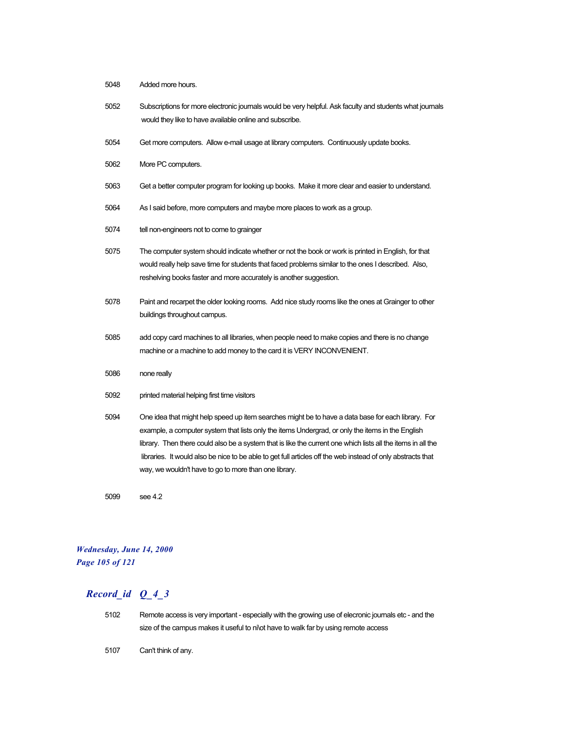- 5048 Added more hours.
- 5052 Subscriptions for more electronic journals would be very helpful. Ask faculty and students what journals would they like to have available online and subscribe.
- 5054 Get more computers. Allow e-mail usage at library computers. Continuously update books.
- 5062 More PC computers.
- 5063 Get a better computer program for looking up books. Make it more clear and easier to understand.
- 5064 As I said before, more computers and maybe more places to work as a group.
- 5074 tell non-engineers not to come to grainger
- 5075 The computer system should indicate whether or not the book or work is printed in English, for that would really help save time for students that faced problems similar to the ones I described. Also, reshelving books faster and more accurately is another suggestion.
- 5078 Paint and recarpet the older looking rooms. Add nice study rooms like the ones at Grainger to other buildings throughout campus.
- 5085 add copy card machines to all libraries, when people need to make copies and there is no change machine or a machine to add money to the card it is VERY INCONVENIENT.
- 5086 none really
- 5092 printed material helping first time visitors
- 5094 One idea that might help speed up item searches might be to have a data base for each library. For example, a computer system that lists only the items Undergrad, or only the items in the English library. Then there could also be a system that is like the current one which lists all the items in all the libraries. It would also be nice to be able to get full articles off the web instead of only abstracts that way, we wouldn't have to go to more than one library.
- 5099 see 4.2

### *Wednesday, June 14, 2000 Page 105 of 121*

- 5102 Remote access is very important especially with the growing use of elecronic journals etc and the size of the campus makes it useful to nilot have to walk far by using remote access
- 5107 Can't think of any.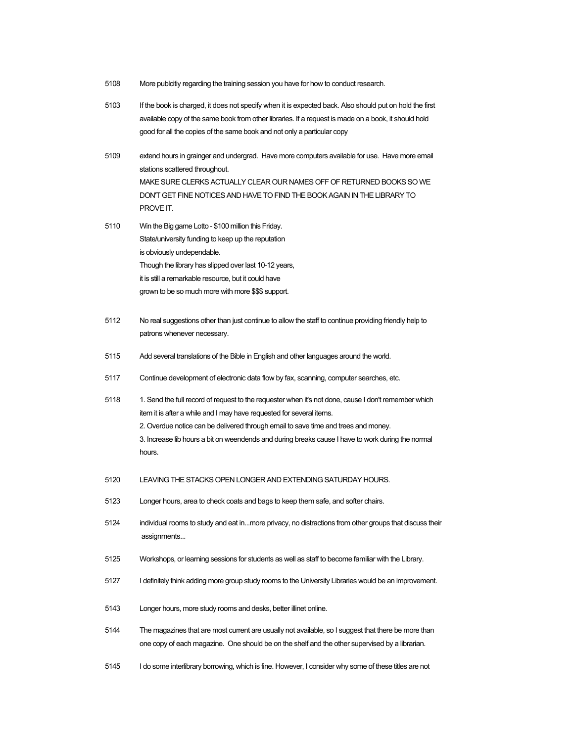- 5108 More publcitiy regarding the training session you have for how to conduct research.
- 5103 If the book is charged, it does not specify when it is expected back. Also should put on hold the first available copy of the same book from other libraries. If a request is made on a book, it should hold good for all the copies of the same book and not only a particular copy
- 5109 extend hours in grainger and undergrad. Have more computers available for use. Have more email stations scattered throughout. MAKE SURE CLERKS ACTUALLY CLEAR OUR NAMES OFF OF RETURNED BOOKS SO WE DON'T GET FINE NOTICES AND HAVE TO FIND THE BOOK AGAIN IN THE LIBRARY TO PROVE IT.
- 5110 Win the Big game Lotto \$100 million this Friday. State/university funding to keep up the reputation is obviously undependable. Though the library has slipped over last 10-12 years, it is still a remarkable resource, but it could have grown to be so much more with more \$\$\$ support.
- 5112 No real suggestions other than just continue to allow the staff to continue providing friendly help to patrons whenever necessary.
- 5115 Add several translations of the Bible in English and other languages around the world.
- 5117 Continue development of electronic data flow by fax, scanning, computer searches, etc.
- 5118 1. Send the full record of request to the requester when it's not done, cause I don't remember which item it is after a while and I may have requested for several items. 2. Overdue notice can be delivered through email to save time and trees and money. 3. Increase lib hours a bit on weendends and during breaks cause I have to work during the normal hours.
- 5120 LEAVING THE STACKS OPEN LONGER AND EXTENDING SATURDAY HOURS.
- 5123 Longer hours, area to check coats and bags to keep them safe, and softer chairs.
- 5124 individual rooms to study and eat in...more privacy, no distractions from other groups that discuss their assignments...
- 5125 Workshops, or learning sessions for students as well as staff to become familiar with the Library.
- 5127 I definitely think adding more group study rooms to the University Libraries would be an improvement.
- 5143 Longer hours, more study rooms and desks, better illinet online.
- 5144 The magazines that are most current are usually not available, so I suggest that there be more than one copy of each magazine. One should be on the shelf and the other supervised by a librarian.
- 5145 I do some interlibrary borrowing, which is fine. However, I consider why some of these titles are not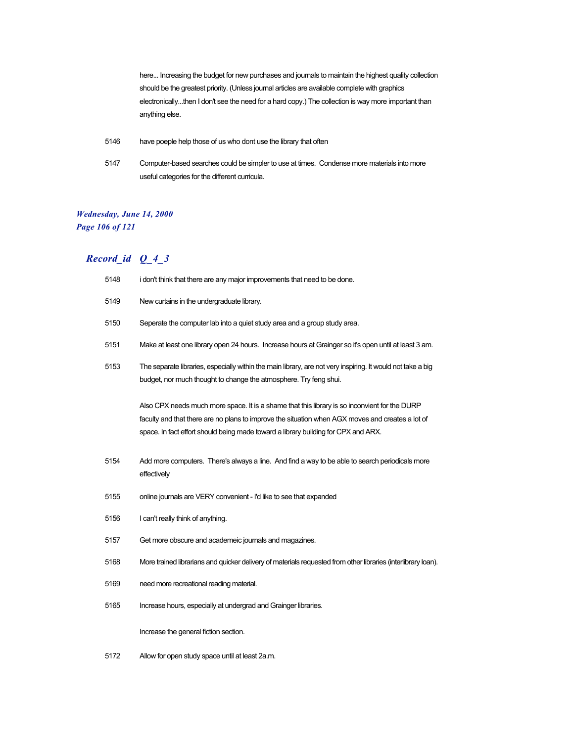here... Increasing the budget for new purchases and journals to maintain the highest quality collection should be the greatest priority. (Unless journal articles are available complete with graphics electronically...then I don't see the need for a hard copy.) The collection is way more important than anything else.

- 5146 have poeple help those of us who dont use the library that often
- 5147 Computer-based searches could be simpler to use at times. Condense more materials into more useful categories for the different curricula.

### *Wednesday, June 14, 2000 Page 106 of 121*

| 5148 | i don't think that there are any major improvements that need to be done.                                                                                                                                                                                                               |  |  |
|------|-----------------------------------------------------------------------------------------------------------------------------------------------------------------------------------------------------------------------------------------------------------------------------------------|--|--|
| 5149 | New curtains in the undergraduate library.                                                                                                                                                                                                                                              |  |  |
| 5150 | Seperate the computer lab into a quiet study area and a group study area.                                                                                                                                                                                                               |  |  |
| 5151 | Make at least one library open 24 hours. Increase hours at Grainger so it's open until at least 3 am.                                                                                                                                                                                   |  |  |
| 5153 | The separate libraries, especially within the main library, are not very inspiring. It would not take a big<br>budget, nor much thought to change the atmosphere. Try feng shui.                                                                                                        |  |  |
|      | Also CPX needs much more space. It is a shame that this library is so inconvient for the DURP<br>faculty and that there are no plans to improve the situation when AGX moves and creates a lot of<br>space. In fact effort should being made toward a library building for CPX and ARX. |  |  |
| 5154 | Add more computers. There's always a line. And find a way to be able to search periodicals more<br>effectively                                                                                                                                                                          |  |  |
| 5155 | online journals are VERY convenient - I'd like to see that expanded                                                                                                                                                                                                                     |  |  |
| 5156 | I can't really think of anything.                                                                                                                                                                                                                                                       |  |  |
| 5157 | Get more obscure and academeic journals and magazines.                                                                                                                                                                                                                                  |  |  |
| 5168 | More trained librarians and quicker delivery of materials requested from other libraries (interlibrary loan).                                                                                                                                                                           |  |  |
| 5169 | need more recreational reading material.                                                                                                                                                                                                                                                |  |  |
| 5165 | Increase hours, especially at undergrad and Grainger libraries.                                                                                                                                                                                                                         |  |  |
|      | Increase the general fiction section.                                                                                                                                                                                                                                                   |  |  |
| 5172 | Allow for open study space until at least 2a.m.                                                                                                                                                                                                                                         |  |  |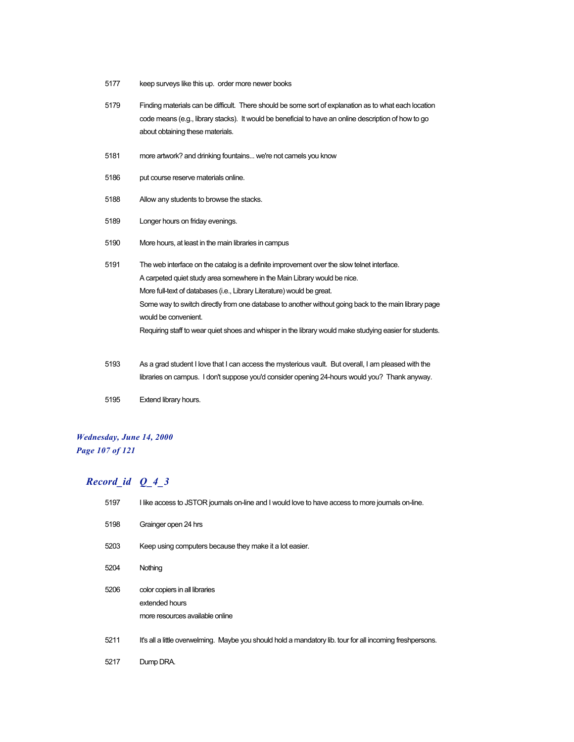- 5177 keep surveys like this up. order more newer books
- 5179 Finding materials can be difficult. There should be some sort of explanation as to what each location code means (e.g., library stacks). It would be beneficial to have an online description of how to go about obtaining these materials.
- 5181 more artwork? and drinking fountains... we're not camels you know
- 5186 put course reserve materials online.
- 5188 Allow any students to browse the stacks.
- 5189 Longer hours on friday evenings.
- 5190 More hours, at least in the main libraries in campus
- 5191 The web interface on the catalog is a definite improvement over the slow telnet interface. A carpeted quiet study area somewhere in the Main Library would be nice. More full-text of databases (i.e., Library Literature) would be great. Some way to switch directly from one database to another without going back to the main library page would be convenient. Requiring staff to wear quiet shoes and whisper in the library would make studying easier for students.
- 5193 As a grad student I love that I can access the mysterious vault. But overall, I am pleased with the libraries on campus. I don't suppose you'd consider opening 24-hours would you? Thank anyway.
- 5195 Extend library hours.

#### *Wednesday, June 14, 2000 Page 107 of 121*

| 5197 | I like access to JSTOR journals on-line and I would love to have access to more journals on-line.         |  |
|------|-----------------------------------------------------------------------------------------------------------|--|
| 5198 | Grainger open 24 hrs                                                                                      |  |
| 5203 | Keep using computers because they make it a lot easier.                                                   |  |
| 5204 | Nothing                                                                                                   |  |
| 5206 | color copiers in all libraries<br>extended hours<br>more resources available online                       |  |
| 5211 | It's all a little overwelming. Maybe you should hold a mandatory lib. tour for all incoming freshpersons. |  |
| 5217 | Dump DRA.                                                                                                 |  |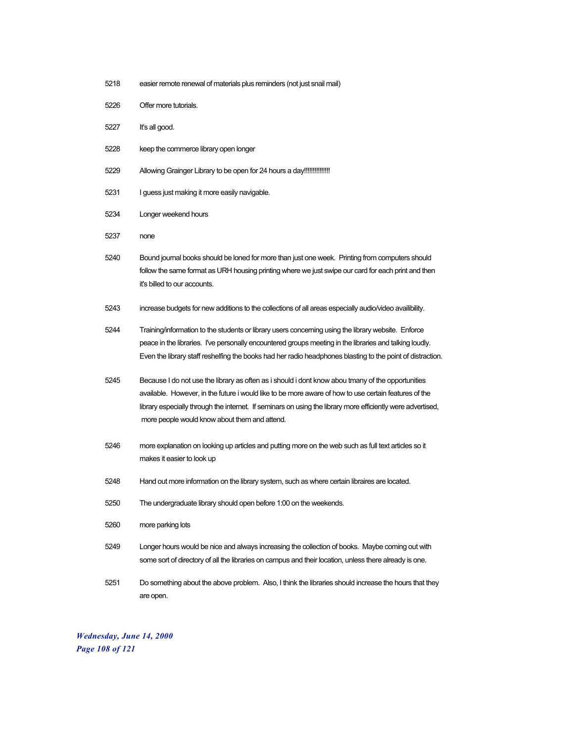- 5218 easier remote renewal of materials plus reminders (not just snail mail)
- 5226 Offer more tutorials.
- 5227 It's all good.
- 5228 keep the commerce library open longer
- 5229 Allowing Grainger Library to be open for 24 hours a day!!!!!!!!!!!!!!!!!
- 5231 I guess just making it more easily navigable.
- 5234 Longer weekend hours
- 5237 none
- 5240 Bound journal books should be loned for more than just one week. Printing from computers should follow the same format as URH housing printing where we just swipe our card for each print and then it's billed to our accounts.
- 5243 increase budgets for new additions to the collections of all areas especially audio/video availibility.
- 5244 Training/information to the students or library users concerning using the library website. Enforce peace in the libraries. I've personally encountered groups meeting in the libraries and talking loudly. Even the library staff reshelfing the books had her radio headphones blasting to the point of distraction.
- 5245 Because I do not use the library as often as i should i dont know abou tmany of the opportunities available. However, in the future i would like to be more aware of how to use certain features of the library especially through the internet. If seminars on using the library more efficiently were advertised, more people would know about them and attend.
- 5246 more explanation on looking up articles and putting more on the web such as full text articles so it makes it easier to look up
- 5248 Hand out more information on the library system, such as where certain libraires are located.
- 5250 The undergraduate library should open before 1:00 on the weekends.
- 5260 more parking lots
- 5249 Longer hours would be nice and always increasing the collection of books. Maybe coming out with some sort of directory of all the libraries on campus and their location, unless there already is one.
- 5251 Do something about the above problem. Also, I think the libraries should increase the hours that they are open.

*Wednesday, June 14, 2000 Page 108 of 121*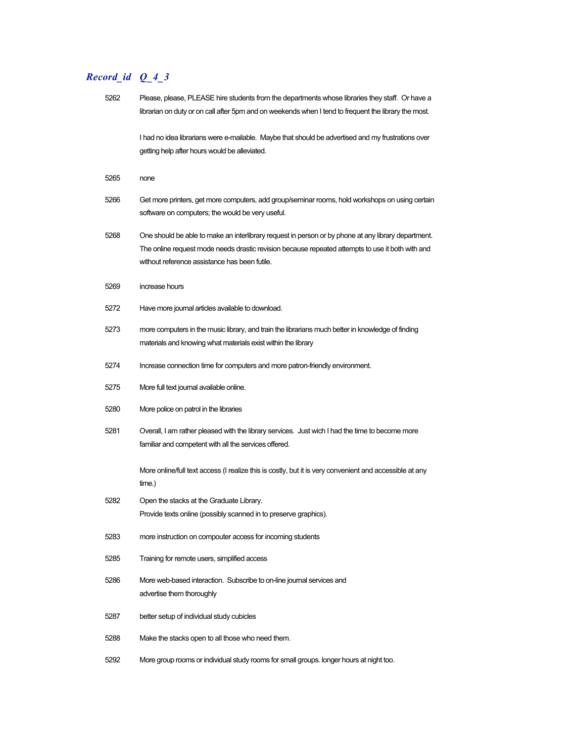| 5262 | Please, please, PLEASE hire students from the departments whose libraries they staff. Or have a<br>librarian on duty or on call after 5pm and on weekends when I tend to frequent the library the most.                                                  |
|------|----------------------------------------------------------------------------------------------------------------------------------------------------------------------------------------------------------------------------------------------------------|
|      | I had no idea librarians were e-mailable. Maybe that should be advertised and my frustrations over<br>getting help after hours would be alleviated.                                                                                                      |
| 5265 | none                                                                                                                                                                                                                                                     |
| 5266 | Get more printers, get more computers, add group/seminar rooms, hold workshops on using certain<br>software on computers; the would be very useful.                                                                                                      |
| 5268 | One should be able to make an interlibrary request in person or by phone at any library department.<br>The online request mode needs drastic revision because repeated attempts to use it both with and<br>without reference assistance has been futile. |
| 5269 | increase hours                                                                                                                                                                                                                                           |
| 5272 | Have more journal articles available to download.                                                                                                                                                                                                        |
| 5273 | more computers in the music library, and train the librarians much better in knowledge of finding<br>materials and knowing what materials exist within the library                                                                                       |
| 5274 | Increase connection time for computers and more patron-friendly environment.                                                                                                                                                                             |
| 5275 | More full text journal available online.                                                                                                                                                                                                                 |
| 5280 | More police on patrol in the libraries                                                                                                                                                                                                                   |
| 5281 | Overall, I am rather pleased with the library services. Just wich I had the time to become more<br>familiar and competent with all the services offered.                                                                                                 |
|      | More online/full text access (I realize this is costly, but it is very convenient and accessible at any<br>time.)                                                                                                                                        |
| 5282 | Open the stacks at the Graduate Library.<br>Provide texts online (possibly scanned in to preserve graphics).                                                                                                                                             |
| 5283 | more instruction on compouter access for incoming students                                                                                                                                                                                               |
| 5285 | Training for remote users, simplified access                                                                                                                                                                                                             |
| 5286 | More web-based interaction. Subscribe to on-line journal services and<br>advertise them thoroughly                                                                                                                                                       |
| 5287 | better setup of individual study cubicles                                                                                                                                                                                                                |
| 5288 | Make the stacks open to all those who need them.                                                                                                                                                                                                         |
| 5292 | More group rooms or individual study rooms for small groups. longer hours at night too.                                                                                                                                                                  |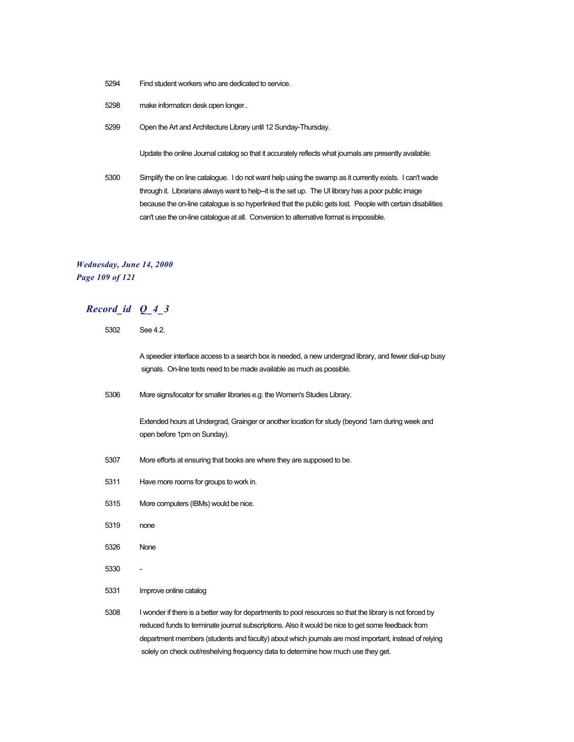- 5294 Find student workers who are dedicated to service.
- 5298 make information desk open longer..
- 5299 Open the Art and Architecture Library until 12 Sunday-Thursday.

Update the online Journal catalog so that it accurately reflects what journals are presently available.

5300 Simplify the on line catalogue. I do not want help using the swamp as it currently exists. I can't wade through it. Librarians always want to help-it is the set up. The UI library has a poor public image because the on-line catalogue is so hyperlinked that the public gets lost. People with certain disabilities can't use the on-line catalogue at all. Conversion to alternative format is impossible.

## *Wednesday, June 14, 2000 Page 109 of 121*

| 5302 | See 4.2.                                                                                                                                                                                                                                                                                                                                                                                                    |  |  |
|------|-------------------------------------------------------------------------------------------------------------------------------------------------------------------------------------------------------------------------------------------------------------------------------------------------------------------------------------------------------------------------------------------------------------|--|--|
|      | A speedier interface access to a search box is needed, a new undergrad library, and fewer dial-up busy<br>signals. On-line texts need to be made available as much as possible.                                                                                                                                                                                                                             |  |  |
| 5306 | More signs/locator for smaller libraries e.g. the Women's Studies Library.                                                                                                                                                                                                                                                                                                                                  |  |  |
|      | Extended hours at Undergrad, Grainger or another location for study (beyond 1am during week and<br>open before 1pm on Sunday).                                                                                                                                                                                                                                                                              |  |  |
| 5307 | More efforts at ensuring that books are where they are supposed to be.                                                                                                                                                                                                                                                                                                                                      |  |  |
| 5311 | Have more rooms for groups to work in.                                                                                                                                                                                                                                                                                                                                                                      |  |  |
| 5315 | More computers (IBMs) would be nice.                                                                                                                                                                                                                                                                                                                                                                        |  |  |
| 5319 | none                                                                                                                                                                                                                                                                                                                                                                                                        |  |  |
| 5326 | <b>None</b>                                                                                                                                                                                                                                                                                                                                                                                                 |  |  |
| 5330 |                                                                                                                                                                                                                                                                                                                                                                                                             |  |  |
| 5331 | Improve online catalog                                                                                                                                                                                                                                                                                                                                                                                      |  |  |
| 5308 | I wonder if there is a better way for departments to pool resources so that the library is not forced by<br>reduced funds to terminate journal subscriptions. Also it would be nice to get some feedback from<br>department members (students and faculty) about which journals are most important, instead of relying<br>solely on check out/reshelving frequency data to determine how much use they get. |  |  |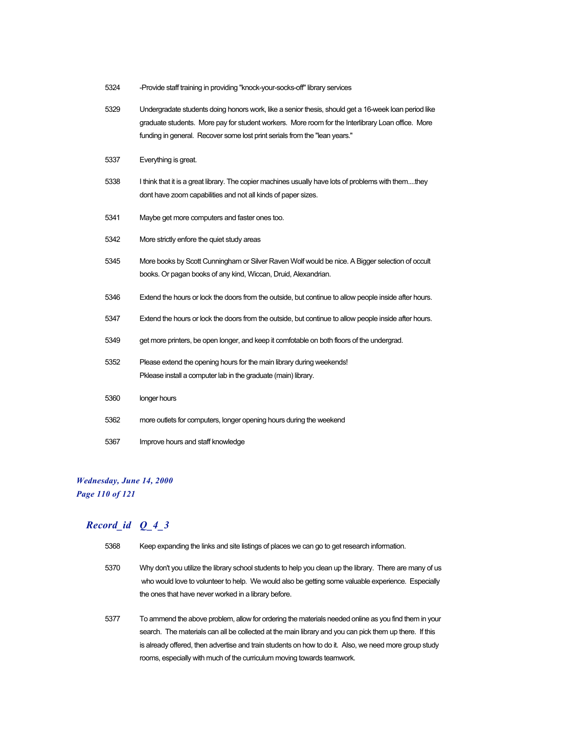- 5324 -Provide staff training in providing "knock-your-socks-off" library services
- 5329 Undergradate students doing honors work, like a senior thesis, should get a 16-week loan period like graduate students. More pay for student workers. More room for the Interlibrary Loan office. More funding in general. Recover some lost print serials from the "lean years."
- 5337 Everything is great.
- 5338 I think that it is a great library. The copier machines usually have lots of problems with them....they dont have zoom capabilities and not all kinds of paper sizes.
- 5341 Maybe get more computers and faster ones too.
- 5342 More strictly enfore the quiet study areas
- 5345 More books by Scott Cunningham or Silver Raven Wolf would be nice. A Bigger selection of occult books. Or pagan books of any kind, Wiccan, Druid, Alexandrian.
- 5346 Extend the hours or lock the doors from the outside, but continue to allow people inside after hours.
- 5347 Extend the hours or lock the doors from the outside, but continue to allow people inside after hours.
- 5349 get more printers, be open longer, and keep it comfotable on both floors of the undergrad.
- 5352 Please extend the opening hours for the main library during weekends! Pklease install a computer lab in the graduate (main) library.
- 5360 longer hours
- 5362 more outlets for computers, longer opening hours during the weekend
- 5367 Improve hours and staff knowledge

### *Wednesday, June 14, 2000 Page 110 of 121*

- 5368 Keep expanding the links and site listings of places we can go to get research information.
- 5370 Why don't you utilize the library school students to help you clean up the library. There are many of us who would love to volunteer to help. We would also be getting some valuable experience. Especially the ones that have never worked in a library before.
- 5377 To ammend the above problem, allow for ordering the materials needed online as you find them in your search. The materials can all be collected at the main library and you can pick them up there. If this is already offered, then advertise and train students on how to do it. Also, we need more group study rooms, especially with much of the curriculum moving towards teamwork.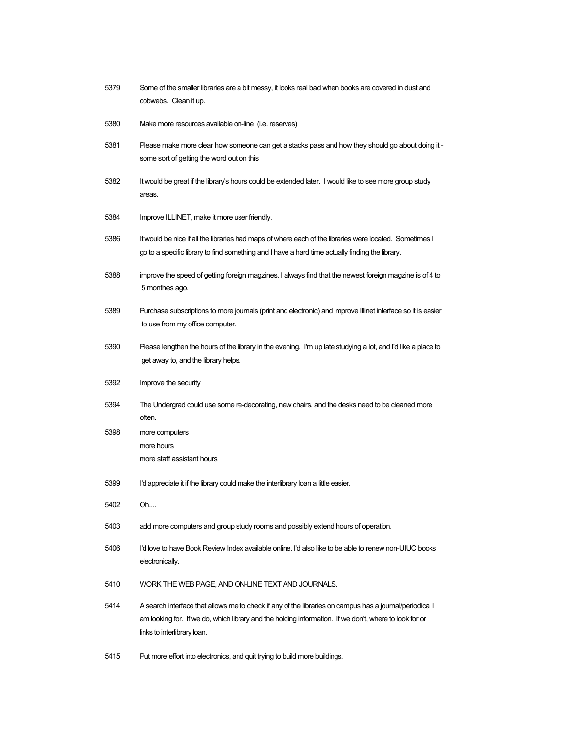| 5379 | Some of the smaller libraries are a bit messy, it looks real bad when books are covered in dust and<br>cobwebs. Clean it up.                                                                                                                     |  |
|------|--------------------------------------------------------------------------------------------------------------------------------------------------------------------------------------------------------------------------------------------------|--|
| 5380 | Make more resources available on-line (i.e. reserves)                                                                                                                                                                                            |  |
| 5381 | Please make more clear how someone can get a stacks pass and how they should go about doing it -<br>some sort of getting the word out on this                                                                                                    |  |
| 5382 | It would be great if the library's hours could be extended later. I would like to see more group study<br>areas.                                                                                                                                 |  |
| 5384 | Improve ILLINET, make it more user friendly.                                                                                                                                                                                                     |  |
| 5386 | It would be nice if all the libraries had maps of where each of the libraries were located. Sometimes I<br>go to a specific library to find something and I have a hard time actually finding the library.                                       |  |
| 5388 | improve the speed of getting foreign magzines. I always find that the newest foreign magzine is of 4 to<br>5 monthes ago.                                                                                                                        |  |
| 5389 | Purchase subscriptions to more journals (print and electronic) and improve Illinet interface so it is easier<br>to use from my office computer.                                                                                                  |  |
| 5390 | Please lengthen the hours of the library in the evening. I'm up late studying a lot, and I'd like a place to<br>get away to, and the library helps.                                                                                              |  |
| 5392 | Improve the security                                                                                                                                                                                                                             |  |
| 5394 | The Undergrad could use some re-decorating, new chairs, and the desks need to be cleaned more<br>often.                                                                                                                                          |  |
| 5398 | more computers                                                                                                                                                                                                                                   |  |
|      | more hours<br>more staff assistant hours                                                                                                                                                                                                         |  |
| 5399 | I'd appreciate it if the library could make the interlibrary loan a little easier.                                                                                                                                                               |  |
| 5402 | Oh                                                                                                                                                                                                                                               |  |
| 5403 | add more computers and group study rooms and possibly extend hours of operation.                                                                                                                                                                 |  |
| 5406 | I'd love to have Book Review Index available online. I'd also like to be able to renew non-UIUC books<br>electronically.                                                                                                                         |  |
| 5410 | WORK THE WEB PAGE, AND ON-LINE TEXT AND JOURNALS.                                                                                                                                                                                                |  |
| 5414 | A search interface that allows me to check if any of the libraries on campus has a journal/periodical I<br>am looking for. If we do, which library and the holding information. If we don't, where to look for or<br>links to interlibrary loan. |  |

5415 Put more effort into electronics, and quit trying to build more buildings.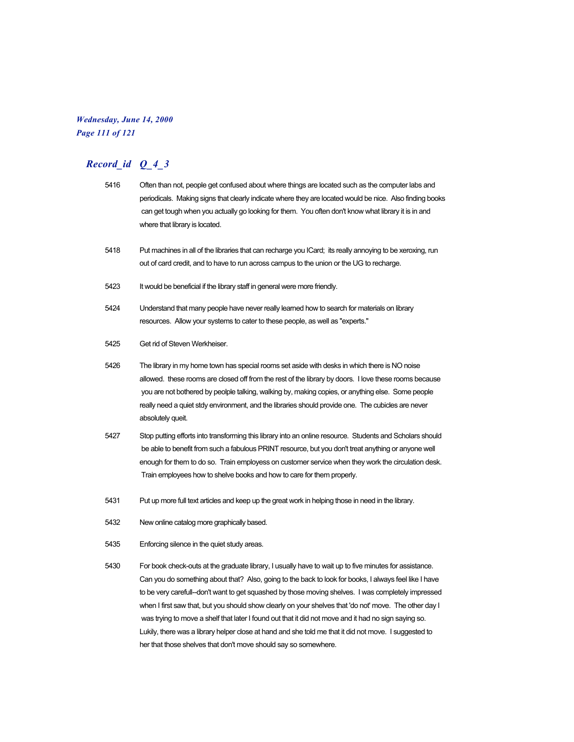## *Wednesday, June 14, 2000 Page 111 of 121*

# *Record\_id Q\_4\_3*

| 5416 | Often than not, people get confused about where things are located such as the computer labs and<br>periodicals. Making signs that clearly indicate where they are located would be nice. Also finding books<br>can get tough when you actually go looking for them. You often don't know what library it is in and<br>where that library is located.                                                                                  |
|------|----------------------------------------------------------------------------------------------------------------------------------------------------------------------------------------------------------------------------------------------------------------------------------------------------------------------------------------------------------------------------------------------------------------------------------------|
| 5418 | Put machines in all of the libraries that can recharge you ICard; its really annoying to be xeroxing, run<br>out of card credit, and to have to run across campus to the union or the UG to recharge.                                                                                                                                                                                                                                  |
| 5423 | It would be beneficial if the library staff in general were more friendly.                                                                                                                                                                                                                                                                                                                                                             |
| 5424 | Understand that many people have never really learned how to search for materials on library<br>resources. Allow your systems to cater to these people, as well as "experts."                                                                                                                                                                                                                                                          |
| 5425 | Get rid of Steven Werkheiser.                                                                                                                                                                                                                                                                                                                                                                                                          |
| 5426 | The library in my home town has special rooms set aside with desks in which there is NO noise<br>allowed. these rooms are closed off from the rest of the library by doors. I love these rooms because<br>you are not bothered by peolple talking, walking by, making copies, or anything else. Some people<br>really need a quiet stdy environment, and the libraries should provide one. The cubicles are never<br>absolutely queit. |
| 5427 | Stop putting efforts into transforming this library into an online resource. Students and Scholars should<br>be able to benefit from such a fabulous PRINT resource, but you don't treat anything or anyone well<br>enough for them to do so. Train employess on customer service when they work the circulation desk.<br>Train employees how to shelve books and how to care for them properly.                                       |
| 5431 | Put up more full text articles and keep up the great work in helping those in need in the library.                                                                                                                                                                                                                                                                                                                                     |
| 5432 | New online catalog more graphically based.                                                                                                                                                                                                                                                                                                                                                                                             |
| 5435 | Enforcing silence in the quiet study areas.                                                                                                                                                                                                                                                                                                                                                                                            |
| 5430 | For book check-outs at the graduate library, I usually have to wait up to five minutes for assistance.<br>Can you do something about that? Also, going to the back to look for books, I always feel like I have<br>to be very carefull--don't want to get squashed by those moving shelves. I was completely impressed                                                                                                                 |

when I first saw that, but you should show clearly on your shelves that 'do not' move. The other day I was trying to move a shelf that later I found out that it did not move and it had no sign saying so. Lukily, there was a library helper close at hand and she told me that it did not move. I suggested to her that those shelves that don't move should say so somewhere.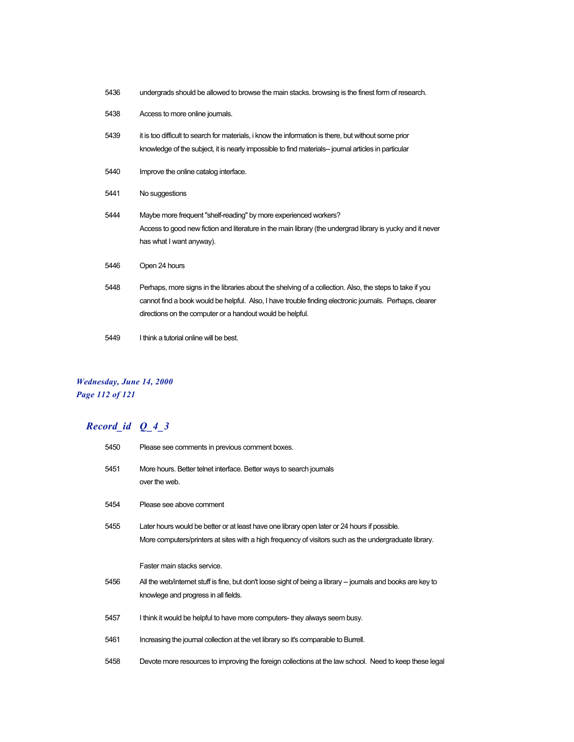| 5436 | undergrads should be allowed to browse the main stacks. browsing is the finest form of research.                                                                                                                                                                                |  |
|------|---------------------------------------------------------------------------------------------------------------------------------------------------------------------------------------------------------------------------------------------------------------------------------|--|
| 5438 | Access to more online journals.                                                                                                                                                                                                                                                 |  |
| 5439 | it is too difficult to search for materials, i know the information is there, but without some prior<br>knowledge of the subject, it is nearly impossible to find materials-- journal articles in particular                                                                    |  |
| 5440 | Improve the online catalog interface.                                                                                                                                                                                                                                           |  |
| 5441 | No suggestions                                                                                                                                                                                                                                                                  |  |
| 5444 | Maybe more frequent "shelf-reading" by more experienced workers?<br>Access to good new fiction and literature in the main library (the undergrad library is yucky and it never<br>has what I want anyway).                                                                      |  |
| 5446 | Open 24 hours                                                                                                                                                                                                                                                                   |  |
| 5448 | Perhaps, more signs in the libraries about the shelving of a collection. Also, the steps to take if you<br>cannot find a book would be helpful. Also, I have trouble finding electronic journals. Perhaps, clearer<br>directions on the computer or a handout would be helpful. |  |

5449 I think a tutorial online will be best.

## *Wednesday, June 14, 2000 Page 112 of 121*

| 5450 | Please see comments in previous comment boxes.                                                                                                                                                        |  |
|------|-------------------------------------------------------------------------------------------------------------------------------------------------------------------------------------------------------|--|
| 5451 | More hours. Better telnet interface. Better ways to search journals<br>over the web.                                                                                                                  |  |
| 5454 | Please see above comment                                                                                                                                                                              |  |
| 5455 | Later hours would be better or at least have one library open later or 24 hours if possible.<br>More computers/printers at sites with a high frequency of visitors such as the undergraduate library. |  |
|      | Faster main stacks service.                                                                                                                                                                           |  |
|      |                                                                                                                                                                                                       |  |
| 5456 | All the web/internet stuff is fine, but don't loose sight of being a library – journals and books are key to<br>knowlege and progress in all fields.                                                  |  |
| 5457 | I think it would be helpful to have more computers-they always seem busy.                                                                                                                             |  |
| 5461 | Increasing the journal collection at the vet library so it's comparable to Burrell.                                                                                                                   |  |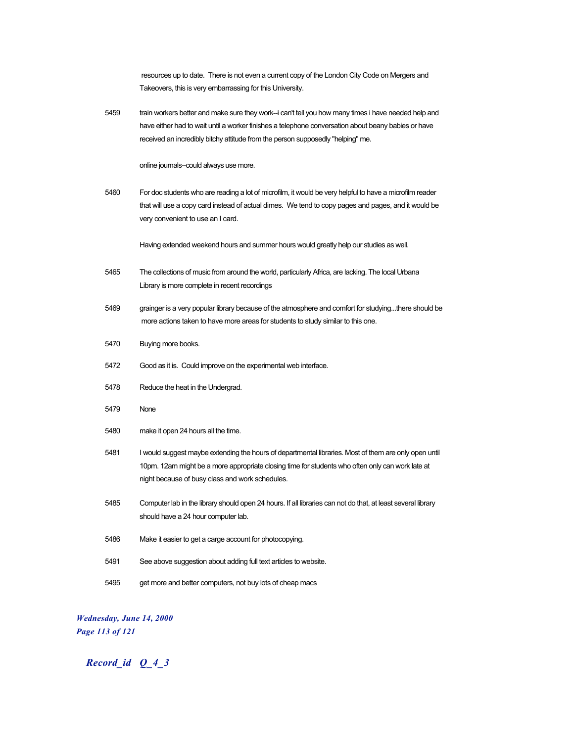|      | resources up to date. There is not even a current copy of the London City Code on Mergers and<br>Takeovers, this is very embarrassing for this University.                                                                                                                                    |
|------|-----------------------------------------------------------------------------------------------------------------------------------------------------------------------------------------------------------------------------------------------------------------------------------------------|
| 5459 | train workers better and make sure they work-i can't tell you how many times i have needed help and<br>have either had to wait until a worker finishes a telephone conversation about beany babies or have<br>received an incredibly bitchy attitude from the person supposedly "helping" me. |
|      | online journals--could always use more.                                                                                                                                                                                                                                                       |
| 5460 | For doc students who are reading a lot of microfilm, it would be very helpful to have a microfilm reader<br>that will use a copy card instead of actual dimes. We tend to copy pages and pages, and it would be<br>very convenient to use an I card.                                          |
|      | Having extended weekend hours and summer hours would greatly help our studies as well.                                                                                                                                                                                                        |
| 5465 | The collections of music from around the world, particularly Africa, are lacking. The local Urbana<br>Library is more complete in recent recordings                                                                                                                                           |
| 5469 | grainger is a very popular library because of the atmosphere and comfort for studyingthere should be<br>more actions taken to have more areas for students to study similar to this one.                                                                                                      |
| 5470 | Buying more books.                                                                                                                                                                                                                                                                            |
| 5472 | Good as it is. Could improve on the experimental web interface.                                                                                                                                                                                                                               |
| 5478 | Reduce the heat in the Undergrad.                                                                                                                                                                                                                                                             |
| 5479 | None                                                                                                                                                                                                                                                                                          |
| 5480 | make it open 24 hours all the time.                                                                                                                                                                                                                                                           |
| 5481 | I would suggest maybe extending the hours of departmental libraries. Most of them are only open until<br>10pm. 12am might be a more appropriate closing time for students who often only can work late at<br>night because of busy class and work schedules.                                  |
| 5485 | Computer lab in the library should open 24 hours. If all libraries can not do that, at least several library<br>should have a 24 hour computer lab.                                                                                                                                           |
| 5486 | Make it easier to get a carge account for photocopying.                                                                                                                                                                                                                                       |
| 5491 | See above suggestion about adding full text articles to website.                                                                                                                                                                                                                              |
| 5495 | get more and better computers, not buy lots of cheap macs                                                                                                                                                                                                                                     |

*Wednesday, June 14, 2000 Page 113 of 121*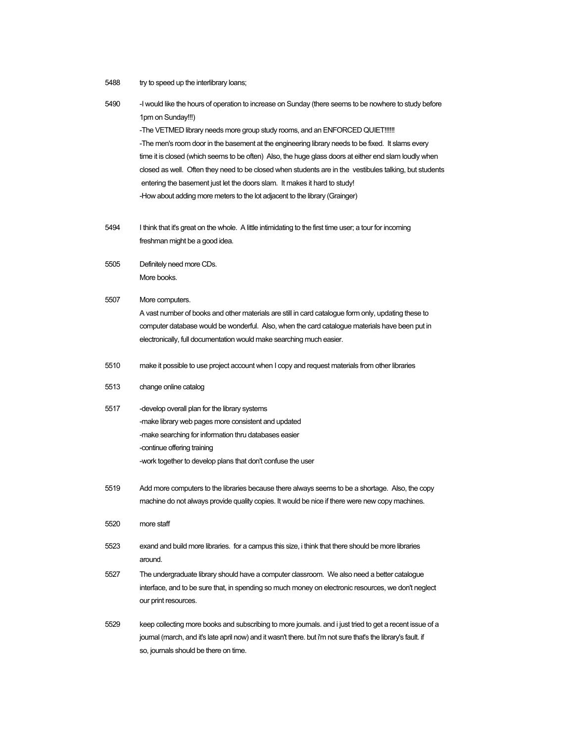5488 try to speed up the interlibrary loans;

| 5490 | -I would like the hours of operation to increase on Sunday (there seems to be nowhere to study before<br>1pm on Sunday!!!)<br>-The VETMED library needs more group study rooms, and an ENFORCED QUIET!!!!!!<br>-The men's room door in the basement at the engineering library needs to be fixed. It slams every<br>time it is closed (which seems to be often) Also, the huge glass doors at either end slam loudly when<br>closed as well. Often they need to be closed when students are in the vestibules talking, but students<br>entering the basement just let the doors slam. It makes it hard to study!<br>-How about adding more meters to the lot adjacent to the library (Grainger) |
|------|-------------------------------------------------------------------------------------------------------------------------------------------------------------------------------------------------------------------------------------------------------------------------------------------------------------------------------------------------------------------------------------------------------------------------------------------------------------------------------------------------------------------------------------------------------------------------------------------------------------------------------------------------------------------------------------------------|
| 5494 | I think that it's great on the whole. A little intimidating to the first time user; a tour for incoming<br>freshman might be a good idea.                                                                                                                                                                                                                                                                                                                                                                                                                                                                                                                                                       |
| 5505 | Definitely need more CDs.<br>More books.                                                                                                                                                                                                                                                                                                                                                                                                                                                                                                                                                                                                                                                        |
| 5507 | More computers.<br>A vast number of books and other materials are still in card catalogue form only, updating these to<br>computer database would be wonderful. Also, when the card catalogue materials have been put in<br>electronically, full documentation would make searching much easier.                                                                                                                                                                                                                                                                                                                                                                                                |
| 5510 | make it possible to use project account when I copy and request materials from other libraries                                                                                                                                                                                                                                                                                                                                                                                                                                                                                                                                                                                                  |
| 5513 | change online catalog                                                                                                                                                                                                                                                                                                                                                                                                                                                                                                                                                                                                                                                                           |
| 5517 | -develop overall plan for the library systems<br>-make library web pages more consistent and updated<br>-make searching for information thru databases easier<br>-continue offering training<br>-work together to develop plans that don't confuse the user                                                                                                                                                                                                                                                                                                                                                                                                                                     |
| 5519 | Add more computers to the libraries because there always seems to be a shortage. Also, the copy<br>machine do not always provide quality copies. It would be nice if there were new copy machines.                                                                                                                                                                                                                                                                                                                                                                                                                                                                                              |
| 5520 | more staff                                                                                                                                                                                                                                                                                                                                                                                                                                                                                                                                                                                                                                                                                      |
| 5523 | exand and build more libraries. for a campus this size, i think that there should be more libraries<br>around.                                                                                                                                                                                                                                                                                                                                                                                                                                                                                                                                                                                  |
| 5527 | The undergraduate library should have a computer classroom. We also need a better catalogue<br>interface, and to be sure that, in spending so much money on electronic resources, we don't neglect<br>our print resources.                                                                                                                                                                                                                                                                                                                                                                                                                                                                      |
| 5529 | keep collecting more books and subscribing to more journals, and i just tried to get a recent issue of a<br>journal (march, and it's late april now) and it wasn't there. but i'm not sure that's the library's fault. if<br>so, journals should be there on time.                                                                                                                                                                                                                                                                                                                                                                                                                              |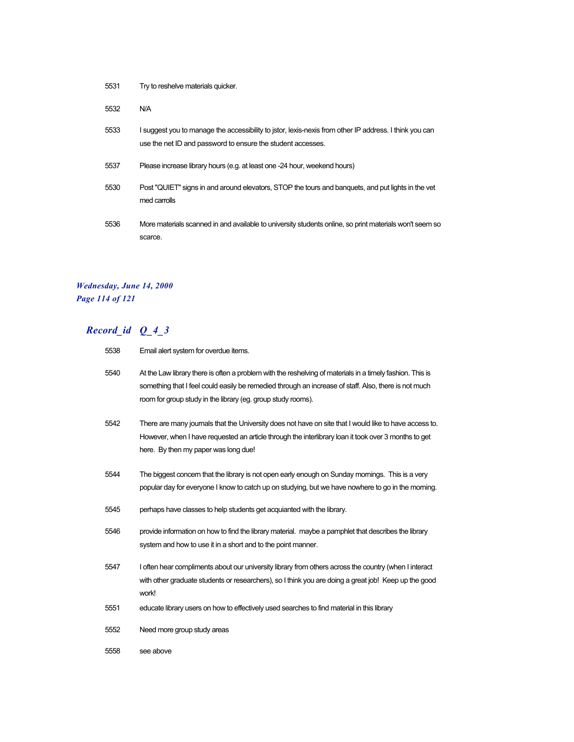| 5531 | Try to reshelve materials quicker. |
|------|------------------------------------|
|------|------------------------------------|

5532 N/A

- 5533 I suggest you to manage the accessibility to jstor, lexis-nexis from other IP address. I think you can use the net ID and password to ensure the student accesses.
- 5537 Please increase library hours (e.g. at least one -24 hour, weekend hours)
- 5530 Post "QUIET" signs in and around elevators, STOP the tours and banquets, and put lights in the vet med carrolls
- 5536 More materials scanned in and available to university students online, so print materials won't seem so scarce.

### *Wednesday, June 14, 2000 Page 114 of 121*

| 5538 | Email alert system for overdue items.                                                                                                                                                                                                                                             |
|------|-----------------------------------------------------------------------------------------------------------------------------------------------------------------------------------------------------------------------------------------------------------------------------------|
| 5540 | At the Law library there is often a problem with the reshelving of materials in a timely fashion. This is<br>something that I feel could easily be remedied through an increase of staff. Also, there is not much<br>room for group study in the library (eg. group study rooms). |
| 5542 | There are many journals that the University does not have on site that I would like to have access to.<br>However, when I have requested an article through the interlibrary loan it took over 3 months to get<br>here. By then my paper was long due!                            |
| 5544 | The biggest concern that the library is not open early enough on Sunday mornings. This is a very<br>popular day for everyone I know to catch up on studying, but we have nowhere to go in the morning.                                                                            |
| 5545 | perhaps have classes to help students get acquianted with the library.                                                                                                                                                                                                            |
| 5546 | provide information on how to find the library material. maybe a pamphlet that describes the library<br>system and how to use it in a short and to the point manner.                                                                                                              |
| 5547 | I often hear compliments about our university library from others across the country (when I interact<br>with other graduate students or researchers), so I think you are doing a great job! Keep up the good<br>work!                                                            |
| 5551 | educate library users on how to effectively used searches to find material in this library                                                                                                                                                                                        |
| 5552 | Need more group study areas                                                                                                                                                                                                                                                       |
| 5558 | see above                                                                                                                                                                                                                                                                         |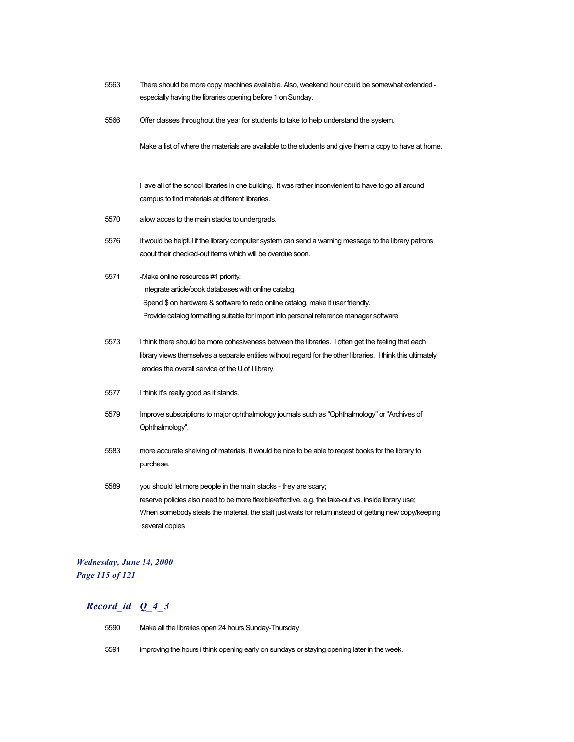- 5563 There should be more copy machines available. Also, weekend hour could be somewhat extended especially having the libraries opening before 1 on Sunday.
- 5566 Offer classes throughout the year for students to take to help understand the system.

Make a list of where the materials are available to the students and give them a copy to have at home.

Have all of the school libraries in one building. It was rather inconvienient to have to go all around campus to find materials at different libraries.

- 5570 allow acces to the main stacks to undergrads.
- 5576 It would be helpful if the library computer system can send a warning message to the library patrons about their checked-out items which will be overdue soon.
- 5571 -Make online resources #1 priority: Integrate article/book databases with online catalog Spend \$ on hardware & software to redo online catalog, make it user friendly. Provide catalog formatting suitable for import into personal reference manager software
- 5573 I think there should be more cohesiveness between the libraries. I often get the feeling that each library views themselves a separate entities without regard for the other libraries. I think this ultimately erodes the overall service of the U of I library.
- 5577 I think it's really good as it stands.
- 5579 Improve subscriptions to major ophthalmology journals such as "Ophthalmology" or "Archives of Ophthalmology".
- 5583 more accurate shelving of materials. It would be nice to be able to reqest books for the library to purchase.
- 5589 you should let more people in the main stacks they are scary; reserve policies also need to be more flexible/effective. e.g. the take-out vs. inside library use; When somebody steals the material, the staff just waits for return instead of getting new copy/keeping several copies

### *Wednesday, June 14, 2000 Page 115 of 121*

- 5590 Make all the libraries open 24 hours Sunday-Thursday
- 5591 improving the hours i think opening early on sundays or staying opening later in the week.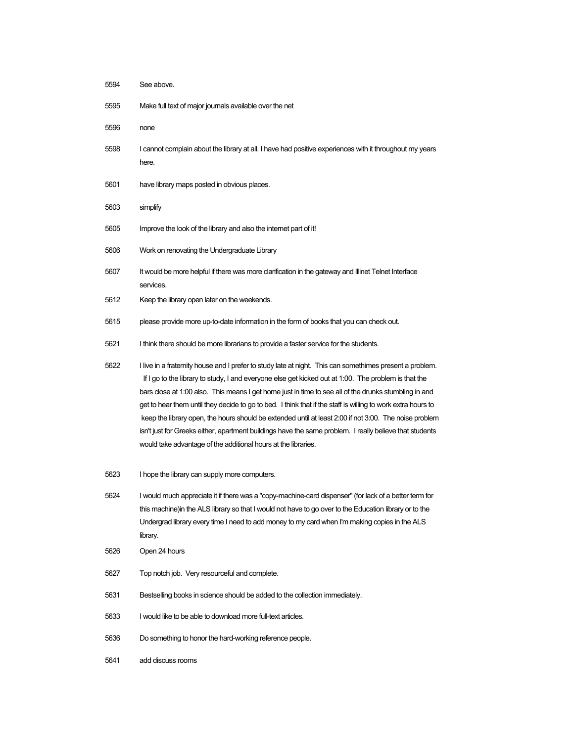| 5594 | See above.                                                                                                                                                                                                                                                                                                                                                                                                                                                                                                                                                                                                                                                                                                                       |
|------|----------------------------------------------------------------------------------------------------------------------------------------------------------------------------------------------------------------------------------------------------------------------------------------------------------------------------------------------------------------------------------------------------------------------------------------------------------------------------------------------------------------------------------------------------------------------------------------------------------------------------------------------------------------------------------------------------------------------------------|
| 5595 | Make full text of major journals available over the net                                                                                                                                                                                                                                                                                                                                                                                                                                                                                                                                                                                                                                                                          |
| 5596 | none                                                                                                                                                                                                                                                                                                                                                                                                                                                                                                                                                                                                                                                                                                                             |
| 5598 | I cannot complain about the library at all. I have had positive experiences with it throughout my years<br>here.                                                                                                                                                                                                                                                                                                                                                                                                                                                                                                                                                                                                                 |
| 5601 | have library maps posted in obvious places.                                                                                                                                                                                                                                                                                                                                                                                                                                                                                                                                                                                                                                                                                      |
| 5603 | simplify                                                                                                                                                                                                                                                                                                                                                                                                                                                                                                                                                                                                                                                                                                                         |
| 5605 | Improve the look of the library and also the internet part of it!                                                                                                                                                                                                                                                                                                                                                                                                                                                                                                                                                                                                                                                                |
| 5606 | Work on renovating the Undergraduate Library                                                                                                                                                                                                                                                                                                                                                                                                                                                                                                                                                                                                                                                                                     |
| 5607 | It would be more helpful if there was more clarification in the gateway and Illinet Telnet Interface<br>services.                                                                                                                                                                                                                                                                                                                                                                                                                                                                                                                                                                                                                |
| 5612 | Keep the library open later on the weekends.                                                                                                                                                                                                                                                                                                                                                                                                                                                                                                                                                                                                                                                                                     |
| 5615 | please provide more up-to-date information in the form of books that you can check out.                                                                                                                                                                                                                                                                                                                                                                                                                                                                                                                                                                                                                                          |
| 5621 | I think there should be more librarians to provide a faster service for the students.                                                                                                                                                                                                                                                                                                                                                                                                                                                                                                                                                                                                                                            |
| 5622 | I live in a fraternity house and I prefer to study late at night. This can somethimes present a problem.<br>If I go to the library to study, I and everyone else get kicked out at 1:00. The problem is that the<br>bars close at 1:00 also. This means I get home just in time to see all of the drunks stumbling in and<br>get to hear them until they decide to go to bed. I think that if the staff is willing to work extra hours to<br>keep the library open, the hours should be extended until at least 2:00 if not 3:00. The noise problem<br>isn't just for Greeks either, apartment buildings have the same problem. I really believe that students<br>would take advantage of the additional hours at the libraries. |
| 5623 | I hope the library can supply more computers.                                                                                                                                                                                                                                                                                                                                                                                                                                                                                                                                                                                                                                                                                    |
| 5624 | I would much appreciate it if there was a "copy-machine-card dispenser" (for lack of a better term for<br>this machine) in the ALS library so that I would not have to go over to the Education library or to the<br>Undergrad library every time I need to add money to my card when I'm making copies in the ALS<br>library.                                                                                                                                                                                                                                                                                                                                                                                                   |
| 5626 | Open 24 hours                                                                                                                                                                                                                                                                                                                                                                                                                                                                                                                                                                                                                                                                                                                    |
| 5627 | Top notch job. Very resourceful and complete.                                                                                                                                                                                                                                                                                                                                                                                                                                                                                                                                                                                                                                                                                    |
| 5631 | Bestselling books in science should be added to the collection immediately.                                                                                                                                                                                                                                                                                                                                                                                                                                                                                                                                                                                                                                                      |
| 5633 | I would like to be able to download more full-text articles.                                                                                                                                                                                                                                                                                                                                                                                                                                                                                                                                                                                                                                                                     |
| 5636 | Do something to honor the hard-working reference people.                                                                                                                                                                                                                                                                                                                                                                                                                                                                                                                                                                                                                                                                         |
| 5641 | add discuss rooms                                                                                                                                                                                                                                                                                                                                                                                                                                                                                                                                                                                                                                                                                                                |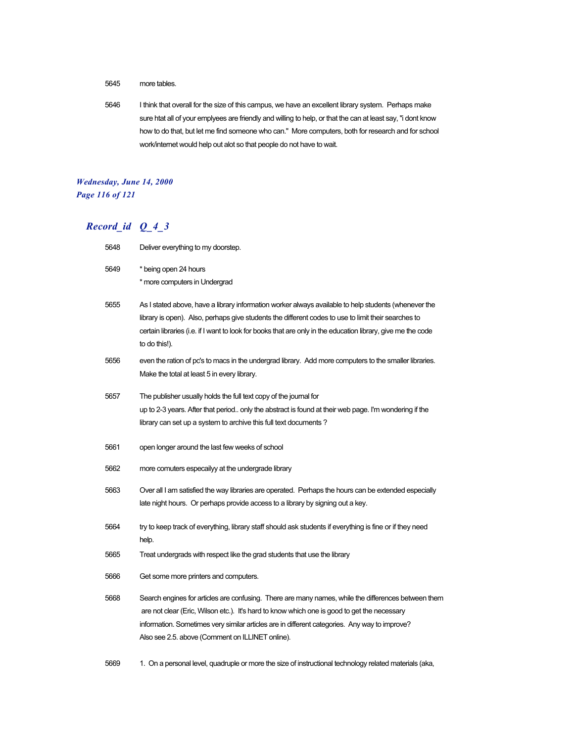### 5645 more tables.

5646 I think that overall for the size of this campus, we have an excellent library system. Perhaps make sure htat all of your emplyees are friendly and willing to help, or that the can at least say, "i dont know how to do that, but let me find someone who can." More computers, both for research and for school work/internet would help out alot so that people do not have to wait.

### *Wednesday, June 14, 2000 Page 116 of 121*

# *Record\_id Q\_4\_3*

| 5648 | Deliver everything to my doorstep.                                                                                                                                                                                                                                                                                                                      |
|------|---------------------------------------------------------------------------------------------------------------------------------------------------------------------------------------------------------------------------------------------------------------------------------------------------------------------------------------------------------|
| 5649 | * being open 24 hours<br>* more computers in Undergrad                                                                                                                                                                                                                                                                                                  |
| 5655 | As I stated above, have a library information worker always available to help students (whenever the<br>library is open). Also, perhaps give students the different codes to use to limit their searches to<br>certain libraries (i.e. if I want to look for books that are only in the education library, give me the code<br>to do this!).            |
| 5656 | even the ration of pc's to macs in the undergrad library. Add more computers to the smaller libraries.<br>Make the total at least 5 in every library.                                                                                                                                                                                                   |
| 5657 | The publisher usually holds the full text copy of the journal for<br>up to 2-3 years. After that period only the abstract is found at their web page. I'm wondering if the<br>library can set up a system to archive this full text documents?                                                                                                          |
| 5661 | open longer around the last few weeks of school                                                                                                                                                                                                                                                                                                         |
| 5662 | more comuters especailyy at the undergrade library                                                                                                                                                                                                                                                                                                      |
| 5663 | Over all I am satisfied the way libraries are operated. Perhaps the hours can be extended especially<br>late night hours. Or perhaps provide access to a library by signing out a key.                                                                                                                                                                  |
| 5664 | try to keep track of everything, library staff should ask students if everything is fine or if they need<br>help.                                                                                                                                                                                                                                       |
| 5665 | Treat undergrads with respect like the grad students that use the library                                                                                                                                                                                                                                                                               |
| 5666 | Get some more printers and computers.                                                                                                                                                                                                                                                                                                                   |
| 5668 | Search engines for articles are confusing. There are many names, while the differences between them<br>are not clear (Eric, Wilson etc.). It's hard to know which one is good to get the necessary<br>information. Sometimes very similar articles are in different categories. Any way to improve?<br>Also see 2.5. above (Comment on ILLINET online). |

5669 1. On a personal level, quadruple or more the size of instructional technology related materials (aka,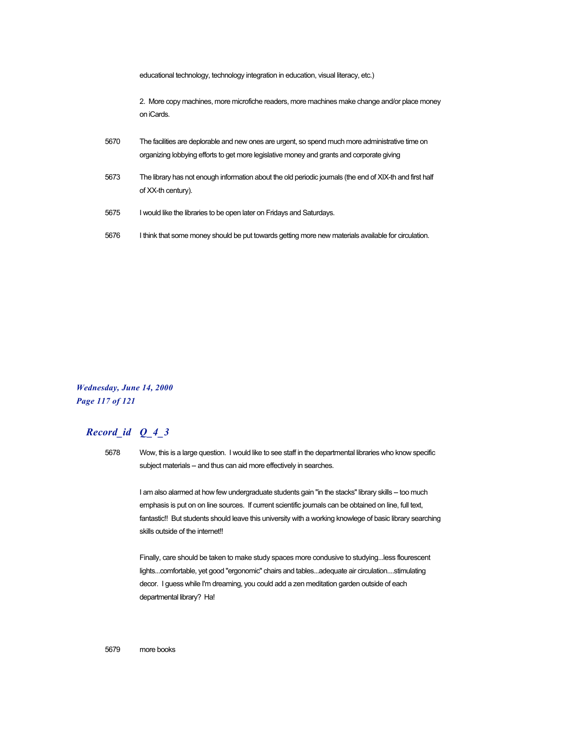|      | educational technology, technology integration in education, visual literacy, etc.)                                                                                                           |
|------|-----------------------------------------------------------------------------------------------------------------------------------------------------------------------------------------------|
|      | 2. More copy machines, more microfiche readers, more machines make change and/or place money<br>on iCards.                                                                                    |
| 5670 | The facilities are deplorable and new ones are urgent, so spend much more administrative time on<br>organizing lobbying efforts to get more legislative money and grants and corporate giving |
| 5673 | The library has not enough information about the old periodic journals (the end of XIX-th and first half<br>of XX-th century).                                                                |
| 5675 | I would like the libraries to be open later on Fridays and Saturdays.                                                                                                                         |
| 5676 | I think that some money should be put towards getting more new materials available for circulation.                                                                                           |

*Wednesday, June 14, 2000 Page 117 of 121*

# *Record\_id Q\_4\_3*

5678 Wow, this is a large question. I would like to see staff in the departmental libraries who know specific subject materials -- and thus can aid more effectively in searches.

> I am also alarmed at how few undergraduate students gain "in the stacks" library skills -- too much emphasis is put on on line sources. If current scientific journals can be obtained on line, full text, fantastic!! But students should leave this university with a working knowlege of basic library searching skills outside of the internet!!

Finally, care should be taken to make study spaces more condusive to studying...less flourescent lights...comfortable, yet good "ergonomic" chairs and tables...adequate air circulation....stimulating decor. I guess while I'm dreaming, you could add a zen meditation garden outside of each departmental library? Ha!

5679 more books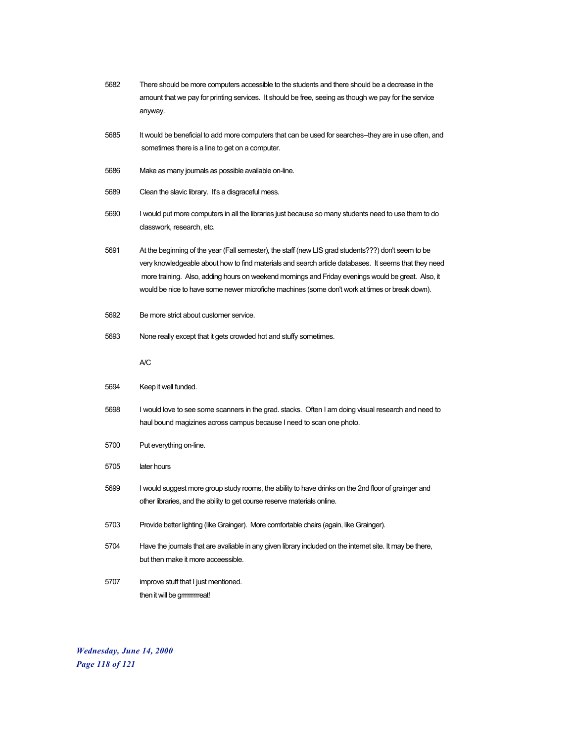| 5682 | There should be more computers accessible to the students and there should be a decrease in the<br>amount that we pay for printing services. It should be free, seeing as though we pay for the service<br>anyway.                                                                                                                                                                                                  |
|------|---------------------------------------------------------------------------------------------------------------------------------------------------------------------------------------------------------------------------------------------------------------------------------------------------------------------------------------------------------------------------------------------------------------------|
| 5685 | It would be beneficial to add more computers that can be used for searches--they are in use often, and<br>sometimes there is a line to get on a computer.                                                                                                                                                                                                                                                           |
| 5686 | Make as many journals as possible available on-line.                                                                                                                                                                                                                                                                                                                                                                |
| 5689 | Clean the slavic library. It's a disgraceful mess.                                                                                                                                                                                                                                                                                                                                                                  |
| 5690 | I would put more computers in all the libraries just because so many students need to use them to do<br>classwork, research, etc.                                                                                                                                                                                                                                                                                   |
| 5691 | At the beginning of the year (Fall semester), the staff (new LIS grad students???) don't seem to be<br>very knowledgeable about how to find materials and search article databases. It seems that they need<br>more training. Also, adding hours on weekend mornings and Friday evenings would be great. Also, it<br>would be nice to have some newer microfiche machines (some don't work at times or break down). |
| 5692 | Be more strict about customer service.                                                                                                                                                                                                                                                                                                                                                                              |
| 5693 | None really except that it gets crowded hot and stuffy sometimes.                                                                                                                                                                                                                                                                                                                                                   |
|      | А/C                                                                                                                                                                                                                                                                                                                                                                                                                 |
| 5694 | Keep it well funded.                                                                                                                                                                                                                                                                                                                                                                                                |
| 5698 | I would love to see some scanners in the grad. stacks. Often I am doing visual research and need to<br>haul bound magizines across campus because I need to scan one photo.                                                                                                                                                                                                                                         |
| 5700 | Put everything on-line.                                                                                                                                                                                                                                                                                                                                                                                             |
| 5705 | later hours                                                                                                                                                                                                                                                                                                                                                                                                         |
| 5699 | I would suggest more group study rooms, the ability to have drinks on the 2nd floor of grainger and<br>other libraries, and the ability to get course reserve materials online.                                                                                                                                                                                                                                     |
| 5703 | Provide better lighting (like Grainger). More comfortable chairs (again, like Grainger).                                                                                                                                                                                                                                                                                                                            |
| 5704 | Have the journals that are avaliable in any given library included on the internet site. It may be there,<br>but then make it more acceessible.                                                                                                                                                                                                                                                                     |
| 5707 | improve stuff that I just mentioned.<br>then it will be gmmmreat!                                                                                                                                                                                                                                                                                                                                                   |

*Wednesday, June 14, 2000 Page 118 of 121*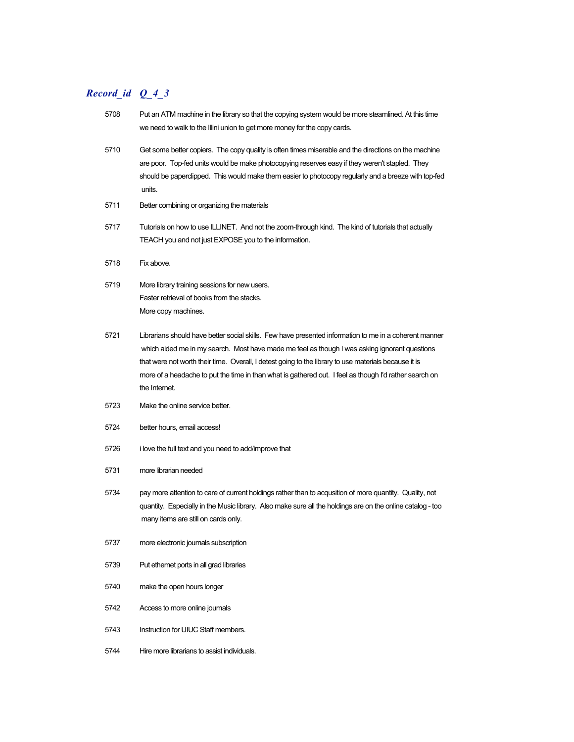| 5708 | Put an ATM machine in the library so that the copying system would be more steamlined. At this time<br>we need to walk to the Illini union to get more money for the copy cards.                                                                                                                                                                                                                                                            |
|------|---------------------------------------------------------------------------------------------------------------------------------------------------------------------------------------------------------------------------------------------------------------------------------------------------------------------------------------------------------------------------------------------------------------------------------------------|
| 5710 | Get some better copiers. The copy quality is often times miserable and the directions on the machine<br>are poor. Top-fed units would be make photocopying reserves easy if they weren't stapled. They<br>should be paperclipped. This would make them easier to photocopy regularly and a breeze with top-fed<br>units.                                                                                                                    |
| 5711 | Better combining or organizing the materials                                                                                                                                                                                                                                                                                                                                                                                                |
| 5717 | Tutorials on how to use ILLINET. And not the zoom-through kind. The kind of tutorials that actually<br>TEACH you and not just EXPOSE you to the information.                                                                                                                                                                                                                                                                                |
| 5718 | Fix above.                                                                                                                                                                                                                                                                                                                                                                                                                                  |
| 5719 | More library training sessions for new users.<br>Faster retrieval of books from the stacks.<br>More copy machines.                                                                                                                                                                                                                                                                                                                          |
| 5721 | Librarians should have better social skills. Few have presented information to me in a coherent manner<br>which aided me in my search. Most have made me feel as though I was asking ignorant questions<br>that were not worth their time. Overall, I detest going to the library to use materials because it is<br>more of a headache to put the time in than what is gathered out. I feel as though I'd rather search on<br>the Internet. |
| 5723 | Make the online service better.                                                                                                                                                                                                                                                                                                                                                                                                             |
| 5724 | better hours, email access!                                                                                                                                                                                                                                                                                                                                                                                                                 |
| 5726 | i love the full text and you need to add/improve that                                                                                                                                                                                                                                                                                                                                                                                       |
| 5731 | more librarian needed                                                                                                                                                                                                                                                                                                                                                                                                                       |
| 5734 | pay more attention to care of current holdings rather than to acqusition of more quantity. Quality, not<br>quantity. Especially in the Music library. Also make sure all the holdings are on the online catalog - too<br>many items are still on cards only.                                                                                                                                                                                |
| 5737 | more electronic journals subscription                                                                                                                                                                                                                                                                                                                                                                                                       |
| 5739 | Put ethemet ports in all grad libraries                                                                                                                                                                                                                                                                                                                                                                                                     |
| 5740 | make the open hours longer                                                                                                                                                                                                                                                                                                                                                                                                                  |
| 5742 | Access to more online journals                                                                                                                                                                                                                                                                                                                                                                                                              |
| 5743 | Instruction for UIUC Staff members.                                                                                                                                                                                                                                                                                                                                                                                                         |
| 5744 | Hire more librarians to assist individuals.                                                                                                                                                                                                                                                                                                                                                                                                 |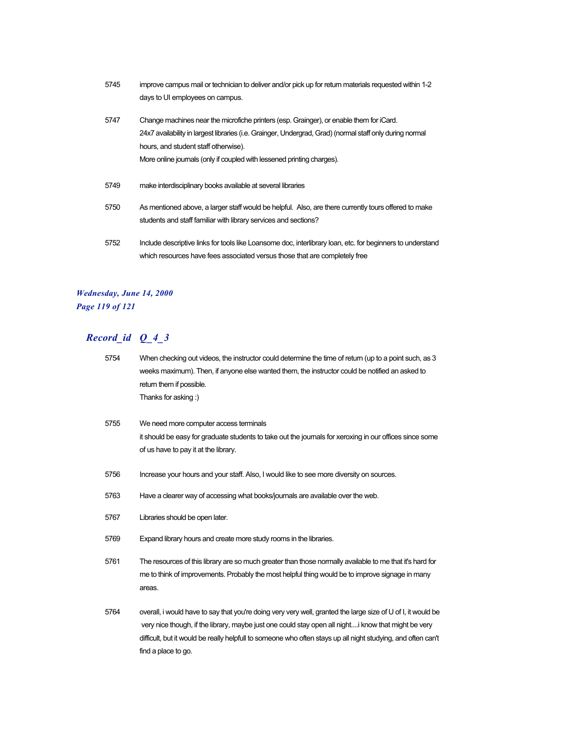5745 improve campus mail or technician to deliver and/or pick up for return materials requested within 1-2 days to UI employees on campus. 5747 Change machines near the microfiche printers (esp. Grainger), or enable them for iCard. 24x7 availability in largest libraries (i.e. Grainger, Undergrad, Grad) (normal staff only during normal hours, and student staff otherwise).

More online journals (only if coupled with lessened printing charges).

- 5749 make interdisciplinary books available at several libraries
- 5750 As mentioned above, a larger staff would be helpful. Also, are there currently tours offered to make students and staff familiar with library services and sections?
- 5752 Include descriptive links for tools like Loansome doc, interlibrary loan, etc. for beginners to understand which resources have fees associated versus those that are completely free

### *Wednesday, June 14, 2000 Page 119 of 121*

| 5754 | When checking out videos, the instructor could determine the time of return (up to a point such, as 3<br>weeks maximum). Then, if anyone else wanted them, the instructor could be notified an asked to<br>return them if possible.<br>Thanks for asking:)                                                                                                  |
|------|-------------------------------------------------------------------------------------------------------------------------------------------------------------------------------------------------------------------------------------------------------------------------------------------------------------------------------------------------------------|
| 5755 | We need more computer access terminals<br>it should be easy for graduate students to take out the journals for xeroxing in our offices since some<br>of us have to pay it at the library.                                                                                                                                                                   |
| 5756 | Increase your hours and your staff. Also, I would like to see more diversity on sources.                                                                                                                                                                                                                                                                    |
| 5763 | Have a clearer way of accessing what books/journals are available over the web.                                                                                                                                                                                                                                                                             |
| 5767 | Libraries should be open later.                                                                                                                                                                                                                                                                                                                             |
| 5769 | Expand library hours and create more study rooms in the libraries.                                                                                                                                                                                                                                                                                          |
| 5761 | The resources of this library are so much greater than those normally available to me that it's hard for<br>me to think of improvements. Probably the most helpful thing would be to improve signage in many<br>areas.                                                                                                                                      |
| 5764 | overall, i would have to say that you're doing very very well, granted the large size of U of I, it would be<br>very nice though, if the library, maybe just one could stay open all night i know that might be very<br>difficult, but it would be really helpfull to someone who often stays up all night studying, and often can't<br>find a place to go. |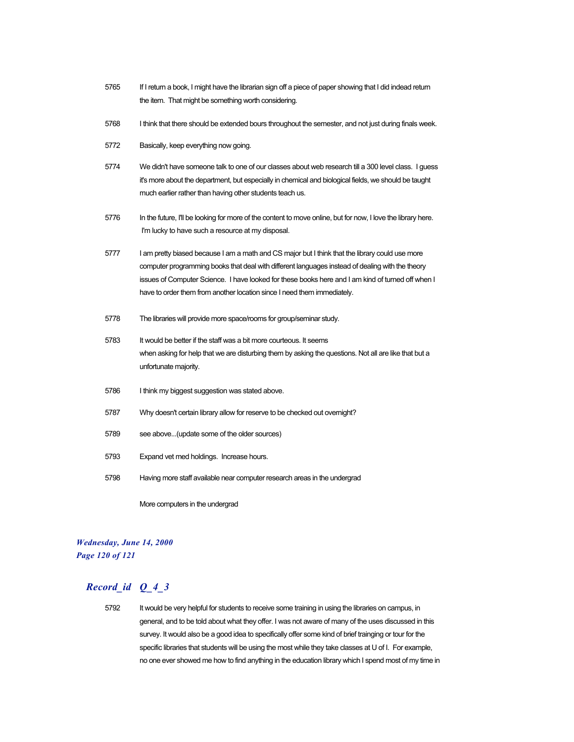- 5765 If I return a book, I might have the librarian sign off a piece of paper showing that I did indead return the item. That might be something worth considering.
- 5768 I think that there should be extended bours throughout the semester, and not just during finals week.
- 5772 Basically, keep everything now going.
- 5774 We didn't have someone talk to one of our classes about web research till a 300 level class. I guess it's more about the department, but especially in chemical and biological fields, we should be taught much earlier rather than having other students teach us.
- 5776 In the future, I'll be looking for more of the content to move online, but for now, I love the library here. I'm lucky to have such a resource at my disposal.
- 5777 I am pretty biased because I am a math and CS major but I think that the library could use more computer programming books that deal with different languages instead of dealing with the theory issues of Computer Science. I have looked for these books here and I am kind of turned off when I have to order them from another location since I need them immediately.
- 5778 The libraries will provide more space/rooms for group/seminar study.
- 5783 It would be better if the staff was a bit more courteous. It seems when asking for help that we are disturbing them by asking the questions. Not all are like that but a unfortunate majority.
- 5786 I think my biggest suggestion was stated above.
- 5787 Why doesn't certain library allow for reserve to be checked out overnight?
- 5789 see above...(update some of the older sources)
- 5793 Expand vet med holdings. Increase hours.
- 5798 Having more staff available near computer research areas in the undergrad

More computers in the undergrad

### *Wednesday, June 14, 2000 Page 120 of 121*

# *Record\_id Q\_4\_3*

5792 It would be very helpful for students to receive some training in using the libraries on campus, in general, and to be told about what they offer. I was not aware of many of the uses discussed in this survey. It would also be a good idea to specifically offer some kind of brief trainging or tour for the specific libraries that students will be using the most while they take classes at U of I. For example, no one ever showed me how to find anything in the education library which I spend most of my time in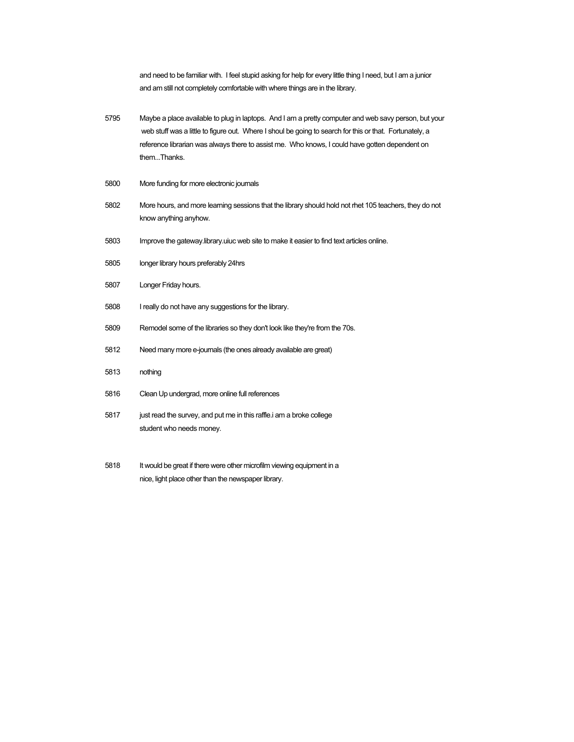and need to be familiar with. I feel stupid asking for help for every little thing I need, but I am a junior and am still not completely comfortable with where things are in the library.

- 5795 Maybe a place available to plug in laptops. And I am a pretty computer and web savy person, but your web stuff was a little to figure out. Where I shoul be going to search for this or that. Fortunately, a reference librarian was always there to assist me. Who knows, I could have gotten dependent on them...Thanks.
- 5800 More funding for more electronic journals
- 5802 More hours, and more learning sessions that the library should hold not rhet 105 teachers, they do not know anything anyhow.
- 5803 Improve the gateway.library.uiuc web site to make it easier to find text articles online.
- 5805 longer library hours preferably 24hrs
- 5807 Longer Friday hours.
- 5808 I really do not have any suggestions for the library.
- 5809 Remodel some of the libraries so they don't look like they're from the 70s.
- 5812 Need many more e-journals (the ones already available are great)
- 5813 nothing
- 5816 Clean Up undergrad, more online full references
- 5817 just read the survey, and put me in this raffle.i am a broke college student who needs money.
- 5818 It would be great if there were other microfilm viewing equipment in a nice, light place other than the newspaper library.